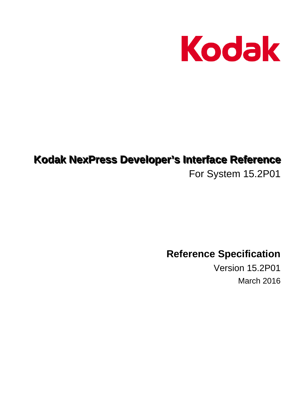

# Kodak NexPress Developer's Interface Reference

For System 15.2P01

**Reference Specification** 

Version 15.2P01 March 2016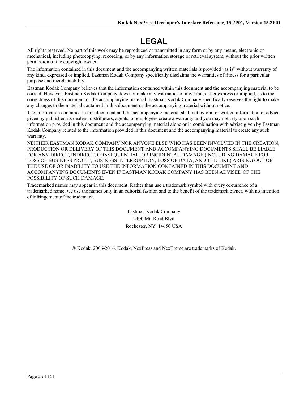# **LEGAL**

All rights reserved. No part of this work may be reproduced or transmitted in any form or by any means, electronic or mechanical, including photocopying, recording, or by any information storage or retrieval system, without the prior written permission of the copyright owner.

The information contained in this document and the accompanying written materials is provided "as is" without warranty of any kind, expressed or implied. Eastman Kodak Company specifically disclaims the warranties of fitness for a particular purpose and merchantability.

Eastman Kodak Company believes that the information contained within this document and the accompanying material to be correct. However, Eastman Kodak Company does not make any warranties of any kind, either express or implied, as to the correctness of this document or the accompanying material. Eastman Kodak Company specifically reserves the right to make any changes to the material contained in this document or the accompanying material without notice.

The information contained in this document and the accompanying material shall not by oral or written information or advice given by publisher, its dealers, distributors, agents, or employees create a warranty and you may not rely upon such information provided in this document and the accompanying material alone or in combination with advise given by Eastman Kodak Company related to the information provided in this document and the accompanying material to create any such warranty.

NEITHER EASTMAN KODAK COMPANY NOR ANYONE ELSE WHO HAS BEEN INVOLVED IN THE CREATION, PRODUCTION OR DELIVERY OF THIS DOCUMENT AND ACCOMPANYING DOCUMENTS SHALL BE LIABLE FOR ANY DIRECT, INDIRECT, CONSEQUENTIAL, OR INCIDENTAL DAMAGE (INCLUDING DAMAGE FOR LOSS OF BUSINESS PROFIT, BUSINESS INTERRUPTION, LOSS OF DATA, AND THE LIKE) ARISING OUT OF THE USE OF OR INABILITY TO USE THE INFORMATION CONTAINED IN THIS DOCUMENT AND ACCOMPANYING DOCUMENTS EVEN IF EASTMAN KODAK COMPANY HAS BEEN ADVISED OF THE POSSIBILITY OF SUCH DAMAGE.

Trademarked names may appear in this document. Rather than use a trademark symbol with every occurrence of a trademarked name, we use the names only in an editorial fashion and to the benefit of the trademark owner, with no intention of infringement of the trademark.

> Eastman Kodak Company 2400 Mt. Read Blvd Rochester, NY 14650 USA

© Kodak, 2006-2016. Kodak, NexPress and NexTreme are trademarks of Kodak.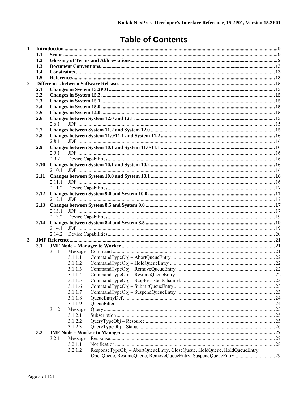# **Table of Contents**

| $\mathbf{1}$   |      |        |             |                                                                           |  |  |  |
|----------------|------|--------|-------------|---------------------------------------------------------------------------|--|--|--|
|                | 1.1  |        |             |                                                                           |  |  |  |
|                | 1.2  |        |             |                                                                           |  |  |  |
|                | 1.3  |        |             |                                                                           |  |  |  |
|                | 1.4  |        |             |                                                                           |  |  |  |
|                | 1.5  |        |             |                                                                           |  |  |  |
| $\overline{2}$ |      |        |             |                                                                           |  |  |  |
|                | 2.1  |        |             |                                                                           |  |  |  |
|                | 2.2  |        |             |                                                                           |  |  |  |
|                | 2.3  |        |             |                                                                           |  |  |  |
|                | 2.4  |        |             |                                                                           |  |  |  |
|                | 2.5  |        |             |                                                                           |  |  |  |
|                | 2.6  |        |             |                                                                           |  |  |  |
|                |      | 2.6.1  |             |                                                                           |  |  |  |
|                | 2.7  |        |             |                                                                           |  |  |  |
|                | 2.8  |        |             |                                                                           |  |  |  |
|                |      | 281    |             |                                                                           |  |  |  |
|                | 2.9  |        |             |                                                                           |  |  |  |
|                |      | 2.9.1  |             |                                                                           |  |  |  |
|                |      | 2.9.2  |             |                                                                           |  |  |  |
|                | 2.10 |        |             |                                                                           |  |  |  |
|                |      | 2.10.1 |             |                                                                           |  |  |  |
|                | 2.11 |        |             |                                                                           |  |  |  |
|                |      | 2.11.1 |             |                                                                           |  |  |  |
|                |      |        |             |                                                                           |  |  |  |
|                | 2.12 |        |             |                                                                           |  |  |  |
|                |      | 2.12.1 |             |                                                                           |  |  |  |
|                | 2.13 |        |             |                                                                           |  |  |  |
|                |      |        |             |                                                                           |  |  |  |
|                | 2.14 |        |             |                                                                           |  |  |  |
|                |      | 2.14.1 |             |                                                                           |  |  |  |
|                |      | 2.14.2 |             |                                                                           |  |  |  |
| 3              |      |        |             |                                                                           |  |  |  |
|                | 3.1  |        |             |                                                                           |  |  |  |
|                |      | 3.1.1  |             |                                                                           |  |  |  |
|                |      |        | 3.1.1.1     |                                                                           |  |  |  |
|                |      |        | 3.1.1.2     |                                                                           |  |  |  |
|                |      |        | 3.1.1.3     |                                                                           |  |  |  |
|                |      |        | 3.1.1.4     |                                                                           |  |  |  |
|                |      |        | 3.1.1.5     |                                                                           |  |  |  |
|                |      |        | 3.1.1.6     |                                                                           |  |  |  |
|                |      |        | 3.1.1.7     |                                                                           |  |  |  |
|                |      |        | 3.1.1.8     |                                                                           |  |  |  |
|                |      |        | 3.1.1.9     |                                                                           |  |  |  |
|                |      | 3.1.2  | $Message -$ |                                                                           |  |  |  |
|                |      |        | 3.1.2.1     |                                                                           |  |  |  |
|                |      |        | 3.1.2.2     |                                                                           |  |  |  |
|                |      |        | 3.1.2.3     |                                                                           |  |  |  |
|                | 3.2  |        |             |                                                                           |  |  |  |
|                |      | 3.2.1  |             |                                                                           |  |  |  |
|                |      |        | 3.2.1.1     |                                                                           |  |  |  |
|                |      |        | 3.2.1.2     | ResponseTypeObj - AbortQueueEntry, CloseQueue, HoldQueue, HoldQueueEntry, |  |  |  |
|                |      |        |             |                                                                           |  |  |  |
|                |      |        |             |                                                                           |  |  |  |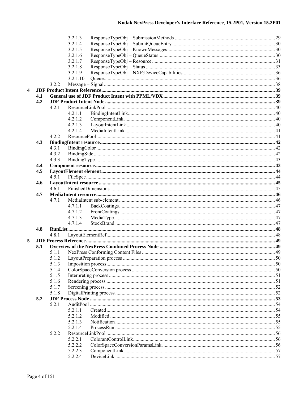|   |     |       | 3.2.1.3            |  |
|---|-----|-------|--------------------|--|
|   |     |       | 3.2.1.4            |  |
|   |     |       | 3.2.1.5            |  |
|   |     |       | 3.2.1.6            |  |
|   |     |       | 3.2.1.7            |  |
|   |     |       | 3.2.1.8            |  |
|   |     |       | 3.2.1.9            |  |
|   |     |       | 3.2.1.10           |  |
|   |     | 3.2.2 |                    |  |
| 4 |     |       |                    |  |
|   | 4.1 |       |                    |  |
|   | 4.2 |       |                    |  |
|   |     | 4.2.1 |                    |  |
|   |     |       | 4.2.1.1            |  |
|   |     |       | 4.2.1.2            |  |
|   |     |       | 4.2.1.3            |  |
|   |     |       | 4.2.1.4            |  |
|   |     | 4.2.2 |                    |  |
|   | 4.3 |       |                    |  |
|   |     | 4.3.1 |                    |  |
|   |     | 4.3.2 |                    |  |
|   |     | 4.3.3 |                    |  |
|   | 4.4 |       |                    |  |
|   | 4.5 |       |                    |  |
|   |     | 4.5.1 |                    |  |
|   | 4.6 |       |                    |  |
|   |     | 4.6.1 |                    |  |
|   | 4.7 |       |                    |  |
|   |     | 4.7.1 |                    |  |
|   |     |       | 4.7.1.1            |  |
|   |     |       | 4.7.1.2            |  |
|   |     |       | 4.7.1.3            |  |
|   |     |       | 4.7.1.4            |  |
|   | 4.8 |       |                    |  |
|   |     | 4.8.1 |                    |  |
| 5 |     |       |                    |  |
|   | 5.1 |       |                    |  |
|   |     | 5.1.1 |                    |  |
|   |     | 5.1.2 |                    |  |
|   |     | 5.1.3 |                    |  |
|   |     | 5.1.4 |                    |  |
|   |     | 5.1.5 |                    |  |
|   |     | 5.1.6 |                    |  |
|   |     | 5.1.7 |                    |  |
|   |     | 5.1.8 |                    |  |
|   | 5.2 | 5.2.1 |                    |  |
|   |     |       | 5.2.1.1            |  |
|   |     |       |                    |  |
|   |     |       | 5.2.1.2<br>5.2.1.3 |  |
|   |     |       | 5.2.1.4            |  |
|   |     | 5.2.2 |                    |  |
|   |     |       | 5.2.2.1            |  |
|   |     |       | 5.2.2.2            |  |
|   |     |       | 5.2.2.3            |  |
|   |     |       | 5.2.2.4            |  |
|   |     |       |                    |  |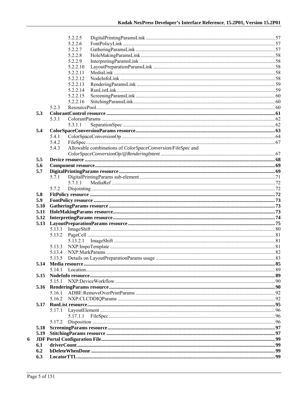|   |              |                  | 5.2.2.5  |                                                             |  |
|---|--------------|------------------|----------|-------------------------------------------------------------|--|
|   |              |                  | 5.2.2.6  |                                                             |  |
|   |              |                  | 5.2.2.7  |                                                             |  |
|   |              |                  | 5.2.2.8  |                                                             |  |
|   |              |                  | 5.2.2.9  |                                                             |  |
|   |              |                  | 5.2.2.10 |                                                             |  |
|   |              |                  | 5.2.2.11 |                                                             |  |
|   |              |                  | 5.2.2.12 |                                                             |  |
|   |              |                  | 5.2.2.13 |                                                             |  |
|   |              |                  | 5.2.2.14 |                                                             |  |
|   |              |                  | 5.2.2.15 |                                                             |  |
|   |              |                  | 5.2.2.16 |                                                             |  |
|   |              | 5.2.3            |          |                                                             |  |
|   | 5.3          |                  |          |                                                             |  |
|   |              | 5.3.1            |          |                                                             |  |
|   | 5.4          |                  | 5.3.1.1  |                                                             |  |
|   |              | 5.4.1            |          |                                                             |  |
|   |              | 5.4.2            |          |                                                             |  |
|   |              | 5.4.3            |          | Allowable combinations of ColorSpaceConversion/FileSpec and |  |
|   |              |                  |          |                                                             |  |
|   | 5.5          |                  |          |                                                             |  |
|   | 5.6          |                  |          |                                                             |  |
|   | 5.7          |                  |          |                                                             |  |
|   |              | 5.7.1            |          |                                                             |  |
|   |              |                  | 5.7.1.1  |                                                             |  |
|   |              | 5.7.2            |          |                                                             |  |
|   | 5.8          |                  |          |                                                             |  |
|   |              |                  |          |                                                             |  |
|   |              |                  |          |                                                             |  |
|   | 5.9          |                  |          |                                                             |  |
|   | 5.10<br>5.11 |                  |          |                                                             |  |
|   |              |                  |          |                                                             |  |
|   | 5.12<br>5.13 |                  |          |                                                             |  |
|   |              |                  |          |                                                             |  |
|   |              | 5.13.1<br>5.13.2 |          |                                                             |  |
|   |              |                  |          |                                                             |  |
|   |              | 5.13.3           |          |                                                             |  |
|   |              | 5.13.4           |          |                                                             |  |
|   |              | 5.13.5           |          |                                                             |  |
|   |              |                  |          |                                                             |  |
|   |              | 5 14 1           |          |                                                             |  |
|   |              |                  |          |                                                             |  |
|   |              | 5.15.1           |          |                                                             |  |
|   |              |                  |          |                                                             |  |
|   |              | 5.16.1           |          |                                                             |  |
|   |              | 5.16.2           |          |                                                             |  |
|   | 5.17         |                  |          |                                                             |  |
|   |              | 5.17.1           |          |                                                             |  |
|   |              |                  | 5.17.1.1 |                                                             |  |
|   |              | 5.17.2           |          |                                                             |  |
|   | 5.18         |                  |          |                                                             |  |
|   | 5.19         |                  |          |                                                             |  |
| 6 |              |                  |          |                                                             |  |
|   | 6.1          |                  |          |                                                             |  |
|   | 6.2<br>6.3   |                  |          |                                                             |  |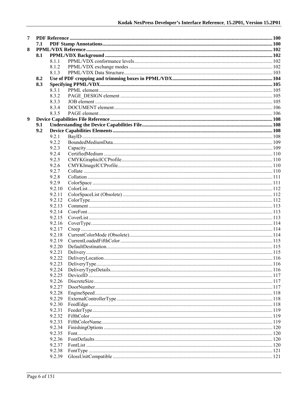| 7 |     |        |  |  |
|---|-----|--------|--|--|
|   | 7.1 |        |  |  |
| 8 |     |        |  |  |
|   | 8.1 |        |  |  |
|   |     | 8.1.1  |  |  |
|   |     | 8.1.2  |  |  |
|   |     | 8.1.3  |  |  |
|   | 8.2 |        |  |  |
|   | 8.3 |        |  |  |
|   |     | 8.3.1  |  |  |
|   |     | 8.3.2  |  |  |
|   |     | 8.3.3  |  |  |
|   |     | 8.3.4  |  |  |
|   |     | 8.3.5  |  |  |
| 9 |     |        |  |  |
|   | 9.1 |        |  |  |
|   | 9.2 |        |  |  |
|   |     | 9.2.1  |  |  |
|   |     | 9.2.2  |  |  |
|   |     | 9.2.3  |  |  |
|   |     | 9.2.4  |  |  |
|   |     | 9.2.5  |  |  |
|   |     | 9.2.6  |  |  |
|   |     | 9.2.7  |  |  |
|   |     | 9.2.8  |  |  |
|   |     | 9.2.9  |  |  |
|   |     | 9.2.10 |  |  |
|   |     | 9.2.11 |  |  |
|   |     | 9.2.12 |  |  |
|   |     | 9.2.13 |  |  |
|   |     | 9.2.14 |  |  |
|   |     | 9.2.15 |  |  |
|   |     | 9.2.16 |  |  |
|   |     | 9.2.17 |  |  |
|   |     | 9.2.18 |  |  |
|   |     | 9.2.19 |  |  |
|   |     | 9.2.20 |  |  |
|   |     | 9.2.21 |  |  |
|   |     | 9.2.22 |  |  |
|   |     | 9.2.23 |  |  |
|   |     | 9.2.24 |  |  |
|   |     | 9.2.25 |  |  |
|   |     | 9.2.26 |  |  |
|   |     | 9.2.27 |  |  |
|   |     | 9.2.28 |  |  |
|   |     | 9.2.29 |  |  |
|   |     | 9.2.30 |  |  |
|   |     | 9.2.31 |  |  |
|   |     | 9.2.32 |  |  |
|   |     | 9.2.33 |  |  |
|   |     | 9.2.34 |  |  |
|   |     | 9.2.35 |  |  |
|   |     | 9.2.36 |  |  |
|   |     | 9.2.37 |  |  |
|   |     | 9.2.38 |  |  |
|   |     | 9.2.39 |  |  |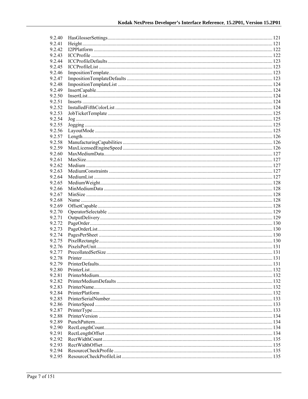| 9.2.40 |  |
|--------|--|
| 9.2.41 |  |
| 9.2.42 |  |
| 9.2.43 |  |
| 9.2.44 |  |
| 9.2.45 |  |
| 9.2.46 |  |
| 9.2.47 |  |
| 9.2.48 |  |
| 9.2.49 |  |
| 9.2.50 |  |
|        |  |
| 9.2.51 |  |
| 9.2.52 |  |
| 9.2.53 |  |
| 9.2.54 |  |
| 9.2.55 |  |
| 9.2.56 |  |
| 9.2.57 |  |
| 9.2.58 |  |
| 9.2.59 |  |
| 9.2.60 |  |
| 9.2.61 |  |
| 9.2.62 |  |
| 9.2.63 |  |
| 9.2.64 |  |
| 9.2.65 |  |
| 9.2.66 |  |
| 9.2.67 |  |
| 9.2.68 |  |
| 9.2.69 |  |
| 9.2.70 |  |
| 9.2.71 |  |
| 9.2.72 |  |
| 9.2.73 |  |
| 9.2.74 |  |
|        |  |
| 9.2.75 |  |
| 9.2.76 |  |
| 9.2.77 |  |
| 9.2.78 |  |
| 9.2.79 |  |
| 9.2.80 |  |
| 9.2.81 |  |
| 9.2.82 |  |
| 9.2.83 |  |
| 9.2.84 |  |
| 9.2.85 |  |
| 9.2.86 |  |
| 9.2.87 |  |
| 9.2.88 |  |
| 9.2.89 |  |
| 9.2.90 |  |
| 9.2.91 |  |
| 9.2.92 |  |
| 9.2.93 |  |
| 9.2.94 |  |
| 9.2.95 |  |
|        |  |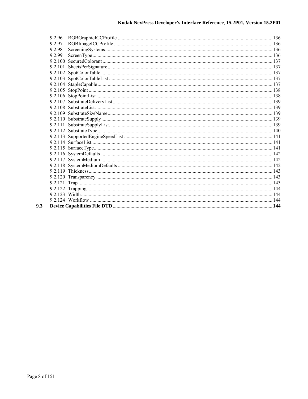| 9.2.96 |  |
|--------|--|
| 9.2.97 |  |
| 9.2.98 |  |
| 9.2.99 |  |
|        |  |
|        |  |
|        |  |
|        |  |
|        |  |
|        |  |
|        |  |
|        |  |
|        |  |
|        |  |
|        |  |
|        |  |
|        |  |
|        |  |
|        |  |
|        |  |
|        |  |
|        |  |
|        |  |
|        |  |
|        |  |
|        |  |
|        |  |
|        |  |
|        |  |
|        |  |

 $9.3$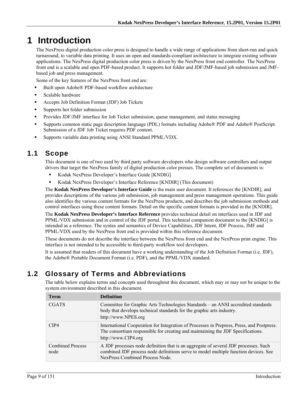# **1 Introduction**

The NexPress digital production color press is designed to handle a wide range of applications from short-run and quick turnaround, to variable data printing. It uses an open and standards-compliant architecture to integrate existing software applications. The NexPress digital production color press is driven by the NexPress front end controller. The NexPress front end is a scalable and open PDF-based product. It supports hot folder and JDF/JMF-based job submission and JMFbased job and press management.

Some of the key features of the NexPress front end are:

- Built upon Adobe® PDF-based workflow architecture
- Scalable hardware
- Accepts Job Definition Format (JDF) Job Tickets
- Supports hot folder submission
- Provides JDF/JMF interface for Job Ticket submission, queue management, and status messaging
- Supports common static page description language (PDL) formats including Adobe® PDF and Adobe® PostScript. Submission of a JDF Job Ticket requires PDF content.
- Supports variable data printing using ANSI Standard PPML/VDX.

## **1.1 Scope**

This document is one of two used by third party software developers who design software controllers and output drivers that target the NexPress family of digital production color presses. The complete set of documents is:

- Kodak NexPress Developer's Interface Guide [KNDIG]
- Kodak NexPress Developer's Interface Reference [KNDIR] (This document)

The **Kodak NexPress Developer's Interface Guide** is the main user document. It references the [KNDIR], and provides descriptions of the various job submission, job management and press management operations. This guide also identifies the various content formats for the NexPress products, and describes the job submission methods and control interfaces using these content formats. Detail on the specific content formats is provided in the [KNDIR].

The **Kodak NexPress Developer's Interface Reference** provides technical detail on interfaces used in JDF and PPML/VDX submission and in control of the JDF portal. This technical companion document to the [KNDIG] is intended as a reference. The syntax and semantics of Device Capabilities, JDF Intent, JDF Process, JMF and PPML/VDX used by the NexPress front end is provided within this reference document.

These documents do not describe the interface between the NexPress front end and the NexPress print engine. This interface is not intended to be accessible to third-party workflow tool developers.

It is assumed that readers of this document have a working understanding of the Job Definition Format (i.e. JDF), the Adobe® Portable Document Format (i.e. PDF), and the PPML/VDX standard.

# **1.2 Glossary of Terms and Abbreviations**

The table below explains terms and concepts used throughout this document, which may or may not be unique to the system environment described in this document.

| <b>Term</b>                     | <b>Definition</b>                                                                                                                                                                                             |
|---------------------------------|---------------------------------------------------------------------------------------------------------------------------------------------------------------------------------------------------------------|
| <b>CGATS</b>                    | Committee for Graphic Arts Technologies Standards – an ANSI accredited standards<br>body that develops technical standards for the graphic arts industry.<br>http://www.NPES.org                              |
| CIP4                            | International Cooperation for Integration of Processes in Prepress, Press, and Postpress.<br>The consortium responsible for creating and maintaining the JDF Specifications.<br>http://www.CIP4.org           |
| <b>Combined Process</b><br>node | A JDF processes node definition that is an aggregate of several JDF processes. Such<br>combined JDF process node definitions serve to model multiple function devices. See<br>NexPress Combined Process Node. |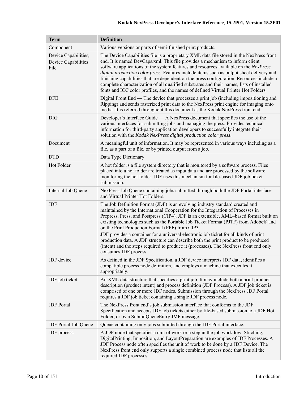| <b>Term</b>                                                | <b>Definition</b>                                                                                                                                                                                                                                                                                                                                                                                                                                                                                                                                                                                                                                                                                      |  |  |  |  |
|------------------------------------------------------------|--------------------------------------------------------------------------------------------------------------------------------------------------------------------------------------------------------------------------------------------------------------------------------------------------------------------------------------------------------------------------------------------------------------------------------------------------------------------------------------------------------------------------------------------------------------------------------------------------------------------------------------------------------------------------------------------------------|--|--|--|--|
| Component                                                  | Various versions or parts of semi-finished print products.                                                                                                                                                                                                                                                                                                                                                                                                                                                                                                                                                                                                                                             |  |  |  |  |
| Device Capabilities;<br><b>Device Capabilities</b><br>File | The Device Capabilities file is a proprietary XML data file stored in the NexPress front<br>end. It is named DevCaps.xml. This file provides a mechanism to inform client<br>software applications of the system features and resources available on the NexPress<br>digital production color press. Features include items such as output sheet delivery and<br>finishing capabilities that are dependent on the press configuration. Resources include a<br>complete characterization of all qualified substrates and their names, lists of installed<br>fonts and ICC color profiles, and the names of defined Virtual Printer Hot Folders.                                                         |  |  |  |  |
| <b>DFE</b>                                                 | Digital Front End — The device that processes a print job (including impositioning and<br>Ripping) and sends rasterized print data to the NexPress print engine for imaging onto<br>media. It is referred throughout this document as the Kodak NexPress front end.                                                                                                                                                                                                                                                                                                                                                                                                                                    |  |  |  |  |
| <b>DIG</b>                                                 | Developer's Interface Guide $-$ A NexPress document that specifies the use of the<br>various interfaces for submitting jobs and managing the press. Provides technical<br>information for third-party application developers to successfully integrate their<br>solution with the Kodak NexPress digital production color press.                                                                                                                                                                                                                                                                                                                                                                       |  |  |  |  |
| Document                                                   | A meaningful unit of information. It may be represented in various ways including as a<br>file, as a part of a file, or by printed output from a job.                                                                                                                                                                                                                                                                                                                                                                                                                                                                                                                                                  |  |  |  |  |
| <b>DTD</b>                                                 | Data Type Dictionary                                                                                                                                                                                                                                                                                                                                                                                                                                                                                                                                                                                                                                                                                   |  |  |  |  |
| <b>Hot Folder</b>                                          | A hot folder is a file system directory that is monitored by a software process. Files<br>placed into a hot folder are treated as input data and are processed by the software<br>monitoring the hot folder. JDF uses this mechanism for file-based JDF job ticket<br>submission.                                                                                                                                                                                                                                                                                                                                                                                                                      |  |  |  |  |
| Internal Job Queue                                         | NexPress Job Queue containing jobs submitted through both the JDF Portal interface<br>and Virtual Printer Hot Folders.                                                                                                                                                                                                                                                                                                                                                                                                                                                                                                                                                                                 |  |  |  |  |
| JDF                                                        | The Job Definition Format (JDF) is an evolving industry standard created and<br>maintained by the International Cooperation for the Integration of Processes in<br>Prepress, Press, and Postpress (CIP4). JDF is an extensible, XML-based format built on<br>existing technologies such as the Portable Job Ticket Format (PJTF) from Adobe® and<br>on the Print Production Format (PPF) from CIP3.<br>JDF provides a container for a universal electronic job ticket for all kinds of print<br>production data. A JDF structure can describe both the print product to be produced<br>(intent) and the steps required to produce it (processes). The NexPress front end only<br>consumes JDF process. |  |  |  |  |
| JDF device                                                 | As defined in the JDF Specification, a JDF device interprets JDF data, identifies a<br>compatible process node definition, and employs a machine that executes it<br>appropriately.                                                                                                                                                                                                                                                                                                                                                                                                                                                                                                                    |  |  |  |  |
| JDF job ticket                                             | An XML data structure that specifies a print job. It may include both a print product<br>description (product intent) and process definition (JDF Process). A JDF job ticket is<br>comprised of one or more JDF nodes. Submission through the NexPress JDF Portal<br>requires a JDF job ticket containing a single JDF process node.                                                                                                                                                                                                                                                                                                                                                                   |  |  |  |  |
| <b>JDF</b> Portal                                          | The NexPress front end's job submission interface that conforms to the JDF<br>Specification and accepts JDF job tickets either by file-based submission to a JDF Hot<br>Folder, or by a SubmitQueueEntry JMF message.                                                                                                                                                                                                                                                                                                                                                                                                                                                                                  |  |  |  |  |
| JDF Portal Job Queue                                       | Queue containing only jobs submitted through the JDF Portal interface.                                                                                                                                                                                                                                                                                                                                                                                                                                                                                                                                                                                                                                 |  |  |  |  |
| JDF process                                                | A JDF node that specifies a unit of work or a step in the job workflow. Stitching,<br>DigitalPrinting, Imposition, and LayoutPreparation are examples of JDF Processes. A<br>JDF Process node often specifies the unit of work to be done by a JDF Device. The<br>NexPress front end only supports a single combined process node that lists all the<br>required JDF processes.                                                                                                                                                                                                                                                                                                                        |  |  |  |  |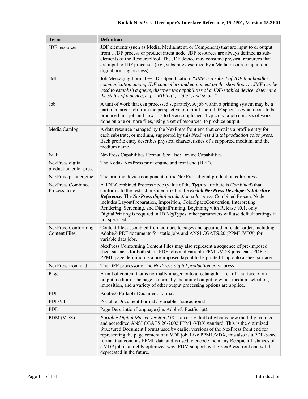| <b>Term</b>                                 | <b>Definition</b>                                                                                                                                                                                                                                                                                                                                                                                                                                                                                                                                                   |  |  |  |  |
|---------------------------------------------|---------------------------------------------------------------------------------------------------------------------------------------------------------------------------------------------------------------------------------------------------------------------------------------------------------------------------------------------------------------------------------------------------------------------------------------------------------------------------------------------------------------------------------------------------------------------|--|--|--|--|
| <b>JDF</b> resources                        | JDF elements (such as Media, MediaIntent, or Component) that are input to or output<br>from a JDF process or product intent node. JDF resources are always defined as sub-<br>elements of the ResourcePool. The JDF device may consume physical resources that<br>are input to JDF processes (e.g., substrate described by a Media resource input to a<br>digital printing process).                                                                                                                                                                                |  |  |  |  |
| JMF                                         | Job Messaging Format - JDF Specification: "JMF is a subset of JDF that handles<br>communication among JDF controllers and equipment on the shop floor JMF can be<br>used to establish a queue, discover the capabilities of a JDF-enabled device, determine<br>the status of a device, e.g., "RIPing", "Idle", and so on."                                                                                                                                                                                                                                          |  |  |  |  |
| Job                                         | A unit of work that can processed separately. A job within a printing system may be a<br>part of a larger job from the perspective of a print shop. JDF specifies what needs to be<br>produced in a job and how it is to be accomplished. Typically, a job consists of work<br>done on one or more files, using a set of resources, to produce output.                                                                                                                                                                                                              |  |  |  |  |
| Media Catalog                               | A data resource managed by the NexPress front end that contains a profile entry for<br>each substrate, or medium, supported by this NexPress digital production color press.<br>Each profile entry describes physical characteristics of a supported medium, and the<br>medium name.                                                                                                                                                                                                                                                                                |  |  |  |  |
| <b>NCF</b>                                  | NexPress Capabilities Format. See also: Device Capabilities                                                                                                                                                                                                                                                                                                                                                                                                                                                                                                         |  |  |  |  |
| NexPress digital<br>production color press  | The Kodak NexPress print engine and front end (DFE).                                                                                                                                                                                                                                                                                                                                                                                                                                                                                                                |  |  |  |  |
| NexPress print engine                       | The printing device component of the NexPress digital production color press                                                                                                                                                                                                                                                                                                                                                                                                                                                                                        |  |  |  |  |
| <b>NexPress Combined</b><br>Process node    | A JDF-Combined Process node (value of the Types attribute is <i>Combined</i> ) that<br>conforms to the restrictions identified in the Kodak NexPress Developer's Interface<br>Reference. The NexPress digital production color press Combined Process Node<br>includes LayoutPreparation, Imposition, ColorSpaceConversion, Interpreting,<br>Rendering, Screening, and DigitalPrinting. Beginning with Release 10.1, only<br>DigitalPrinting is required in JDF/@Types, other parameters will use default settings if<br>not specified.                             |  |  |  |  |
| NexPress Conforming<br><b>Content Files</b> | Content files assembled from composite pages and specified in reader order, including<br>Adobe® PDF documents for static jobs and ANSI CGATS.20 (PPML/VDX) for<br>variable data jobs.<br>NexPress Conforming Content Files may also represent a sequence of pre-imposed<br>sheet surfaces for both static PDF jobs and variable PPML/VDX jobs; each PDF or<br>PPML page definition is a pre-imposed layout to be printed 1-up onto a sheet surface.                                                                                                                 |  |  |  |  |
| NexPress front end                          | The DFE processor of the NexPress digital production color press                                                                                                                                                                                                                                                                                                                                                                                                                                                                                                    |  |  |  |  |
| Page                                        | A unit of content that is normally imaged onto a rectangular area of a surface of an<br>output medium. The page is normally the unit of output to which medium selection,<br>imposition, and a variety of other output processing options are applied.                                                                                                                                                                                                                                                                                                              |  |  |  |  |
| <b>PDF</b>                                  | Adobe® Portable Document Format                                                                                                                                                                                                                                                                                                                                                                                                                                                                                                                                     |  |  |  |  |
| PDF/VT                                      | Portable Document Format / Variable Transactional                                                                                                                                                                                                                                                                                                                                                                                                                                                                                                                   |  |  |  |  |
| PDL                                         | Page Description Language (i.e. Adobe® PostScript).                                                                                                                                                                                                                                                                                                                                                                                                                                                                                                                 |  |  |  |  |
| PDM (VDX)                                   | <i>Portable Digital Master version 2.01</i> – an early draft of what is now the fully balloted<br>and accredited ANSI CGATS.20-2002 PPML/VDX standard. This is the optimized<br>Structured Document Format used by earlier versions of the NexPress front end for<br>representing the page content of a VDP job. Like PPML/VDX, this also is a PDF-based<br>format that contains PPML data and is used to encode the many Recipient Instances of<br>a VDP job in a highly optimized way. PDM support by the NexPress front end will be<br>deprecated in the future. |  |  |  |  |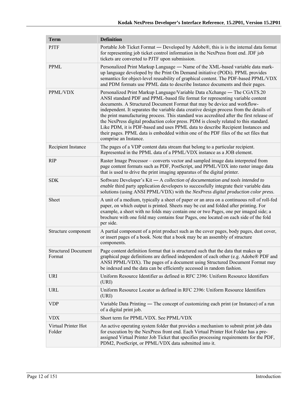| <b>Term</b>                          | <b>Definition</b>                                                                                                                                                                                                                                                                                                                                                                                                                                                                                                                                                                                                                                                                                                           |  |  |  |  |
|--------------------------------------|-----------------------------------------------------------------------------------------------------------------------------------------------------------------------------------------------------------------------------------------------------------------------------------------------------------------------------------------------------------------------------------------------------------------------------------------------------------------------------------------------------------------------------------------------------------------------------------------------------------------------------------------------------------------------------------------------------------------------------|--|--|--|--|
| <b>PJTF</b>                          | Portable Job Ticket Format — Developed by Adobe®, this is is the internal data format<br>for representing job ticket control information in the NexPress front end. JDF job<br>tickets are converted to PJTF upon submission.                                                                                                                                                                                                                                                                                                                                                                                                                                                                                               |  |  |  |  |
| PPML                                 | Personalized Print Markup Language — Name of the XML-based variable data mark-<br>up language developed by the Print On Demand initiative (PODi). PPML provides<br>semantics for object-level reusability of graphical content. The PDF-based PPML/VDX<br>and PDM formats use PPML data to describe Instance documents and their pages.                                                                                                                                                                                                                                                                                                                                                                                     |  |  |  |  |
| PPML/VDX                             | Personalized Print Markup Language/Variable Data eXchange — The CGATS.20<br>ANSI standard PDF and PPML-based file format for representing variable content<br>documents. A Structured Document Format that may be device and workflow-<br>independent. It separates the variable data creative design process from the details of<br>the print manufacturing process. This standard was accredited after the first release of<br>the NexPress digital production color press. PDM is closely related to this standard.<br>Like PDM, it is PDF-based and uses PPML data to describe Recipient Instances and<br>their pages. PPML data is embedded within one of the PDF files of the set files that<br>comprise an Instance. |  |  |  |  |
| Recipient Instance                   | The pages of a VDP content data stream that belong to a particular recipient.<br>Represented in the PPML data of a PPML/VDX instance as a JOB element.                                                                                                                                                                                                                                                                                                                                                                                                                                                                                                                                                                      |  |  |  |  |
| <b>RIP</b>                           | Raster Image Processor – converts vector and sampled image data interpreted from<br>page content formats such as PDF, PostScript, and PPML/VDX into raster image data<br>that is used to drive the print imaging apparatus of the digital printer.                                                                                                                                                                                                                                                                                                                                                                                                                                                                          |  |  |  |  |
| <b>SDK</b>                           | Software Developer's Kit - A collection of documentation and tools intended to<br>enable third party application developers to successfully integrate their variable data<br>solutions (using ANSI PPML/VDX) with the NexPress digital production color press.                                                                                                                                                                                                                                                                                                                                                                                                                                                              |  |  |  |  |
| Sheet                                | A unit of a medium, typically a sheet of paper or an area on a continuous roll of roll-fed<br>paper, on which output is printed. Sheets may be cut and folded after printing. For<br>example, a sheet with no folds may contain one or two Pages, one per imaged side; a<br>brochure with one fold may contains four Pages, one located on each side of the fold<br>per side.                                                                                                                                                                                                                                                                                                                                               |  |  |  |  |
| Structure component                  | A partial component of a print product such as the cover pages, body pages, dust cover,<br>or insert pages of a book. Note that a book may be an assembly of structure<br>components.                                                                                                                                                                                                                                                                                                                                                                                                                                                                                                                                       |  |  |  |  |
| <b>Structured Document</b><br>Format | Page content definition format that is structured such that the data that makes up<br>graphical page definitions are defined independent of each other (e.g. Adobe® PDF and<br>ANSI PPML/VDX). The pages of a document using Structured Document Format may<br>be indexed and the data can be efficiently accessed in random fashion.                                                                                                                                                                                                                                                                                                                                                                                       |  |  |  |  |
| <b>URI</b>                           | Uniform Resource Identifier as defined in RFC 2396: Uniform Resource Identifiers<br>(URI)                                                                                                                                                                                                                                                                                                                                                                                                                                                                                                                                                                                                                                   |  |  |  |  |
| <b>URL</b>                           | Uniform Resource Locator as defined in RFC 2396: Uniform Resource Identifiers<br>(URI)                                                                                                                                                                                                                                                                                                                                                                                                                                                                                                                                                                                                                                      |  |  |  |  |
| <b>VDP</b>                           | Variable Data Printing — The concept of customizing each print (or Instance) of a run<br>of a digital print job.                                                                                                                                                                                                                                                                                                                                                                                                                                                                                                                                                                                                            |  |  |  |  |
| <b>VDX</b>                           | Short term for PPML/VDX. See PPML/VDX                                                                                                                                                                                                                                                                                                                                                                                                                                                                                                                                                                                                                                                                                       |  |  |  |  |
| Virtual Printer Hot<br>Folder        | An active operating system folder that provides a mechanism to submit print job data<br>for execution by the NexPress front end. Each Virtual Printer Hot Folder has a pre-<br>assigned Virtual Printer Job Ticket that specifies processing requirements for the PDF,<br>PDM2, PostScript, or PPML/VDX data submitted into it.                                                                                                                                                                                                                                                                                                                                                                                             |  |  |  |  |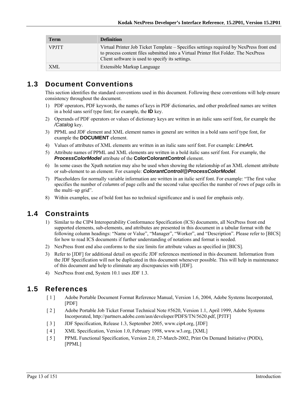| <b>Term</b>  | <b>Definition</b>                                                                                                                                                                                                                 |
|--------------|-----------------------------------------------------------------------------------------------------------------------------------------------------------------------------------------------------------------------------------|
| <b>VPJTT</b> | Virtual Printer Job Ticket Template – Specifies settings required by NexPress front end<br>to process content files submitted into a Virtual Printer Hot Folder. The NexPress<br>Client software is used to specify its settings. |
| <b>XML</b>   | Extensible Markup Language                                                                                                                                                                                                        |

## **1.3 Document Conventions**

This section identifies the standard conventions used in this document. Following these conventions will help ensure consistency throughout the document.

- 1) PDF operators, PDF keywords, the names of keys in PDF dictionaries, and other predefined names are written in a bold sans serif type font; for example, the **ID** key.
- 2) Operands of PDF operators or values of dictionary keys are written in an italic sans serif font, for example the */Catalog* key.
- 3) PPML and JDF element and XML element names in general are written in a bold sans serif type font, for example the **DOCUMENT** element.
- 4) Values of attributes of XML elements are written in an italic sans serif font. For example: *LineArt.*
- 5) Attribute names of PPML and XML elements are written in a bold italic sans serif font. For example, the *ProcessColorModel* attribute of the **ColorColorantControl** element.
- 6) In some cases the Xpath notation may also be used when showing the relationship of an XML element attribute or sub-element to an element. For example: *ColorantControl/@ProcessColorModel*.
- 7) Placeholders for normally variable information are written in an italic serif font. For example: "The first value specifies the number of *columns* of page cells and the second value specifies the number of *rows* of page cells in the multi–up grid".
- 8) Within examples, use of bold font has no technical significance and is used for emphasis only.

# **1.4 Constraints**

- 1) Similar to the CIP4 Interoperability Conformance Specification (ICS) documents, all NexPress front end supported elements, sub-elements, and attributes are presented in this document in a tabular format with the following column headings: "Name or Value", "Manager", "Worker", and "Description". Please refer to [BICS] for how to read ICS documents if further understanding of notations and format is needed.
- 2) NexPress front end also conforms to the size limits for attribute values as specified in [BICS].
- 3) Refer to [JDF] for additional detail on specific JDF references mentioned in this document. Information from the JDF Specification will not be duplicated in this document whenever possible. This will help in maintenance of this document and help to eliminate any discrepancies with [JDF].
- 4) NexPress front end, System 10.1 uses JDF 1.3.

## **1.5 References**

- [ 1 ] Adobe Portable Document Format Reference Manual, Version 1.6, 2004, Adobe Systems Incorporated, [PDF]
- [ 2 ] Adobe Portable Job Ticket Format Technical Note #5620, Version 1.1, April 1999, Adobe Systems Incorporated, http://partners.adobe.com/asn/developer/PDFS/TN/5620.pdf, [PJTF]
- [ 3 ] JDF Specification, Release 1.3, September 2005, www.cip4.org, [JDF]
- [ 4 ] XML Specification, Version 1.0, February 1998, www.w3.org, [XML]
- [ 5 ] PPML Functional Specification, Version 2.0, 27-March-2002, Print On Demand Initiative (PODi), [PPML]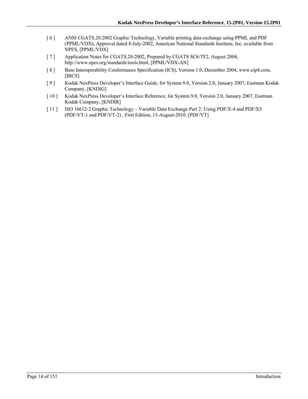- [ 6 ] ANSI CGATS.20:2002 Graphic Technology, Variable printing data exchange using PPML and PDF (PPML/VDX), Approval dated 8-July-2002, American National Standards Institute, Inc. available from NPES, [PPML/VDX]
- [ 7 ] Application Notes for CGATS.20-2002, Prepared by CGATS SC6/TF2, August 2004, http://www.npes.org/standards/tools.html, [PPML/VDX-AN]
- [8] Base Interoperability Conformance Specification (ICS), Version 1.0, December 2004, www.cip4.com, [BICS]
- [ 9 ] Kodak NexPress Developer's Interface Guide, for System 9.0, Version 2.0, January 2007, Eastman Kodak Company, [KNDIG]
- [ 10 ] Kodak NexPress Developer's Interface Reference, for System 9.0, Version 2.0, January 2007, Eastman Kodak Company, [KNDIR]
- [ 11 ] ISO 16612-2 Graphic Technology Variable Data Exchange Part 2: Using PDF/X-4 and PDF/X5 (PDF/VT-1 and PDF/VT-2) , First Edition, 15-August-2010. [PDF/VT]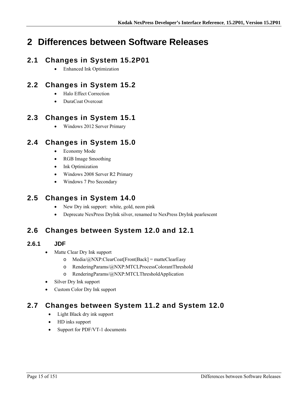# **2 Differences between Software Releases**

# **2.1 Changes in System 15.2P01**

Enhanced Ink Optimization

# **2.2 Changes in System 15.2**

- Halo Effect Correction
- DuraCoat Overcoat

# **2.3 Changes in System 15.1**

Windows 2012 Server Primary

## **2.4 Changes in System 15.0**

- Economy Mode
- RGB Image Smoothing
- Ink Optimization
- Windows 2008 Server R2 Primary
- Windows 7 Pro Secondary

# **2.5 Changes in System 14.0**

- New Dry ink support: white, gold, neon pink
- Deprecate NexPress DryInk silver, renamed to NexPress DryInk pearlescent

# **2.6 Changes between System 12.0 and 12.1**

### **2.6.1 JDF**

- Matte Clear Dry Ink support
	- o Media/@NXP:ClearCoat[Front|Back] = matteClearEasy
	- o RenderingParams/@NXP:MTCLProcessColorantThreshold
	- o RenderingParams/@NXP:MTCLThresholdApplication
- Silver Dry Ink support
- Custom Color Dry Ink support

# **2.7 Changes between System 11.2 and System 12.0**

- Light Black dry ink support
- HD inks support
- Support for PDF/VT-1 documents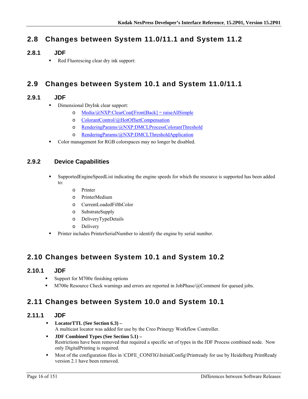# **2.8 Changes between System 11.0/11.1 and System 11.2**

### **2.8.1 JDF**

Red Fluorescing clear dry ink support:

# **2.9 Changes between System 10.1 and System 11.0/11.1**

### **2.9.1 JDF**

- **Dimensional DryInk clear support:** 
	- o  $Media/\omega/NY$ :ClearCoat[Front|Back] = raiseAllSimple
	- o ColorantControl/@HotOffsetCompensation
	- o RenderingParams/@NXP:DMCLProcessColorantThreshold
	- o RenderingParams/@NXP:DMCLThresholdApplication
- Color management for RGB colorspaces may no longer be disabled.

### **2.9.2 Device Capabilities**

- SupportedEngineSpeedList indicating the engine speeds for which the resource is supported has been added to:
	- o Printer
	- o PrinterMedium
	- o CurrentLoadedFifthColor
	- o SubstrateSupply
	- o DeliveryTypeDetails
	- o Delivery
- Printer includes PrinterSerialNumber to identify the engine by serial number.

## **2.10 Changes between System 10.1 and System 10.2**

#### **2.10.1 JDF**

- Support for M700e finishing options
- M700e Resource Check warnings and errors are reported in JobPhase/@Comment for queued jobs.

# **2.11 Changes between System 10.0 and System 10.1**

### **2.11.1 JDF**

- **LocatorTTL (See Section 6.3)**  A multicast locator was added for use by the Creo Prinergy Workflow Controller.
- **JDF Combined Types (See Section 5.1)**  Restrictions have been removed that required a specific set of types in the JDF Process combined node. Now only DigitalPrinting is required.
- Most of the configuration files in \CDFE\_CONFIG\InitialConfig\Printready for use by Heidelberg PrintReady version 2.1 have been removed.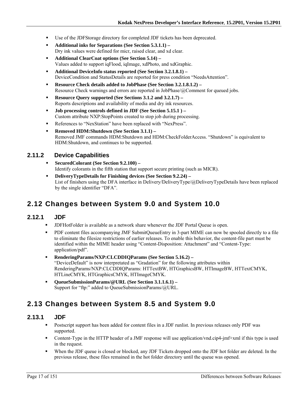- Use of the JDFStorage directory for completed JDF tickets has been deprecated.
- **Additional inks for Separations (See Section 5.3.1.1)**  Dry ink values were defined for micr, raised clear, and xd clear.
- **Additional ClearCoat options (See Section 5.14)**  Values added to support iqFlood, iqImage, xdPhoto, and xdGraphic.
- **Additional DeviceInfo status reported (See Section 3.2.1.8.1)**  DeviceCondition and StatusDetails are reported for press condition "NeedsAttention".
- **Resource Check details added to JobPhase (See Section 3.2.1.8.1.2)** Resource Check warnings and errors are reported in JobPhase/@Comment for queued jobs.
- **Resource Query supported (See Sections 3.1.2 and 3.2.1.7)**  Reports descriptions and availability of media and dry ink resources.
- **Job processing controls defined in JDF (See Section 5.15.1 )**  Custom attribute NXP:StopPoints created to stop job during processing.
- References to "NexStation" have been replaced with "NexPress".
- **Removed HDM:Shutdown (See Section 3.1.1)** Removed JMF commands HDM:Shutdown and HDM:CheckFolderAccess. "Shutdown" is equivalent to HDM:Shutdown, and continues to be supported.

#### **2.11.2 Device Capabilities**

- **SecuredColorant (See Section 9.2.100)**  Identify colorants in the fifth station that support secure printing (such as MICR).
- **DeliveryTypeDetails for Finishing devices (See Section 9.2.24)**  List of finishers using the DFA interface in Delivery/DeliveryType/@DeliveryTypeDetails have been replaced by the single identifier "DFA".

# **2.12 Changes between System 9.0 and System 10.0**

#### **2.12.1 JDF**

- JDFHotFolder is available as a network share whenever the JDF Portal Queue is open.
- PDF content files accompanying JMF SubmitQueueEntry in 3-part MIME can now be spooled directly to a file to eliminate the filesize restrictions of earlier releases. To enable this behavior, the content-file part must be identified within the MIME header using "Content-Disposition: Attachment" and "Content-Type: application/pdf".
- **RenderingParams/NXP:CLCDDIQParams (See Section 5.16.2)**  "DeviceDefault" is now interpretated as "Gradation" for the following attributes within RenderingParams/NXP:CLCDDIQParams: HTTextBW, HTGraphicsBW, HTImageBW, HTTextCMYK, HTLineCMYK, HTGraphicsCMYK, HTImageCMYK.
- **QueueSubmissionParams/@URL (See Section 3.1.1.6.1)**  Support for "ftp:" added to QueueSubmissionParams/@URL.

# **2.13 Changes between System 8.5 and System 9.0**

#### **2.13.1 JDF**

- Postscript support has been added for content files in a JDF runlist. In previous releases only PDF was supported.
- Content-Type in the HTTP header of a JMF response will use application/vnd.cip4-jmf+xml if this type is used in the request.
- When the JDF queue is closed or blocked, any JDF Tickets dropped onto the JDF hot folder are deleted. In the previous release, these files remained in the hot folder directory until the queue was opened.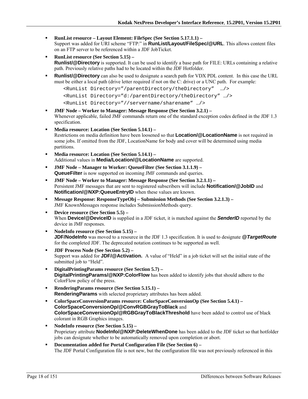- **RunList resource Layout Element: FileSpec (See Section 5.17.1.1)** Support was added for URI scheme "FTP:" in **RunList/Layout/FileSpec/@URL**. This allows content files on an FTP server to be referenced within a JDF JobTicket.
- **RunList resource (See Section 5.15) Runlist/@Directory** is supported. It can be used to identify a base path for FILE: URLs containing a relative path. Previously relative paths had to be located within the JDF Hotfolder.
- **Runlist/@Directory** can also be used to designate a search path for VDX PDL content. In this case the URL must be either a local path (drive letter required if not on the C: drive) or a UNC path. For example:

```
<RunList Directory="/parentDirectory/theDirectory" …/>
```

```
<RunList Directory="d:/parentDirectory/theDirectory" …/>
```

```
<RunList Directory="//servername/sharename" …/>
```
- **JMF Node Worker to Manager: Message Response (See Section 3.2.1)**  Whenever applicable, failed JMF commands return one of the standard exception codes defined in the JDF 1.3 specification.
- **Media resource: Location (See Section 5.14.1)**  Restrictions on media definition have been loosened so that **Location/@LocationName** is not required in some jobs. If omitted from the JDF, LocationName for body and cover will be determined using media partitions.
- **Media resource: Location (See Section 5.14.1)**  Additional values in **Media/Location/@LocationName** are supported.
- **JMF Node Manager to Worker: QueueFilter (See Section 3.1.1.9) QueueFilter** is now supported on incoming JMF commands and queries.
- **JMF Node Worker to Manager: Message Response (See Section 3.2.1.1)**  Persistent JMF messages that are sent to registered subscribers will include **Notification/@JobID** and **Notification/@NXP:QueueEntryID** when these values are known.
- **Message Response: ResponseTypeObj Submission Methods (See Section 3.2.1.3)**  JMF KnownMessages response includes SubmissionMethods query.
- **Device resource (See Section 5.5)**  When **Device/@DeviceID** is supplied in a JDF ticket, it is matched against the **SenderID** reported by the device in JMF responses.
- **NodeInfo resource (See Section 5.15) JDF/NodeInfo** was moved to a resource in the JDF 1.3 specification. It is used to designate **@TargetRoute** for the completed JDF. The deprecated notation continues to be supported as well.
- **JDF Process Node (See Section 5.2)**  Support was added for **JDF/@Activation.** A value of "Held" in a job ticket will set the initial state of the submitted job to "Held".
- **DigitalPrintingParams resource (See Section 5.7) DigitalPrintingParams/@NXP:ColorFlow** has been added to identify jobs that should adhere to the ColorFlow policy of the press.
- **RenderingParams resource (See Section 5.15.1) RenderingParams** with selected proprietary attributes has been added.
- **ColorSpaceConversionParams resource: ColorSpaceConversionOp (See Section 5.4.1) ColorSpaceConversionOp/@ConvRGBGrayToBlack** and **ColorSpaceConversionOp/@RGBGrayToBlackThreshold** have been added to control use of black colorant in RGB Graphics images.
- **NodeInfo resource (See Section 5.15)**  Proprietary attribute **NodeInfo/@NXP:DeleteWhenDone** has been added to the JDF ticket so that hotfolder jobs can designate whether to be automatically removed upon completion or abort.
- **Documentation added for Portal Configuration File (See Section 6)**  The JDF Portal Configuration file is not new, but the configuration file was not previously referenced in this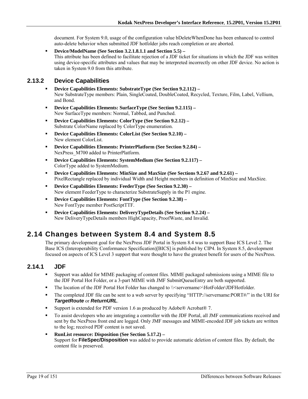document. For System 9.0, usage of the configuration value bDeleteWhenDone has been enhanced to control auto-delete behavior when submitted JDF hotfolder jobs reach completion or are aborted.

 **Device/ModelName (See Section 3.2.1.8.1.1 and Section 5.5) –**  This attribute has been defined to facilitate rejection of a JDF ticket for situations in which the JDF was written using device-specific attributes and values that may be interpreted incorrectly on other JDF device. No action is taken in System 9.0 from this attribute.

### **2.13.2 Device Capabilities**

- **Device Capabilities Elements: SubstrateType (See Section 9.2.112)**  New SubstrateType members: Plain, SingleCoated, DoubleCoated, Recycled, Texture, Film, Label, Vellium, and Bond.
- **Device Capabilities Elements: SurfaceType (See Section 9.2.115)**  New SurfaceType members: Normal, Tabbed, and Punched.
- **Device Capabilities Elements: ColorType (See Section 9.2.12)**  Substrate ColorName replaced by ColorType enumeration.
- **Device Capabilities Elements: ColorList (See Section 9.2.10)**  New element ColorList.
- **Device Capabilities Elements: PrinterPlatform (See Section 9.2.84)**  NexPress\_M700 added to PrinterPlatform.
- **Device Capabilities Elements: SystemMedium (See Section 9.2.117)**  ColorType added to SystemMedium.
- **Device Capabilities Elements: MinSize and MaxSize (See Sections 9.2.67 and 9.2.61)** PixelRectangle replaced by individual Width and Height members in definition of MinSize and MaxSize.
- **Device Capabilities Elements: FeederType (See Section 9.2.30)**  New element FeederType to characterize SubstrateSupply in the P1 engine.
- **Device Capabilities Elements: FontType (See Section 9.2.38)**  New FontType member PostScriptTTF.
- **Device Capabilities Elements: DeliveryTypeDetails (See Section 9.2.24)**  New DeliveryTypeDetails members HighCapacity, ProofWaste, and Invalid.

# **2.14 Changes between System 8.4 and System 8.5**

The primary development goal for the NexPress JDF Portal in System 8.4 was to support Base ICS Level 2. The Base ICS (Interoperability Conformance Specification)[BICS] is published by CIP4. In System 8.5, development focused on aspects of ICS Level 3 support that were thought to have the greatest benefit for users of the NexPress.

### **2.14.1 JDF**

- Support was added for MIME packaging of content files. MIME packaged submissions using a MIME file to the JDF Portal Hot Folder, or a 3-part MIME with JMF SubmitQueueEntry are both supported.
- The location of the JDF Portal Hot Folder has changed to \\<servername>\HotFolder\JDFHotfolder.
- The completed JDF file can be sent to a web server by specifying "HTTP://servername:PORT#/" in the URI for *TargetRoute* or *ReturnURL*.
- Support is extended for PDF version 1.6 as produced by Adobe® Acrobat® 7.
- To assist developers who are integrating a controller with the JDF Portal, all JMF communications received and sent by the NexPress front end are logged. Only JMF messages and MIME-encoded JDF job tickets are written to the log; received PDF content is not saved.
- **RunList resource: Disposition (See Section 5.17.2)**  Support for **FileSpec/Disposition** was added to provide automatic deletion of content files. By default, the content file is preserved.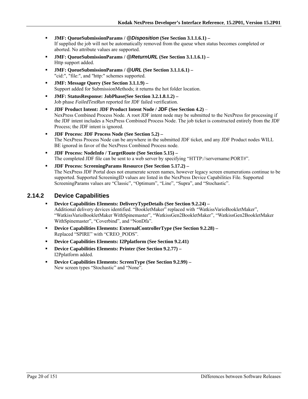- **JMF: QueueSubmissionParams /** *@Disposition* **(See Section 3.1.1.6.1)**  If supplied the job will not be automatically removed from the queue when status becomes completed or aborted. No attribute values are supported.
- **JMF: QueueSubmissionParams /** *@ReturnURL* **(See Section 3.1.1.6.1)**  Http support added.
- **JMF: QueueSubmissionParams /** *@URL* **(See Section 3.1.1.6.1)**  "cid:", "file:", and "http:" schemes supported.
- **JMF: Message Query (See Section 3.1.1.9)**  Support added for SubmissionMethods; it returns the hot folder location.
- **JMF: StatusResponse: JobPhase(See Section 3.2.1.8.1.2)**  Job phase *FailedTestRun* reported for JDF failed verification.
- **JDF Product Intent: JDF Product Intent Node / JDF (See Section 4.2)** NexPress Combined Process Node. A root JDF intent node may be submitted to the NexPress for processing if the JDF intent includes a NexPress Combined Process Node. The job ticket is constructed entirely from the JDF Process; the JDF intent is ignored.
- **JDF Process: JDF Process Node (See Section 5.2)**  The NexPress Process Node can be anywhere in the submitted JDF ticket, and any JDF Product nodes WILL BE ignored in favor of the NexPress Combined Process node.
- **JDF Process: NodeInfo / TargetRoute (See Section 5.15) –** The completed JDF file can be sent to a web server by specifying "HTTP://servername:PORT#".
- **JDF Process: ScreeningParams Resource (See Section 5.17.2)**  The NexPress JDF Portal does not enumerate screen names, however legacy screen enumerations continue to be supported. Supported ScreeningID values are listed in the NexPress Device Capabilities File. Supported ScreeningParams values are "Classic", "Optimum", "Line", "Supra", and "Stochastic".

#### **2.14.2 Device Capabilities**

- **Device Capabilities Elements: DeliveryTypeDetails (See Section 9.2.24)**  Additional delivery devices identified. "BookletMaker" replaced with *"*WatkissVarioBookletMaker", "WatkissVarioBookletMaker WithSpinemaster", "WatkissGen2BookletMaker", "WatkissGen2BookletMaker WithSpinemaster", "Coverbind", and "NonDfa".
- **Device Capabilities Elements: ExternalControllerType (See Section 9.2.28)**  Replaced "SPIRE" with "CREO\_PODS".
- **Device Capabilities Elements: I2Pplatform (See Section 9.2.41)**
- **Device Capabilities Elements: Printer (See Section 9.2.77)**  I2Pplatform added.
- **Device Capabilities Elements: ScreenType (See Section 9.2.99)**  New screen types "Stochastic" and "None".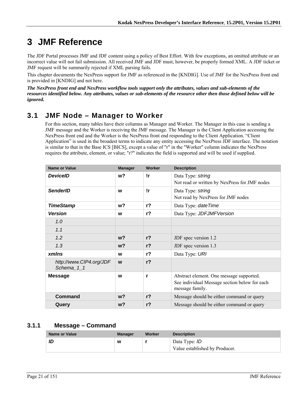# **3 JMF Reference**

The JDF Portal processes JMF and JDF content using a policy of Best Effort. With few exceptions, an omitted attribute or an incorrect value will not fail submission. All received JMF and JDF must, however, be properly formed XML. A JDF ticket or JMF request will be summarily rejected if XML parsing fails.

This chapter documents the NexPress support for JMF as referenced in the [KNDIG]. Use of JMF for the NexPress front end is provided in [KNDIG] and not here.

*The NexPress front end and NexPress workflow tools support only the attributes, values and sub-elements of the resources identified below. Any attributes, values or sub-elements of the resource other then those defined below will be ignored.* 

# **3.1 JMF Node – Manager to Worker**

For this section, many tables have their columns as Manager and Worker. The Manager in this case is sending a JMF message and the Worker is receiving the JMF message. The Manager is the Client Application accessing the NexPress front end and the Worker is the NexPress front end responding to the Client Application. "Client Application" is used in the broadest terms to indicate any entity accessing the NexPress JDF interface. The notation is similar to that in the Base ICS [BICS], except a value of "r" in the "Worker" column indicates the NexPress requires the attribute, element, or value; "r?" indicates the field is supported and will be used if supplied.

| <b>Name or Value</b>                  | <b>Manager</b> | Worker         | <b>Description</b>                                               |
|---------------------------------------|----------------|----------------|------------------------------------------------------------------|
| <b>DeviceID</b>                       | w <sub>2</sub> | !r             | Data Type: string                                                |
|                                       |                |                | Not read or written by NexPress for JMF nodes                    |
| <b>SenderID</b>                       | W              | !r             | Data Type: string                                                |
|                                       |                |                | Not read by NexPress for JMF nodes                               |
| <b>TimeStamp</b>                      | w?             | $r$ ?          | Data Type: date Time                                             |
| <b>Version</b>                        | W              | $r$ ?          | Data Type: JDFJMFVersion                                         |
| 1.0                                   |                |                |                                                                  |
| 1.1                                   |                |                |                                                                  |
| 1.2                                   | $w$ ?          | r <sub>2</sub> | JDF spec version 1.2                                             |
| 1.3                                   | w?             | $r$ ?          | JDF spec version 1.3                                             |
| xmlns                                 | W              | $r$ ?          | Data Type: URI                                                   |
| http://www.CIP4.org/JDF<br>Schema 1 1 | W              | r <sub>2</sub> |                                                                  |
| <b>Message</b>                        | W              | r              | Abstract element. One message supported.                         |
|                                       |                |                | See individual Message section below for each<br>message family. |
| Command                               | w?             | r <sub>2</sub> | Message should be either command or query                        |
| Query                                 | w?             | r <sub>2</sub> | Message should be either command or query                        |

### **3.1.1 Message – Command**

| Name or Value | Manager | Worker | <b>Description</b>                                     |
|---------------|---------|--------|--------------------------------------------------------|
|               | W       |        | Data Type: <i>ID</i><br>Value established by Producer. |
|               |         |        |                                                        |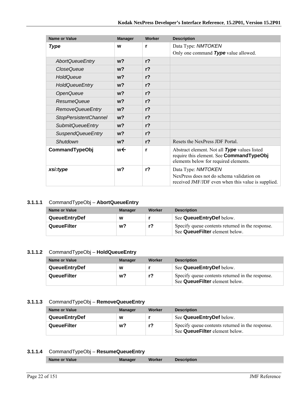| <b>Name or Value</b>         | <b>Manager</b> | Worker         | <b>Description</b>                                                                                                                |
|------------------------------|----------------|----------------|-----------------------------------------------------------------------------------------------------------------------------------|
| <b>Type</b>                  | W              | r              | Data Type: NMTOKEN                                                                                                                |
|                              |                |                | Only one command Type value allowed.                                                                                              |
| <b>AbortQueueEntry</b>       | w <sub>2</sub> | r <sub>2</sub> |                                                                                                                                   |
| <b>CloseQueue</b>            | w <sub>2</sub> | $r$ ?          |                                                                                                                                   |
| HoldQueue                    | $w$ ?          | r <sub>2</sub> |                                                                                                                                   |
| <b>HoldQueueEntry</b>        | w <sub>2</sub> | $r$ ?          |                                                                                                                                   |
| <b>OpenQueue</b>             | w <sub>2</sub> | $r$ ?          |                                                                                                                                   |
| ResumeQueue                  | w <sub>2</sub> | $r$ ?          |                                                                                                                                   |
| <b>RemoveQueueEntry</b>      | $w$ ?          | r <sub>2</sub> |                                                                                                                                   |
| <b>StopPersistentChannel</b> | w <sub>2</sub> | r <sub>2</sub> |                                                                                                                                   |
| <b>SubmitQueueEntry</b>      | w <sub>2</sub> | $r$ ?          |                                                                                                                                   |
| <b>SuspendQueueEntry</b>     | w <sub>2</sub> | $r$ ?          |                                                                                                                                   |
| Shutdown                     | w <sub>2</sub> | r <sub>2</sub> | Resets the NexPress JDF Portal                                                                                                    |
| CommandTypeObj               | w←             | r              | Abstract element. Not all Type values listed<br>require this element. See CommandTypeObj<br>elements below for required elements. |
| xsi:type                     | w <sub>2</sub> | $r$ ?          | Data Type: NMTOKEN<br>NexPress does not do schema validation on<br>received JMF/JDF even when this value is supplied.             |

#### **3.1.1.1** CommandTypeObj – **AbortQueueEntry**

| <b>Name or Value</b> | <b>Manager</b> | Worker | <b>Description</b>                                                                 |
|----------------------|----------------|--------|------------------------------------------------------------------------------------|
| <b>QueueEntryDef</b> | w              |        | See QueueEntryDef below.                                                           |
| <b>QueueFilter</b>   | w?             |        | Specify queue contents returned in the response.<br>See QueueFilter element below. |

#### **3.1.1.2** CommandTypeObj – **HoldQueueEntry**

| Name or Value        | <b>Manager</b> | Worker | <b>Description</b>                                                                 |
|----------------------|----------------|--------|------------------------------------------------------------------------------------|
| <b>QueueEntryDef</b> | W              |        | See QueueEntryDef below.                                                           |
| QueueFilter          | w?             | r?     | Specify queue contents returned in the response.<br>See QueueFilter element below. |

#### **3.1.1.3** CommandTypeObj – **RemoveQueueEntry**

| Name or Value        | <b>Manager</b> | Worker | <b>Description</b>                                                                 |
|----------------------|----------------|--------|------------------------------------------------------------------------------------|
| <b>QueueEntryDef</b> | W              |        | See QueueEntryDef below.                                                           |
| QueueFilter          | w?             |        | Specify queue contents returned in the response.<br>See QueueFilter element below. |

#### **3.1.1.4** CommandTypeObj – **ResumeQueueEntry**

| Name or Value<br><b>Worker</b><br><b>Description</b><br><b>Manager</b> |
|------------------------------------------------------------------------|
|------------------------------------------------------------------------|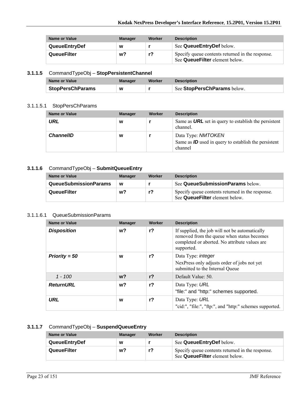| Name or Value        | <b>Manager</b> | Worker | <b>Description</b>                                                                 |
|----------------------|----------------|--------|------------------------------------------------------------------------------------|
| <b>QueueEntryDef</b> | w              |        | See Queue Entry Def below.                                                         |
| QueueFilter          | w?             |        | Specify queue contents returned in the response.<br>See QueueFilter element below. |

### **3.1.1.5** CommandTypeObj – **StopPersistentChannel**

| Name or Value           | Manager | Worker | <b>Description</b>          |
|-------------------------|---------|--------|-----------------------------|
| <b>StopPersChParams</b> | w       |        | See StopPersChParams below. |

#### 3.1.1.5.1 StopPersChParams

| <b>Name or Value</b> | <b>Manager</b> | Worker | <b>Description</b>                                                                      |
|----------------------|----------------|--------|-----------------------------------------------------------------------------------------|
| URL                  | w              |        | Same as <b>URL</b> set in query to establish the persistent<br>channel.                 |
| <b>ChannellD</b>     | W              |        | Data Type: NMTOKEN<br>Same as $ID$ used in query to establish the persistent<br>channel |

#### **3.1.1.6** CommandTypeObj – **SubmitQueueEntry**

| Name or Value                | <b>Manager</b> | Worker | <b>Description</b>                                                                 |
|------------------------------|----------------|--------|------------------------------------------------------------------------------------|
| <b>QueueSubmissionParams</b> | W              |        | See QueueSubmissionParams below.                                                   |
| <b>QueueFilter</b>           | w?             | r?     | Specify queue contents returned in the response.<br>See QueueFilter element below. |

#### 3.1.1.6.1 QueueSubmissionParams

| <b>Name or Value</b> | <b>Manager</b> | Worker         | <b>Description</b>                                                                                                                                          |
|----------------------|----------------|----------------|-------------------------------------------------------------------------------------------------------------------------------------------------------------|
| <b>Disposition</b>   | w?             | $r$ ?          | If supplied, the job will not be automatically<br>removed from the queue when status becomes<br>completed or aborted. No attribute values are<br>supported. |
| Priority = $50$      | W              | $r$ ?          | Data Type: <i>integer</i><br>NexPress only adjusts order of jobs not yet<br>submitted to the Internal Queue                                                 |
| $1 - 100$            | $w$ ?          | r <sub>2</sub> | Default Value: 50.                                                                                                                                          |
| <b>ReturnURL</b>     | w?             | $r$ ?          | Data Type: URL<br>"file:" and "http:" schemes supported.                                                                                                    |
| <b>URL</b>           | W              | r <sub>2</sub> | Data Type: URL<br>"cid:", "file:", "ftp:", and "http:" schemes supported.                                                                                   |

### **3.1.1.7** CommandTypeObj – **SuspendQueueEntry**

| Name or Value        | <b>Manager</b> | Worker | <b>Description</b>                                                                 |
|----------------------|----------------|--------|------------------------------------------------------------------------------------|
| <b>QueueEntryDef</b> | W              |        | See QueueEntryDef below.                                                           |
| QueueFilter          | w?             | r?     | Specify queue contents returned in the response.<br>See QueueFilter element below. |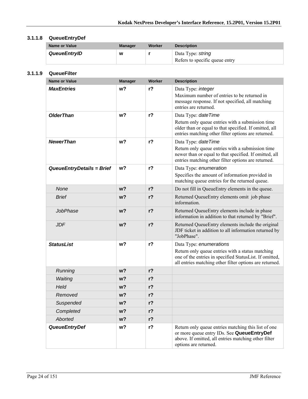### **3.1.1.8 QueueEntryDef**

| Name or Value | <b>Manager</b> | Worker | <b>Description</b>                                  |
|---------------|----------------|--------|-----------------------------------------------------|
| QueueEntryID  | W              |        | Data Type: string<br>Refers to specific queue entry |

#### **3.1.1.9 QueueFilter**

| <b>Name or Value</b>      | <b>Manager</b> | Worker         | <b>Description</b>                                                                                                                                                                                |
|---------------------------|----------------|----------------|---------------------------------------------------------------------------------------------------------------------------------------------------------------------------------------------------|
| <b>MaxEntries</b>         | w <sub>2</sub> | r <sub>2</sub> | Data Type: integer<br>Maximum number of entries to be returned in<br>message response. If not specified, all matching<br>entries are returned.                                                    |
| <b>OlderThan</b>          | w <sub>2</sub> | $r$ ?          | Data Type: date Time<br>Return only queue entries with a submission time<br>older than or equal to that specified. If omitted, all<br>entries matching other filter options are returned.         |
| <b>NewerThan</b>          | w <sub>2</sub> | $r$ ?          | Data Type: dateTime<br>Return only queue entries with a submission time<br>newer than or equal to that specified. If omitted, all<br>entries matching other filter options are returned.          |
| QueueEntryDetails = Brief | w <sub>2</sub> | r <sub>2</sub> | Data Type: enumeration<br>Specifies the amount of information provided in<br>matching queue entries for the returned queue.                                                                       |
| None                      | w <sub>2</sub> | r <sub>2</sub> | Do not fill in QueueEntry elements in the queue.                                                                                                                                                  |
| <b>Brief</b>              | $w$ ?          | r <sub>2</sub> | Returned QueueEntry elements omit job phase<br>information.                                                                                                                                       |
| JobPhase                  | w?             | $r$ ?          | Returned QueueEntry elements include in phase<br>information in addition to that returned by "Brief".                                                                                             |
| <b>JDF</b>                | w <sub>2</sub> | r <sub>2</sub> | Returned QueueEntry elements include the original<br>JDF ticket in addition to all information returned by<br>"JobPhase".                                                                         |
| <b>StatusList</b>         | w <sub>2</sub> | $r$ ?          | Data Type: enumerations<br>Return only queue entries with a status matching<br>one of the entries in specified StatusList. If omitted,<br>all entries matching other filter options are returned. |
| Running                   | $w$ ?          | r <sub>2</sub> |                                                                                                                                                                                                   |
| Waiting                   | $w$ ?          | r <sub>2</sub> |                                                                                                                                                                                                   |
| Held                      | w?             | r <sub>2</sub> |                                                                                                                                                                                                   |
| Removed                   | w?             | $r$ ?          |                                                                                                                                                                                                   |
| Suspended                 | w?             | $r$ ?          |                                                                                                                                                                                                   |
| Completed                 | $w$ ?          | r <sub>2</sub> |                                                                                                                                                                                                   |
| <b>Aborted</b>            | w <sub>2</sub> | $r$ ?          |                                                                                                                                                                                                   |
| <b>QueueEntryDef</b>      | w?             | $r$ ?          | Return only queue entries matching this list of one<br>or more queue entry IDs. See QueueEntryDef<br>above. If omitted, all entries matching other filter<br>options are returned.                |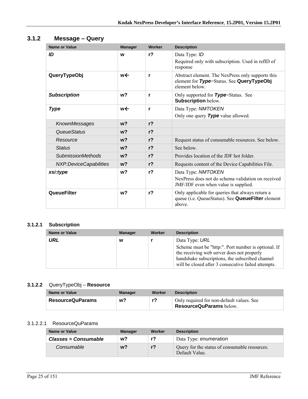| <b>Name or Value</b>     | <b>Manager</b> | Worker         | <b>Description</b>                                                                                              |
|--------------------------|----------------|----------------|-----------------------------------------------------------------------------------------------------------------|
| ID                       | W              | r <sub>2</sub> | Data Type: ID<br>Required only with subscription. Used in refID of<br>response                                  |
| QueryTypeObj             | w←             | r              | Abstract element. The NexPress only supports this<br>element for Type=Status. See QueryTypeObj<br>element below |
| <b>Subscription</b>      | w <sub>2</sub> | r              | Only supported for <b>Type</b> =Status. See<br><b>Subscription below.</b>                                       |
| <b>Type</b>              | w←             | r              | Data Type: NMTOKEN<br>Only one query Type value allowed.                                                        |
| KnownMessages            | $w$ ?          | r <sub>2</sub> |                                                                                                                 |
| <b>QueueStatus</b>       | $w$ ?          | r <sub>2</sub> |                                                                                                                 |
| Resource                 | w <sub>2</sub> | r <sub>2</sub> | Request status of consumable resources. See below.                                                              |
| <b>Status</b>            | $w$ ?          | r <sub>2</sub> | See below.                                                                                                      |
| <b>SubmissionMethods</b> | w <sub>2</sub> | r <sub>2</sub> | Provides location of the JDF hot folder                                                                         |
| NXP:DeviceCapabilities   | w <sub>2</sub> | r <sub>2</sub> | Requests content of the Device Capabilities File.                                                               |
| xsi:type                 | w?             | r <sub>2</sub> | Data Type: NMTOKEN                                                                                              |
|                          |                |                | NexPress does not do schema validation on received<br>JMF/JDF even when value is supplied.                      |
| <b>QueueFilter</b>       | w <sub>2</sub> | r <sub>2</sub> | Only applicable for queries that always return a<br>queue (i.e. QueueStatus). See QueueFilter element<br>above. |

## **3.1.2 Message – Query**

### **3.1.2.1 Subscription**

| <b>Name or Value</b> | <b>Manager</b> | Worker | <b>Description</b>                                                                                                                                                     |
|----------------------|----------------|--------|------------------------------------------------------------------------------------------------------------------------------------------------------------------------|
| URL                  | w              |        | Data Type: URL<br>Scheme must be "http:". Port number is optional. If<br>the receiving web server does not properly<br>handshake subscriptions, the subscribed channel |
|                      |                |        | will be closed after 3 consecutive failed attempts.                                                                                                                    |

#### **3.1.2.2** QueryTypeObj – **Resource**

| Name or Value           | Manager | Worker | <b>Description</b>                                                          |
|-------------------------|---------|--------|-----------------------------------------------------------------------------|
| <b>ResourceQuParams</b> | w?      | r?     | Only required for non-default values. See<br><b>ResourceQuParams</b> below. |

#### 3.1.2.2.1 ResourceQuParams

| Name or Value        | <b>Manager</b> | Worker | <b>Description</b>                                              |
|----------------------|----------------|--------|-----------------------------------------------------------------|
| Classes = Consumable | w?             | r?     | Data Type: enumeration                                          |
| Consumable           | w?             | $r$ ?  | Query for the status of consumable resources.<br>Default Value. |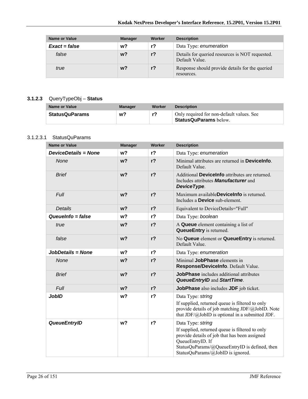| <b>Name or Value</b> | <b>Manager</b> | Worker | <b>Description</b>                                                |
|----------------------|----------------|--------|-------------------------------------------------------------------|
| $Exact = false$      | w?             | r?     | Data Type: enumeration                                            |
| false                | w?             | $r$ ?  | Details for queried resources is NOT requested.<br>Default Value. |
| true                 | w?             | $r$ ?  | Response should provide details for the queried<br>resources.     |

### **3.1.2.3** QueryTypeObj – **Status**

| Name or Value         | <b>Manager</b> | Worker | <b>Description</b>                                                        |
|-----------------------|----------------|--------|---------------------------------------------------------------------------|
| <b>StatusQuParams</b> | w?             | r?     | Only required for non-default values. See<br><b>StatusQuParams</b> below. |

#### 3.1.2.3.1 StatusQuParams

| <b>Name or Value</b>        | <b>Manager</b> | Worker         | <b>Description</b>                                                                                                                                                                                                              |
|-----------------------------|----------------|----------------|---------------------------------------------------------------------------------------------------------------------------------------------------------------------------------------------------------------------------------|
| <b>DeviceDetails = None</b> | w <sub>2</sub> | $r$ ?          | Data Type: enumeration                                                                                                                                                                                                          |
| <b>None</b>                 | w <sub>2</sub> | r <sub>2</sub> | Minimal attributes are returned in <b>Devicelnfo</b> .<br>Default Value.                                                                                                                                                        |
| <b>Brief</b>                | w <sub>2</sub> | $r$ ?          | Additional DeviceInfo attributes are returned.<br>Includes attributes <b>Manufacturer</b> and<br>DeviceType.                                                                                                                    |
| Full                        | w <sub>2</sub> | $r$ ?          | Maximum available <b>Devicelnfo</b> is returned.<br>Includes a <b>Device</b> sub-element.                                                                                                                                       |
| <b>Details</b>              | w <sub>2</sub> | r <sub>2</sub> | Equivalent to DeviceDetails="Full"                                                                                                                                                                                              |
| Queuelnfo $=$ false         | w <sub>2</sub> | r <sub>2</sub> | Data Type: boolean                                                                                                                                                                                                              |
| true                        | w <sub>2</sub> | r <sub>2</sub> | A Queue element containing a list of<br><b>QueueEntry</b> is returned.                                                                                                                                                          |
| false                       | w <sub>2</sub> | r <sub>2</sub> | No Queue element or QueueEntry is returned.<br>Default Value.                                                                                                                                                                   |
| JobDetails = None           | w <sub>2</sub> | r <sub>2</sub> | Data Type: enumeration                                                                                                                                                                                                          |
| None                        | w <sub>2</sub> | $r$ ?          | Minimal JobPhase elements in<br>Response/DeviceInfo. Default Value.                                                                                                                                                             |
| <b>Brief</b>                | w <sub>2</sub> | r <sub>2</sub> | <b>JobPhase</b> includes additional attributes<br><b>QueueEntryID and StartTime.</b>                                                                                                                                            |
| Full                        | w <sub>2</sub> | r <sub>2</sub> | JobPhase also includes JDF job ticket.                                                                                                                                                                                          |
| <b>JobID</b>                | w <sub>2</sub> | r <sub>2</sub> | Data Type: string<br>If supplied, returned queue is filtered to only<br>provide details of job matching JDF/@JobID. Note<br>that $JDF/\omega$ JobID is optional in a submitted JDF.                                             |
| <b>QueueEntryID</b>         | w <sub>2</sub> | r <sub>2</sub> | Data Type: string<br>If supplied, returned queue is filtered to only<br>provide details of job that has been assigned<br>QueueEntryID. If<br>StatusQuParams/@QueueEntryID is defined, then<br>StatusQuParams/@JobID is ignored. |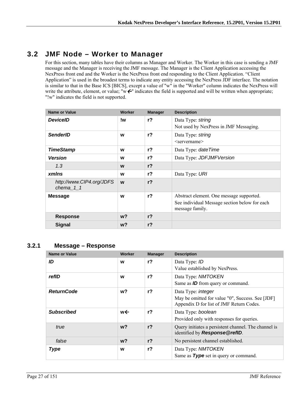# **3.2 JMF Node – Worker to Manager**

For this section, many tables have their columns as Manager and Worker. The Worker in this case is sending a JMF message and the Manager is receiving the JMF message. The Manager is the Client Application accessing the NexPress front end and the Worker is the NexPress front end responding to the Client Application. "Client Application" is used in the broadest terms to indicate any entity accessing the NexPress JDF interface. The notation is similar to that in the Base ICS [BICS], except a value of "w" in the "Worker" column indicates the NexPress will write the attribute, element, or value; "w $\epsilon$ " indicates the field is supported and will be written when appropriate; "!w" indicates the field is not supported.

| <b>Name or Value</b>                  | Worker | <b>Manager</b> | <b>Description</b>                                               |
|---------------------------------------|--------|----------------|------------------------------------------------------------------|
| <b>DeviceID</b>                       | !w     | r <sub>2</sub> | Data Type: string<br>Not used by NexPress in JMF Messaging.      |
| <b>SenderID</b>                       | W      | $r$ ?          | Data Type: string<br>$\leq$ servername $\geq$                    |
| <b>TimeStamp</b>                      | W      | r?             | Data Type: <i>date Time</i>                                      |
| <b>Version</b>                        | W      | $r$ ?          | Data Type: JDFJMFVersion                                         |
| 1.3                                   | W      | r <sub>2</sub> |                                                                  |
| xmlns                                 | W      | $r$ ?          | Data Type: URI                                                   |
| http://www.CIP4.org/JDFS<br>chema 1 1 | W      | r <sub>2</sub> |                                                                  |
| <b>Message</b>                        | W      | $r$ ?          | Abstract element. One message supported.                         |
|                                       |        |                | See individual Message section below for each<br>message family. |
| <b>Response</b>                       | $w$ ?  | r <sub>2</sub> |                                                                  |
| <b>Signal</b>                         | $w$ ?  | r <sub>2</sub> |                                                                  |

### **3.2.1 Message – Response**

| <b>Name or Value</b> | Worker | <b>Manager</b> | <b>Description</b>                                                                           |
|----------------------|--------|----------------|----------------------------------------------------------------------------------------------|
| ID                   | W      | r <sub>2</sub> | Data Type: ID                                                                                |
|                      |        |                | Value established by NexPress.                                                               |
| refID                | W      | $r$ ?          | Data Type: NMTOKEN                                                                           |
|                      |        |                | Same as <b>ID</b> from query or command.                                                     |
| <b>ReturnCode</b>    | w?     | $r$ ?          | Data Type: <i>integer</i>                                                                    |
|                      |        |                | May be omitted for value "0", Success. See [JDF]<br>Appendix D for list of JMF Return Codes. |
| <b>Subscribed</b>    | w←     | $r$ ?          | Data Type: boolean                                                                           |
|                      |        |                | Provided only with responses for queries.                                                    |
| true                 | $w$ ?  | r <sub>2</sub> | Query initiates a persistent channel. The channel is<br>identified by Response@refID.        |
| false                | $w$ ?  | r <sub>2</sub> | No persistent channel established.                                                           |
| <b>Type</b>          | W      | $r$ ?          | Data Type: NMTOKEN                                                                           |
|                      |        |                | Same as Type set in query or command.                                                        |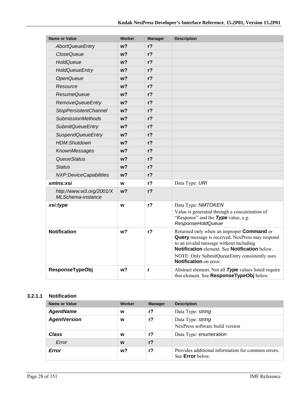| <b>Name or Value</b>                                 | <b>Worker</b>  | <b>Manager</b> | <b>Description</b>                                                                                                                                                                                                                                                                       |
|------------------------------------------------------|----------------|----------------|------------------------------------------------------------------------------------------------------------------------------------------------------------------------------------------------------------------------------------------------------------------------------------------|
| <b>AbortQueueEntry</b>                               | w?             | r <sub>2</sub> |                                                                                                                                                                                                                                                                                          |
| <i><b>CloseQueue</b></i>                             | w?             | r <sub>2</sub> |                                                                                                                                                                                                                                                                                          |
| HoldQueue                                            | w?             | r <sub>2</sub> |                                                                                                                                                                                                                                                                                          |
| <b>HoldQueueEntry</b>                                | w?             | $r$ ?          |                                                                                                                                                                                                                                                                                          |
| <b>OpenQueue</b>                                     | w?             | $r$ ?          |                                                                                                                                                                                                                                                                                          |
| Resource                                             | w?             | $r$ ?          |                                                                                                                                                                                                                                                                                          |
| <b>ResumeQueue</b>                                   | w?             | r <sub>2</sub> |                                                                                                                                                                                                                                                                                          |
| <b>RemoveQueueEntry</b>                              | w?             | r <sub>2</sub> |                                                                                                                                                                                                                                                                                          |
| <b>StopPersistentChannel</b>                         | w?             | r <sub>2</sub> |                                                                                                                                                                                                                                                                                          |
| <b>SubmissionMethods</b>                             | w?             | $r$ ?          |                                                                                                                                                                                                                                                                                          |
| <b>SubmitQueueEntry</b>                              | w?             | $r$ ?          |                                                                                                                                                                                                                                                                                          |
| <b>SuspendQueueEntry</b>                             | w <sub>2</sub> | $r$ ?          |                                                                                                                                                                                                                                                                                          |
| HDM:Shutdown                                         | w?             | $r$ ?          |                                                                                                                                                                                                                                                                                          |
| KnownMessages                                        | w?             | $r$ ?          |                                                                                                                                                                                                                                                                                          |
| QueueStatus                                          | w?             | $r$ ?          |                                                                                                                                                                                                                                                                                          |
| <b>Status</b>                                        | w <sub>2</sub> | $r$ ?          |                                                                                                                                                                                                                                                                                          |
| NXP:DeviceCapabilities                               | w?             | r <sub>2</sub> |                                                                                                                                                                                                                                                                                          |
| xmlns:xsi                                            | W              | $r$ ?          | Data Type: URI                                                                                                                                                                                                                                                                           |
| http://www.w3.org/2001/X<br><b>MLSchema-instance</b> | w <sub>2</sub> | $r$ ?          |                                                                                                                                                                                                                                                                                          |
| xsi:type                                             | W              | $r$ ?          | Data Type: NMTOKEN<br>Value is generated through a concatenation of<br>"Response" and the Type value, e.g.<br>ResponseHoldQueue                                                                                                                                                          |
| <b>Notification</b>                                  | w?             | $r$ ?          | Returned only when an improper <b>Command</b> or<br><b>Query</b> message is received. NexPress may respond<br>to an invalid message without including<br>Notification element. See Notification below.<br>NOTE: Only SubmitQueueEntry consistently uses<br><b>Notification</b> on error. |
| <b>ResponseTypeObj</b>                               | w <sub>2</sub> | r              | Abstract element. Not all Type values listed require<br>this element. See ResponseTypeObj below.                                                                                                                                                                                         |

#### **3.2.1.1 Notification**

| Name or Value       | Worker | <b>Manager</b> | <b>Description</b>                                                            |
|---------------------|--------|----------------|-------------------------------------------------------------------------------|
| <b>AgentName</b>    | W      | r <sub>2</sub> | Data Type: string                                                             |
| <b>AgentVersion</b> | w      | $r$ ?          | Data Type: string<br>NexPress software build version                          |
| Class               | W      | $r$ ?          | Data Type: enumeration                                                        |
| Error               | W      | $r$ ?          |                                                                               |
| Error               | w?     | r?             | Provides additional information for common errors.<br>See <b>Error</b> below. |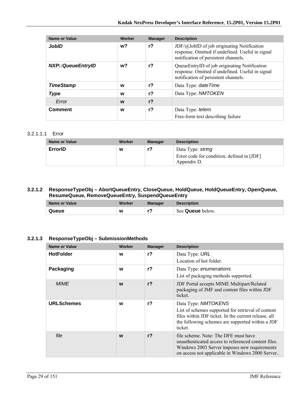| Name or Value            | Worker | <b>Manager</b> | <b>Description</b>                                                                                                                              |
|--------------------------|--------|----------------|-------------------------------------------------------------------------------------------------------------------------------------------------|
| JobID                    | w?     | r <sub>2</sub> | $JDF(\omega JobID)$ of job originating Notification<br>response. Omitted if undefined. Useful in signal<br>notification of persistent channels. |
| <b>NXP::QueueEntryID</b> | w?     | r <sub>2</sub> | QueueEntryID of job originating Notification<br>response. Omitted if undefined. Useful in signal<br>notification of persistent channels.        |
| <b>TimeStamp</b>         | W      | r <sub>2</sub> | Data Type: date Time                                                                                                                            |
| <b>Type</b>              | W      | $r$ ?          | Data Type: NMTOKEN                                                                                                                              |
| Error                    | W      | r <sub>2</sub> |                                                                                                                                                 |
| <b>Comment</b>           | W      | $r$ ?          | Data Type: telem<br>Free-form text describing failure                                                                                           |

#### 3.2.1.1.1 Error

| Name or Value | Worker | <b>Manager</b> | <b>Description</b>                                                             |
|---------------|--------|----------------|--------------------------------------------------------------------------------|
| ErrorID       | W      | r?             | Data Type: string<br>Error code for condition; defined in [JDF]<br>Appendix D. |

#### **3.2.1.2 ResponseTypeObj – AbortQueueEntry, CloseQueue, HoldQueue, HoldQueueEntry, OpenQueue, ResumeQueue, RemoveQueueEntry, SuspendQueueEntry**

| Name or Value | Worker | <b>Manager</b> | <b>Description</b> |
|---------------|--------|----------------|--------------------|
| Queue         | W      | r.             | See Queue below.   |

#### **3.2.1.3 ResponseTypeObj – SubmissionMethods**

| <b>Name or Value</b> | <b>Worker</b> | <b>Manager</b> | <b>Description</b>                                                                                                                                                                               |
|----------------------|---------------|----------------|--------------------------------------------------------------------------------------------------------------------------------------------------------------------------------------------------|
| <b>HotFolder</b>     | W             | r <sub>2</sub> | Data Type: URL<br>Location of hot folder.                                                                                                                                                        |
| Packaging            | W             | $r$ ?          | Data Type: enumerations<br>List of packaging methods supported.                                                                                                                                  |
| <b>MIME</b>          | W             | r <sub>2</sub> | JDF Portal accepts MIME Multipart/Related<br>packaging of JMF and content files within JDF<br>ticket.                                                                                            |
| <b>URLSchemes</b>    | W             | r?             | Data Type: NMTOKENS<br>List of schemes supported for retrieval of content<br>files within JDF ticket. In the current release, all<br>the following schemes are supported within a JDF<br>ticket. |
| file                 | W             | r <sub>2</sub> | file scheme. Note: The DFE must have<br>unauthenticated access to referenced content files.<br>Windows 2003 Server imposes new requirements<br>on access not applicable in Windows 2000 Server   |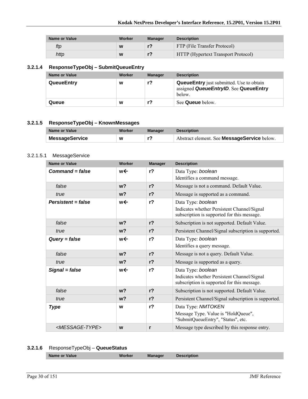| Name or Value | Worker | Manager | <b>Description</b>                         |
|---------------|--------|---------|--------------------------------------------|
| ftp           | W      |         | FTP (File Transfer Protocol)               |
| http          | W      |         | <b>HTTP</b> (Hypertext Transport Protocol) |

### **3.2.1.4 ResponseTypeObj – SubmitQueueEntry**

| Name or Value     | Worker | <b>Manager</b> | <b>Description</b>                                                                                 |
|-------------------|--------|----------------|----------------------------------------------------------------------------------------------------|
| <b>QueueEntry</b> | W      | r?             | <b>QueueEntry</b> just submitted. Use to obtain<br>assigned QueueEntryID. See QueueEntry<br>below. |
| Queue             | W      |                | See <b>Queue</b> below.                                                                            |

#### **3.2.1.5 ResponseTypeObj – KnownMessages**

| Name or Value         | Worker | <b>Manager</b> | <b>Description</b>                                 |
|-----------------------|--------|----------------|----------------------------------------------------|
| <b>MessageService</b> | W      |                | Abstract element. See <b>MessageService</b> below. |

#### 3.2.1.5.1 MessageService

| <b>Name or Value</b>          | <b>Worker</b>  | <b>Manager</b> | <b>Description</b>                                                                                               |
|-------------------------------|----------------|----------------|------------------------------------------------------------------------------------------------------------------|
| $Command = false$             | w←             | r <sub>2</sub> | Data Type: boolean                                                                                               |
|                               |                |                | Identifies a command message.                                                                                    |
| false                         | $w$ ?          | $r$ ?          | Message is not a command. Default Value.                                                                         |
| true                          | $w$ ?          | r <sub>2</sub> | Message is supported as a command.                                                                               |
| $Persistent = false$          | w←             | r <sub>2</sub> | Data Type: boolean<br>Indicates whether Persistent Channel/Signal                                                |
|                               |                |                | subscription is supported for this message.                                                                      |
| false                         | w <sub>2</sub> | r <sub>2</sub> | Subscription is not supported. Default Value.                                                                    |
| true                          | w <sub>2</sub> | r <sub>2</sub> | Persistent Channel/Signal subscription is supported.                                                             |
| $Query = false$               | w←             | r <sub>2</sub> | Data Type: boolean<br>Identifies a query message.                                                                |
| false                         | w <sub>2</sub> | r <sub>2</sub> | Message is not a query. Default Value.                                                                           |
| true                          | w <sub>2</sub> | $r$ ?          | Message is supported as a query.                                                                                 |
| Signal = false                | w←             | r <sub>2</sub> | Data Type: boolean<br>Indicates whether Persistent Channel/Signal<br>subscription is supported for this message. |
| false                         | w <sub>2</sub> | r <sub>2</sub> | Subscription is not supported. Default Value.                                                                    |
| true                          | w <sub>2</sub> | r <sub>2</sub> | Persistent Channel/Signal subscription is supported.                                                             |
| <b>Type</b>                   | W              | r <sub>2</sub> | Data Type: NMTOKEN<br>Message Type. Value is "HoldQueue",<br>"SubmitQueueEntry", "Status", etc.                  |
| <message-type></message-type> | W              | r              | Message type described by this response entry.                                                                   |

### **3.2.1.6** ResponseTypeObj – **QueueStatus**

| nager<br><b>Value</b> |
|-----------------------|
|-----------------------|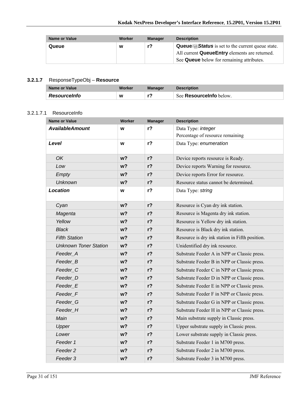| <b>Name or Value</b> | Worker | <b>Manager</b> | <b>Description</b>                                                                                                                                                                |
|----------------------|--------|----------------|-----------------------------------------------------------------------------------------------------------------------------------------------------------------------------------|
| Queue                | W      | r?             | <b>Queue/</b> $\mathcal{D}$ <b>Status</b> is set to the current queue state.<br>All current <b>QueueEntry</b> elements are returned.<br>See Queue below for remaining attributes. |

### **3.2.1.7** ResponseTypeObj – **Resource**

| Name or Value       | Worker | Manager | <b>Description</b>             |
|---------------------|--------|---------|--------------------------------|
| <b>Resourceinfo</b> | W      |         | See <b>Resourcelnfo</b> below. |

#### 3.2.1.7.1 ResourceInfo

| <b>Name or Value</b>         | <b>Worker</b>  | <b>Manager</b> | <b>Description</b>                             |
|------------------------------|----------------|----------------|------------------------------------------------|
| <b>AvailableAmount</b>       | W              | $r$ ?          | Data Type: integer                             |
|                              |                |                | Percentage of resource remaining               |
| Level                        | W              | $r$ ?          | Data Type: enumeration                         |
| <b>OK</b>                    | $w$ ?          | $r$ ?          | Device reports resource is Ready.              |
| Low                          | w <sub>2</sub> | $r$ ?          | Device reports Warning for resource.           |
| Empty                        | w <sub>2</sub> | $r$ ?          | Device reports Error for resource.             |
| <b>Unknown</b>               | w <sub>2</sub> | $r$ ?          | Resource status cannot be determined.          |
| <b>Location</b>              | W              | $r$ ?          | Data Type: string                              |
| Cyan                         | w <sub>2</sub> | $r$ ?          | Resource is Cyan dry ink station.              |
| Magenta                      | $w$ ?          | $r$ ?          | Resource is Magenta dry ink station.           |
| Yellow                       | w <sub>2</sub> | $r$ ?          | Resource is Yellow dry ink station.            |
| <b>Black</b>                 | $w$ ?          | $r$ ?          | Resource is Black dry ink station.             |
| <b>Fifth Station</b>         | w <sub>2</sub> | $r$ ?          | Resource is dry ink station in Fifth position. |
| <b>Unknown Toner Station</b> | w?             | r <sub>2</sub> | Unidentified dry ink resource.                 |
| Feeder_A                     | w <sub>2</sub> | $r$ ?          | Substrate Feeder A in NPP or Classic press.    |
| Feeder_B                     | $w$ ?          | $r$ ?          | Substrate Feeder B in NPP or Classic press.    |
| Feeder <sub>_C</sub>         | w <sub>2</sub> | $r$ ?          | Substrate Feeder C in NPP or Classic press.    |
| Feeder D                     | w?             | $r$ ?          | Substrate Feeder D in NPP or Classic press.    |
| Feeder_E                     | w <sub>2</sub> | $r$ ?          | Substrate Feeder E in NPP or Classic press.    |
| Feeder_F                     | $w$ ?          | $r$ ?          | Substrate Feeder F in NPP or Classic press.    |
| Feeder G                     | w <sub>2</sub> | $r$ ?          | Substrate Feeder G in NPP or Classic press.    |
| Feeder H                     | w <sub>2</sub> | $r$ ?          | Substrate Feeder H in NPP or Classic press.    |
| Main                         | $w$ ?          | r <sub>2</sub> | Main substrate supply in Classic press.        |
| Upper                        | w <sub>2</sub> | $r$ ?          | Upper substrate supply in Classic press.       |
| Lower                        | $w$ ?          | r <sub>2</sub> | Lower substrate supply in Classic press.       |
| Feeder 1                     | $w$ ?          | $r$ ?          | Substrate Feeder 1 in M700 press.              |
| Feeder 2                     | w <sub>2</sub> | $r$ ?          | Substrate Feeder 2 in M700 press.              |
| Feeder 3                     | w <sub>2</sub> | $r$ ?          | Substrate Feeder 3 in M700 press.              |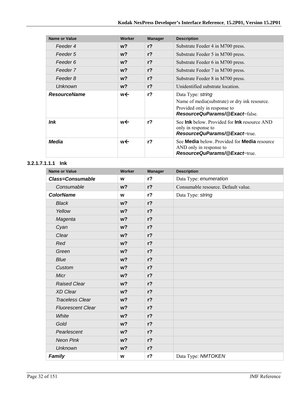| <b>Name or Value</b> | Worker | <b>Manager</b> | <b>Description</b>                                                                                                                          |
|----------------------|--------|----------------|---------------------------------------------------------------------------------------------------------------------------------------------|
| Feeder 4             | $w$ ?  | r <sub>2</sub> | Substrate Feeder 4 in M700 press.                                                                                                           |
| Feeder 5             | $w$ ?  | r <sub>2</sub> | Substrate Feeder 5 in M700 press.                                                                                                           |
| Feeder 6             | $w$ ?  | $r$ ?          | Substrate Feeder 6 in M700 press.                                                                                                           |
| Feeder 7             | $w$ ?  | r <sub>2</sub> | Substrate Feeder 7 in M700 press.                                                                                                           |
| Feeder 8             | $w$ ?  | r <sub>2</sub> | Substrate Feeder 8 in M700 press.                                                                                                           |
| <b>Unknown</b>       | $w$ ?  | r <sup>2</sup> | Unidentified substrate location.                                                                                                            |
| <b>ResourceName</b>  | w←     | r <sub>2</sub> | Data Type: string<br>Name of media(substrate) or dry ink resource.<br>Provided only in response to<br><b>ResourceQuParams/@Exact=false.</b> |
| ln <sub>k</sub>      | w←     | r <sub>2</sub> | See <b>Ink</b> below. Provided for <b>Ink</b> resource AND<br>only in response to<br><b>ResourceQuParams/@Exact=true.</b>                   |
| Media                | w←     | r <sub>2</sub> | See Media below. Provided for Media resource<br>AND only in response to<br>ResourceQuParams/@Exact=true                                     |

#### **3.2.1.7.1.1.1 Ink**

| <b>Name or Value</b>     | Worker         | <b>Manager</b> | <b>Description</b>                  |
|--------------------------|----------------|----------------|-------------------------------------|
| <b>Class=Consumable</b>  | W              | r <sub>2</sub> | Data Type: enumeration              |
| Consumable               | w <sub>2</sub> | $r$ ?          | Consumable resource. Default value. |
| <b>ColorName</b>         | W              | $r$ ?          | Data Type: string                   |
| <b>Black</b>             | w <sub>2</sub> | $r$ ?          |                                     |
| Yellow                   | w <sub>2</sub> | $r$ ?          |                                     |
| Magenta                  | w <sub>2</sub> | $r$ ?          |                                     |
| Cyan                     | w <sub>2</sub> | $r$ ?          |                                     |
| Clear                    | w <sub>2</sub> | $r$ ?          |                                     |
| Red                      | w <sub>2</sub> | $r$ ?          |                                     |
| Green                    | w <sub>2</sub> | $r$ ?          |                                     |
| <b>Blue</b>              | w <sub>2</sub> | $r$ ?          |                                     |
| Custom                   | w <sub>2</sub> | $r$ ?          |                                     |
| Micr                     | w <sub>2</sub> | $r$ ?          |                                     |
| <b>Raised Clear</b>      | w <sub>2</sub> | $r$ ?          |                                     |
| <b>XD Clear</b>          | w <sub>2</sub> | $r$ ?          |                                     |
| <b>Traceless Clear</b>   | w <sub>2</sub> | $r$ ?          |                                     |
| <b>Fluorescent Clear</b> | w <sub>2</sub> | $r$ ?          |                                     |
| White                    | w <sub>2</sub> | $r$ ?          |                                     |
| Gold                     | w <sub>2</sub> | $r$ ?          |                                     |
| Pearlescent              | w <sub>2</sub> | $r$ ?          |                                     |
| <b>Neon Pink</b>         | w <sub>2</sub> | $r$ ?          |                                     |
| <b>Unknown</b>           | w <sub>2</sub> | $r$ ?          |                                     |
| Family                   | W              | $r$ ?          | Data Type: NMTOKEN                  |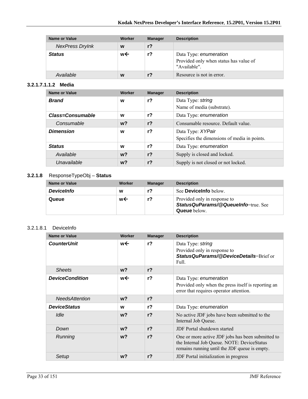| Name or Value          | Worker | <b>Manager</b> | <b>Description</b>                                                               |
|------------------------|--------|----------------|----------------------------------------------------------------------------------|
| <b>NexPress DryInk</b> | W      | $r$ ?          |                                                                                  |
| <b>Status</b>          | w←     | r?             | Data Type: enumeration<br>Provided only when status has value of<br>"Available". |
| Available              | W      |                | Resource is not in error.                                                        |

#### **3.2.1.7.1.1.2 Media**

| <b>Name or Value</b>    | Worker | <b>Manager</b> | <b>Description</b>                                                |
|-------------------------|--------|----------------|-------------------------------------------------------------------|
| <b>Brand</b>            | W      | r <sub>2</sub> | Data Type: string<br>Name of media (substrate).                   |
| <b>Class=Consumable</b> | W      | r <sub>2</sub> | Data Type: enumeration                                            |
| Consumable              | $w$ ?  | $r$ ?          | Consumable resource. Default value.                               |
| <b>Dimension</b>        | W      | r <sub>2</sub> | Data Type: XYPair<br>Specifies the dimensions of media in points. |
| <b>Status</b>           | W      | $r$ ?          | Data Type: enumeration                                            |
| Available               | $w$ ?  | r <sub>2</sub> | Supply is closed and locked.                                      |
| Unavailable             | $w$ ?  | $r$ ?          | Supply is not closed or not locked.                               |

### **3.2.1.8** ResponseTypeObj – **Status**

| Name or Value     | Worker | <b>Manager</b> | <b>Description</b>                                                                         |
|-------------------|--------|----------------|--------------------------------------------------------------------------------------------|
| <b>DeviceInfo</b> | w      | r?             | See <b>Devicelnfo</b> below.                                                               |
| Queue             | w←     | r?             | Provided only in response to<br>StatusQuParams/@QueueInfo=true. See<br><b>Queue</b> below. |

#### 3.2.1.8.1 DeviceInfo

| Name or Value          | Worker         | <b>Manager</b> | <b>Description</b>                                                                                                                               |
|------------------------|----------------|----------------|--------------------------------------------------------------------------------------------------------------------------------------------------|
| <b>CounterUnit</b>     | w←             | r <sub>2</sub> | Data Type: string<br>Provided only in response to<br>StatusQuParams/@DeviceDetails=Brief or<br>Full.                                             |
| <b>Sheets</b>          | w <sub>2</sub> | r <sub>2</sub> |                                                                                                                                                  |
| <b>DeviceCondition</b> | w←             | r <sub>2</sub> | Data Type: enumeration<br>Provided only when the press itself is reporting an<br>error that requires operator attention.                         |
| <b>NeedsAttention</b>  | w <sub>2</sub> | r <sub>2</sub> |                                                                                                                                                  |
| <b>DeviceStatus</b>    | W              | r <sub>2</sub> | Data Type: enumeration                                                                                                                           |
| Idle                   | w <sub>2</sub> | r <sub>2</sub> | No active JDF jobs have been submitted to the<br>Internal Job Queue.                                                                             |
| Down                   | w <sub>2</sub> | r <sub>2</sub> | <b>JDF</b> Portal shutdown started                                                                                                               |
| Running                | w <sub>2</sub> | r <sub>2</sub> | One or more active JDF jobs has been submitted to<br>the Internal Job Queue. NOTE: DeviceStatus<br>remains running until the JDF queue is empty. |
| Setup                  | $w$ ?          | r <sub>2</sub> | JDF Portal initialization in progress                                                                                                            |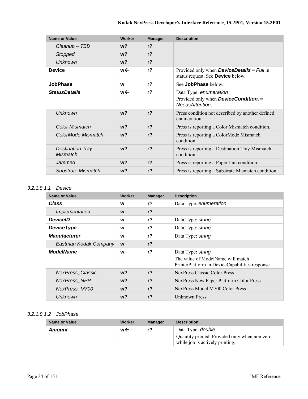| Name or Value                              | Worker         | <b>Manager</b> | <b>Description</b>                                                                                 |
|--------------------------------------------|----------------|----------------|----------------------------------------------------------------------------------------------------|
| Cleanup - TBD                              | w?             | r <sub>2</sub> |                                                                                                    |
| Stopped                                    | $w$ ?          | $r$ ?          |                                                                                                    |
| <b>Unknown</b>                             | $w$ ?          | r <sub>2</sub> |                                                                                                    |
| <b>Device</b>                              | w←             | $r$ ?          | Provided only when <b>DeviceDetails</b> = $Full$ in<br>status request. See Device below.           |
| <b>JobPhase</b>                            | W              | r <sub>2</sub> | See JobPhase below.                                                                                |
| <b>StatusDetails</b>                       | w←             | r <sub>2</sub> | Data Type: enumeration<br>Provided only when <b>DeviceCondition</b> . $=$<br><b>NeedsAttention</b> |
| <b>Unknown</b>                             | w <sub>2</sub> | r <sub>2</sub> | Press condition not described by another defined<br>enumeration.                                   |
| Color Mismatch                             | $w$ ?          | r <sub>2</sub> | Press is reporting a Color Mismatch condition.                                                     |
| ColorMode Mismatch                         | $w$ ?          | r <sub>2</sub> | Press is reporting a ColorMode Mismatch<br>condition.                                              |
| <b>Destination Tray</b><br><b>Mismatch</b> | w <sub>2</sub> | r <sub>2</sub> | Press is reporting a Destination Tray Mismatch<br>condition.                                       |
| Jammed                                     | w?             | r <sub>2</sub> | Press is reporting a Paper Jam condition.                                                          |
| Substrate Mismatch                         | w?             | r <sub>2</sub> | Press is reporting a Substrate Mismatch condition.                                                 |

#### *3.2.1.8.1.1 Device*

| <b>Name or Value</b>    | Worker         | <b>Manager</b> | <b>Description</b>                                                                                        |
|-------------------------|----------------|----------------|-----------------------------------------------------------------------------------------------------------|
| Class                   | W              | r <sub>2</sub> | Data Type: enumeration                                                                                    |
| Implementation          | W              | r <sub>2</sub> |                                                                                                           |
| <b>DeviceID</b>         | W              | $r$ ?          | Data Type: string                                                                                         |
| <b>DeviceType</b>       | W              | $r$ ?          | Data Type: string                                                                                         |
| <b>Manufacturer</b>     | W              | $r$ ?          | Data Type: string                                                                                         |
| Eastman Kodak Company   | W              | $r$ ?          |                                                                                                           |
| <b>ModelName</b>        | W              | $r$ ?          | Data Type: string<br>The value of ModelName will match<br>PrinterPlatform in DeviceCapabilities response. |
| <b>NexPress Classic</b> | $w$ ?          | r <sub>2</sub> | NexPress Classic Color Press                                                                              |
| <b>NexPress NPP</b>     | $w$ ?          | r <sub>2</sub> | NexPress New Paper Platform Color Press                                                                   |
| NexPress_M700           | w <sub>2</sub> | r <sub>2</sub> | NexPress Model M700 Color Press                                                                           |
| Unknown                 | $w$ ?          | r <sub>2</sub> | Unknown Press                                                                                             |

## *3.2.1.8.1.2 JobPhase*

| <b>Name or Value</b> | Worker | <b>Manager</b> | <b>Description</b>                                                                                           |
|----------------------|--------|----------------|--------------------------------------------------------------------------------------------------------------|
| Amount               | w←     | r?             | Data Type: <i>double</i><br>Quantity printed. Provided only when non-zero<br>while job is actively printing. |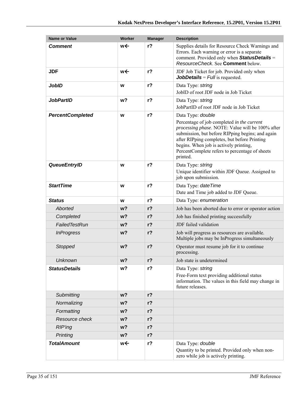| <b>Name or Value</b>    | <b>Worker</b>  | <b>Manager</b> | <b>Description</b>                                                                                                                                                                                                                                                                                                              |
|-------------------------|----------------|----------------|---------------------------------------------------------------------------------------------------------------------------------------------------------------------------------------------------------------------------------------------------------------------------------------------------------------------------------|
| <b>Comment</b>          | w←             | $r$ ?          | Supplies details for Resource Check Warnings and<br>Errors. Each warning or error is a separate<br>comment. Provided only when StatusDetails =<br>ResourceCheck. See Comment below.                                                                                                                                             |
| <b>JDF</b>              | w←             | r <sub>2</sub> | JDF Job Ticket for job. Provided only when<br><b>JobDetails</b> = $Full$ is requested.                                                                                                                                                                                                                                          |
| <b>JobID</b>            | W              | $r$ ?          | Data Type: string<br>JobID of root JDF node in Job Ticket                                                                                                                                                                                                                                                                       |
| <b>JobPartID</b>        | w?             | $r$ ?          | Data Type: string<br>JobPartID of root JDF node in Job Ticket                                                                                                                                                                                                                                                                   |
| <b>PercentCompleted</b> | W              | $r$ ?          | Data Type: double<br>Percentage of job completed in the current<br>processing phase. NOTE: Value will be 100% after<br>submission, but before RIPping begins; and again<br>after RIPping completes, but before Printing<br>begins. When job is actively printing,<br>PercentComplete refers to percentage of sheets<br>printed. |
| <b>QueueEntryID</b>     | W              | $r$ ?          | Data Type: string<br>Unique identifier within JDF Queue. Assigned to<br>job upon submission.                                                                                                                                                                                                                                    |
| <b>StartTime</b>        | W              | $r$ ?          | Data Type: date Time<br>Date and Time job added to JDF Queue.                                                                                                                                                                                                                                                                   |
| <b>Status</b>           | W              | $r$ ?          | Data Type: enumeration                                                                                                                                                                                                                                                                                                          |
| Aborted                 | w?             | $r$ ?          | Job has been aborted due to error or operator action                                                                                                                                                                                                                                                                            |
| Completed               | w?             | $r$ ?          | Job has finished printing successfully                                                                                                                                                                                                                                                                                          |
| FailedTestRun           | w?             | $r$ ?          | JDF failed validation                                                                                                                                                                                                                                                                                                           |
| <b>InProgress</b>       | w?             | $r$ ?          | Job will progress as resources are available.<br>Multiple jobs may be InProgress simultaneously                                                                                                                                                                                                                                 |
| Stopped                 | w <sub>2</sub> | $r$ ?          | Operator must resume job for it to continue<br>processing.                                                                                                                                                                                                                                                                      |
| <b>Unknown</b>          | w <sub>2</sub> | $r$ ?          | Job state is undetermined                                                                                                                                                                                                                                                                                                       |
| <b>StatusDetails</b>    | w?             | $r$ ?          | Data Type: string<br>Free-Form text providing additional status<br>information. The values in this field may change in<br>future releases.                                                                                                                                                                                      |
| Submitting              | w <sub>2</sub> | r <sub>2</sub> |                                                                                                                                                                                                                                                                                                                                 |
| Normalizing             | w?             | $r$ ?          |                                                                                                                                                                                                                                                                                                                                 |
| Formatting              | w?             | $r$ ?          |                                                                                                                                                                                                                                                                                                                                 |
| Resource check          | w?             | $r$ ?          |                                                                                                                                                                                                                                                                                                                                 |
| <b>RIP'ing</b>          | w?             | $r$ ?          |                                                                                                                                                                                                                                                                                                                                 |
| Printing                | w?             | $r$ ?          |                                                                                                                                                                                                                                                                                                                                 |
| <b>TotalAmount</b>      | w←             | $r$ ?          | Data Type: double<br>Quantity to be printed. Provided only when non-<br>zero while job is actively printing.                                                                                                                                                                                                                    |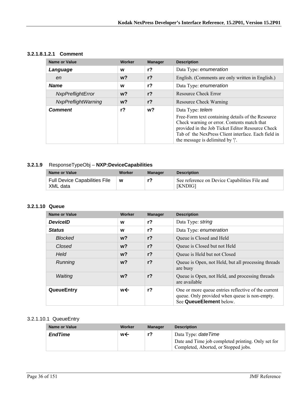#### **3.2.1.8.1.2.1 Comment**

| <b>Name or Value</b>       | Worker | <b>Manager</b> | <b>Description</b>                                                                                                                                                                                                                                                |
|----------------------------|--------|----------------|-------------------------------------------------------------------------------------------------------------------------------------------------------------------------------------------------------------------------------------------------------------------|
| Language                   | w      | $r$ ?          | Data Type: enumeration                                                                                                                                                                                                                                            |
| en                         | $w$ ?  | $r$ ?          | English. (Comments are only written in English.)                                                                                                                                                                                                                  |
| <b>Name</b>                | W      | $r$ ?          | Data Type: enumeration                                                                                                                                                                                                                                            |
| NxpPreflightError          | $w$ ?  | $r$ ?          | Resource Check Error                                                                                                                                                                                                                                              |
| <b>NxpPreflightWarning</b> | $w$ ?  | $r$ ?          | Resource Check Warning                                                                                                                                                                                                                                            |
| <b>Comment</b>             | r?     | w <sup>2</sup> | Data Type: telem<br>Free-Form text containing details of the Resource<br>Check warning or error. Contents match that<br>provided in the Job Ticket Editor Resource Check<br>Tab of the NexPress Client interface. Each field in<br>the message is delimited by ". |

### **3.2.1.9** ResponseTypeObj – **NXP:DeviceCapabilities**

| Name or Value                                    | Worker | Manager | <b>Description</b>                                              |
|--------------------------------------------------|--------|---------|-----------------------------------------------------------------|
| <b>Full Device Capabilities File</b><br>XML data | W      |         | See reference on Device Capabilities File and<br><b>[KNDIG]</b> |

#### **3.2.1.10 Queue**

| <b>Name or Value</b> | Worker         | <b>Manager</b> | <b>Description</b>                                                                                                              |
|----------------------|----------------|----------------|---------------------------------------------------------------------------------------------------------------------------------|
| <b>DeviceID</b>      | w              | r <sub>2</sub> | Data Type: string                                                                                                               |
| <b>Status</b>        | W              | r <sub>2</sub> | Data Type: enumeration                                                                                                          |
| <b>Blocked</b>       | $w$ ?          | r <sub>2</sub> | Queue is Closed and Held                                                                                                        |
| Closed               | w <sub>2</sub> | r <sub>2</sub> | Queue is Closed but not Held                                                                                                    |
| Held                 | $w$ ?          | r <sub>2</sub> | Queue is Held but not Closed                                                                                                    |
| Running              | w <sub>2</sub> | r <sub>2</sub> | Queue is Open, not Held, but all processing threads<br>are busy                                                                 |
| Waiting              | w <sub>2</sub> | r <sub>2</sub> | Queue is Open, not Held, and processing threads<br>are available                                                                |
| QueueEntry           | w←             | r <sub>2</sub> | One or more queue entries reflective of the current<br>queue. Only provided when queue is non-empty.<br>See QueueElement below. |

#### 3.2.1.10.1 QueueEntry

| Name or Value  | Worker | <b>Manager</b> | <b>Description</b>                                                                                                       |
|----------------|--------|----------------|--------------------------------------------------------------------------------------------------------------------------|
| <b>EndTime</b> | w←     | r?             | Data Type: <i>dateTime</i><br>Date and Time job completed printing. Only set for<br>Completed, Aborted, or Stopped jobs. |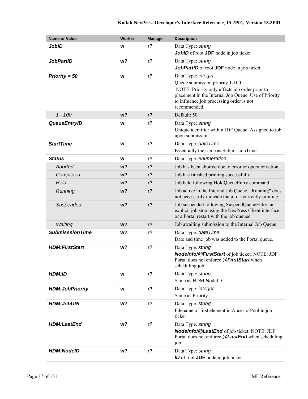| <b>Name or Value</b>   | <b>Worker</b>  | <b>Manager</b> | <b>Description</b>                                                                                                                                                                                                           |
|------------------------|----------------|----------------|------------------------------------------------------------------------------------------------------------------------------------------------------------------------------------------------------------------------------|
| <b>JobID</b>           | w              | $r$ ?          | Data Type: string<br><b>JobID</b> of root <b>JDF</b> node in job ticket                                                                                                                                                      |
| <b>JobPartID</b>       | w?             | $r$ ?          | Data Type: string<br>JobPartID of root JDF node in job ticket                                                                                                                                                                |
| Priority = $50$        | W              | $r$ ?          | Data Type: integer<br>Queue submission priority 1-100.<br>NOTE: Priority only effects job order prior to<br>placement in the Internal Job Queue. Use of Priority<br>to influence job processing order is not<br>recommended. |
| $1 - 100$              | w <sub>2</sub> | $r$ ?          | Default: 50                                                                                                                                                                                                                  |
| <b>QueueEntryID</b>    | w              | $r$ ?          | Data Type: string<br>Unique identifier within JDF Queue. Assigned to job<br>upon submission.                                                                                                                                 |
| <b>StartTime</b>       | W              | $r$ ?          | Data Type: date Time<br>Essentially the same as SubmissionTime                                                                                                                                                               |
| <b>Status</b>          | W              | r <sub>2</sub> | Data Type: enumeration                                                                                                                                                                                                       |
| Aborted                | w <sub>2</sub> | $r$ ?          | Job has been aborted due to error or operator action                                                                                                                                                                         |
| Completed              | w?             | $r$ ?          | Job has finished printing successfully                                                                                                                                                                                       |
| Held                   | w <sub>2</sub> | $r$ ?          | Job held following HoldQueueEntry command                                                                                                                                                                                    |
| Running                | w <sub>2</sub> | $r$ ?          | Job active in the Internal Job Queue. "Running" does<br>not necessarily indicate the job is currently printing.                                                                                                              |
| Suspended              | w <sub>2</sub> | $r$ ?          | Job suspended following SuspendQueueEntry, an<br>explicit job stop using the NexPress Client interface,<br>or a Portal restart with the job queued                                                                           |
| Waiting                | w <sub>2</sub> | $r$ ?          | Job awaiting submission to the Internal Job Queue                                                                                                                                                                            |
| <b>SubmisssionTime</b> | w?             | r <sub>2</sub> | Data Type: date Time<br>Date and time job was added to the Portal queue.                                                                                                                                                     |
| <b>HDM:FirstStart</b>  | w?             | $r$ ?          | Data Type: string<br>NodeInfo/@FirstStart of job ticket. NOTE: JDF<br>Portal does not enforce @FirstStart when<br>scheduling job.                                                                                            |
| <b>HDM:ID</b>          | W              | $r$ ?          | Data Type: string<br>Same as HDM:NodeID                                                                                                                                                                                      |
| <b>HDM:JobPriority</b> | W              | $r$ ?          | Data Type: integer<br>Same as Priority                                                                                                                                                                                       |
| <b>HDM:JobURL</b>      | w?             | $r$ ?          | Data Type: string<br>Filename of first element in AncestorPool in job<br>ticket                                                                                                                                              |
| <b>HDM:LastEnd</b>     | w <sub>2</sub> | $r$ ?          | Data Type: string<br>Nodelnfo/@LastEnd of job ticket. NOTE: JDF<br>Portal does not enforce @LastEnd when scheduling<br>job.                                                                                                  |
| <b>HDM:NodelD</b>      | w?             | $r$ ?          | Data Type: string<br><b>ID</b> of root <b>JDF</b> node in job ticket                                                                                                                                                         |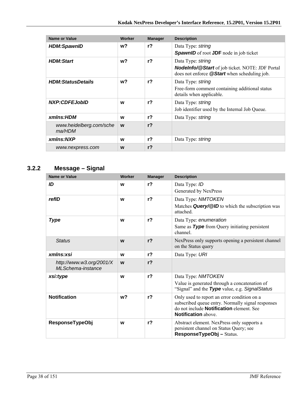| <b>Name or Value</b>              | Worker | <b>Manager</b> | <b>Description</b>                                                                                                          |
|-----------------------------------|--------|----------------|-----------------------------------------------------------------------------------------------------------------------------|
| <b>HDM:SpawnID</b>                | w?     | r <sub>2</sub> | Data Type: string<br><b>SpawnID</b> of root <b>JDF</b> node in job ticket                                                   |
| <b>HDM:Start</b>                  | w?     | $r$ ?          | Data Type: string<br><b>Nodelnfo/@Start</b> of job ticket. NOTE: JDF Portal<br>does not enforce @Start when scheduling job. |
| <b>HDM:StatusDetails</b>          | w?     | r <sub>2</sub> | Data Type: string<br>Free-form comment containing additional status<br>details when applicable.                             |
| <b>NXP:CDFEJobID</b>              | W      | $r$ ?          | Data Type: string<br>Job identifier used by the Internal Job Queue.                                                         |
| xmlns:HDM                         | W      | r <sub>2</sub> | Data Type: string                                                                                                           |
| www.heidelberg.com/sche<br>ma/HDM | W      | r <sub>2</sub> |                                                                                                                             |
| xmlns:NXP                         | W      | r?             | Data Type: string                                                                                                           |
| www.nexpress.com                  | W      | r <sub>2</sub> |                                                                                                                             |

# **3.2.2 Message – Signal**

| <b>Name or Value</b>                          | Worker         | <b>Manager</b> | <b>Description</b>                                                                                                                 |
|-----------------------------------------------|----------------|----------------|------------------------------------------------------------------------------------------------------------------------------------|
| ID                                            | W              | r <sub>2</sub> | Data Type: ID                                                                                                                      |
|                                               |                |                | Generated by NexPress                                                                                                              |
| refID                                         | W              | r <sub>2</sub> | Data Type: NMTOKEN                                                                                                                 |
|                                               |                |                | Matches Query/@ID to which the subscription was<br>attached.                                                                       |
| <b>Type</b>                                   | W              | r <sub>2</sub> | Data Type: enumeration                                                                                                             |
|                                               |                |                | Same as Type from Query initiating persistent<br>channel.                                                                          |
| <b>Status</b>                                 | W              | r <sub>2</sub> | NexPress only supports opening a persistent channel<br>on the Status query                                                         |
| xmlns:xsi                                     | W              | r <sub>2</sub> | Data Type: URI                                                                                                                     |
| http://www.w3.org/2001/X<br>MLSchema-instance | W              | r <sub>2</sub> |                                                                                                                                    |
| xsi:type                                      | W              | $r$ ?          | Data Type: NMTOKEN                                                                                                                 |
|                                               |                |                | Value is generated through a concatenation of<br>"Signal" and the Type value, e.g. Signal Status                                   |
| <b>Notification</b>                           | w <sub>2</sub> | r <sub>2</sub> | Only used to report an error condition on a                                                                                        |
|                                               |                |                | subscribed queue entry. Normally signal responses<br>do not include <b>Notification</b> element. See<br><b>Notification</b> above. |
| <b>ResponseTypeObj</b>                        | W              | r <sub>2</sub> | Abstract element. NexPress only supports a<br>persistent channel on Status Query; see                                              |
|                                               |                |                | ResponseTypeObj-Status.                                                                                                            |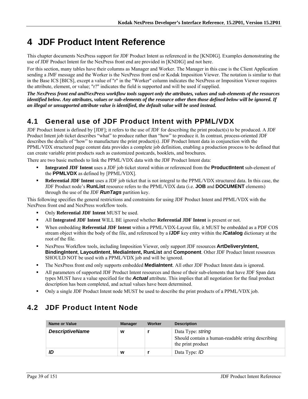# **4 JDF Product Intent Reference**

This chapter documents NexPress support for JDF Product Intent as referenced in the [KNDIG]. Examples demonstrating the use of JDF Product Intent for the NexPress front end are provided in [KNDIG] and not here.

For this section, many tables have their columns as Manager and Worker. The Manager in this case is the Client Application sending a JMF message and the Worker is the NexPress front end or Kodak Imposition Viewer. The notation is similar to that in the Base ICS [BICS], except a value of "r" in the "Worker" column indicates the NexPress or Imposition Viewer requires the attribute, element, or value; "r?" indicates the field is supported and will be used if supplied.

*The NexPress front end andNexPress workflow tools support only the attributes, values and sub-elements of the resources identified below. Any attributes, values or sub-elements of the resource other then those defined below will be ignored. If an illegal or unsupported attribute value is identified, the default value will be used instead.* 

# **4.1 General use of JDF Product Intent with PPML/VDX**

JDF Product Intent is defined by [JDF]; it refers to the use of JDF for describing the print product(s) to be produced. A JDF Product Intent job ticket describes "what" to produce rather than "how" to produce it. In contrast, process-oriented JDF describes the details of "how" to manufacture the print product(s). JDF Product Intent data in conjunction with the PPML/VDX structured page content data provides a complete job definition, enabling a production process to be defined that can create variable print products such as customized postcards, booklets, and brochures.

There are two basic methods to link the PPML/VDX data with the JDF Product Intent data:

- **Integrated JDF Intent** uses a JDF job ticket stored within or referenced from the **ProductIntent** sub-element of the **PPMLVDX** as defined by [PPML/VDX].
- **Referential JDF Intent** uses a JDF job ticket that is not integral to the PPML/VDX structured data. In this case, the JDF Product node's **RunList** resource refers to the PPML/VDX data (i.e. **JOB** and **DOCUMENT** elements) through the use of the JDF *RunTags* partition key.

This following specifies the general restrictions and constraints for using JDF Product Intent and PPML/VDX with the NexPress front end and NexPress workflow tools.

- Only **Referential JDF Intent** MUST be used.
- All **Integrated JDF Intent** WILL BE ignored whether **Referential JDF Intent** is present or not.
- When embedding **Referential JDF Intent** within a PPML/VDX-Layout file, it MUST be embedded as a PDF COS stream object within the body of the file, and referenced by a **/JDF** key entry within the **/Catalog** dictionary at the root of the file.
- NexPress Workflow tools, including Imposition Viewer, only support JDF resources **ArtDeliveryIntent, BindingIntent**, **LayoutIntent**, **MediaIntent, RunList** and **Component**. Other JDF Product Intent resources SHOULD NOT be used with a PPML/VDX job and will be ignored.
- The NexPress front end only supports embedded **MediaIntent**. All other JDF Product Intent data is ignored.
- All parameters of supported JDF Product Intent resources and those of their sub-elements that have JDF Span data types MUST have a value specified for the *Actual* attribute. This implies that all negotiation for the final product description has been completed, and actual values have been determined.
- Only a single JDF Product Intent node MUST be used to describe the print products of a PPML/VDX job.

# **4.2 JDF Product Intent Node**

| Name or Value          | <b>Manager</b> | Worker | <b>Description</b>                                                                          |
|------------------------|----------------|--------|---------------------------------------------------------------------------------------------|
| <b>DescriptiveName</b> | w              |        | Data Type: string<br>Should contain a human-readable string describing<br>the print product |
| ID                     | W              |        | Data Type: ID                                                                               |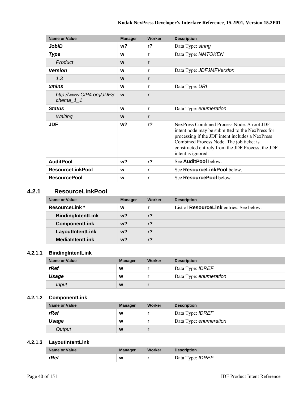| Name or Value                           | <b>Manager</b> | Worker         | <b>Description</b>                                                                                                                                                                                                                                                         |
|-----------------------------------------|----------------|----------------|----------------------------------------------------------------------------------------------------------------------------------------------------------------------------------------------------------------------------------------------------------------------------|
| JobID                                   | w?             | $r$ ?          | Data Type: string                                                                                                                                                                                                                                                          |
| <b>Type</b>                             | W              | r              | Data Type: NMTOKEN                                                                                                                                                                                                                                                         |
| Product                                 | W              | r              |                                                                                                                                                                                                                                                                            |
| <b>Version</b>                          | W              | r              | Data Type: JDFJMFVersion                                                                                                                                                                                                                                                   |
| 1.3                                     | W              | r              |                                                                                                                                                                                                                                                                            |
| <b>xmlns</b>                            | W              | r              | Data Type: URI                                                                                                                                                                                                                                                             |
| http://www.CIP4.org/JDFS<br>chema $1$ 1 | W              | r              |                                                                                                                                                                                                                                                                            |
| <b>Status</b>                           | W              | r              | Data Type: enumeration                                                                                                                                                                                                                                                     |
| Waiting                                 | W              | r              |                                                                                                                                                                                                                                                                            |
| <b>JDF</b>                              | w?             | r <sub>2</sub> | NexPress Combined Process Node. A root JDF<br>intent node may be submitted to the NexPress for<br>processing if the JDF intent includes a NexPress<br>Combined Process Node. The job ticket is<br>constructed entirely from the JDF Process; the JDF<br>intent is ignored. |
| <b>AuditPool</b>                        | w?             | r <sub>2</sub> | See AuditPool below.                                                                                                                                                                                                                                                       |
| <b>ResourceLinkPool</b>                 | W              | r              | See ResourceLinkPool below.                                                                                                                                                                                                                                                |
| <b>ResourcePool</b>                     | W              | r              | See <b>ResourcePool</b> below.                                                                                                                                                                                                                                             |

### **4.2.1 ResourceLinkPool**

| Name or Value            | <b>Manager</b> | Worker         | <b>Description</b>                              |
|--------------------------|----------------|----------------|-------------------------------------------------|
| <b>ResourceLink</b> *    | W              |                | List of <b>ResourceLink</b> entries. See below. |
| <b>BindingIntentLink</b> | w?             | r <sub>2</sub> |                                                 |
| <b>ComponentLink</b>     | w?             | $r$ ?          |                                                 |
| LayoutIntentLink         | $w$ ?          | r <sub>2</sub> |                                                 |
| <b>MediaIntentLink</b>   | $w$ ?          | r <sub>2</sub> |                                                 |

#### **4.2.1.1 BindingIntentLink**

| <b>Name or Value</b> | <b>Manager</b> | Worker | <b>Description</b>      |
|----------------------|----------------|--------|-------------------------|
| rRef                 | W              |        | Data Type: <b>IDREF</b> |
| Usage                | W              |        | Data Type: enumeration  |
| Input                | W              |        |                         |

## **4.2.1.2 ComponentLink**

| Name or Value | <b>Manager</b> | Worker | <b>Description</b>      |
|---------------|----------------|--------|-------------------------|
| rRef          | W              |        | Data Type: <i>IDREF</i> |
| Usage         | W              |        | Data Type: enumeration  |
| Output        | W              |        |                         |

#### **4.2.1.3 LayoutIntentLink**

| <b>Name or Value</b> | <b>Manager</b> | Worker | <b>Description</b>      |
|----------------------|----------------|--------|-------------------------|
| rRef                 | W              |        | Data Type: <b>IDREF</b> |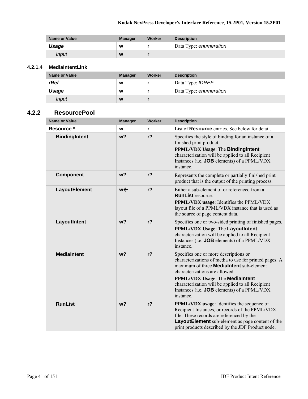| <b>Name or Value</b> | <b>Manager</b> | Worker | <b>Description</b>     |
|----------------------|----------------|--------|------------------------|
| Usage                | W              |        | Data Type: enumeration |
| Input                | W              |        |                        |

#### **4.2.1.4 MediaIntentLink**

| <b>Name or Value</b> | <b>Manager</b> | <b>Worker</b> | <b>Description</b>      |
|----------------------|----------------|---------------|-------------------------|
| rRef                 | W              |               | Data Type: <b>IDREF</b> |
| Usage                | W              |               | Data Type: enumeration  |
| <i>Input</i>         | W              |               |                         |

#### **4.2.2 ResourcePool**

| <b>Name or Value</b> | <b>Manager</b> | Worker         | <b>Description</b>                                                                                                                                                                                                                                                                                                                                     |
|----------------------|----------------|----------------|--------------------------------------------------------------------------------------------------------------------------------------------------------------------------------------------------------------------------------------------------------------------------------------------------------------------------------------------------------|
| Resource *           | W              | r              | List of <b>Resource</b> entries. See below for detail.                                                                                                                                                                                                                                                                                                 |
| <b>BindingIntent</b> | w <sub>2</sub> | $r$ ?          | Specifies the style of binding for an instance of a<br>finished print product.<br><b>PPML/VDX Usage: The BindingIntent</b><br>characterization will be applied to all Recipient<br>Instances (i.e. JOB elements) of a PPML/VDX<br>instance.                                                                                                            |
| <b>Component</b>     | w <sub>2</sub> | r <sub>2</sub> | Represents the complete or partially finished print<br>product that is the output of the printing process.                                                                                                                                                                                                                                             |
| LayoutElement        | w←             | $r$ ?          | Either a sub-element of or referenced from a<br><b>RunList resource</b><br>PPML/VDX usage: Identifies the PPML/VDX<br>layout file of a PPML/VDX instance that is used as<br>the source of page content data.                                                                                                                                           |
| LayoutIntent         | w <sub>2</sub> | $r$ ?          | Specifies one or two-sided printing of finished pages.<br>PPML/VDX Usage: The LayoutIntent<br>characterization will be applied to all Recipient<br>Instances (i.e. JOB elements) of a PPML/VDX<br>instance                                                                                                                                             |
| <b>MediaIntent</b>   | w <sub>2</sub> | $r$ ?          | Specifies one or more descriptions or<br>characterizations of media to use for printed pages. A<br>maximum of three <b>MediaIntent</b> sub-element<br>characterizations are allowed.<br><b>PPML/VDX Usage: The MediaIntent</b><br>characterization will be applied to all Recipient<br>Instances (i.e. <b>JOB</b> elements) of a PPML/VDX<br>instance. |
| <b>RunList</b>       | w <sub>2</sub> | r <sub>2</sub> | <b>PPML/VDX</b> usage: Identifies the sequence of<br>Recipient Instances, or records of the PPML/VDX<br>file. These records are referenced by the<br>LayoutElement sub-element as page content of the<br>print products described by the JDF Product node.                                                                                             |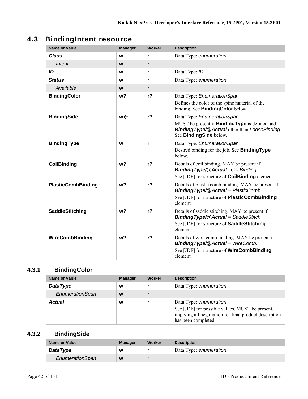# **4.3 BindingIntent resource**

| <b>Name or Value</b>      | <b>Manager</b> | <b>Worker</b>  | <b>Description</b>                                                                                                                                                   |
|---------------------------|----------------|----------------|----------------------------------------------------------------------------------------------------------------------------------------------------------------------|
| <b>Class</b>              | W              | r              | Data Type: enumeration                                                                                                                                               |
| Intent                    | W              | r              |                                                                                                                                                                      |
| ID                        | W              | r              | Data Type: ID                                                                                                                                                        |
| <b>Status</b>             | W              | r              | Data Type: enumeration                                                                                                                                               |
| Available                 | W              | r              |                                                                                                                                                                      |
| <b>BindingColor</b>       | w?             | r <sub>2</sub> | Data Type: EnumerationSpan<br>Defines the color of the spine material of the<br>binding. See <b>BindingColor</b> below.                                              |
| <b>BindingSide</b>        | w←             | r <sub>2</sub> | Data Type: EnumerationSpan<br>MUST be present if <b>BindingType</b> is defined and<br><b>Binding Type/@Actual other than LooseBinding.</b><br>See BindingSide below. |
| <b>BindingType</b>        | W              | r              | Data Type: EnumerationSpan<br>Desired binding for the job. See <b>BindingType</b><br>below.                                                                          |
| <b>CoilBinding</b>        | w <sub>2</sub> | $r$ ?          | Details of coil binding. MAY be present if<br><b>BindingType/@Actual=CoilBinding.</b><br>See [JDF] for structure of <b>CoilBinding</b> element.                      |
| <b>PlasticCombBinding</b> | w?             | r <sub>2</sub> | Details of plastic comb binding. MAY be present if<br>BindingType/@Actual = PlasticComb.<br>See [JDF] for structure of <b>PlasticCombBinding</b><br>element.         |
| <b>SaddleStitching</b>    | w <sub>2</sub> | r <sub>2</sub> | Details of saddle stitching. MAY be present if<br><b>BindingType/@Actual</b> = SaddleStitch.<br>See [JDF] for structure of SaddleStitching<br>element                |
| WireCombBinding           | w <sub>2</sub> | r <sub>2</sub> | Details of wire comb binding. MAY be present if<br><b>BindingType/@Actual</b> = WireComb.<br>See [JDF] for structure of <b>WireCombBinding</b><br>element.           |

# **4.3.1 BindingColor**

| Name or Value   | <b>Manager</b> | Worker | <b>Description</b>                                                                                                                                         |
|-----------------|----------------|--------|------------------------------------------------------------------------------------------------------------------------------------------------------------|
| <b>DataType</b> | W              |        | Data Type: enumeration                                                                                                                                     |
| EnumerationSpan | W              |        |                                                                                                                                                            |
| <b>Actual</b>   | W              |        | Data Type: enumeration<br>See [JDF] for possible values. MUST be present,<br>implying all negotiation for final product description<br>has been completed. |

# **4.3.2 BindingSide**

| Name or Value   | <b>Manager</b> | Worker | <b>Description</b>     |
|-----------------|----------------|--------|------------------------|
| <b>DataType</b> | W              |        | Data Type: enumeration |
| EnumerationSpan | W              |        |                        |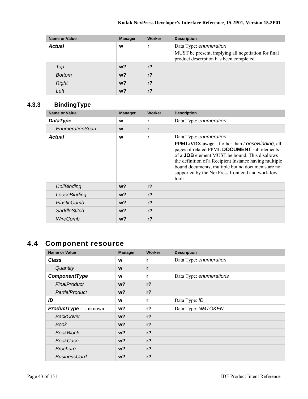| <b>Name or Value</b> | <b>Manager</b> | Worker         | <b>Description</b>                                                                                                       |
|----------------------|----------------|----------------|--------------------------------------------------------------------------------------------------------------------------|
| <b>Actual</b>        | W              |                | Data Type: enumeration<br>MUST be present, implying all negotiation for final<br>product description has been completed. |
| Top                  | $w$ ?          | r <sub>2</sub> |                                                                                                                          |
| <b>Bottom</b>        | $w$ ?          | r <sub>2</sub> |                                                                                                                          |
| <b>Right</b>         | $w$ ?          | r <sub>2</sub> |                                                                                                                          |
| Left                 | w?             | r <sub>2</sub> |                                                                                                                          |

# **4.3.3 BindingType**

| <b>Name or Value</b> | <b>Manager</b> | Worker         | <b>Description</b>                                                                                                                                                                                                                                                                                                                                                            |
|----------------------|----------------|----------------|-------------------------------------------------------------------------------------------------------------------------------------------------------------------------------------------------------------------------------------------------------------------------------------------------------------------------------------------------------------------------------|
| <b>DataType</b>      | W              |                | Data Type: enumeration                                                                                                                                                                                                                                                                                                                                                        |
| EnumerationSpan      | W              | r              |                                                                                                                                                                                                                                                                                                                                                                               |
| <b>Actual</b>        | W              | r              | Data Type: enumeration<br><b>PPML/VDX</b> usage: If other than <i>LooseBinding</i> , all<br>pages of related PPML DOCUMENT sub-elements<br>of a <b>JOB</b> element MUST be bound. This disallows<br>the definition of a Recipient Instance having multiple<br>bound documents; multiple bound documents are not<br>supported by the NexPress front end and workflow<br>tools. |
| CoilBinding          | w?             | r <sub>2</sub> |                                                                                                                                                                                                                                                                                                                                                                               |
| LooseBinding         | $w$ ?          | r <sub>2</sub> |                                                                                                                                                                                                                                                                                                                                                                               |
| PlasticComb          | $w$ ?          | r <sub>2</sub> |                                                                                                                                                                                                                                                                                                                                                                               |
| <b>SaddleStitch</b>  | w?             | $r$ ?          |                                                                                                                                                                                                                                                                                                                                                                               |
| WireComb             | w?             | r <sub>2</sub> |                                                                                                                                                                                                                                                                                                                                                                               |

# **4.4 Component resource**

| <b>Name or Value</b>           | <b>Manager</b> | Worker         | <b>Description</b>      |
|--------------------------------|----------------|----------------|-------------------------|
| <b>Class</b>                   | W              | r              | Data Type: enumeration  |
| Quantity                       | W              | r              |                         |
| ComponentType                  | W              | r              | Data Type: enumerations |
| <b>FinalProduct</b>            | $w$ ?          | $r$ ?          |                         |
| PartialProduct                 | $w$ ?          | $r$ ?          |                         |
| ID                             | W              | r              | Data Type: ID           |
| <b>ProductType</b> = $Unknown$ | w?             | $r$ ?          | Data Type: NMTOKEN      |
| <b>BackCover</b>               | $w$ ?          | r <sub>2</sub> |                         |
| <b>Book</b>                    | w?             | $r$ ?          |                         |
| <b>BookBlock</b>               | $w$ ?          | $r$ ?          |                         |
| <b>BookCase</b>                | $w$ ?          | $r$ ?          |                         |
| <b>Brochure</b>                | $w$ ?          | r <sub>2</sub> |                         |
| <b>BusinessCard</b>            | w?             | $r$ ?          |                         |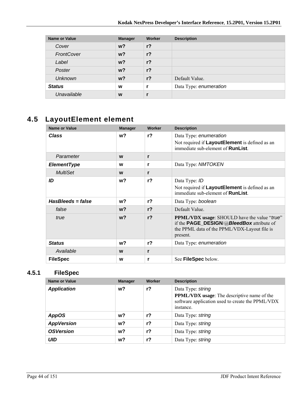| <b>Name or Value</b> | <b>Manager</b> | Worker         | <b>Description</b>     |
|----------------------|----------------|----------------|------------------------|
| Cover                | $w$ ?          | $r$ ?          |                        |
| FrontCover           | $w$ ?          | $r$ ?          |                        |
| Label                | $w$ ?          | $r$ ?          |                        |
| Poster               | $w$ ?          | $r$ ?          |                        |
| <b>Unknown</b>       | $w$ ?          | r <sub>2</sub> | Default Value.         |
| <b>Status</b>        | W              |                | Data Type: enumeration |
| Unavailable          | W              |                |                        |

# **4.5 LayoutElement element**

| <b>Name or Value</b> | <b>Manager</b> | Worker         | <b>Description</b>                                                                                                                                                  |
|----------------------|----------------|----------------|---------------------------------------------------------------------------------------------------------------------------------------------------------------------|
| <b>Class</b>         | w?             | r <sub>2</sub> | Data Type: enumeration<br>Not required if LayoutElement is defined as an<br>immediate sub-element of <b>RunList</b> .                                               |
| Parameter            | W              | r              |                                                                                                                                                                     |
| <b>ElementType</b>   | W              | r              | Data Type: NMTOKEN                                                                                                                                                  |
| <b>MultiSet</b>      | W              | r              |                                                                                                                                                                     |
| ID                   | w?             | r <sub>2</sub> | Data Type: ID<br>Not required if LayoutElement is defined as an<br>immediate sub-element of <b>RunList</b> .                                                        |
| HasBleeds = false    | w?             | $r$ ?          | Data Type: boolean                                                                                                                                                  |
| false                | $w$ ?          | $r$ ?          | Default Value.                                                                                                                                                      |
| true                 | $w$ ?          | r <sub>2</sub> | <b>PPML/VDX</b> usage: SHOULD have the value "true"<br>if the <b>PAGE_DESIGN/@BleedBox</b> attribute of<br>the PPML data of the PPML/VDX-Layout file is<br>present. |
| <b>Status</b>        | w?             | r <sub>2</sub> | Data Type: enumeration                                                                                                                                              |
| Available            | W              | r              |                                                                                                                                                                     |
| <b>FileSpec</b>      | W              | r              | See FileSpec below.                                                                                                                                                 |

## **4.5.1 FileSpec**

| Name or Value      | <b>Manager</b> | Worker | <b>Description</b>                                                                                                                       |
|--------------------|----------------|--------|------------------------------------------------------------------------------------------------------------------------------------------|
| <b>Application</b> | w?             | $r$ ?  | Data Type: string<br><b>PPML/VDX</b> usage: The descriptive name of the<br>software application used to create the PPML/VDX<br>instance. |
| <b>AppOS</b>       | w?             | $r$ ?  | Data Type: string                                                                                                                        |
| <b>AppVersion</b>  | w?             | $r$ ?  | Data Type: string                                                                                                                        |
| <b>OSVersion</b>   | w?             | r?     | Data Type: string                                                                                                                        |
| <b>UID</b>         | w?             | $r$ ?  | Data Type: string                                                                                                                        |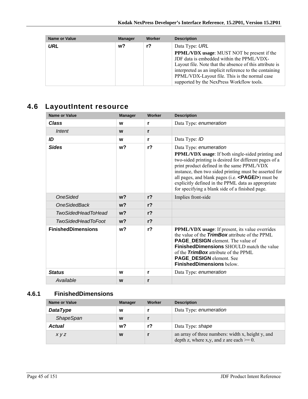| <b>Name or Value</b> | <b>Manager</b> | Worker | <b>Description</b>                                                                                                                                                                                                                                                                                                |
|----------------------|----------------|--------|-------------------------------------------------------------------------------------------------------------------------------------------------------------------------------------------------------------------------------------------------------------------------------------------------------------------|
| URL                  | w?             | r?     | Data Type: URL                                                                                                                                                                                                                                                                                                    |
|                      |                |        | <b>PPML/VDX</b> usage: MUST NOT be present if the<br>JDF data is embedded within the PPML/VDX-<br>Layout file. Note that the absence of this attribute is<br>interpreted as an implicit reference to the containing<br>PPML/VDX-Layout file. This is the normal case<br>supported by the NexPress Workflow tools. |

# **4.6 LayoutIntent resource**

| <b>Name or Value</b>      | <b>Manager</b> | Worker         | <b>Description</b>                                                                                                                                                                                                                                                                                                                                                                                                          |
|---------------------------|----------------|----------------|-----------------------------------------------------------------------------------------------------------------------------------------------------------------------------------------------------------------------------------------------------------------------------------------------------------------------------------------------------------------------------------------------------------------------------|
| <b>Class</b>              | W              | r              | Data Type: enumeration                                                                                                                                                                                                                                                                                                                                                                                                      |
| Intent                    | W              | r              |                                                                                                                                                                                                                                                                                                                                                                                                                             |
| ID                        | W              | r              | Data Type: ID                                                                                                                                                                                                                                                                                                                                                                                                               |
| <b>Sides</b>              | w <sub>2</sub> | r <sub>2</sub> | Data Type: enumeration<br><b>PPML/VDX</b> usage: If both single-sided printing and<br>two-sided printing is desired for different pages of a<br>print product defined in the same PPML/VDX<br>instance, then two sided printing must be asserted for<br>all pages, and blank pages (i.e. $\langle$ PAGE/s) must be<br>explicitly defined in the PPML data as appropriate<br>for specifying a blank side of a finished page. |
| <b>OneSided</b>           | w <sub>2</sub> | r <sub>2</sub> | Implies front-side                                                                                                                                                                                                                                                                                                                                                                                                          |
| <b>OneSidedBack</b>       | w <sub>2</sub> | r <sub>2</sub> |                                                                                                                                                                                                                                                                                                                                                                                                                             |
| <b>TwoSidedHeadToHead</b> | w <sub>2</sub> | r <sub>2</sub> |                                                                                                                                                                                                                                                                                                                                                                                                                             |
| <b>TwoSidedHeadToFoot</b> | w <sub>2</sub> | r <sub>2</sub> |                                                                                                                                                                                                                                                                                                                                                                                                                             |
| <b>FinishedDimensions</b> | w <sub>2</sub> | r <sub>2</sub> | <b>PPML/VDX</b> usage: If present, its value overrides<br>the value of the <b>TrimBox</b> attribute of the PPML<br><b>PAGE_DESIGN</b> element. The value of<br><b>FinishedDimensions</b> SHOULD match the value<br>of the <b>TrimBox</b> attribute of the PPML<br>PAGE_DESIGN element. See<br><b>FinishedDimensions below.</b>                                                                                              |
| <b>Status</b>             | W              | r              | Data Type: enumeration                                                                                                                                                                                                                                                                                                                                                                                                      |
| Available                 | W              | r              |                                                                                                                                                                                                                                                                                                                                                                                                                             |

## **4.6.1 FinishedDimensions**

| Name or Value    | <b>Manager</b> | Worker | <b>Description</b>                                                                               |
|------------------|----------------|--------|--------------------------------------------------------------------------------------------------|
| <b>DataType</b>  | W              |        | Data Type: enumeration                                                                           |
| <b>ShapeSpan</b> | W              |        |                                                                                                  |
| <b>Actual</b>    | w?             | r?     | Data Type: shape                                                                                 |
| x y z            | W              |        | an array of three numbers: width x, height y, and<br>depth z, where x,y, and z are each $>= 0$ . |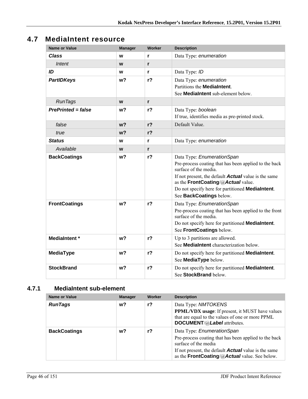# **4.7 MediaIntent resource**

| <b>Name or Value</b>      | <b>Manager</b> | <b>Worker</b>  | <b>Description</b>                                                                                                                                                                                                                                                                               |
|---------------------------|----------------|----------------|--------------------------------------------------------------------------------------------------------------------------------------------------------------------------------------------------------------------------------------------------------------------------------------------------|
| Class                     | W              | r              | Data Type: enumeration                                                                                                                                                                                                                                                                           |
| Intent                    | W              | r              |                                                                                                                                                                                                                                                                                                  |
| ID                        | W              | r              | Data Type: ID                                                                                                                                                                                                                                                                                    |
| <b>PartIDKeys</b>         | w?             | $r$ ?          | Data Type: enumeration<br>Partitions the <b>MediaIntent</b> .<br>See MediaIntent sub-element below.                                                                                                                                                                                              |
| <b>RunTags</b>            | W              | r              |                                                                                                                                                                                                                                                                                                  |
| <b>PrePrinted = false</b> | w?             | r <sub>2</sub> | Data Type: boolean<br>If true, identifies media as pre-printed stock.                                                                                                                                                                                                                            |
| false                     | w <sub>2</sub> | r <sub>2</sub> | Default Value.                                                                                                                                                                                                                                                                                   |
| true                      | w <sub>2</sub> | $r$ ?          |                                                                                                                                                                                                                                                                                                  |
| <b>Status</b>             | W              | r              | Data Type: enumeration                                                                                                                                                                                                                                                                           |
| Available                 | W              | r              |                                                                                                                                                                                                                                                                                                  |
| <b>BackCoatings</b>       | w <sub>2</sub> | r <sub>2</sub> | Data Type: EnumerationSpan<br>Pre-process coating that has been applied to the back<br>surface of the media.<br>If not present, the default <b>Actual</b> value is the same<br>as the FrontCoating/@Actual value.<br>Do not specify here for partitioned MediaIntent.<br>See BackCoatings below. |
| <b>FrontCoatings</b>      | w <sub>2</sub> | $r$ ?          | Data Type: EnumerationSpan<br>Pre-process coating that has been applied to the front<br>surface of the media.<br>Do not specify here for partitioned <b>MediaIntent</b> .<br>See FrontCoatings below.                                                                                            |
| <b>MediaIntent</b> *      | w <sub>2</sub> | r <sub>2</sub> | Up to 3 partitions are allowed.<br>See MediaIntent characterization below.                                                                                                                                                                                                                       |
| <b>MediaType</b>          | w <sub>2</sub> | r <sub>2</sub> | Do not specify here for partitioned MediaIntent.<br>See MediaType below.                                                                                                                                                                                                                         |
| <b>StockBrand</b>         | w <sub>2</sub> | r <sub>2</sub> | Do not specify here for partitioned MediaIntent.<br>See StockBrand below.                                                                                                                                                                                                                        |

## **4.7.1 MediaIntent sub-element**

| Name or Value       | <b>Manager</b> | Worker | <b>Description</b>                                                                                                                                                                                                          |
|---------------------|----------------|--------|-----------------------------------------------------------------------------------------------------------------------------------------------------------------------------------------------------------------------------|
| <b>RunTags</b>      | w?             | r?     | Data Type: NMTOKENS<br><b>PPML/VDX</b> usage: If present, it MUST have values<br>that are equal to the values of one or more PPML<br>DOCUMENT/@Label attributes.                                                            |
| <b>BackCoatings</b> | w?             | r?     | Data Type: EnumerationSpan<br>Pre-process coating that has been applied to the back<br>surface of the media<br>If not present, the default <b>Actual</b> value is the same<br>as the FrontCoating/@Actual value. See below. |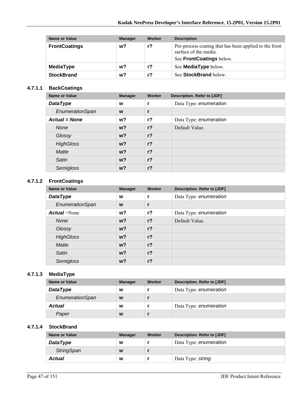| Name or Value        | <b>Manager</b> | Worker | <b>Description</b>                                                                                          |
|----------------------|----------------|--------|-------------------------------------------------------------------------------------------------------------|
| <b>FrontCoatings</b> | w?             | $r$ ?  | Pre-process coating that has been applied to the front<br>surface of the media.<br>See FrontCoatings below. |
| MediaType            | w?             | r?     | See <b>MediaType</b> below.                                                                                 |
| <b>StockBrand</b>    | w?             | r?     | See StockBrand below.                                                                                       |

#### **4.7.1.1 BackCoatings**

| Name or Value        | <b>Manager</b> | Worker         | <b>Description. Refer to [JDF]</b> |
|----------------------|----------------|----------------|------------------------------------|
| <b>DataType</b>      | W              |                | Data Type: enumeration             |
| EnumerationSpan      | W              |                |                                    |
| <b>Actual = None</b> | w?             | $r$ ?          | Data Type: enumeration             |
| <b>None</b>          | $w$ ?          | r <sub>2</sub> | Default Value.                     |
| Glossy               | $w$ ?          | $r$ ?          |                                    |
| <b>HighGloss</b>     | $w$ ?          | $r$ ?          |                                    |
| <b>Matte</b>         | $w$ ?          | $r$ ?          |                                    |
| Satin                | $w$ ?          | $r$ ?          |                                    |
| Semigloss            | $w$ ?          | $r$ ?          |                                    |

#### **4.7.1.2 FrontCoatings**

| Name or Value       | <b>Manager</b> | Worker         | <b>Description. Refer to [JDF]</b> |
|---------------------|----------------|----------------|------------------------------------|
| <b>DataType</b>     | W              | r              | Data Type: enumeration             |
| EnumerationSpan     | W              | r              |                                    |
| <b>Actual</b> =None | w?             | $r$ ?          | Data Type: enumeration             |
| <b>None</b>         | w <sub>2</sub> | r <sub>2</sub> | Default Value.                     |
| Glossy              | w <sub>2</sub> | $r$ ?          |                                    |
| <b>HighGloss</b>    | w?             | r <sub>2</sub> |                                    |
| Matte               | $w$ ?          | r <sub>2</sub> |                                    |
| Satin               | w <sub>2</sub> | $r$ ?          |                                    |
| Semigloss           | w?             | r <sub>2</sub> |                                    |

### **4.7.1.3 MediaType**

| Name or Value   | <b>Manager</b> | <b>Worker</b> | Description. Refer to [JDF] |
|-----------------|----------------|---------------|-----------------------------|
| <b>DataType</b> | W              |               | Data Type: enumeration      |
| EnumerationSpan | W              |               |                             |
| <b>Actual</b>   | W              |               | Data Type: enumeration      |
| Paper           | W              |               |                             |

#### **4.7.1.4 StockBrand**

| Name or Value     | <b>Manager</b> | Worker | Description. Refer to [JDF] |
|-------------------|----------------|--------|-----------------------------|
| <b>DataType</b>   | W              |        | Data Type: enumeration      |
| <b>StringSpan</b> | W              |        |                             |
| Actual            | W              |        | Data Type: string           |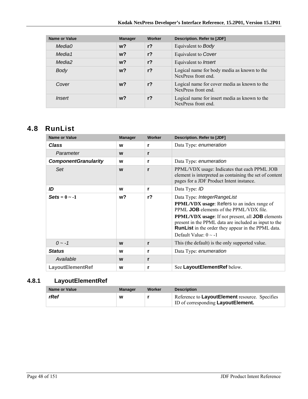| <b>Name or Value</b> | <b>Manager</b> | Worker         | Description. Refer to [JDF]                                          |
|----------------------|----------------|----------------|----------------------------------------------------------------------|
| Media0               | $w$ ?          | $r$ ?          | Equivalent to <b>Body</b>                                            |
| Media1               | $w$ ?          | r <sub>2</sub> | Equivalent to Cover                                                  |
| Media2               | $w$ ?          | r <sub>2</sub> | Equivalent to <i>Insert</i>                                          |
| Body                 | $w$ ?          | r <sub>2</sub> | Logical name for body media as known to the<br>NexPress front end.   |
| Cover                | $w$ ?          | $r$ ?          | Logical name for cover media as known to the<br>NexPress front end.  |
| <i>Insert</i>        | w?             | $r$ ?          | Logical name for insert media as known to the<br>NexPress front end. |

# **4.8 RunList**

| <b>Name or Value</b>        | <b>Manager</b> | Worker | <b>Description. Refer to [JDF]</b>                                                                                                                                                                                                                                                                                                                        |
|-----------------------------|----------------|--------|-----------------------------------------------------------------------------------------------------------------------------------------------------------------------------------------------------------------------------------------------------------------------------------------------------------------------------------------------------------|
| <b>Class</b>                | W              | r      | Data Type: enumeration                                                                                                                                                                                                                                                                                                                                    |
| Parameter                   | W              | r      |                                                                                                                                                                                                                                                                                                                                                           |
| <b>ComponentGranularity</b> | W              | r      | Data Type: enumeration                                                                                                                                                                                                                                                                                                                                    |
| Set                         | W              | r      | PPML/VDX usage: Indicates that each PPML JOB<br>element is interpreted as containing the set of content<br>pages for a JDF Product Intent instance.                                                                                                                                                                                                       |
| ID                          | W              | r      | Data Type: ID                                                                                                                                                                                                                                                                                                                                             |
| $\text{Sets} = 0 \sim -1$   | w?             | $r$ ?  | Data Type: IntegerRangeList<br><b>PPML/VDX</b> usage: Refers to an index range of<br>PPML <b>JOB</b> elements of the PPML/VDX file.<br><b>PPML/VDX</b> usage: If not present, all <b>JOB</b> elements<br>present in the PPML data are included as input to the<br><b>RunList</b> in the order they appear in the PPML data.<br>Default Value: $0 \sim -1$ |
| $0 - -1$                    | W              | r      | This (the default) is the only supported value.                                                                                                                                                                                                                                                                                                           |
| <b>Status</b>               | W              | r      | Data Type: enumeration                                                                                                                                                                                                                                                                                                                                    |
| Available                   | W              | r      |                                                                                                                                                                                                                                                                                                                                                           |
| <b>LayoutElementRef</b>     | W              | r      | See LayoutElementRef below.                                                                                                                                                                                                                                                                                                                               |

# **4.8.1 LayoutElementRef**

| Name or Value | <b>Manager</b> | Worker | <b>Description</b>                                                                           |
|---------------|----------------|--------|----------------------------------------------------------------------------------------------|
| rRef          | W              |        | Reference to LayoutElement resource. Specifies<br><b>ID of corresponding Layout Element.</b> |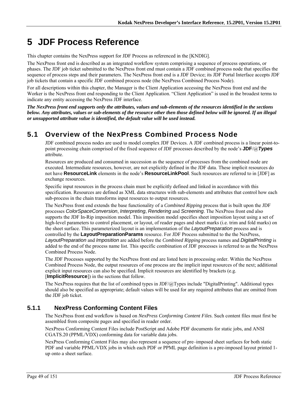# **5 JDF Process Reference**

This chapter contains the NexPress support for JDF Process as referenced in the [KNDIG].

The NexPress front end is described as an integrated workflow system comprising a sequence of process operations, or phases. The JDF job ticket submitted to the NexPress front end must contain a JDF combined process node that specifies the sequence of process steps and their parameters. The NexPress front end is a JDF Device; its JDF Portal Interface accepts JDF job tickets that contain a specific JDF combined process node (the NexPress Combined Process Node).

For all descriptions within this chapter, the Manager is the Client Application accessing the NexPress front end and the Worker is the NexPress front end responding to the Client Application. "Client Application" is used in the broadest terms to indicate any entity accessing the NexPress JDF interface.

*The NexPress front end supports only the attributes, values and sub-elements of the resources identified in the sections below. Any attributes, values or sub-elements of the resource other then those defined below will be ignored. If an illegal or unsupported attribute value is identified, the default value will be used instead.* 

# **5.1 Overview of the NexPress Combined Process Node**

JDF combined process nodes are used to model complex JDF Devices. A JDF combined process is a linear point-topoint processing chain comprised of the fixed sequence of JDF processes described by the node's **JDF**/@*Types* attribute.

Resources are produced and consumed in succession as the sequence of processes from the combined node are executed. Intermediate resources, however, are not explicitly defined in the JDF data. These implicit resources do not have **ResourceLink** elements in the node's **ResourceLinkPool**. Such resources are referred to in [JDF] as exchange resources.

Specific input resources in the process chain must be explicitly defined and linked in accordance with this specification. Resources are defined as XML data structures with sub-elements and attributes that control how each sub-process in the chain transforms input resources to output resources.

The NexPress front end extends the base functionality of a *Combined Ripping* process that is built upon the JDF processes *ColorSpaceConversion*, *Interpreting*, *Rendering* and *Screening*. The NexPress front end also supports the JDF In-Rip imposition model. This imposition model specifies sheet imposition layout using a set of high-level parameters to control placement, or layout, of reader pages and sheet marks (i.e. trim and fold marks) on the sheet surface. This parameterized layout is an implementation of the *LayoutPreparation* process and is controlled by the **LayoutPreparationParams** resource. For JDF Process submitted to the the NexPress, *LayoutPreparation* and *Imposition* are added before the *Combined Ripping* process names and *DigitalPrinting* is added to the end of the process name list. This specific combination of JDF processes is referred to as the NexPress Combined Process Node.

The JDF Processes supported by the NexPress front end are listed here in processing order. Within the NexPress Combined Process Node, the output resources of one process are the implicit input resources of the next; additional explicit input resources can also be specified. Implicit resources are identified by brackets (e.g. [**ImplicitResource**]) in the sections that follow.

The NexPress requires that the list of combined types in JDF/ $@$ Types include "DigitalPrinting". Additional types should also be specified as appropriate; default values will be used for any required attributes that are omitted from the JDF job ticket.

## **5.1.1 NexPress Conforming Content Files**

The NexPress front end workflow is based on *NexPress Conforming Content Files*. Such content files must first be assembled from composite pages and specified in reader order.

NexPress Conforming Content Files include PostScript and Adobe PDF documents for static jobs, and ANSI CGATS.20 (PPML/VDX) conforming data for variable data jobs.

NexPress Conforming Content Files may also represent a sequence of pre–imposed sheet surfaces for both static PDF and variable PPML/VDX jobs in which each PDF or PPML page definition is a pre-imposed layout printed 1 up onto a sheet surface.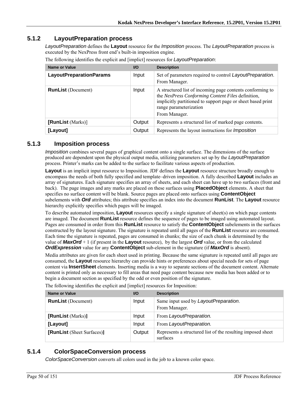### **5.1.2 LayoutPreparation process**

*LayoutPreparation* defines the **Layout** resource for the *Imposition* process. The *LayoutPreparation* process is executed by the NexPress front end's built-in imposition engine.

| Name or Value                  | $UO$   | <b>Description</b>                                                                                                                                                                                                       |
|--------------------------------|--------|--------------------------------------------------------------------------------------------------------------------------------------------------------------------------------------------------------------------------|
| <b>LayoutPreparationParams</b> | Input  | Set of parameters required to control LayoutPreparation.<br>From Manager.                                                                                                                                                |
| <b>RunList</b> (Document)      | Input  | A structured list of incoming page contents conforming to<br>the NexPress Conforming Content Files definition,<br>implicitly partitioned to support page or sheet based print<br>range parameterization<br>From Manager. |
| [RunList (Marks)]              | Output | Represents a structured list of marked page contents.                                                                                                                                                                    |
| [Layout]                       | Output | Represents the layout instructions for <i>Imposition</i>                                                                                                                                                                 |

The following identifies the explicit and [implict] resources for *LayoutPreparation*:

#### **5.1.3 Imposition process**

*Imposition* combines several pages of graphical content onto a single surface. The dimensions of the surface produced are dependent upon the physical output media, utilizing parameters set up by the *LayoutPreparation* process. Printer's marks can be added to the surface to facilitate various aspects of production.

**Layout** is an implicit input resource to Imposition. JDF defines the **Layout** resource structure broadly enough to encompass the needs of both fully specified and template–driven imposition. A fully described **Layout** includes an array of signatures. Each signature specifies an array of sheets, and each sheet can have up to two surfaces (front and back). The page images and any marks are placed on these surfaces using **PlacedObject** elements. A sheet that specifies no surface content will be blank. Source pages are placed onto surfaces using **ContentObject** subelements with *Ord* attributes; this attribute specifies an index into the document **RunList**. The **Layout** resource hierarchy explicitly specifies which pages will be imaged.

To describe automated imposition, **Layout** resources specify a single signature of sheet(s) on which page contents are imaged. The document **RunList** resource defines the sequence of pages to be imaged using automated layout. Pages are consumed in order from this **RunList** resource to satisfy the **ContentObject** subelements in the surfaces constructed by the layout signature. The signature is repeated until all pages of the **RunList** resource are consumed. Each time the signature is repeated, pages are consumed in chunks; the size of each chunk is determined by the value of *MaxOrd* + 1 (if present in the **Layout** resource), by the largest *Ord* value, or from the calculated *OrdExpression* value for any **ContentObject** sub-element in the signature (if *MaxOrd* is absent).

Media attributes are given for each sheet used in printing. Because the same signature is repeated until all pages are consumed, the **Layout** resource hierarchy can provide hints or preferences about special needs for sets of page content via **InsertSheet** elements. Inserting media is a way to separate sections of the document content. Alternate content is printed only as necessary to fill areas that need page content because new media has been added or to begin a document section as specified by the odd or even position of the signature.

| Name or Value              | <b>VO</b> | <b>Description</b>                                                      |
|----------------------------|-----------|-------------------------------------------------------------------------|
| <b>RunList</b> (Document)  | Input     | Same input used by LayoutPreparation.<br>From Manager.                  |
| [RunList (Marks)]          | Input     | From LayoutPreparation.                                                 |
| [Layout]                   | Input     | From LayoutPreparation.                                                 |
| [RunList (Sheet Surfaces)] | Output    | Represents a structured list of the resulting imposed sheet<br>surfaces |

The following identifies the explicit and [implict] resources for Imposition:

### **5.1.4 ColorSpaceConversion process**

*ColorSpaceConversion* converts all colors used in the job to a known color space.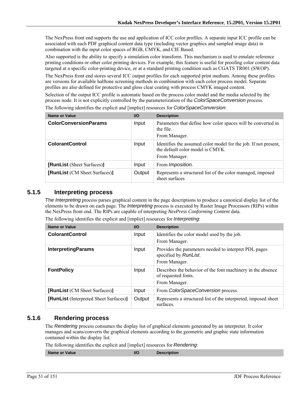The NexPress front end supports the use and application of ICC color profiles. A separate input ICC profile can be associated with each PDF graphical content data type (including vector graphics and sampled image data) in combination with the input color spaces of RGB, CMYK, and CIE Based.

Also supported is the ability to specify a simulation color transform. This mechanism is used to emulate reference printing conditions or other color printing devices. For example, this feature is useful for proofing color content data targeted at a specific color-printing device, or at a standard printing condition such as CGATS TR001 (SWOP).

The NexPress front end stores several ICC output profiles for each supported print medium. Among these profiles are versions for available halftone screening methods in combination with each color process model. Separate profiles are also defined for protective and gloss clear coating with process CMYK imaged content.

Selection of the output ICC profile is automatic based on the process color model and the media selected by the process node. It is not explicitly controlled by the parameterization of the *ColorSpaceConversion* process.

| Name or Value                        | <b>I/O</b> | <b>Description</b>                                                                                                   |
|--------------------------------------|------------|----------------------------------------------------------------------------------------------------------------------|
| <b>ColorConversionParams</b>         | Input      | Parameters that define how color spaces will be converted in<br>the file.<br>From Manager.                           |
| <b>ColorantControl</b>               | Input      | Identifies the assumed color model for the job. If not present,<br>the default color model is CMYK.<br>From Manager. |
| [RunList (Sheet Surfaces)]           | Input      | From <i>Imposition</i> .                                                                                             |
| <b>[RunList</b> (CM Sheet Surfaces)] | Output     | Represents a structured list of the color managed, imposed<br>sheet surfaces                                         |

The following identifies the explicit and [implict] resources for *ColorSpaceConversion*:

#### **5.1.5 Interpreting process**

The *Interpreting* process parses graphical content in the page descriptions to produce a canonical display list of the elements to be drawn on each page. The *Interpreting* process is executed by Raster Image Processors (RIPs) within the NexPress front end. The RIPs are capable of interpreting *NexPress Conforming Content* data.

| <b>Name or Value</b>                   | $UO$   | <b>Description</b>                                                                                  |
|----------------------------------------|--------|-----------------------------------------------------------------------------------------------------|
| <b>ColorantControl</b>                 | Input  | Identifies the color model used by the job.<br>From Manager.                                        |
| <b>InterpretingParams</b>              | Input  | Provides the parameters needed to interpret PDL pages<br>specified by RunList.<br>From Manager.     |
| <b>FontPolicy</b>                      | Input  | Describes the behavior of the font machinery in the absence<br>of requested fonts.<br>From Manager. |
| [RunList (CM Sheet Surfaces)]          | Input  | From ColorSpaceConversion process.                                                                  |
| [RunList (Interpreted Sheet Surfaces)] | Output | Represents a structured list of the interpreted, imposed sheet<br>surfaces.                         |

The following identifies the explicit and [implict] resources for *Interpreting*:

#### **5.1.6 Rendering process**

The *Rendering* process consumes the display list of graphical elements generated by an interpreter. It color manages and scans/converts the graphical elements according to the geometric and graphic state information contained within the display list.

The following identifies the explicit and [implict] resources for *Rendering*:

**Name or Value III CONSUMPTED AT A RESPONSIVE CONSUMPTED AT A RESPONSIVE CONSUMPTED AT A RESPONSIVE CONSUMPTED AT A RESPONSIVE CONSUMPTED AT A RESPONSIVE CONSUMPTED AT A RESPONSIVE CONSUMPTED AT A RESPONSIVE CONSUMPTED AT**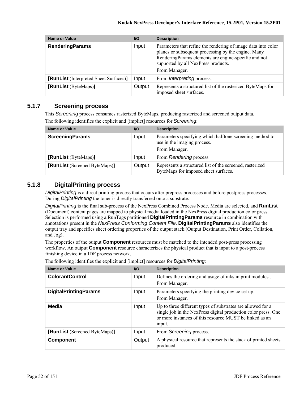| <b>Name or Value</b>                   | $U$    | <b>Description</b>                                                                                                                                                                                                                   |
|----------------------------------------|--------|--------------------------------------------------------------------------------------------------------------------------------------------------------------------------------------------------------------------------------------|
| <b>RenderingParams</b>                 | Input  | Parameters that refine the rendering of image data into color<br>planes or subsequent processing by the engine. Many<br>RenderingParams elements are engine-specific and not<br>supported by all NexPress products.<br>From Manager. |
| [RunList (Interpreted Sheet Surfaces)] | Input  | From <i>Interpreting</i> process.                                                                                                                                                                                                    |
| [RunList (ByteMaps)]                   | Output | Represents a structured list of the rasterized ByteMaps for<br>imposed sheet surfaces.                                                                                                                                               |

### **5.1.7 Screening process**

This *Screening* process consumes rasterized ByteMaps, producing rasterized and screened output data. The following identifies the explicit and [implict] resources for *Screening*:

| <b>Name or Value</b>          | <b>VO</b> | <b>Description</b>                                                                                       |
|-------------------------------|-----------|----------------------------------------------------------------------------------------------------------|
| <b>ScreeningParams</b>        | Input     | Parameters specifying which halftone screening method to<br>use in the imaging process.<br>From Manager. |
| [RunList (ByteMaps)]          | Input     | From Rendering process.                                                                                  |
| [RunList (Screened ByteMaps)] | Output    | Represents a structured list of the screened, rasterized<br>ByteMaps for imposed sheet surfaces.         |

## **5.1.8 DigitalPrinting process**

*DigitalPrinting* is a direct printing process that occurs after prepress processes and before postpress processes. During *DigitalPrinting* the toner is directly transferred onto a substrate.

*DigitalPrinting* is the final sub-process of the NexPress Combined Process Node. Media are selected, and **RunList** (Document) content pages are mapped to physical media loaded in the NexPress digital production color press. Selection is performed using a RunTags partitioned **DigitalPrintingParams** resource in combination with annotations present in the *NexPress Conforming Content File*. **DigitalPrintingParams** also identifies the output tray and specifies sheet ordering properties of the output stack (Output Destination, Print Order, Collation, and Jog).

The properties of the output **Component** resources must be matched to the intended post-press processing workflow. An output **Component** resource characterizes the physical product that is input to a post-process finishing device in a JDF process network.

| <b>Name or Value</b>          | $UO$   | <b>Description</b>                                                                                                                                                                                 |
|-------------------------------|--------|----------------------------------------------------------------------------------------------------------------------------------------------------------------------------------------------------|
| <b>ColorantControl</b>        | Input  | Defines the ordering and usage of inks in print modules<br>From Manager.                                                                                                                           |
| <b>DigitalPrintingParams</b>  | Input  | Parameters specifying the printing device set up.<br>From Manager.                                                                                                                                 |
| Media                         | Input  | Up to three different types of substrates are allowed for a<br>single job in the NexPress digital production color press. One<br>or more instances of this resource MUST be linked as an<br>input. |
| [RunList (Screened ByteMaps)] | Input  | From Screening process.                                                                                                                                                                            |
| <b>Component</b>              | Output | A physical resource that represents the stack of printed sheets<br>produced.                                                                                                                       |

The following identifies the explicit and [implict] resources for *DigitalPrinting*: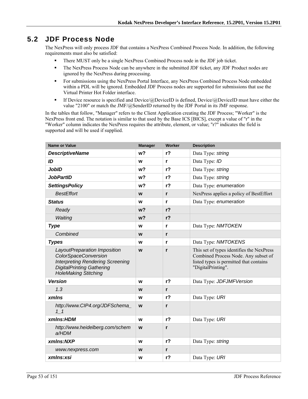# **5.2 JDF Process Node**

The NexPress will only process JDF that contains a NexPress Combined Process Node. In addition, the following requirements must also be satisfied:

- There MUST only be a single NexPress Combined Process node in the JDF job ticket.
- The NexPress Process Node can be anywhere in the submitted JDF ticket, any JDF Product nodes are ignored by the NexPress during processing.
- For submissions using the NexPress Portal Interface, any NexPress Combined Process Node embedded within a PDL will be ignored. Embedded JDF Process nodes are supported for submissions that use the Virtual Printer Hot Folder interface.
- If Device resource is specified and Device/ $@$ DeviceID is defined, Device/ $@$ DeviceID must have either the value "2100" or match the JMF/@SenderID returned by the JDF Portal in its JMF response.

In the tables that follow, "Manager" refers to the Client Application creating the JDF Process; "Worker" is the NexPress front end. The notation is similar to that used by the Base ICS [BICS], except a value of "r" in the "Worker" column indicates the NexPress requires the attribute, element, or value; "r?" indicates the field is supported and will be used if supplied.

| <b>Name or Value</b>                                                                                                                                                      | <b>Manager</b> | Worker         | <b>Description</b>                                                                                                                                 |
|---------------------------------------------------------------------------------------------------------------------------------------------------------------------------|----------------|----------------|----------------------------------------------------------------------------------------------------------------------------------------------------|
| <b>DescriptiveName</b>                                                                                                                                                    | w <sub>2</sub> | r <sub>2</sub> | Data Type: string                                                                                                                                  |
| ID                                                                                                                                                                        | W              | r              | Data Type: ID                                                                                                                                      |
| <b>JobID</b>                                                                                                                                                              | w?             | r?             | Data Type: string                                                                                                                                  |
| <b>JobPartID</b>                                                                                                                                                          | w?             | r <sub>2</sub> | Data Type: string                                                                                                                                  |
| <b>SettingsPolicy</b>                                                                                                                                                     | w?             | r <sub>2</sub> | Data Type: enumeration                                                                                                                             |
| <b>BestEffort</b>                                                                                                                                                         | W              | $\mathbf{r}$   | NexPress applies a policy of BestEffort                                                                                                            |
| <b>Status</b>                                                                                                                                                             | W              | $\mathbf{r}$   | Data Type: enumeration                                                                                                                             |
| Ready                                                                                                                                                                     | w <sub>2</sub> | r <sub>2</sub> |                                                                                                                                                    |
| Waiting                                                                                                                                                                   | w <sub>2</sub> | r <sub>2</sub> |                                                                                                                                                    |
| <b>Type</b>                                                                                                                                                               | W              | r              | Data Type: NMTOKEN                                                                                                                                 |
| Combined                                                                                                                                                                  | W              | $\mathbf{r}$   |                                                                                                                                                    |
| <b>Types</b>                                                                                                                                                              | W              | r              | Data Type: NMTOKENS                                                                                                                                |
| LayoutPreparation Imposition<br><b>ColorSpaceConversion</b><br><b>Interpreting Rendering Screening</b><br><b>DigitalPrinting Gathering</b><br><b>HoleMaking Stitching</b> | W              | $\mathbf{r}$   | This set of types identifies the NexPress<br>Combined Process Node. Any subset of<br>listed types is permitted that contains<br>"DigitalPrinting". |
| <b>Version</b>                                                                                                                                                            | W              | $r$ ?          | Data Type: JDFJMFVersion                                                                                                                           |
| 1.3                                                                                                                                                                       | W              | $\mathsf{r}$   |                                                                                                                                                    |
| xmlns                                                                                                                                                                     | W              | r <sub>2</sub> | Data Type: URI                                                                                                                                     |
| http://www.CIP4.org/JDFSchema<br>11                                                                                                                                       | W              | $\mathbf{r}$   |                                                                                                                                                    |
| xmlns:HDM                                                                                                                                                                 | W              | r <sub>2</sub> | Data Type: URI                                                                                                                                     |
| http://www.heidelberg.com/schem<br>a/HDM                                                                                                                                  | W              | $\mathbf{r}$   |                                                                                                                                                    |
| xmlns:NXP                                                                                                                                                                 | W              | r <sub>2</sub> | Data Type: string                                                                                                                                  |
| www.nexpress.com                                                                                                                                                          | W              | $\mathbf{r}$   |                                                                                                                                                    |
| xmlns:xsi                                                                                                                                                                 | W              | $r$ ?          | Data Type: URI                                                                                                                                     |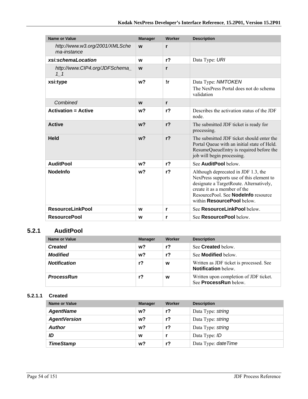| <b>Name or Value</b>                          | <b>Manager</b> | Worker         | <b>Description</b>                                                                                                                                                                                                                     |
|-----------------------------------------------|----------------|----------------|----------------------------------------------------------------------------------------------------------------------------------------------------------------------------------------------------------------------------------------|
| http://www.w3.org/2001/XMLSche<br>ma-instance | W              | $\mathbf{r}$   |                                                                                                                                                                                                                                        |
| xsi:schemaLocation                            | W              | $r$ ?          | Data Type: URI                                                                                                                                                                                                                         |
| http://www.CIP4.org/JDFSchema<br>$1\quad1$    | W              | r              |                                                                                                                                                                                                                                        |
| xsi:type                                      | w <sub>2</sub> | !r             | Data Type: NMTOKEN<br>The NexPress Portal does not do schema<br>validation                                                                                                                                                             |
| Combined                                      | W              | r              |                                                                                                                                                                                                                                        |
| <b>Activation = Active</b>                    | w?             | r <sub>2</sub> | Describes the activation status of the JDF<br>node.                                                                                                                                                                                    |
| <b>Active</b>                                 | w <sub>2</sub> | r <sub>2</sub> | The submitted JDF ticket is ready for<br>processing.                                                                                                                                                                                   |
| <b>Held</b>                                   | w <sub>2</sub> | r <sub>2</sub> | The submitted JDF ticket should enter the<br>Portal Queue with an initial state of Held.<br>ResumeQueueEntry is required before the<br>job will begin processing.                                                                      |
| <b>AuditPool</b>                              | w?             | r <sub>2</sub> | See <b>AuditPool</b> below                                                                                                                                                                                                             |
| <b>Nodelnfo</b>                               | w?             | r <sub>2</sub> | Although deprecated in JDF 1.3, the<br>NexPress supports use of this element to<br>designate a TargetRoute. Alternatively,<br>create it as a member of the<br>ResourcePool. See <b>Nodelnfo</b> resource<br>within ResourcePool below. |
| <b>ResourceLinkPool</b>                       | W              | r              | See ResourceLinkPool below.                                                                                                                                                                                                            |
| <b>ResourcePool</b>                           | w              | r              | See <b>ResourcePool</b> below.                                                                                                                                                                                                         |

## **5.2.1 AuditPool**

| Name or Value       | <b>Manager</b> | Worker         | <b>Description</b>                                                     |
|---------------------|----------------|----------------|------------------------------------------------------------------------|
| <b>Created</b>      | $w$ ?          | r <sub>2</sub> | See <b>Created</b> below.                                              |
| <b>Modified</b>     | $w$ ?          | r?             | See <b>Modified</b> below.                                             |
| <b>Notification</b> | r?             | W              | Written as JDF ticket is processed. See<br><b>Notification</b> below.  |
| <b>ProcessRun</b>   | r?             | W              | Written upon completion of JDF ticket.<br>See <b>ProcessRun</b> below. |

#### **5.2.1.1 Created**

| <b>Name or Value</b> | <b>Manager</b> | Worker | <b>Description</b>   |
|----------------------|----------------|--------|----------------------|
| <b>AgentName</b>     | w?             | $r$ ?  | Data Type: string    |
| <b>AgentVersion</b>  | w?             | $r$ ?  | Data Type: string    |
| <b>Author</b>        | w?             | $r$ ?  | Data Type: string    |
| ID                   | W              |        | Data Type: ID        |
| <b>TimeStamp</b>     | w?             | r?     | Data Type: date Time |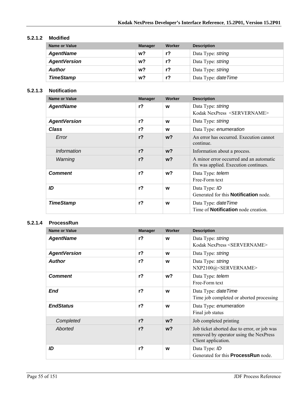#### **5.2.1.2 Modified**

| Name or Value       | <b>Manager</b> | Worker | <b>Description</b>   |
|---------------------|----------------|--------|----------------------|
| <b>AgentName</b>    | w?             | r?     | Data Type: string    |
| <b>AgentVersion</b> | w?             | $r$ ?  | Data Type: string    |
| <b>Author</b>       | w?             | r?     | Data Type: string    |
| <b>TimeStamp</b>    | w?             | r?     | Data Type: date Time |

#### **5.2.1.3 Notification**

| <b>Name or Value</b> | <b>Manager</b> | Worker         | <b>Description</b>                                                               |
|----------------------|----------------|----------------|----------------------------------------------------------------------------------|
| <b>AgentName</b>     | r <sub>2</sub> | w              | Data Type: string<br>Kodak NexPress <servername></servername>                    |
| <b>AgentVersion</b>  | r <sub>2</sub> | w              | Data Type: string                                                                |
| Class                | $r$ ?          | W              | Data Type: enumeration                                                           |
| Error                | r <sub>2</sub> | w <sub>2</sub> | An error has occurred. Execution cannot<br>continue.                             |
| <i>Information</i>   | $r$ ?          | $w$ ?          | Information about a process.                                                     |
| Warning              | r <sub>2</sub> | w <sub>2</sub> | A minor error occurred and an automatic<br>fix was applied. Execution continues. |
| <b>Comment</b>       | r <sub>2</sub> | w?             | Data Type: telem<br>Free-Form text                                               |
| ID                   | $r$ ?          | W              | Data Type: ID<br>Generated for this <b>Notification</b> node.                    |
| <b>TimeStamp</b>     | $r$ ?          | W              | Data Type: <i>dateTime</i><br>Time of <b>Notification</b> node creation.         |

#### **5.2.1.4 ProcessRun**

| <b>Name or Value</b> | <b>Manager</b> | Worker         | <b>Description</b>                                                                                           |
|----------------------|----------------|----------------|--------------------------------------------------------------------------------------------------------------|
| <b>AgentName</b>     | $r$ ?          | W              | Data Type: string<br>Kodak NexPress <servername></servername>                                                |
| <b>AgentVersion</b>  | r <sub>2</sub> | w              | Data Type: string                                                                                            |
| <b>Author</b>        | $r$ ?          | W              | Data Type: string<br>NXP2100@ <servername></servername>                                                      |
| <b>Comment</b>       | $r$ ?          | w?             | Data Type: telem<br>Free-Form text                                                                           |
| End                  | $r$ ?          | W              | Data Type: date Time<br>Time job completed or aborted processing                                             |
| <b>EndStatus</b>     | $r$ ?          | W              | Data Type: enumeration<br>Final job status                                                                   |
| Completed            | r <sub>2</sub> | $w$ ?          | Job completed printing                                                                                       |
| Aborted              | r <sub>2</sub> | w <sub>2</sub> | Job ticket aborted due to error, or job was<br>removed by operator using the NexPress<br>Client application. |
| ID                   | $r$ ?          | W              | Data Type: ID<br>Generated for this <b>ProcessRun</b> node.                                                  |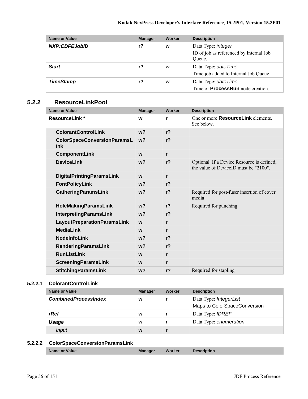| Name or Value        | <b>Manager</b> | Worker | <b>Description</b>                                                             |
|----------------------|----------------|--------|--------------------------------------------------------------------------------|
| <b>NXP:CDFEJobID</b> | r?             | w      | Data Type: <i>integer</i><br>ID of job as referenced by Internal Job<br>Oueue. |
| <b>Start</b>         | $r$ ?          | W      | Data Type: date Time<br>Time job added to Internal Job Queue                   |
| <b>TimeStamp</b>     | r?             | W      | Data Type: date Time<br>Time of <b>ProcessRun</b> node creation.               |

### **5.2.2 ResourceLinkPool**

| <b>Name or Value</b>                      | <b>Manager</b> | Worker         | <b>Description</b>                                                                  |
|-------------------------------------------|----------------|----------------|-------------------------------------------------------------------------------------|
| <b>ResourceLink*</b>                      | W              | r              | One or more <b>ResourceLink</b> elements.<br>See below.                             |
| <b>ColorantControlLink</b>                | w <sub>2</sub> | r <sub>2</sub> |                                                                                     |
| <b>ColorSpaceConversionParamsL</b><br>ink | w <sub>2</sub> | r <sub>2</sub> |                                                                                     |
| <b>ComponentLink</b>                      | W              | r              |                                                                                     |
| <b>DeviceLink</b>                         | w <sub>2</sub> | r <sub>2</sub> | Optional. If a Device Resource is defined,<br>the value of DeviceID must be "2100". |
| <b>DigitalPrintingParamsLink</b>          | W              | r              |                                                                                     |
| <b>FontPolicyLink</b>                     | w <sub>2</sub> | r <sub>2</sub> |                                                                                     |
| <b>GatheringParamsLink</b>                | w <sub>2</sub> | r <sub>2</sub> | Required for post-fuser insertion of cover<br>media                                 |
| HoleMakingParamsLink                      | w <sub>2</sub> | r <sub>2</sub> | Required for punching                                                               |
| <b>InterpretingParamsLink</b>             | w <sub>2</sub> | r <sub>2</sub> |                                                                                     |
| <b>LayoutPreparationParamsLink</b>        | W              | r              |                                                                                     |
| <b>MediaLink</b>                          | W              | r              |                                                                                     |
| <b>NodeInfoLink</b>                       | $w$ ?          | r <sub>2</sub> |                                                                                     |
| <b>RenderingParamsLink</b>                | w <sub>2</sub> | r <sub>2</sub> |                                                                                     |
| <b>RunListLink</b>                        | W              | r              |                                                                                     |
| <b>ScreeningParamsLink</b>                | W              | r              |                                                                                     |
| <b>StitchingParamsLink</b>                | $w$ ?          | r <sub>2</sub> | Required for stapling                                                               |

#### **5.2.2.1 ColorantControlLink**

| Name or Value               | <b>Manager</b> | Worker | <b>Description</b>                                     |
|-----------------------------|----------------|--------|--------------------------------------------------------|
| <b>CombinedProcessIndex</b> | W              |        | Data Type: IntegerList<br>Maps to ColorSpaceConversion |
| rRef                        | W              |        | Data Type: <b>IDREF</b>                                |
| Usage                       | W              |        | Data Type: enumeration                                 |
| Input                       | W              |        |                                                        |

## **5.2.2.2 ColorSpaceConversionParamsLink**

|--|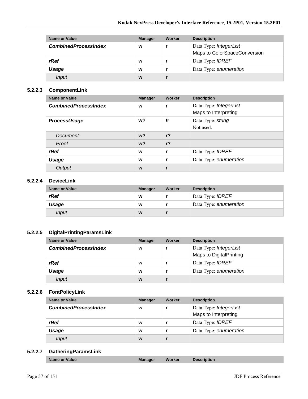| Name or Value               | <b>Manager</b> | Worker | <b>Description</b>                                     |
|-----------------------------|----------------|--------|--------------------------------------------------------|
| <b>CombinedProcessIndex</b> | W              |        | Data Type: IntegerList<br>Maps to ColorSpaceConversion |
| rRef                        | W              |        | Data Type: <b>IDREF</b>                                |
| Usage                       | W              |        | Data Type: enumeration                                 |
| Input                       | W              |        |                                                        |

#### **5.2.2.3 ComponentLink**

| <b>Name or Value</b>        | <b>Manager</b> | Worker         | <b>Description</b>                             |
|-----------------------------|----------------|----------------|------------------------------------------------|
| <b>CombinedProcessIndex</b> | W              | r              | Data Type: IntegerList<br>Maps to Interpreting |
| ProcessUsage                | w?             | !r             | Data Type: string<br>Not used.                 |
| Document                    | $w$ ?          | r <sub>2</sub> |                                                |
| Proof                       | $w$ ?          | r <sub>2</sub> |                                                |
| rRef                        | W              | r              | Data Type: <b>IDREF</b>                        |
| <b>Usage</b>                | W              | r              | Data Type: enumeration                         |
| Output                      | W              |                |                                                |

#### **5.2.2.4 DeviceLink**

| <b>Name or Value</b> | <b>Manager</b> | Worker | <b>Description</b>      |
|----------------------|----------------|--------|-------------------------|
| rRef                 | w              |        | Data Type: <i>IDREF</i> |
| Usage                | W              |        | Data Type: enumeration  |
| <i>Input</i>         | W              |        |                         |

#### **5.2.2.5 DigitalPrintingParamsLink**

| Name or Value               | <b>Manager</b> | Worker | <b>Description</b>                                       |
|-----------------------------|----------------|--------|----------------------------------------------------------|
| <b>CombinedProcessIndex</b> | W              |        | Data Type: IntegerList<br><b>Maps to DigitalPrinting</b> |
| rRef                        | W              |        | Data Type: <b>IDREF</b>                                  |
| Usage                       | W              |        | Data Type: enumeration                                   |
| Input                       | W              |        |                                                          |

#### **5.2.2.6 FontPolicyLink**

| Name or Value               | <b>Manager</b> | Worker | <b>Description</b>                             |
|-----------------------------|----------------|--------|------------------------------------------------|
| <b>CombinedProcessIndex</b> | W              |        | Data Type: IntegerList<br>Maps to Interpreting |
| rRef                        | W              |        | Data Type: <b>IDREF</b>                        |
| Usage                       | W              |        | Data Type: enumeration                         |
| Input                       | W              |        |                                                |

#### **5.2.2.7 GatheringParamsLink**

|--|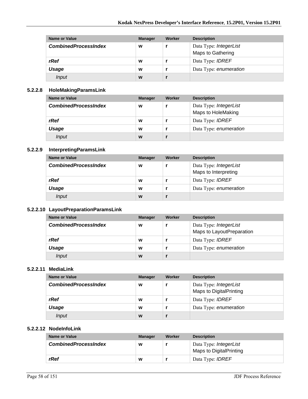| Name or Value               | <b>Manager</b> | Worker | <b>Description</b>                          |
|-----------------------------|----------------|--------|---------------------------------------------|
| <b>CombinedProcessIndex</b> | W              |        | Data Type: IntegerList<br>Maps to Gathering |
| rRef                        | W              |        | Data Type: <b>IDREF</b>                     |
| Usage                       | W              |        | Data Type: enumeration                      |
| Input                       | W              |        |                                             |

#### **5.2.2.8 HoleMakingParamsLink**

| Name or Value               | <b>Manager</b> | Worker | <b>Description</b>                           |
|-----------------------------|----------------|--------|----------------------------------------------|
| <b>CombinedProcessIndex</b> | W              |        | Data Type: IntegerList<br>Maps to HoleMaking |
| rRef                        | W              |        | Data Type: <b>IDREF</b>                      |
| Usage                       | W              |        | Data Type: enumeration                       |
| Input                       | W              |        |                                              |

#### **5.2.2.9 InterpretingParamsLink**

| Name or Value               | <b>Manager</b> | Worker | <b>Description</b>      |
|-----------------------------|----------------|--------|-------------------------|
| <b>CombinedProcessIndex</b> | W              |        | Data Type: IntegerList  |
|                             |                |        | Maps to Interpreting    |
| rRef                        | W              |        | Data Type: <b>IDREF</b> |
| Usage                       | W              |        | Data Type: enumeration  |
| Input                       | W              |        |                         |

#### **5.2.2.10 LayoutPreparationParamsLink**

| Name or Value               | <b>Manager</b> | Worker | <b>Description</b>        |
|-----------------------------|----------------|--------|---------------------------|
| <b>CombinedProcessIndex</b> | W              |        | Data Type: IntegerList    |
|                             |                |        | Maps to LayoutPreparation |
| rRef                        | w              |        | Data Type: <b>IDREF</b>   |
| Usage                       | W              |        | Data Type: enumeration    |
| Input                       | W              |        |                           |

#### **5.2.2.11 MediaLink**

| Name or Value               | <b>Manager</b> | Worker | <b>Description</b>      |
|-----------------------------|----------------|--------|-------------------------|
| <b>CombinedProcessIndex</b> | W              |        | Data Type: IntegerList  |
|                             |                |        | Maps to DigitalPrinting |
| rRef                        | W              |        | Data Type: <b>IDREF</b> |
| Usage                       | W              |        | Data Type: enumeration  |
| Input                       | W              |        |                         |

#### **5.2.2.12 NodeInfoLink**

| Name or Value               | <b>Manager</b> | Worker | <b>Description</b>                                       |
|-----------------------------|----------------|--------|----------------------------------------------------------|
| <b>CombinedProcessIndex</b> | w              |        | Data Type: <i>IntegerList</i><br>Maps to DigitalPrinting |
| rRef                        | W              |        | Data Type: <b>IDREF</b>                                  |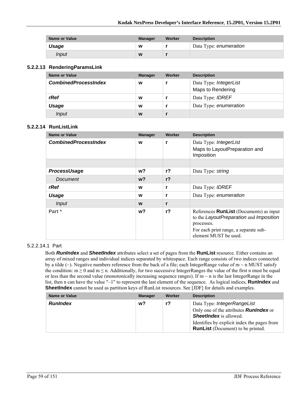| <b>Name or Value</b> | <b>Manager</b> | Worker | <b>Description</b>     |
|----------------------|----------------|--------|------------------------|
| Usage                | W              |        | Data Type: enumeration |
| Input                | W              |        |                        |

#### **5.2.2.13 RenderingParamsLink**

| Name or Value               | <b>Manager</b> | Worker | <b>Description</b>                          |
|-----------------------------|----------------|--------|---------------------------------------------|
| <b>CombinedProcessIndex</b> | W              |        | Data Type: IntegerList<br>Maps to Rendering |
| rRef                        | W              |        | Data Type: <b>IDREF</b>                     |
| Usage                       | W              |        | Data Type: enumeration                      |
| Input                       | W              |        |                                             |

#### **5.2.2.14 RunListLink**

| <b>Name or Value</b>        | <b>Manager</b> | Worker         | <b>Description</b>                                                                                                                                                        |
|-----------------------------|----------------|----------------|---------------------------------------------------------------------------------------------------------------------------------------------------------------------------|
| <b>CombinedProcessIndex</b> | W              | r              | Data Type: IntegerList<br>Maps to LayoutPreparation and<br>Imposition                                                                                                     |
|                             |                |                |                                                                                                                                                                           |
| ProcessUsage                | w?             | r <sub>2</sub> | Data Type: string                                                                                                                                                         |
| Document                    | $w$ ?          | r <sub>2</sub> |                                                                                                                                                                           |
| rRef                        | W              | r              | Data Type: <b>IDREF</b>                                                                                                                                                   |
| Usage                       | W              | r              | Data Type: enumeration                                                                                                                                                    |
| <b>Input</b>                | W              | r              |                                                                                                                                                                           |
| Part *                      | w?             | $r$ ?          | References <b>RunList</b> (Documents) as input<br>to the LayoutPreparation and Imposition<br>processes.<br>For each print range, a separate sub-<br>element MUST be used. |

#### 5.2.2.14.1 Part

Both *RunIndex* and *SheetIndex* attributes select a set of pages from the **RunList** resource. Either contains an array of mixed ranges and individual indices separated by whitespace. Each range consists of two indices connected by a tilde ( $\sim$ ). Negative numbers reference from the back of a file; each IntegerRange value of m  $\sim$  n MUST satisfy the condition:  $m \ge 0$  and  $m \le n$ . Additionally, for two successive IntegerRanges the value of the first n must be equal or less than the second value (monotonically increasing sequence ranges). If  $m \sim n$  is the last IntegerRange in the list, then n can have the value "-1" to represent the last element of the sequence. As logical indices, **RunIndex** and **SheetIndex** cannot be used as partition keys of RunList resources. See [JDF] for details and examples.

| <b>Name or Value</b> | <b>Manager</b> | Worker | <b>Description</b>                                                                      |
|----------------------|----------------|--------|-----------------------------------------------------------------------------------------|
| <b>RunIndex</b>      | w?             | r?     | Data Type: IntegerRangeList                                                             |
|                      |                |        | Only one of the attributes <b>Runlndex</b> or<br><b>SheetIndex</b> is allowed.          |
|                      |                |        | Identifies by explicit index the pages from<br><b>RunList</b> (Document) to be printed. |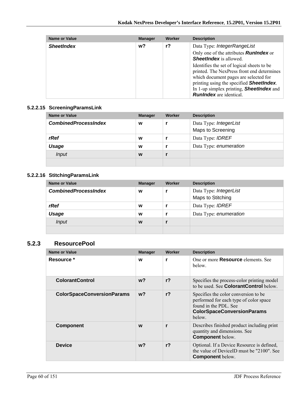| Name or Value     | <b>Manager</b> | Worker | <b>Description</b>                                                                                                                                                                                                                                                                                                                                                                          |
|-------------------|----------------|--------|---------------------------------------------------------------------------------------------------------------------------------------------------------------------------------------------------------------------------------------------------------------------------------------------------------------------------------------------------------------------------------------------|
| <b>SheetIndex</b> | w?             | r?     | Data Type: IntegerRangeList<br>Only one of the attributes <b>Runlndex</b> or<br><b>SheetIndex</b> is allowed.<br>Identifies the set of logical sheets to be<br>printed. The NexPress front end determines<br>which document pages are selected for<br>printing using the specified <b>SheetIndex</b> .<br>In 1-up simplex printing, <b>SheetIndex</b> and<br><b>Runindex</b> are identical. |

#### **5.2.2.15 ScreeningParamsLink**

| Name or Value               | <b>Manager</b> | Worker | <b>Description</b>                          |
|-----------------------------|----------------|--------|---------------------------------------------|
| <b>CombinedProcessIndex</b> | W              |        | Data Type: IntegerList<br>Maps to Screening |
| rRef                        | W              |        | Data Type: <b>IDREF</b>                     |
| Usage                       | W              |        | Data Type: enumeration                      |
| <i>Input</i>                | W              |        |                                             |
|                             |                |        |                                             |

# **5.2.2.16 StitchingParamsLink**

| Name or Value               | <b>Manager</b> | <b>Worker</b> | <b>Description</b>                          |
|-----------------------------|----------------|---------------|---------------------------------------------|
| <b>CombinedProcessIndex</b> | W              |               | Data Type: IntegerList<br>Maps to Stitching |
| rRef                        | W              |               | Data Type: <b>IDREF</b>                     |
| Usage                       | W              |               | Data Type: enumeration                      |
| <i>Input</i>                | W              |               |                                             |
|                             |                |               |                                             |

## **5.2.3 ResourcePool**

| <b>Name or Value</b>              | <b>Manager</b> | Worker         | <b>Description</b>                                                                                                                                      |
|-----------------------------------|----------------|----------------|---------------------------------------------------------------------------------------------------------------------------------------------------------|
| Resource *                        | W              | r              | One or more <b>Resource</b> elements See<br>below.                                                                                                      |
| <b>ColorantControl</b>            | $w$ ?          | r <sub>2</sub> | Specifies the process-color printing model<br>to be used. See <b>ColorantControl</b> below                                                              |
| <b>ColorSpaceConversionParams</b> | $w$ ?          | r <sub>2</sub> | Specifies the color conversion to be.<br>performed for each type of color space<br>found in the PDL. See<br><b>ColorSpaceConversionParams</b><br>below. |
| <b>Component</b>                  | W              | r              | Describes finished product including print<br>quantity and dimensions. See<br><b>Component below.</b>                                                   |
| <b>Device</b>                     | w <sub>2</sub> | r <sub>2</sub> | Optional. If a Device Resource is defined,<br>the value of DeviceID must be "2100". See<br><b>Component</b> below.                                      |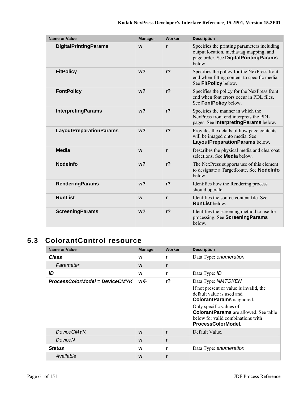| <b>Name or Value</b>           | <b>Manager</b> | Worker         | <b>Description</b>                                                                                                                        |
|--------------------------------|----------------|----------------|-------------------------------------------------------------------------------------------------------------------------------------------|
| <b>DigitalPrintingParams</b>   | W              | r              | Specifies the printing parameters including<br>output location, media/tag mapping, and<br>page order. See DigitalPrintingParams<br>below. |
| <b>FitPolicy</b>               | w <sub>2</sub> | r <sub>2</sub> | Specifies the policy for the NexPress front<br>end when fitting content to specific media.<br>See FitPolicy below.                        |
| <b>FontPolicy</b>              | w <sub>2</sub> | r <sub>2</sub> | Specifies the policy for the NexPress front<br>end when font errors occur in PDL files.<br>See FontPolicy below.                          |
| <b>InterpretingParams</b>      | w <sub>2</sub> | r <sub>2</sub> | Specifies the manner in which the<br>NexPress front end interprets the PDL<br>pages. See Interpreting Params below.                       |
| <b>LayoutPreparationParams</b> | w <sub>2</sub> | r <sub>2</sub> | Provides the details of how page contents<br>will be imaged onto media. See<br>LayoutPreparationParams below.                             |
| Media                          | W              | r              | Describes the physical media and clearcoat<br>selections. See <b>Media</b> below.                                                         |
| <b>Nodelnfo</b>                | w <sub>2</sub> | r <sub>2</sub> | The NexPress supports use of this element<br>to designate a TargetRoute. See <b>Nodelnfo</b><br>helow                                     |
| <b>RenderingParams</b>         | w <sub>2</sub> | r <sub>2</sub> | Identifies how the Rendering process<br>should operate.                                                                                   |
| <b>RunList</b>                 | W              | r              | Identifies the source content file. See<br><b>RunList below.</b>                                                                          |
| <b>ScreeningParams</b>         | w <sub>2</sub> | r <sub>2</sub> | Identifies the screening method to use for<br>processing. See ScreeningParams<br>helow                                                    |

# **5.3 ColorantControl resource**

| <b>Name or Value</b>           | <b>Manager</b> | <b>Worker</b> | <b>Description</b>                                                                                                                |
|--------------------------------|----------------|---------------|-----------------------------------------------------------------------------------------------------------------------------------|
| <b>Class</b>                   | W              | r             | Data Type: enumeration                                                                                                            |
| Parameter                      | W              | r             |                                                                                                                                   |
| ID                             | W              | r             | Data Type: ID                                                                                                                     |
| ProcessColorModel = DeviceCMYK | w←             | $r$ ?         | Data Type: NMTOKEN                                                                                                                |
|                                |                |               | If not present or value is invalid, the<br>default value is used and<br><b>ColorantParams</b> is ignored.                         |
|                                |                |               | Only specific values of<br><b>ColorantParams</b> are allowed. See table<br>below for valid combinations with<br>ProcessColorModel |
| <b>DeviceCMYK</b>              | W              | r             | Default Value.                                                                                                                    |
| DeviceN                        | W              | r             |                                                                                                                                   |
| <b>Status</b>                  | W              | r             | Data Type: enumeration                                                                                                            |
| Available                      | W              | r             |                                                                                                                                   |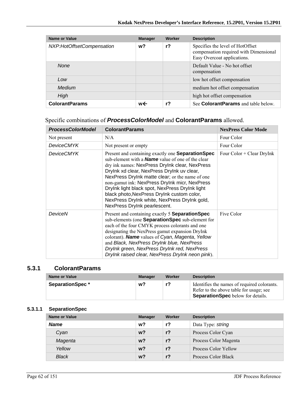| Name or Value             | <b>Manager</b> | Worker | <b>Description</b>                                                                                        |
|---------------------------|----------------|--------|-----------------------------------------------------------------------------------------------------------|
| NXP:HotOffsetCompensation | w?             | r?     | Specifies the level of HotOffset<br>compensation required with Dimensional<br>Easy Overcoat applications. |
| <b>None</b>               |                |        | Default Value - No hot offset<br>compensation                                                             |
| Low                       |                |        | low hot offset compensation                                                                               |
| Medium                    |                |        | medium hot offset compensation                                                                            |
| High                      |                |        | high hot offset compensation                                                                              |
| <b>ColorantParams</b>     | w←             | r?     | See <b>ColorantParams</b> and table below.                                                                |

## Specific combinations of *ProcessColorModel* and **ColorantParams** allowed.

| <b>ProcessColorModel</b> | <b>ColorantParams</b>                                                                                                                                                                                                                                                                                                                                                                                                                                                                                     | <b>NexPress Color Mode</b> |
|--------------------------|-----------------------------------------------------------------------------------------------------------------------------------------------------------------------------------------------------------------------------------------------------------------------------------------------------------------------------------------------------------------------------------------------------------------------------------------------------------------------------------------------------------|----------------------------|
| Not present              | N/A                                                                                                                                                                                                                                                                                                                                                                                                                                                                                                       | Four Color                 |
| <b>DeviceCMYK</b>        | Not present or empty                                                                                                                                                                                                                                                                                                                                                                                                                                                                                      | Four Color                 |
| DeviceCMYK               | Present and containing exactly one <b>Separation Spec</b><br>sub-element with a <b>Name</b> value of one of the clear<br>dry ink names: NexPress DryInk clear, NexPress<br>Drylnk xd clear, NexPress Drylnk uv clear,<br>NexPress Drylnk matte clear; or the name of one<br>non-gamut ink: NexPress DryInk micr, NexPress<br>Drylnk light black spot, NexPress Drylnk light<br>black photo, NexPress DryInk custom color,<br>NexPress DryInk white, NexPress DryInk gold,<br>NexPress DryInk pearlescent. | Four Color + Clear DryInk  |
| DeviceN                  | Present and containing exactly 5 Separation Spec<br>sub-elements (one <b>Separation Spec</b> sub-element for<br>each of the four CMYK process colorants and one<br>designating the NexPress gamut expansion DryInk<br>colorant). Name values of Cyan, Magenta, Yellow<br>and Black, NexPress DryInk blue, NexPress<br>DryInk green, NexPress DryInk red, NexPress<br>Drylnk raised clear, NexPress Drylnk neon pink).                                                                                     | Five Color                 |

### **5.3.1 ColorantParams**

| <b>Name or Value</b>   | <b>Manager</b> | Worker | <b>Description</b>                                                                                                                 |
|------------------------|----------------|--------|------------------------------------------------------------------------------------------------------------------------------------|
| <b>SeparationSpec*</b> | w?             | r?     | Identifies the names of required colorants.<br>Refer to the above table for usage; see<br><b>SeparationSpec</b> below for details. |

## **5.3.1.1 SeparationSpec**

| Name or Value | <b>Manager</b> | Worker | <b>Description</b>    |
|---------------|----------------|--------|-----------------------|
| <b>Name</b>   | w <sub>2</sub> | r?     | Data Type: string     |
| Cvan          | w <sub>2</sub> | $r$ ?  | Process Color Cyan    |
| Magenta       | w <sub>2</sub> | $r$ ?  | Process Color Magenta |
| Yellow        | w <sub>2</sub> | $r$ ?  | Process Color Yellow  |
| <b>Black</b>  | w?             | r?     | Process Color Black   |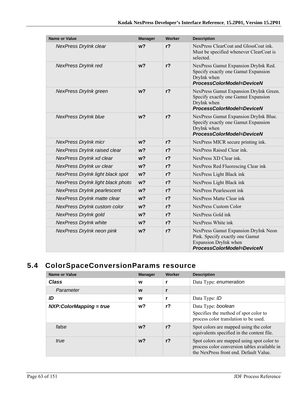| Name or Value                      | <b>Manager</b> | <b>Worker</b>  | <b>Description</b>                                                                                                            |
|------------------------------------|----------------|----------------|-------------------------------------------------------------------------------------------------------------------------------|
| NexPress DryInk clear              | w <sub>2</sub> | $r$ ?          | NexPress ClearCoat and GlossCoat ink.<br>Must be specified whenever ClearCoat is<br>selected                                  |
| NexPress DryInk red                | w <sub>2</sub> | $r$ ?          | NexPress Gamut Expansion DryInk Red.<br>Specify exactly one Gamut Expansion<br>DryInk when<br>ProcessColorModel=DeviceN       |
| NexPress DryInk green              | w <sub>2</sub> | r <sub>2</sub> | NexPress Gamut Expansion DryInk Green.<br>Specify exactly one Gamut Expansion<br>DryInk when<br>ProcessColorModel=DeviceN     |
| <b>NexPress DryInk blue</b>        | w <sub>2</sub> | r <sub>2</sub> | NexPress Gamut Expansion DryInk Blue.<br>Specify exactly one Gamut Expansion<br>DryInk when<br>ProcessColorModel=DeviceN      |
| <b>NexPress DryInk micr</b>        | w <sub>2</sub> | r <sub>2</sub> | NexPress MICR secure printing ink.                                                                                            |
| NexPress DryInk raised clear       | w <sub>2</sub> | r <sub>2</sub> | NexPress Raised Clear ink.                                                                                                    |
| NexPress DryInk xd clear           | w <sub>2</sub> | $r$ ?          | NexPress XD Clear ink.                                                                                                        |
| NexPress DryInk uv clear           | $w$ ?          | r <sub>2</sub> | NexPress Red Fluorescing Clear ink                                                                                            |
| NexPress DryInk light black spot   | w <sub>2</sub> | $r$ ?          | NexPress Light Black ink                                                                                                      |
| NexPress DryInk light black photo  | w <sub>2</sub> | $r$ ?          | NexPress Light Black ink                                                                                                      |
| <b>NexPress DryInk pearlescent</b> | w <sub>2</sub> | r <sub>2</sub> | NexPress Pearlescent ink                                                                                                      |
| NexPress DryInk matte clear        | w <sub>2</sub> | $r$ ?          | NexPress Matte Clear ink                                                                                                      |
| NexPress DryInk custom color       | $w$ ?          | $r$ ?          | <b>NexPress Custom Color</b>                                                                                                  |
| NexPress DryInk gold               | $w$ ?          | r <sub>2</sub> | NexPress Gold ink                                                                                                             |
| <b>NexPress DryInk white</b>       | w <sub>2</sub> | r <sub>2</sub> | NexPress White ink                                                                                                            |
| NexPress DryInk neon pink          | w <sub>2</sub> | $r$ ?          | NexPress Gamut Expansion DryInk Neon<br>Pink. Specify exactly one Gamut<br>Expansion DryInk when<br>ProcessColorModel=DeviceN |

# **5.4 ColorSpaceConversionParams resource**

| <b>Name or Value</b>      | <b>Manager</b> | Worker         | <b>Description</b>                                                                                                                 |
|---------------------------|----------------|----------------|------------------------------------------------------------------------------------------------------------------------------------|
| Class                     | W              |                | Data Type: enumeration                                                                                                             |
| Parameter                 | W              |                |                                                                                                                                    |
| ID                        | W              |                | Data Type: ID                                                                                                                      |
| $NXP:ColorMapping = true$ | w?             | $r$ ?          | Data Type: boolean<br>Specifies the method of spot color to<br>process color translation to be used.                               |
| false                     | w <sub>2</sub> | r <sub>2</sub> | Spot colors are mapped using the color<br>equivalents specified in the content file.                                               |
| true                      | w <sub>2</sub> | r <sub>2</sub> | Spot colors are mapped using spot color to<br>process color conversion tables available in<br>the NexPress front end Default Value |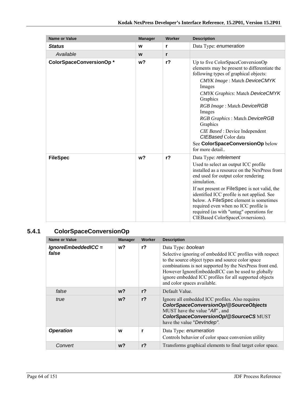| <b>Name or Value</b>    | <b>Manager</b> | Worker | <b>Description</b>                                                                                                                                                                                                                                                                                                                                                                                                                             |
|-------------------------|----------------|--------|------------------------------------------------------------------------------------------------------------------------------------------------------------------------------------------------------------------------------------------------------------------------------------------------------------------------------------------------------------------------------------------------------------------------------------------------|
| <b>Status</b>           | W              | r      | Data Type: enumeration                                                                                                                                                                                                                                                                                                                                                                                                                         |
| Available               | W              | r      |                                                                                                                                                                                                                                                                                                                                                                                                                                                |
| ColorSpaceConversionOp* | w?             | $r$ ?  | Up to five ColorSpaceConversionOp<br>elements may be present to differentiate the<br>following types of graphical objects:<br><b>CMYK Image: Match DeviceCMYK</b><br>Images<br><b>CMYK Graphics: Match DeviceCMYK</b><br>Graphics<br>RGB Image: Match DeviceRGB<br>Images<br>RGB Graphics: Match DeviceRGB<br>Graphics<br><i>CIE Based</i> : Device Independent<br>CIEBased Color data<br>See ColorSpaceConversionOp below<br>for more detail. |
| <b>FileSpec</b>         | w <sub>2</sub> | $r$ ?  | Data Type: refelement<br>Used to select an output ICC profile<br>installed as a resource on the NexPress front<br>end used for output color rendering<br>simulation.<br>If not present or <b>FileSpec</b> is not valid, the<br>identified ICC profile is not applied. See<br>below. A FileSpec element is sometimes<br>required even when no ICC profile is<br>required (as with "untag" operations for<br>CIEBased ColorSpaceCovnersions).    |

# **5.4.1 ColorSpaceConversionOp**

| <b>Name or Value</b>         | <b>Manager</b> | Worker         | <b>Description</b>                                                                                                                                                                                                                                                                                                                            |
|------------------------------|----------------|----------------|-----------------------------------------------------------------------------------------------------------------------------------------------------------------------------------------------------------------------------------------------------------------------------------------------------------------------------------------------|
| IgnoreEmbeddedICC =<br>false | $w$ ?          | r <sub>2</sub> | Data Type: boolean<br>Selective ignoring of embedded ICC profiles with respect<br>to the source object types and source color space<br>combinations is not supported by the NexPress front end.<br>However IgnoreEmbeddedICC can be used to globally<br>ignore embedded ICC profiles for all supported objects<br>and color spaces available. |
| false                        | w?             | r <sub>2</sub> | Default Value.                                                                                                                                                                                                                                                                                                                                |
| true                         | $w$ ?          | r <sub>2</sub> | Ignore all embedded ICC profiles. Also requires<br>ColorSpaceConversionOp/@SourceObjects<br>MUST have the value "All", and<br>ColorSpaceConversionOp/@SourceCS MUST<br>have the value "DevIndep".                                                                                                                                             |
| <b>Operation</b>             | W              | r              | Data Type: enumeration<br>Controls behavior of color space conversion utility                                                                                                                                                                                                                                                                 |
| Convert                      | w?             | $r$ ?          | Transforms graphical elements to final target color space.                                                                                                                                                                                                                                                                                    |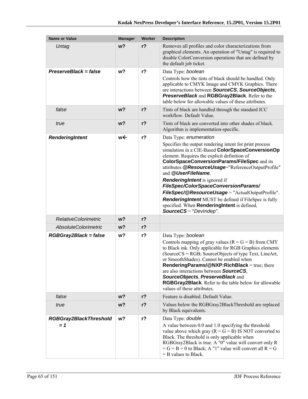| <b>Name or Value</b>                   | <b>Manager</b> | Worker         | <b>Description</b>                                                                                                                                                                                                                                                                                                                                                                                                                                                                                                                                                                                             |
|----------------------------------------|----------------|----------------|----------------------------------------------------------------------------------------------------------------------------------------------------------------------------------------------------------------------------------------------------------------------------------------------------------------------------------------------------------------------------------------------------------------------------------------------------------------------------------------------------------------------------------------------------------------------------------------------------------------|
| Untag                                  | w <sub>2</sub> | r <sub>2</sub> | Removes all profiles and color characterizations from<br>graphical elements. An operation of "Untag" is required to<br>disable ColorConversion operations that are defined by<br>the default job ticket.                                                                                                                                                                                                                                                                                                                                                                                                       |
| PreserveBlack = false                  | w?             | r <sub>2</sub> | Data Type: boolean<br>Controls how the tints of black should be handled. Only<br>applicable to CMYK Image and CMYK Graphics. There<br>are interactions between SourceCS, SourceObjects,<br>PreserveBlack and RGBGray2Black. Refer to the<br>table below for allowable values of these attributes.                                                                                                                                                                                                                                                                                                              |
| false                                  | w <sub>2</sub> | $r$ ?          | Tints of black are handled through the standard ICC<br>workflow. Default Value.                                                                                                                                                                                                                                                                                                                                                                                                                                                                                                                                |
| true                                   | w <sub>2</sub> | r <sub>2</sub> | Tints of black are converted into other shades of black.<br>Algorithm is implementation-specific.                                                                                                                                                                                                                                                                                                                                                                                                                                                                                                              |
| RenderingIntent                        | w←             | $r$ ?          | Data Type: enumeration<br>Specifies the output rendering intent for print process<br>simulation in a CIE-Based ColorSpaceConversionOp<br>element. Requires the explicit definition of<br><b>ColorSpaceConversionParams/FileSpec and its</b><br>attributes @ResourceUsage="ReferenceOutputProfile"<br>and @UserFileName.<br><b>RenderingIntent</b> is ignored if<br>FileSpec/ColorSpaceConversionParams/<br>FileSpec/@ResourceUsage = "ActualOutputProfile".<br><b>RenderingIntent</b> MUST be defined if FileSpec is fully<br>specified. When RenderingIntent is defined,<br><b>SourceCS</b> = " $DevIndep$ ". |
| <b>RelativeColorimetric</b>            | w <sub>2</sub> | $r$ ?          |                                                                                                                                                                                                                                                                                                                                                                                                                                                                                                                                                                                                                |
| <b>AbsoluteColorimetric</b>            | w?             | $r$ ?          |                                                                                                                                                                                                                                                                                                                                                                                                                                                                                                                                                                                                                |
| RGBGray2Black = false                  | w?             | $r$ ?          | Data Type: boolean<br>Controls mapping of gray values $(R = G = B)$ from CMY<br>to Black ink. Only applicable for RGB Graphics elements<br>(SourceCS = RGB; SourceObjects of type Text, LineArt,<br>or SmoothShades). Cannot be enabled when<br>RenderingParams/@NXP:RichBlack = true; there<br>are also interactions between SourceCS,<br>SourceObjects, PreserveBlack and<br>RGBGray2Black. Refer to the table below for allowable<br>values of these attributes.                                                                                                                                            |
| false                                  | w?             | $r$ ?          | Feature is disabled. Default Value.                                                                                                                                                                                                                                                                                                                                                                                                                                                                                                                                                                            |
| true                                   | w?             | $r$ ?          | Values below the RGBGray2BlackThreshold are replaced<br>by Black equivalents.                                                                                                                                                                                                                                                                                                                                                                                                                                                                                                                                  |
| <b>RGBGray2BlackThreshold</b><br>$= 1$ | w?             | $r$ ?          | Data Type: double<br>A value between 0.0 and 1.0 specifying the threshold<br>value above which gray ( $R = G = B$ ) IS NOT converted to<br>Black. The threshold is only applicable when<br>RGBGray2Black is true. A "0" value will convert only R<br>$=G = B = 0$ to Black; A "1" value will convert all $R = G$<br>$=$ B values to Black.                                                                                                                                                                                                                                                                     |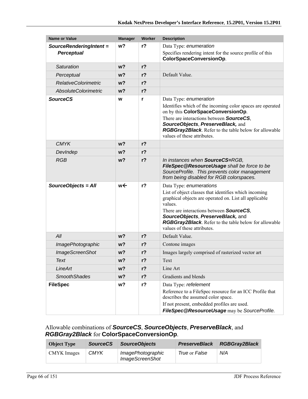| <b>Name or Value</b>        | <b>Manager</b> | Worker         | <b>Description</b>                                                                                                                                                                                                                                                                                                                            |
|-----------------------------|----------------|----------------|-----------------------------------------------------------------------------------------------------------------------------------------------------------------------------------------------------------------------------------------------------------------------------------------------------------------------------------------------|
| SourceRenderingIntent =     | w?             | $r$ ?          | Data Type: enumeration                                                                                                                                                                                                                                                                                                                        |
| <b>Perceptual</b>           |                |                | Specifies rendering intent for the source profile of this<br>ColorSpaceConversionOp.                                                                                                                                                                                                                                                          |
| Saturation                  | w <sub>2</sub> | $r$ ?          |                                                                                                                                                                                                                                                                                                                                               |
| Perceptual                  | w?             | r <sub>2</sub> | Default Value.                                                                                                                                                                                                                                                                                                                                |
| <b>RelativeColorimetric</b> | w?             | $r$ ?          |                                                                                                                                                                                                                                                                                                                                               |
| <b>AbsoluteColorimetric</b> | w <sub>2</sub> | r <sub>2</sub> |                                                                                                                                                                                                                                                                                                                                               |
| <b>SourceCS</b>             | W              | r              | Data Type: enumeration<br>Identifies which of the incoming color spaces are operated<br>on by this ColorSpaceConversionOp.<br>There are interactions between <b>SourceCS</b> ,<br>SourceObjects, PreserveBlack, and<br>RGBGray2Black. Refer to the table below for allowable<br>values of these attributes.                                   |
| <b>CMYK</b>                 | w?             | r <sub>2</sub> |                                                                                                                                                                                                                                                                                                                                               |
| DevIndep                    | w <sub>2</sub> | $r$ ?          |                                                                                                                                                                                                                                                                                                                                               |
| <b>RGB</b>                  | w <sub>2</sub> | $r$ ?          | In instances when SourceCS=RGB,<br>FileSpec@ResourceUsage shall be force to be<br>SourceProfile. This prevents color management<br>from being disabled for RGB colorspaces.                                                                                                                                                                   |
| SourceObjects = All         | w←             | $r$ ?          | Data Type: enumerations<br>List of object classes that identifies which incoming<br>graphical objects are operated on. List all applicable<br>values.<br>There are interactions between <b>SourceCS</b> ,<br>SourceObjects, PreserveBlack, and<br><b>RGBGray2Black.</b> Refer to the table below for allowable<br>values of these attributes. |
| All                         | w <sub>2</sub> | r <sub>2</sub> | Default Value.                                                                                                                                                                                                                                                                                                                                |
| ImagePhotographic           | w?             | $r$ ?          | Contone images                                                                                                                                                                                                                                                                                                                                |
| <b>ImageScreenShot</b>      | w?             | $r$ ?          | Images largely comprised of rasterized vector art                                                                                                                                                                                                                                                                                             |
| Text                        | w?             | $r$ ?          | Text                                                                                                                                                                                                                                                                                                                                          |
| LineArt                     | w?             | $r$ ?          | Line Art                                                                                                                                                                                                                                                                                                                                      |
| <b>SmoothShades</b>         | w?             | $r$ ?          | Gradients and blends                                                                                                                                                                                                                                                                                                                          |
| <b>FileSpec</b>             | w?             | $r$ ?          | Data Type: refelement<br>Reference to a FileSpec resource for an ICC Profile that<br>describes the assumed color space.<br>If not present, embedded profiles are used.<br>FileSpec@ResourceUsage may be SourceProfile.                                                                                                                        |

## Allowable combinations of *SourceCS*, *SourceObjects*, *PreserveBlack*, and *RGBGray2Black* for **ColorSpaceConversionOp**.

| <b>Object Type</b> | <b>SourceCS</b> | <b>SourceObiects</b>                        | <b>PreserveBlack</b> | <b>RGBGray2Black</b> |
|--------------------|-----------------|---------------------------------------------|----------------------|----------------------|
| CMYK Images        | <b>CMYK</b>     | ImagePhotographic<br><b>ImageScreenShot</b> | True or False        | N/A                  |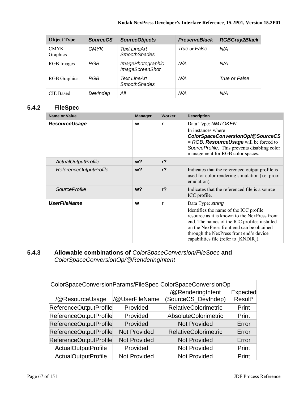| <b>Object Type</b>      | <b>SourceCS</b> | <b>SourceObjects</b>                        | <b>PreserveBlack</b> | <b>RGBGray2Black</b> |
|-------------------------|-----------------|---------------------------------------------|----------------------|----------------------|
| <b>CMYK</b><br>Graphics | <b>CMYK</b>     | <b>Text LineArt</b><br><b>SmoothShades</b>  | True or False        | N/A                  |
| RGB Images              | RGB             | ImagePhotographic<br><b>ImageScreenShot</b> | N/A                  | N/A                  |
| <b>RGB</b> Graphics     | RGB             | Text LineArt<br><b>SmoothShades</b>         | N/A                  | True or False        |
| <b>CIE</b> Based        | DevIndep        | All                                         | N/A                  | N/A                  |

## **5.4.2 FileSpec**

| <b>Name or Value</b>   | <b>Manager</b> | Worker         | <b>Description</b>                                                                                                                                                                                                                                                                            |
|------------------------|----------------|----------------|-----------------------------------------------------------------------------------------------------------------------------------------------------------------------------------------------------------------------------------------------------------------------------------------------|
| <b>ResourceUsage</b>   | W              | r              | Data Type: NMTOKEN<br>In instances where<br>ColorSpaceConversionOp/@SourceCS<br>$=$ RGB, <b>ResourceUsage</b> will be forced to<br>SourceProfile. This prevents disabling color<br>management for RGB color spaces.                                                                           |
| ActualOutputProfile    | $w$ ?          | r <sub>2</sub> |                                                                                                                                                                                                                                                                                               |
| ReferenceOutputProfile | w <sub>2</sub> | r <sub>2</sub> | Indicates that the referenced output profile is<br>used for color rendering simulation (i.e. proof<br>emulation).                                                                                                                                                                             |
| <i>SourceProfile</i>   | $w$ ?          | r <sub>2</sub> | Indicates that the referenced file is a source<br>ICC profile.                                                                                                                                                                                                                                |
| <b>UserFileName</b>    | W              | r              | Data Type: string<br>Identifies the name of the ICC profile<br>resource as it is known to the NexPress front<br>end. The names of the ICC profiles installed<br>on the NexPress front end can be obtained<br>through the NexPress front end's device<br>capabilities file (refer to [KNDIR]). |

## **5.4.3 Allowable combinations of** *ColorSpaceConversion/FileSpec* **and**  *ColorSpaceConversionOp/@RenderingIntent*

|                            |                     | ColorSpaceConversionParams/FileSpec ColorSpaceConversionOp |                 |
|----------------------------|---------------------|------------------------------------------------------------|-----------------|
|                            |                     | /@RenderingIntent                                          | <b>Expected</b> |
| /@ResourceUsage            | /@UserFileName      | SourceCS_DevIndep)                                         | Result*         |
| ReferenceOutputProfile     | Provided            | <b>RelativeColorimetric</b>                                | Print           |
| ReferenceOutputProfile     | Provided            | AbsoluteColorimetric                                       | Print           |
| ReferenceOutputProfile     | Provided            | <b>Not Provided</b>                                        | Error           |
| ReferenceOutputProfile     | <b>Not Provided</b> | <b>RelativeColorimetric</b>                                | Error           |
| ReferenceOutputProfile     | <b>Not Provided</b> | <b>Not Provided</b>                                        | Error           |
| ActualOutputProfile        | Provided            | <b>Not Provided</b>                                        | Print           |
| <b>ActualOutputProfile</b> | <b>Not Provided</b> | <b>Not Provided</b>                                        | Print           |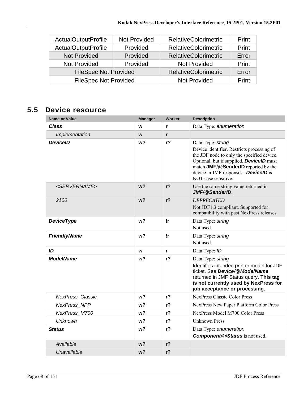| <b>ActualOutputProfile</b>   | <b>Not Provided</b> | <b>RelativeColorimetric</b> | Print |
|------------------------------|---------------------|-----------------------------|-------|
| <b>ActualOutputProfile</b>   | Provided            | <b>RelativeColorimetric</b> | Print |
| <b>Not Provided</b>          | Provided            | <b>RelativeColorimetric</b> | Error |
| Not Provided                 | Provided            | Not Provided                | Print |
| <b>FileSpec Not Provided</b> |                     | <b>RelativeColorimetric</b> | Error |
| <b>FileSpec Not Provided</b> |                     | <b>Not Provided</b>         | Print |

# **5.5 Device resource**

| Name or Value             | <b>Manager</b> | Worker         | <b>Description</b>                                                                                                                                                                                                                                                            |
|---------------------------|----------------|----------------|-------------------------------------------------------------------------------------------------------------------------------------------------------------------------------------------------------------------------------------------------------------------------------|
| <b>Class</b>              | W              | r              | Data Type: enumeration                                                                                                                                                                                                                                                        |
| Implementation            | W              | r              |                                                                                                                                                                                                                                                                               |
| <b>DeviceID</b>           | w?             | r <sub>2</sub> | Data Type: string<br>Device identifier. Restricts processing of<br>the JDF node to only the specified device.<br>Optional, but if supplied, <b>DevicelD</b> must<br>match JMF/@SenderID reported by the<br>device in JMF responses. <b>DevicelD</b> is<br>NOT case sensitive. |
| <servername></servername> | w <sub>2</sub> | $r$ ?          | Use the same string value returned in<br>JMF/@SenderID                                                                                                                                                                                                                        |
| 2100                      | w?             | r <sub>2</sub> | <b>DEPRECATED</b><br>Not JDF1.3 compliant. Supported for<br>compatibility with past NexPress releases.                                                                                                                                                                        |
| <b>DeviceType</b>         | w?             | !r             | Data Type: string<br>Not used.                                                                                                                                                                                                                                                |
| <b>FriendlyName</b>       | w?             | !r             | Data Type: string<br>Not used.                                                                                                                                                                                                                                                |
| ID                        | W              | r              | Data Type: ID                                                                                                                                                                                                                                                                 |
| <b>ModelName</b>          | w?             | r <sub>2</sub> | Data Type: string<br>Identifies intended printer model for JDF<br>ticket. See Device/@ModelName<br>returned in JMF Status query. This tag<br>is not currently used by NexPress for<br>job acceptance or processing.                                                           |
| <b>NexPress Classic</b>   | w?             | r <sub>2</sub> | <b>NexPress Classic Color Press</b>                                                                                                                                                                                                                                           |
| <b>NexPress NPP</b>       | w <sub>2</sub> | $r$ ?          | NexPress New Paper Platform Color Press                                                                                                                                                                                                                                       |
| NexPress M700             | w?             | $r$ ?          | NexPress Model M700 Color Press                                                                                                                                                                                                                                               |
| <b>Unknown</b>            | w <sub>2</sub> | r <sub>2</sub> | <b>Unknown Press</b>                                                                                                                                                                                                                                                          |
| <b>Status</b>             | w?             | r <sub>2</sub> | Data Type: enumeration<br><b>Component/@Status</b> is not used.                                                                                                                                                                                                               |
| Available                 | w?             | $r$ ?          |                                                                                                                                                                                                                                                                               |
| Unavailable               | w?             | r <sub>2</sub> |                                                                                                                                                                                                                                                                               |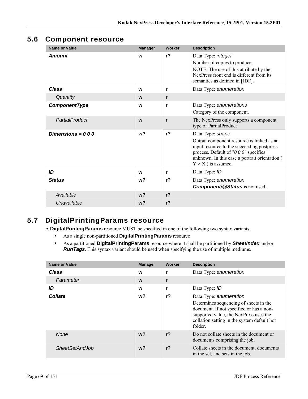# **5.6 Component resource**

| <b>Name or Value</b> | <b>Manager</b> | Worker       | <b>Description</b>                                                                                                                                                                                                              |
|----------------------|----------------|--------------|---------------------------------------------------------------------------------------------------------------------------------------------------------------------------------------------------------------------------------|
| <b>Amount</b>        | W              | $r$ ?        | Data Type: integer<br>Number of copies to produce.<br>NOTE: The use of this attribute by the<br>NexPress front end is different from its<br>semantics as defined in [JDF].                                                      |
| Class                | W              | r            | Data Type: enumeration                                                                                                                                                                                                          |
| Quantity             | W              | r            |                                                                                                                                                                                                                                 |
| ComponentType        | W              | r            | Data Type: enumerations<br>Category of the component.                                                                                                                                                                           |
| PartialProduct       | W              | $\mathbf{r}$ | The NexPress only supports a component<br>type of PartialProduct                                                                                                                                                                |
| Dimensions = $000$   | w <sub>2</sub> | $r$ ?        | Data Type: shape<br>Output component resource is linked as an<br>input resource to the succeeding postpress<br>process. Default of "0 0 0" specifies<br>unknown. In this case a portrait orientation (<br>$Y > X$ ) is assumed. |
| ID                   | W              | r            | Data Type: ID                                                                                                                                                                                                                   |
| <b>Status</b>        | w?             | $r$ ?        | Data Type: enumeration<br><b>Component/@Status</b> is not used.                                                                                                                                                                 |
| Available            | w <sub>2</sub> | $r$ ?        |                                                                                                                                                                                                                                 |
| Unavailable          | w <sub>2</sub> | $r$ ?        |                                                                                                                                                                                                                                 |

# **5.7 DigitalPrintingParams resource**

A **DigitalPrintingParams** resource MUST be specified in one of the following two syntax variants:

- As a single non-partitioned **DigitalPrintingParams** resource
- As a partitioned **DigitalPrintingParams** resource where it shall be partitioned by *SheetIndex* and/or *RunTags*. This syntax variant should be used when specifying the use of multiple mediums.

| <b>Name or Value</b>  | <b>Manager</b> | <b>Worker</b>  | <b>Description</b>                                                                                                                                                                                               |
|-----------------------|----------------|----------------|------------------------------------------------------------------------------------------------------------------------------------------------------------------------------------------------------------------|
| <b>Class</b>          | W              | r              | Data Type: enumeration                                                                                                                                                                                           |
| Parameter             | W              | r              |                                                                                                                                                                                                                  |
| ID                    | W              | r              | Data Type: ID                                                                                                                                                                                                    |
| <b>Collate</b>        | w?             | r?             | Data Type: enumeration<br>Determines sequencing of sheets in the<br>document. If not specified or has a non-<br>supported value, the NexPress uses the<br>collation setting in the system default hot<br>folder. |
| <b>None</b>           | $w$ ?          | r <sub>2</sub> | Do not collate sheets in the document or<br>documents comprising the job.                                                                                                                                        |
| <b>SheetSetAndJob</b> | w?             | r <sub>2</sub> | Collate sheets in the document, documents<br>in the set, and sets in the job.                                                                                                                                    |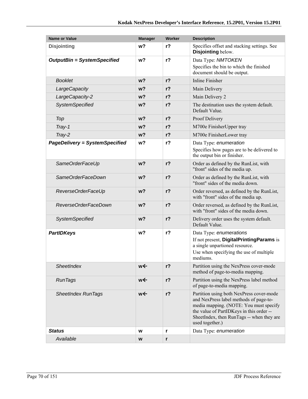| <b>Name or Value</b>                  | <b>Manager</b> | Worker         | <b>Description</b>                                                                                                                                                                                                                       |
|---------------------------------------|----------------|----------------|------------------------------------------------------------------------------------------------------------------------------------------------------------------------------------------------------------------------------------------|
| <b>Disjointing</b>                    | w?             | $r$ ?          | Specifies offset and stacking settings. See<br>Disjointing below.                                                                                                                                                                        |
| <b>OutputBin = SystemSpecified</b>    | w?             | $r$ ?          | Data Type: NMTOKEN                                                                                                                                                                                                                       |
|                                       |                |                | Specifies the bin to which the finished<br>document should be output.                                                                                                                                                                    |
| <b>Booklet</b>                        | w?             | $r$ ?          | <b>Inline Finisher</b>                                                                                                                                                                                                                   |
| LargeCapacity                         | w <sub>2</sub> | $r$ ?          | Main Delivery                                                                                                                                                                                                                            |
| LargeCapacity-2                       | w <sub>2</sub> | $r$ ?          | Main Delivery 2                                                                                                                                                                                                                          |
| <b>SystemSpecified</b>                | w?             | $r$ ?          | The destination uses the system default.<br>Default Value.                                                                                                                                                                               |
| Top                                   | w <sub>2</sub> | $r$ ?          | Proof Delivery                                                                                                                                                                                                                           |
| Tray-1                                | w <sub>2</sub> | $r$ ?          | M700e FinisherUpper tray                                                                                                                                                                                                                 |
| Tray-2                                | w <sub>2</sub> | $r$ ?          | M700e FinisherLower tray                                                                                                                                                                                                                 |
| <b>PageDelivery = SystemSpecified</b> | w <sub>2</sub> | r <sub>2</sub> | Data Type: enumeration                                                                                                                                                                                                                   |
|                                       |                |                | Specifies how pages are to be delivered to<br>the output bin or finisher.                                                                                                                                                                |
| SameOrderFaceUp                       | w <sub>2</sub> | $r$ ?          | Order as defined by the RunList, with<br>"front" sides of the media up.                                                                                                                                                                  |
| SameOrderFaceDown                     | w <sub>2</sub> | $r$ ?          | Order as defined by the RunList, with<br>"front" sides of the media down.                                                                                                                                                                |
| ReverseOrderFaceUp                    | w <sub>2</sub> | $r$ ?          | Order reversed, as defined by the RunList,<br>with "front" sides of the media up.                                                                                                                                                        |
| ReverseOrderFaceDown                  | w <sub>2</sub> | $r$ ?          | Order reversed, as defined by the RunList,<br>with "front" sides of the media down.                                                                                                                                                      |
| <b>SystemSpecified</b>                | w <sub>2</sub> | $r$ ?          | Delivery order uses the system default.<br>Default Value.                                                                                                                                                                                |
| <b>PartIDKeys</b>                     | w?             | $r$ ?          | Data Type: enumerations                                                                                                                                                                                                                  |
|                                       |                |                | If not present, DigitalPrintingParams is                                                                                                                                                                                                 |
|                                       |                |                | a single unpartioned resource.<br>Use when specifying the use of multiple                                                                                                                                                                |
|                                       |                |                | mediums.                                                                                                                                                                                                                                 |
| SheetIndex                            | we             | $r$ ?          | Partition using the NexPress cover-mode<br>method of page-to-media mapping.                                                                                                                                                              |
| <b>RunTags</b>                        | w←             | $r$ ?          | Partition using the NexPress label method<br>of page-to-media mapping.                                                                                                                                                                   |
| <b>SheetIndex RunTags</b>             | w←             | $r$ ?          | Partition using both NexPress cover-mode<br>and NexPress label methods of page-to-<br>media mapping. (NOTE: You must specify<br>the value of PartIDKeys in this order --<br>SheetIndex, then RunTags -- when they are<br>used together.) |
| <b>Status</b>                         | W              | r              | Data Type: enumeration                                                                                                                                                                                                                   |
| Available                             | W              | r              |                                                                                                                                                                                                                                          |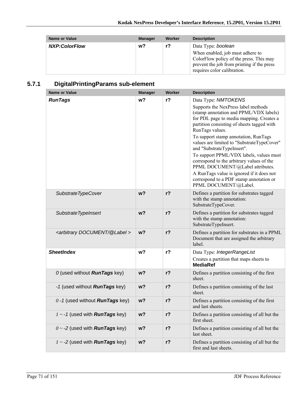| <b>Name or Value</b> | <b>Manager</b> | Worker | <b>Description</b>                                                                                                                              |
|----------------------|----------------|--------|-------------------------------------------------------------------------------------------------------------------------------------------------|
| <b>NXP:ColorFlow</b> | w?             | $r$ ?  | Data Type: boolean<br>When enabled, job must adhere to<br>ColorFlow policy of the press. This may<br>prevent the job from printing if the press |
|                      |                |        | requires color calibration.                                                                                                                     |

# **5.7.1 DigitalPrintingParams sub-element**

| <b>Name or Value</b>                          | <b>Manager</b> | <b>Worker</b>  | <b>Description</b>                                                                                                                                                                                                                                                                                                                                                                                                                                                                                                                                                                 |
|-----------------------------------------------|----------------|----------------|------------------------------------------------------------------------------------------------------------------------------------------------------------------------------------------------------------------------------------------------------------------------------------------------------------------------------------------------------------------------------------------------------------------------------------------------------------------------------------------------------------------------------------------------------------------------------------|
| <b>RunTags</b>                                | w?             | r?             | Data Type: NMTOKENS<br>Supports the NexPress label methods<br>(stamp annotation and PPML/VDX labels)<br>for PDL page to media mapping. Creates a<br>partition consisting of sheets tagged with<br>RunTags values.<br>To support stamp annotation, RunTags<br>values are limited to "SubstrateTypeCover"<br>and "SubstrateTypeInsert".<br>To support PPML/VDX labels, values must<br>correspond to the arbitrary values of the<br>PPML DOCUMENT/@Label attributes.<br>A RunTags value is ignored if it does not<br>correspond to a PDF stamp annotation or<br>PPML DOCUMENT/@Label. |
| SubstrateTypeCover                            | w <sub>2</sub> | $r$ ?          | Defines a partition for substrates tagged<br>with the stamp annotation:<br>SubstrateTypeCover.                                                                                                                                                                                                                                                                                                                                                                                                                                                                                     |
| Substrate TypeInsert                          | w <sub>2</sub> | $r$ ?          | Defines a partition for substrates tagged<br>with the stamp annotation:<br>SubstrateTypeInsert.                                                                                                                                                                                                                                                                                                                                                                                                                                                                                    |
| <arbitrary @label="" document=""></arbitrary> | w <sub>2</sub> | r <sub>2</sub> | Defines a partition for substrates in a PPML<br>Document that are assigned the arbitrary<br>label.                                                                                                                                                                                                                                                                                                                                                                                                                                                                                 |
| <b>SheetIndex</b>                             | w?             | $r$ ?          | Data Type: IntegerRangeList<br>Creates a partition that maps sheets to<br><b>MediaRef</b>                                                                                                                                                                                                                                                                                                                                                                                                                                                                                          |
| 0 (used without <b>RunTags</b> key)           | w <sub>2</sub> | $r$ ?          | Defines a partition consisting of the first<br>sheet.                                                                                                                                                                                                                                                                                                                                                                                                                                                                                                                              |
| -1 (used without <b>RunTags</b> key)          | w <sub>2</sub> | $r$ ?          | Defines a partition consisting of the last<br>sheet.                                                                                                                                                                                                                                                                                                                                                                                                                                                                                                                               |
| $0 - 1$ (used without <b>RunTags</b> key)     | w?             | r?             | Defines a partition consisting of the first<br>and last sheets.                                                                                                                                                                                                                                                                                                                                                                                                                                                                                                                    |
| $1 - 1$ (used with <b>RunTags</b> key)        | $w$ ?          | $r$ ?          | Defines a partition consisting of all but the<br>first sheet.                                                                                                                                                                                                                                                                                                                                                                                                                                                                                                                      |
| $0 \sim -2$ (used with <b>RunTags</b> key)    | w?             | $r$ ?          | Defines a partition consisting of all but the<br>last sheet.                                                                                                                                                                                                                                                                                                                                                                                                                                                                                                                       |
| $1 \sim -2$ (used with <b>RunTags</b> key)    | w?             | r?             | Defines a partition consisting of all but the<br>first and last sheets.                                                                                                                                                                                                                                                                                                                                                                                                                                                                                                            |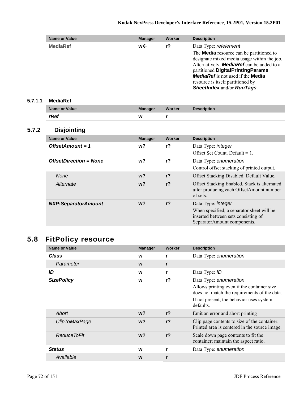| <b>Name or Value</b> | <b>Manager</b> | Worker | <b>Description</b>                                                                                                                                                                                                                                                                                                                      |
|----------------------|----------------|--------|-----------------------------------------------------------------------------------------------------------------------------------------------------------------------------------------------------------------------------------------------------------------------------------------------------------------------------------------|
| <b>MediaRef</b>      | w←             | $r$ ?  | Data Type: refelement<br>The <b>Media</b> resource can be partitioned to<br>designate mixed media usage within the job.<br>Alternatively, <b>MediaRef</b> can be added to a<br>partitioned DigitalPrintingParams.<br><b>MediaRef</b> is not used if the <b>Media</b><br>resource is itself partitioned by<br>SheetIndex and/or RunTags. |

#### **5.7.1.1 MediaRef**

| Name or Value | <b>Manager</b> | Worker | <b>Description</b> |
|---------------|----------------|--------|--------------------|
| rRef          | W              |        |                    |

## **5.7.2 Disjointing**

| Name or Value                 | <b>Manager</b> | Worker         | <b>Description</b>                                                                                                                           |
|-------------------------------|----------------|----------------|----------------------------------------------------------------------------------------------------------------------------------------------|
| OffsetAmount = $1$            | w?             | r <sub>2</sub> | Data Type: <i>integer</i><br>Offset Set Count. Default = $1$ .                                                                               |
| <b>OffsetDirection = None</b> | w?             | r <sub>2</sub> | Data Type: enumeration<br>Control offset stacking of printed output.                                                                         |
| <b>None</b>                   | w?             | r <sub>2</sub> | Offset Stacking Disabled. Default Value.                                                                                                     |
| Alternate                     | $w$ ?          | r <sub>2</sub> | Offset Stacking Enabled. Stack is alternated<br>after producing each OffsetAmount number<br>of sets.                                         |
| <b>NXP:SeparatorAmount</b>    | w?             | r <sub>2</sub> | Data Type: <i>integer</i><br>When specified, a separator sheet will be<br>inserted between sets consisting of<br>SeparatorAmount components. |

# **5.8 FitPolicy resource**

| <b>Name or Value</b> | <b>Manager</b> | Worker         | <b>Description</b>                                                                                                                                                            |
|----------------------|----------------|----------------|-------------------------------------------------------------------------------------------------------------------------------------------------------------------------------|
| <b>Class</b>         | W              | r              | Data Type: enumeration                                                                                                                                                        |
| Parameter            | W              | r              |                                                                                                                                                                               |
| ID                   | W              | r              | Data Type: ID                                                                                                                                                                 |
| <b>SizePolicy</b>    | W              | $r$ ?          | Data Type: enumeration<br>Allows printing even if the container size<br>does not match the requirements of the data.<br>If not present, the behavior uses system<br>defaults. |
| Abort                | $w$ ?          | r <sub>2</sub> | Emit an error and abort printing                                                                                                                                              |
| ClipToMaxPage        | $w$ ?          | r <sub>2</sub> | Clip page contents to size of the container.<br>Printed area is centered in the source image.                                                                                 |
| Reduce ToFit         | $w$ ?          | r <sub>2</sub> | Scale down page contents to fit the<br>container; maintain the aspect ratio.                                                                                                  |
| <b>Status</b>        | W              | r              | Data Type: enumeration                                                                                                                                                        |
| Available            | W              | r              |                                                                                                                                                                               |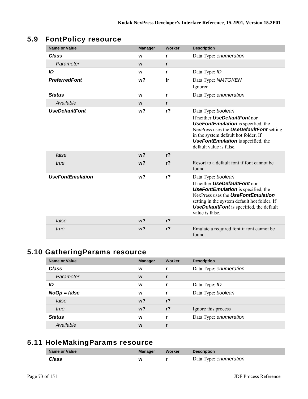## **5.9 FontPolicy resource**

| <b>Name or Value</b>    | <b>Manager</b> | Worker         | <b>Description</b>                                                                                                                                                                                                                                                  |
|-------------------------|----------------|----------------|---------------------------------------------------------------------------------------------------------------------------------------------------------------------------------------------------------------------------------------------------------------------|
| <b>Class</b>            | W              | r              | Data Type: enumeration                                                                                                                                                                                                                                              |
| Parameter               | W              | r              |                                                                                                                                                                                                                                                                     |
| ID                      | W              | r              | Data Type: ID                                                                                                                                                                                                                                                       |
| <b>PreferredFont</b>    | w <sub>2</sub> | !r             | Data Type: NMTOKEN<br>Ignored                                                                                                                                                                                                                                       |
| <b>Status</b>           | W              | r              | Data Type: enumeration                                                                                                                                                                                                                                              |
| Available               | W              | r              |                                                                                                                                                                                                                                                                     |
| <b>UseDefaultFont</b>   | w?             | r <sub>2</sub> | Data Type: boolean<br>If neither UseDefaultFont nor<br><b>UseFontEmulation</b> is specified, the<br>NexPress uses the <b>UseDefaultFont</b> setting<br>in the system default hot folder. If<br><b>UseFontEmulation</b> is specified, the<br>default value is false. |
| false                   | w <sub>2</sub> | r <sub>2</sub> |                                                                                                                                                                                                                                                                     |
| true                    | w <sub>2</sub> | r <sub>2</sub> | Resort to a default font if font cannot be<br>found.                                                                                                                                                                                                                |
| <b>UseFontEmulation</b> | w <sub>2</sub> | $r$ ?          | Data Type: boolean<br>If neither UseDefaultFont nor<br><b>UseFontEmulation</b> is specified, the<br>NexPress uses the UseFontEmulation<br>setting in the system default hot folder. If<br><b>UseDefaultFont</b> is specified, the default<br>value is false.        |
| false                   | w?             | $r$ ?          |                                                                                                                                                                                                                                                                     |
| true                    | w <sub>2</sub> | r <sub>2</sub> | Emulate a required font if font cannot be<br>found.                                                                                                                                                                                                                 |

# **5.10 GatheringParams resource**

| Name or Value  | <b>Manager</b> | Worker         | <b>Description</b>     |
|----------------|----------------|----------------|------------------------|
| <b>Class</b>   | W              |                | Data Type: enumeration |
| Parameter      | W              | $\mathbf{r}$   |                        |
| ID             | W              |                | Data Type: ID          |
| $NoOp = false$ | W              |                | Data Type: boolean     |
| false          | w <sub>2</sub> | r <sub>2</sub> |                        |
| true           | w <sub>2</sub> | r <sub>2</sub> | Ignore this process    |
| <b>Status</b>  | W              |                | Data Type: enumeration |
| Available      | W              |                |                        |

## **5.11 HoleMakingParams resource**

| Name or Value | <b>Manager</b> | Worker | <b>Description</b>     |
|---------------|----------------|--------|------------------------|
| <b>Class</b>  | W              |        | Data Type: enumeration |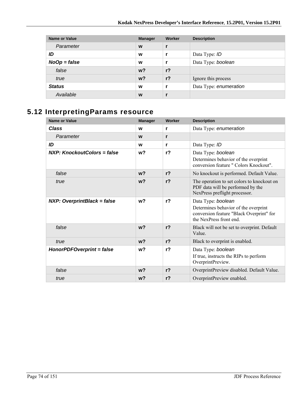| <b>Name or Value</b> | <b>Manager</b> | Worker         | <b>Description</b>     |
|----------------------|----------------|----------------|------------------------|
| Parameter            | W              |                |                        |
| ID                   | W              |                | Data Type: ID          |
| $NoOp = false$       | W              |                | Data Type: boolean     |
| false                | w <sup>2</sup> | r <sub>2</sub> |                        |
| true                 | $w$ ?          | $r$ ?          | Ignore this process    |
| <b>Status</b>        | W              |                | Data Type: enumeration |
| Available            | W              |                |                        |

# **5.12 InterpretingParams resource**

| <b>Name or Value</b>               | <b>Manager</b> | Worker         | <b>Description</b>                                                                                               |
|------------------------------------|----------------|----------------|------------------------------------------------------------------------------------------------------------------|
| <b>Class</b>                       | W              | r              | Data Type: enumeration                                                                                           |
| Parameter                          | W              | r              |                                                                                                                  |
| ID                                 | W              | r              | Data Type: ID                                                                                                    |
| NXP: KnockoutColors = false        | w <sub>2</sub> | r <sub>2</sub> | Data Type: boolean                                                                                               |
|                                    |                |                | Determines behavior of the overprint<br>conversion feature " Colors Knockout".                                   |
| false                              | $w$ ?          | r <sub>2</sub> | No knockout is performed. Default Value.                                                                         |
| true                               | $w$ ?          | r <sub>2</sub> | The operation to set colors to knockout on<br>PDF data will be performed by the<br>NexPress preflight processor. |
| <b>NXP: OverprintBlack = false</b> | w <sub>2</sub> | r <sub>2</sub> | Data Type: boolean                                                                                               |
|                                    |                |                | Determines behavior of the overprint<br>conversion feature "Black Overprint" for<br>the NexPress front end       |
| false                              | w <sub>2</sub> | r <sub>2</sub> | Black will not be set to overprint. Default<br>Value.                                                            |
| true                               | w <sub>2</sub> | $r$ ?          | Black to overprint is enabled.                                                                                   |
| HonorPDFOverprint = false          | w <sub>2</sub> | r <sub>2</sub> | Data Type: boolean                                                                                               |
|                                    |                |                | If true, instructs the RIPs to perform<br>OverprintPreview.                                                      |
| false                              | w <sub>2</sub> | $r$ ?          | OverprintPreview disabled. Default Value.                                                                        |
| true                               | w <sub>2</sub> | $r$ ?          | OverprintPreview enabled.                                                                                        |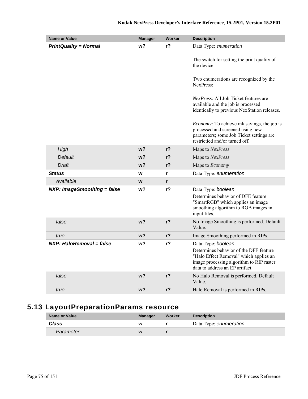| <b>Name or Value</b>         | <b>Manager</b> | Worker         | <b>Description</b>                                                                                                                                                   |
|------------------------------|----------------|----------------|----------------------------------------------------------------------------------------------------------------------------------------------------------------------|
| <b>PrintQuality = Normal</b> | w?             | r <sub>2</sub> | Data Type: enumeration                                                                                                                                               |
|                              |                |                | The switch for setting the print quality of                                                                                                                          |
|                              |                |                | the device                                                                                                                                                           |
|                              |                |                | Two enumerations are recognized by the<br>NexPress <sup>-</sup>                                                                                                      |
|                              |                |                | <i>NexPress:</i> All Job Ticket features are<br>available and the job is processed<br>identically to previous NexStation releases.                                   |
|                              |                |                | <i>Economy:</i> To achieve ink savings, the job is<br>processed and screened using new<br>parameters; some Job Ticket settings are<br>restrictied and/or turned off. |
| High                         | w?             | $r$ ?          | Maps to NexPress                                                                                                                                                     |
| Default                      | w?             | $r$ ?          | Maps to NexPress                                                                                                                                                     |
| Draft                        | w?             | $r$ ?          | Maps to Economy                                                                                                                                                      |
| <b>Status</b>                | W              | r              | Data Type: enumeration                                                                                                                                               |
| Available                    | W              | $\mathbf{r}$   |                                                                                                                                                                      |
| NXP: ImageSmoothing = false  | w?             | r <sub>2</sub> | Data Type: boolean                                                                                                                                                   |
|                              |                |                | Determines behavior of DFE feature<br>"SmartRGB" which applies an image<br>smoothing algorithm to RGB images in<br>input files.                                      |
| false                        | w <sub>2</sub> | $r$ ?          | No Image Smoothing is performed. Default<br>Value.                                                                                                                   |
| true                         | w?             | $r$ ?          | Image Smoothing performed in RIPs.                                                                                                                                   |
| NXP: HaloRemoval = false     | w?             | r <sub>2</sub> | Data Type: boolean                                                                                                                                                   |
|                              |                |                | Determines behavior of the DFE feature<br>"Halo Effect Removal" which applies an<br>image processing algorithm to RIP raster<br>data to address an EP artifact.      |
| false                        | w <sub>2</sub> | $r$ ?          | No Halo Removal is performed. Default<br>Value.                                                                                                                      |
| true                         | w <sub>2</sub> | r <sub>2</sub> | Halo Removal is performed in RIPs.                                                                                                                                   |

# **5.13 LayoutPreparationParams resource**

| <b>Name or Value</b> | <b>Manager</b> | Worker | <b>Description</b>     |
|----------------------|----------------|--------|------------------------|
| <b>Class</b>         | W              |        | Data Type: enumeration |
| Parameter            | W              |        |                        |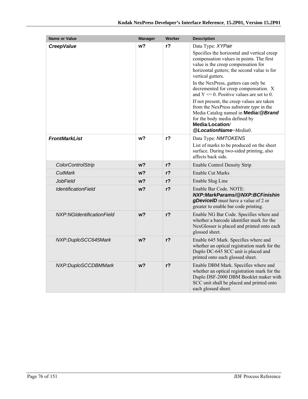| <b>Name or Value</b>              | <b>Manager</b> | <b>Worker</b>  | <b>Description</b>                                                                                                                                                                                                                                                                                                                                                                                                                                                                                                                                                            |
|-----------------------------------|----------------|----------------|-------------------------------------------------------------------------------------------------------------------------------------------------------------------------------------------------------------------------------------------------------------------------------------------------------------------------------------------------------------------------------------------------------------------------------------------------------------------------------------------------------------------------------------------------------------------------------|
| <b>CreepValue</b>                 | w?             | $r$ ?          | Data Type: XYPair<br>Specifies the horizontal and vertical creep<br>compensation values in points. The first<br>value is the creep compensation for<br>horizontal gutters; the second value is for<br>vertical gutters.<br>In the NexPress, gutters can only be<br>decremented for creep compensation. X<br>and $Y \le 0$ . Positive values are set to 0.<br>If not present, the creep values are taken<br>from the NexPress <i>substrate type</i> in the<br>Media Catalog named in Media/@Brand<br>for the body media defined by<br>Media/Location/<br>@LocationName=Media0. |
| <b>FrontMarkList</b>              | w?             | $r$ ?          | Data Type: NMTOKENS<br>List of marks to be produced on the sheet<br>surface. During two-sided printing, also<br>affects back side                                                                                                                                                                                                                                                                                                                                                                                                                                             |
| <b>ColorControlStrip</b>          | w?             | $r$ ?          | <b>Enable Control Density Strip</b>                                                                                                                                                                                                                                                                                                                                                                                                                                                                                                                                           |
| CutMark                           | w?             | r?             | Enable Cut Marks                                                                                                                                                                                                                                                                                                                                                                                                                                                                                                                                                              |
| JobField                          | $w$ ?          | r?             | Enable Slug Line                                                                                                                                                                                                                                                                                                                                                                                                                                                                                                                                                              |
| <i><b>IdentificationField</b></i> | w?             | $r$ ?          | Enable Bar Code. NOTE:<br>NXP:MarkParams/@NXP:BCFinishin<br>gDevicelD must have a value of 2 or<br>greater to enable bar code printing.                                                                                                                                                                                                                                                                                                                                                                                                                                       |
| NXP:NGIdentificationField         | $w$ ?          | r <sub>2</sub> | Enable NG Bar Code. Specifies where and<br>whether a barcode identifier mark for the<br>NexGlosser is placed and printed onto each<br>glossed sheet.                                                                                                                                                                                                                                                                                                                                                                                                                          |
| NXP:DuploSCC645Mark               | w?             | $r$ ?          | Enable 645 Mark. Specifies where and<br>whether an optical registration mark for the<br>Duplo DC-645 SCC unit is placed and<br>printed onto each glossed sheet.                                                                                                                                                                                                                                                                                                                                                                                                               |
| NXP:DuploSCCDBMMark               | w <sub>2</sub> | $r$ ?          | Enable DBM Mark. Specifies where and<br>whether an optical registration mark for the<br>Duplo DSF-2000 DBM Booklet maker with<br>SCC unit shall be placed and printed onto<br>each glossed sheet.                                                                                                                                                                                                                                                                                                                                                                             |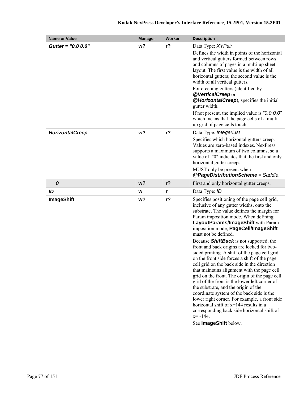| <b>Name or Value</b>   | <b>Manager</b> | <b>Worker</b>  | <b>Description</b>                                                                                                                                                                                                                                                                                                                                                                                                                                                                                                                                                                                                                                                                                                                                                                                                                                                                                                                                                |
|------------------------|----------------|----------------|-------------------------------------------------------------------------------------------------------------------------------------------------------------------------------------------------------------------------------------------------------------------------------------------------------------------------------------------------------------------------------------------------------------------------------------------------------------------------------------------------------------------------------------------------------------------------------------------------------------------------------------------------------------------------------------------------------------------------------------------------------------------------------------------------------------------------------------------------------------------------------------------------------------------------------------------------------------------|
| Gutter = "0.0 0.0"     | w?             | r <sub>2</sub> | Data Type: XYPair<br>Defines the width in points of the horizontal<br>and vertical gutters formed between rows<br>and columns of pages in a multi-up sheet<br>layout. The first value is the width of all<br>horizontal gutters; the second value is the<br>width of all vertical gutters.<br>For creeping gutters (identified by<br>@VerticalCreep or<br>@HorizontalCreep), specifies the initial<br>gutter width.<br>If not present, the implied value is " $0.00$ "<br>which means that the page cells of a multi-<br>up grid of page cells touch.                                                                                                                                                                                                                                                                                                                                                                                                             |
| <b>HorizontalCreep</b> | w?             | $r$ ?          | Data Type: IntegerList<br>Specifies which horizontal gutters creep.<br>Values are zero-based indexes. NexPress<br>supports a maximum of two columns, so a<br>value of "0" indicates that the first and only<br>horizontal gutter creeps.<br>MUST only be present when<br>@PageDistributionScheme = Saddle.                                                                                                                                                                                                                                                                                                                                                                                                                                                                                                                                                                                                                                                        |
| 0                      | w <sub>2</sub> | $r$ ?          | First and only horizontal gutter creeps.                                                                                                                                                                                                                                                                                                                                                                                                                                                                                                                                                                                                                                                                                                                                                                                                                                                                                                                          |
| ID                     | W              | r              | Data Type: ID                                                                                                                                                                                                                                                                                                                                                                                                                                                                                                                                                                                                                                                                                                                                                                                                                                                                                                                                                     |
| <b>ImageShift</b>      | w?             | r <sub>2</sub> | Specifies positioning of the page cell grid,<br>inclusive of any gutter widths, onto the<br>substrate. The value defines the margin for<br>Param imposition mode. When defining<br>LayoutParams/ImageShift with Param<br>imposition mode, PageCell/ImageShift<br>must not be defined.<br>Because <b>ShiftBack</b> is not supported, the<br>front and back origins are locked for two-<br>sided printing. A shift of the page cell grid<br>on the front side forces a shift of the page<br>cell grid on the back side in the direction<br>that maintains alignment with the page cell<br>grid on the front. The origin of the page cell<br>grid of the front is the lower left corner of<br>the substrate, and the origin of the<br>coordinate system of the back side is the<br>lower right corner. For example, a front side<br>horizontal shift of $x=144$ results in a<br>corresponding back side horizontal shift of<br>$x = -144$ .<br>See ImageShift below. |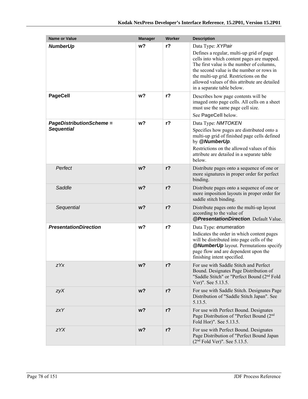| <b>Name or Value</b>                                 | <b>Manager</b> | <b>Worker</b>  | <b>Description</b>                                                                                                                                                                                                                                                                                                             |
|------------------------------------------------------|----------------|----------------|--------------------------------------------------------------------------------------------------------------------------------------------------------------------------------------------------------------------------------------------------------------------------------------------------------------------------------|
| <b>NumberUp</b>                                      | w <sub>2</sub> | $r$ ?          | Data Type: XYPair<br>Defines a regular, multi-up grid of page<br>cells into which content pages are mapped.<br>The first value is the number of columns,<br>the second value is the number or rows in<br>the multi-up grid. Restrictions on the<br>allowed values of this attribute are detailed<br>in a separate table below. |
| <b>PageCell</b>                                      | w <sub>2</sub> | $r$ ?          | Describes how page contents will be<br>imaged onto page cells. All cells on a sheet<br>must use the same page cell size.<br>See PageCell below.                                                                                                                                                                                |
| <b>PageDistributionScheme =</b><br><b>Sequential</b> | w <sub>2</sub> | r <sub>2</sub> | Data Type: NMTOKEN<br>Specifies how pages are distributed onto a<br>multi-up grid of finished page cells defined<br>by @NumberUp.<br>Restrictions on the allowed values of this<br>attribute are detailed in a separate table<br>below.                                                                                        |
| Perfect                                              | w <sub>2</sub> | $r$ ?          | Distribute pages onto a sequence of one or<br>more signatures in proper order for perfect<br>binding.                                                                                                                                                                                                                          |
| Saddle                                               | w <sub>2</sub> | $r$ ?          | Distribute pages onto a sequence of one or<br>more imposition layouts in proper order for<br>saddle stitch binding.                                                                                                                                                                                                            |
| Sequential                                           | w <sub>2</sub> | $r$ ?          | Distribute pages onto the multi-up layout<br>according to the value of<br>@PresentationDirection. Default Value.                                                                                                                                                                                                               |
| <b>PresentationDirection</b>                         | w <sub>2</sub> | r <sub>2</sub> | Data Type: enumeration<br>Indicates the order in which content pages<br>will be distributed into page cells of the<br><b>@NumberUp</b> layout. Permutations specify<br>page flow and are dependent upon the<br>finishing intent specified.                                                                                     |
| zYx                                                  | w?             | $r$ ?          | For use with Saddle Stitch and Perfect<br>Bound. Designates Page Distribution of<br>"Saddle Stitch" or "Perfect Bound (2 <sup>nd</sup> Fold<br>Ver)". See 5.13.5.                                                                                                                                                              |
| zyX                                                  | $w$ ?          | $r$ ?          | For use with Saddle Stitch. Designates Page<br>Distribution of "Saddle Stitch Japan". See<br>5.13.5.                                                                                                                                                                                                                           |
| <b>zxY</b>                                           | $w$ ?          | $r$ ?          | For use with Perfect Bound. Designates<br>Page Distribution of "Perfect Bound (2 <sup>nd</sup><br>Fold Hor)". See 5.13.5.                                                                                                                                                                                                      |
| zYX                                                  | $w$ ?          | $r$ ?          | For use with Perfect Bound. Designates<br>Page Distribution of "Perfect Bound Japan<br>$(2nd Fold Ver)$ ". See 5.13.5.                                                                                                                                                                                                         |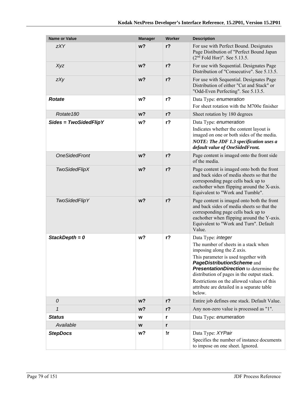| <b>Name or Value</b>    | <b>Manager</b> | <b>Worker</b>  | <b>Description</b>                                                                                                                                                                                                                                                                                                                                                  |
|-------------------------|----------------|----------------|---------------------------------------------------------------------------------------------------------------------------------------------------------------------------------------------------------------------------------------------------------------------------------------------------------------------------------------------------------------------|
| <b>zXY</b>              | w <sub>2</sub> | $r$ ?          | For use with Perfect Bound. Designates<br>Page Distibution of "Perfect Bound Japan<br>$(2nd$ Fold Hor)". See 5.13.5.                                                                                                                                                                                                                                                |
| Xyz                     | w <sub>2</sub> | $r$ ?          | For use with Sequential. Designates Page<br>Distribution of "Consecutive". See 5.13.5.                                                                                                                                                                                                                                                                              |
| zXy                     | $w$ ?          | $r$ ?          | For use with Sequential. Designates Page<br>Distribution of either "Cut and Stack" or<br>"Odd-Even Perfecting". See 5.13.5.                                                                                                                                                                                                                                         |
| <b>Rotate</b>           | w?             | r <sub>2</sub> | Data Type: enumeration<br>For sheet rotation with the M700e finisher                                                                                                                                                                                                                                                                                                |
| Rotate <sub>180</sub>   | w <sub>2</sub> | $r$ ?          | Sheet rotation by 180 degrees                                                                                                                                                                                                                                                                                                                                       |
| $Sides = TwoSidedFlipY$ | w?             | $r$ ?          | Data Type: enumeration<br>Indicates whether the content layout is<br>imaged on one or both sides of the media.<br><b>NOTE: The JDF 1.3 specification uses a</b><br>default value of OneSidedFront.                                                                                                                                                                  |
| <b>OneSidedFront</b>    | w <sub>2</sub> | r <sub>2</sub> | Page content is imaged onto the front side<br>of the media.                                                                                                                                                                                                                                                                                                         |
| <b>TwoSidedFlipX</b>    | $w$ ?          | $r$ ?          | Page content is imaged onto both the front<br>and back sides of media sheets so that the<br>corresponding page cells back up to<br>eachother when flipping around the X-axis.<br>Equivalent to "Work and Tumble".                                                                                                                                                   |
| <b>TwoSidedFlipY</b>    | w <sub>2</sub> | $r$ ?          | Page content is imaged onto both the front<br>and back sides of media sheets so that the<br>corresponding page cells back up to<br>eachother when flipping around the Y-axis.<br>Equivalent to "Work and Turn". Default<br>Value.                                                                                                                                   |
| StackDepth = $0$        | w?             | $r$ ?          | Data Type: integer<br>The number of sheets in a stack when<br>imposing along the Z axis.<br>This parameter is used together with<br>PageDistributionScheme and<br><b>PresentationDirection</b> to determine the<br>distribution of pages in the output stack.<br>Restrictions on the allowed values of this<br>attribute are detailed in a separate table<br>below. |
| 0                       | $w$ ?          | $r$ ?          | Entire job defines one stack. Default Value.                                                                                                                                                                                                                                                                                                                        |
| $\mathbf{1}$            | $w$ ?          | $r$ ?          | Any non-zero value is processed as "1".                                                                                                                                                                                                                                                                                                                             |
| <b>Status</b>           | w              | r              | Data Type: enumeration                                                                                                                                                                                                                                                                                                                                              |
| Available               | W              | r              |                                                                                                                                                                                                                                                                                                                                                                     |
| <b>StepDocs</b>         | w?             | !r             | Data Type: XYPair<br>Specifies the number of instance documents<br>to impose on one sheet. Ignored.                                                                                                                                                                                                                                                                 |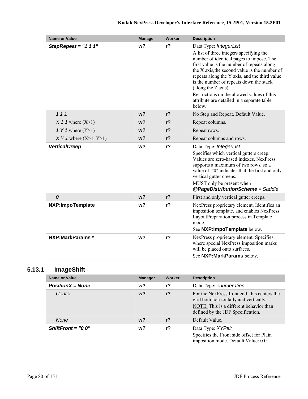| <b>Name or Value</b>      | <b>Manager</b> | Worker         | <b>Description</b>                                                                                                                                                                                                                                                                                                                                                                                                                    |
|---------------------------|----------------|----------------|---------------------------------------------------------------------------------------------------------------------------------------------------------------------------------------------------------------------------------------------------------------------------------------------------------------------------------------------------------------------------------------------------------------------------------------|
| StepRepeat = $"1 1 1"$    | w <sub>2</sub> | r <sub>2</sub> | Data Type: IntegerList<br>A list of three integers specifying the<br>number of identical pages to impose. The<br>first value is the number of repeats along<br>the X axis, the second value is the number of<br>repeats along the Y axis, and the third value<br>is the number of repeats down the stack<br>(along the Z axis).<br>Restrictions on the allowed values of this<br>attribute are detailed in a separate table<br>below. |
| 111                       | w <sub>2</sub> | $r$ ?          | No Step and Repeat. Default Value.                                                                                                                                                                                                                                                                                                                                                                                                    |
| $X$ 1 1 where $(X>1)$     | w <sub>2</sub> | r <sub>2</sub> | Repeat columns.                                                                                                                                                                                                                                                                                                                                                                                                                       |
| 1 Y 1 where $(Y>1)$       | w <sub>2</sub> | r <sub>2</sub> | Repeat rows.                                                                                                                                                                                                                                                                                                                                                                                                                          |
| $XY 1$ where $(X>1, Y>1)$ | $w$ ?          | $r$ ?          | Repeat columns and rows.                                                                                                                                                                                                                                                                                                                                                                                                              |
| <b>VerticalCreep</b>      | w <sub>2</sub> | r <sub>2</sub> | Data Type: IntegerList<br>Specifies which vertical gutters creep.<br>Values are zero-based indexes. NexPress<br>supports a maximum of two rows, so a<br>value of "0" indicates that the first and only<br>vertical gutter creeps.<br>MUST only be present when<br>@PageDistributionScheme = Saddle                                                                                                                                    |
| $\mathcal{O}$             | w <sub>2</sub> | $r$ ?          | First and only vertical gutter creeps.                                                                                                                                                                                                                                                                                                                                                                                                |
| NXP:ImpoTemplate          | w <sub>2</sub> | r <sub>2</sub> | NexPress proprietary element. Identifies an<br>imposition template, and enables NexPress<br>LayoutPreparation process in Template<br>mode.<br>See NXP: ImpoTemplate below.                                                                                                                                                                                                                                                            |
| NXP:MarkParams *          | w <sub>2</sub> | $r$ ?          | NexPress proprietary element. Specifies<br>where special NexPress imposition marks<br>will be placed onto surfaces.<br>See NXP: MarkParams below.                                                                                                                                                                                                                                                                                     |

## **5.13.1 ImageShift**

| <b>Name or Value</b> | <b>Manager</b> | Worker | <b>Description</b>                                                                                                                                                     |
|----------------------|----------------|--------|------------------------------------------------------------------------------------------------------------------------------------------------------------------------|
| $PositionX = None$   | w?             | r?     | Data Type: enumeration                                                                                                                                                 |
| Center               | $w$ ?          | $r$ ?  | For the NexPress front end, this centers the<br>grid both horizontally and vertically.<br>NOTE: This is a different behavior than<br>defined by the JDF Specification. |
| None                 | $w$ ?          | $r$ ?  | Default Value.                                                                                                                                                         |
| $ShiftFront = "0 0"$ | w?             | r?     | Data Type: XYPair<br>Specifies the Front side offset for Plain<br>imposition mode. Default Value: 00.                                                                  |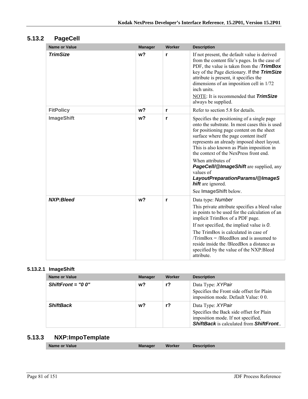## **5.13.2 PageCell**

| <b>Name or Value</b> | <b>Manager</b> | Worker | <b>Description</b>                                                                                                                                                                                                                                                                                                                                                                                                                                                                            |
|----------------------|----------------|--------|-----------------------------------------------------------------------------------------------------------------------------------------------------------------------------------------------------------------------------------------------------------------------------------------------------------------------------------------------------------------------------------------------------------------------------------------------------------------------------------------------|
| <b>TrimSize</b>      | w <sub>2</sub> | r      | If not present, the default value is derived<br>from the content file's pages. In the case of<br>PDF, the value is taken from the / <b>TrimBox</b><br>key of the Page dictionary. If the TrimSize<br>attribute is present, it specifies the<br>dimensions of an imposition cell in 1/72<br>inch units.<br>NOTE: It is recommended that <b>TrimSize</b><br>always be supplied.                                                                                                                 |
| <b>FitPolicy</b>     | w <sub>2</sub> | r      | Refer to section 5.8 for details.                                                                                                                                                                                                                                                                                                                                                                                                                                                             |
| <b>ImageShift</b>    | w?             | r      | Specifies the positioning of a single page<br>onto the substrate. In most cases this is used<br>for positioning page content on the sheet<br>surface where the page content itself<br>represents an already imposed sheet layout.<br>This is also known as Plain imposition in<br>the context of the NexPress front end.<br>When attributes of<br>PageCell/@ImageShift are supplied, any<br>values of<br>LayoutPreparationParams/@ImageS<br><b>hift</b> are ignored.<br>See ImageShift below. |
| <b>NXP:Bleed</b>     | w <sub>2</sub> | r      | Data type: Number<br>This private attribute specifies a bleed value<br>in points to be used for the calculation of an<br>implicit TrimBox of a PDF page.<br>If not specified, the implied value is $O$ .<br>The TrimBox is calculated in case of<br>$TrimBox = /BleedBox$ and is assumed to<br>reside inside the /BleedBox a distance as<br>specified by the value of the NXP:Bleed<br>attribute.                                                                                             |

#### **5.13.2.1 ImageShift**

| <b>Name or Value</b> | <b>Manager</b> | Worker | <b>Description</b>                                                                                                                                             |
|----------------------|----------------|--------|----------------------------------------------------------------------------------------------------------------------------------------------------------------|
| ShiftFront = $"0 0"$ | $w$ ?          | r?     | Data Type: XYPair<br>Specifies the Front side offset for Plain<br>imposition mode. Default Value: 00.                                                          |
| <b>ShiftBack</b>     | w?             | r?     | Data Type: XYPair<br>Specifies the Back side offset for Plain<br>imposition mode. If not specified,<br><b>ShiftBack</b> is calculated from <b>ShiftFront</b> . |

## **5.13.3 NXP:ImpoTemplate**

| Name or Value | ınader | Worker | ption |  |
|---------------|--------|--------|-------|--|
|               |        |        |       |  |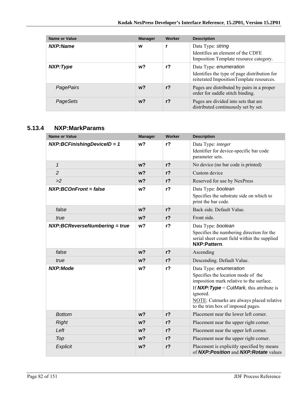| <b>Name or Value</b> | <b>Manager</b> | Worker | <b>Description</b>                                                                                                 |
|----------------------|----------------|--------|--------------------------------------------------------------------------------------------------------------------|
| NXP:Name             | W              |        | Data Type: string<br>Identifies an element of the CDFE<br>Imposition Template resource category.                   |
| NXP:Type             | w?             | $r$ ?  | Data Type: enumeration<br>Identifies the type of page distribution for<br>reiterated ImpositionTemplate resources. |
| PagePairs            | $w$ ?          | $r$ ?  | Pages are distributed by pairs in a proper<br>order for saddle stitch binding.                                     |
| PageSets             | $w$ ?          | $r$ ?  | Pages are divided into sets that are<br>distributed continuously set by set.                                       |

### **5.13.4 NXP:MarkParams**

| <b>Name or Value</b>            | <b>Manager</b> | Worker         | <b>Description</b>                                                                                                                                                                                                                                    |
|---------------------------------|----------------|----------------|-------------------------------------------------------------------------------------------------------------------------------------------------------------------------------------------------------------------------------------------------------|
| $NXP:BCF inishing DevicelD = 1$ | w <sub>2</sub> | $r$ ?          | Data Type: integer<br>Identifier for device-specific bar code<br>parameter sets.                                                                                                                                                                      |
| $\mathbf{1}$                    | w <sub>2</sub> | $r$ ?          | No device (no bar code is printed)                                                                                                                                                                                                                    |
| $\overline{c}$                  | w <sub>2</sub> | $r$ ?          | Custom device                                                                                                                                                                                                                                         |
| >2                              | $w$ ?          | r <sub>2</sub> | Reserved for use by NexPress                                                                                                                                                                                                                          |
| <b>NXP:BCOnFront = false</b>    | w <sub>2</sub> | $r$ ?          | Data Type: boolean<br>Specifies the substrate side on which to<br>print the bar code.                                                                                                                                                                 |
| false                           | w <sub>2</sub> | $r$ ?          | Back side. Default Value.                                                                                                                                                                                                                             |
| true                            | $w$ ?          | $r$ ?          | Front side.                                                                                                                                                                                                                                           |
| NXP:BCReverseNumbering = true   | w <sub>2</sub> | $r$ ?          | Data Type: boolean<br>Specifies the numbering direction for the<br>serial sheet count field within the supplied<br>NXP:Pattern                                                                                                                        |
| false                           | w <sub>2</sub> | $r$ ?          | Ascending                                                                                                                                                                                                                                             |
| true                            | w?             | $r$ ?          | Descending. Default Value.                                                                                                                                                                                                                            |
| <b>NXP:Mode</b>                 | w?             | $r$ ?          | Data Type: enumeration<br>Specifies the location mode of the<br>imposition mark relative to the surface.<br>If $NXP:Type = CutMark$ , this attribute is<br>ignored.<br>NOTE: Cutmarks are always placed relative<br>to the trim box of imposed pages. |
| <b>Bottom</b>                   | w <sub>2</sub> | $r$ ?          | Placement near the lower left corner.                                                                                                                                                                                                                 |
| <b>Right</b>                    | $w$ ?          | $r$ ?          | Placement near the upper right corner.                                                                                                                                                                                                                |
| Left                            | $w$ ?          | r <sub>2</sub> | Placement near the upper left corner.                                                                                                                                                                                                                 |
| Top                             | w <sub>2</sub> | $r$ ?          | Placement near the upper right corner.                                                                                                                                                                                                                |
| Explicit                        | w <sub>2</sub> | $r$ ?          | Placement is explicitly specified by means<br>of NXP: Position and NXP: Rotate values                                                                                                                                                                 |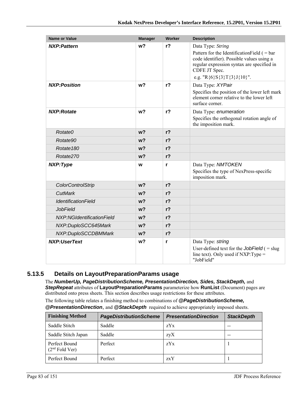| <b>Name or Value</b>       | <b>Manager</b> | <b>Worker</b>  | <b>Description</b>                                                                                                                                                                                           |
|----------------------------|----------------|----------------|--------------------------------------------------------------------------------------------------------------------------------------------------------------------------------------------------------------|
| <b>NXP:Pattern</b>         | w <sub>2</sub> | $r$ ?          | Data Type: String<br>Pattern for the Identification Field ( $=$ bar<br>code identifier). Possible values using a<br>regular expression syntax are specified in<br>CDFE JT Spec.<br>e.g. "R{6}S{3}T{3}J{10}". |
| <b>NXP:Position</b>        | w <sub>2</sub> | $r$ ?          | Data Type: XYPair<br>Specifies the position of the lower left mark<br>element corner relative to the lower left<br>surface corner.                                                                           |
| <b>NXP:Rotate</b>          | w <sub>2</sub> | r <sub>2</sub> | Data Type: enumeration<br>Specifies the orthogonal rotation angle of<br>the imposition mark.                                                                                                                 |
| Rotate0                    | w <sub>2</sub> | r <sub>2</sub> |                                                                                                                                                                                                              |
| Rotate90                   | w <sub>2</sub> | r <sub>2</sub> |                                                                                                                                                                                                              |
| Rotate <sub>180</sub>      | $w$ ?          | r <sub>2</sub> |                                                                                                                                                                                                              |
| Rotate270                  | w <sub>2</sub> | $r$ ?          |                                                                                                                                                                                                              |
| NXP:Type                   | W              | r              | Data Type: NMTOKEN<br>Specifies the type of NexPress-specific<br>imposition mark.                                                                                                                            |
| ColorControlStrip          | w <sub>2</sub> | $r$ ?          |                                                                                                                                                                                                              |
| <b>CutMark</b>             | w <sub>2</sub> | $r$ ?          |                                                                                                                                                                                                              |
| <b>IdentificationField</b> | w?             | r <sub>2</sub> |                                                                                                                                                                                                              |
| <b>JobField</b>            | $w$ ?          | $r$ ?          |                                                                                                                                                                                                              |
| NXP:NGIdentificationField  | $w$ ?          | r <sub>2</sub> |                                                                                                                                                                                                              |
| NXP:DuploSCC645Mark        | w <sub>2</sub> | $r$ ?          |                                                                                                                                                                                                              |
| NXP:DuploSCCDBMMark        | w <sub>2</sub> | $r$ ?          |                                                                                                                                                                                                              |
| <b>NXP:UserText</b>        | w?             | r              | Data Type: string<br>User-defined text for the JobField $( =$ slug<br>line text). Only used if $NXP:Type =$<br>"JobField"                                                                                    |

### **5.13.5 Details on LayoutPreparationParams usage**

The *NumberUp, PageDistributionScheme, PresentationDirection, Sides, StackDepth,* and *StepRepeat* attributes of **LayoutPreparationParams** parameterize how **RunList** (Document) pages are distributed onto press sheets. This section describes usage restrictions for these attributes.

The following table relates a finishing method to combinations of *@PageDistributionScheme,* 

|  | <b>@PresentationDirection</b> , and <b>@StackDepth</b> required to achieve appropriately imposed sheets. |
|--|----------------------------------------------------------------------------------------------------------|
|--|----------------------------------------------------------------------------------------------------------|

| <b>Finishing Method</b>                     | <b>PageDistributionScheme</b> | <b>PresentationDirection</b> | <b>StackDepth</b> |
|---------------------------------------------|-------------------------------|------------------------------|-------------------|
| Saddle Stitch                               | Saddle                        | zYx                          |                   |
| Saddle Stitch Japan                         | Saddle                        | zyX                          |                   |
| Perfect Bound<br>(2 <sup>nd</sup> Fold Ver) | Perfect                       | zYx                          |                   |
| Perfect Bound                               | Perfect                       | zxY                          |                   |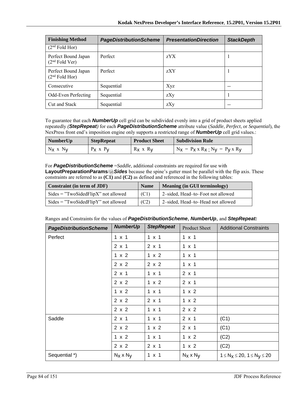| <b>Finishing Method</b>                 | <b>PageDistributionScheme</b> | <b>PresentationDirection</b> | <b>StackDepth</b> |
|-----------------------------------------|-------------------------------|------------------------------|-------------------|
| $(2nd$ Fold Hor)                        |                               |                              |                   |
| Perfect Bound Japan<br>$(2nd$ Fold Ver) | Perfect                       | zYX                          |                   |
| Perfect Bound Japan<br>$(2nd$ Fold Hor) | Perfect                       | zXY                          |                   |
| Consecutive                             | Sequential                    | Xyz                          |                   |
| Odd-Even Perfecting                     | Sequential                    | zXy                          |                   |
| Cut and Stack                           | Sequential                    | zXy                          |                   |

To guarantee that each *NumberUp* cell grid can be subdivided evenly into a grid of product sheets applied repeatedly *(StepRepeat)* for each *PageDistributionScheme* attribute value (*Saddle*, *Perfect*, or *Sequential*), the NexPress front end's imposition engine only supports a restricted range of *NumberUp* cell grid values.:

| NumberUp      | <b>StepRepeat</b> | <b>Product Sheet</b> | <b>Subdivision Rule</b>                         |
|---------------|-------------------|----------------------|-------------------------------------------------|
| $N_X$ x $N_V$ | $P_X$ x $P_V$     | $R_X$ x $R_V$        | $N_X = P_X \times R_X$ ; $N_V = P_V \times R_V$ |

For *PageDistributionScheme* =*Saddle*, additional constraints are required for use with **LayoutPreparationParams**/@*Sides* because the spine's gutter must be parallel with the flip axis. These constraints are referred to as **(C1)** and **(C2)** as defined and referenced in the following tables:

| Constraint (in term of JDF)           | <b>Name</b> | <b>Meaning (in GUI terminology)</b> |
|---------------------------------------|-------------|-------------------------------------|
| $Sides = "TwoSidedFlipX"$ not allowed | (C1)        | 2-sided, Head-to-Foot not allowed   |
| $Sides = "TwoSidedFlipY"$ not allowed | (C2)        | 2-sided, Head-to-Head not allowed   |

| Ranges and Constraints for the values of PageDistributionScheme, NumberUp, and StepRepeat: |                                                                                                                                                                                                                                                                                                                                                                                                                                                                                         |  |                                                         |  |  |
|--------------------------------------------------------------------------------------------|-----------------------------------------------------------------------------------------------------------------------------------------------------------------------------------------------------------------------------------------------------------------------------------------------------------------------------------------------------------------------------------------------------------------------------------------------------------------------------------------|--|---------------------------------------------------------|--|--|
|                                                                                            | $Numbarlin$ $\blacksquare$ $\blacksquare$ $\blacksquare$ $\blacksquare$ $\blacksquare$ $\blacksquare$ $\blacksquare$ $\blacksquare$ $\blacksquare$ $\blacksquare$ $\blacksquare$ $\blacksquare$ $\blacksquare$ $\blacksquare$ $\blacksquare$ $\blacksquare$ $\blacksquare$ $\blacksquare$ $\blacksquare$ $\blacksquare$ $\blacksquare$ $\blacksquare$ $\blacksquare$ $\blacksquare$ $\blacksquare$ $\blacksquare$ $\blacksquare$ $\blacksquare$ $\blacksquare$ $\blacksquare$ $\blacks$ |  | $\sim$ $\sim$ $\sim$ $\sim$ $\sim$ $\sim$ $\sim$ $\sim$ |  |  |

| <b>PageDistributionScheme</b> | <b>NumberUp</b>  | <b>StepRepeat</b> | <b>Product Sheet</b> | <b>Additional Constraints</b>               |
|-------------------------------|------------------|-------------------|----------------------|---------------------------------------------|
| Perfect                       | $1 \times 1$     | $1 \times 1$      | $1 \times 1$         |                                             |
|                               | $2 \times 1$     | $2 \times 1$      | $1 \times 1$         |                                             |
|                               | 1 x 2            | 1 x 2             | $1 \times 1$         |                                             |
|                               | 2 x 2            | 2 x 2             | $1 \times 1$         |                                             |
|                               | $2 \times 1$     | $1 \times 1$      | $2 \times 1$         |                                             |
|                               | 2 x 2            | 1 x 2             | $2 \times 1$         |                                             |
|                               | $1 \times 2$     | $1 \times 1$      | 1 x 2                |                                             |
|                               | 2 x 2            | $2 \times 1$      | 1 x 2                |                                             |
|                               | 2 x 2            | $1 \times 1$      | $2 \times 2$         |                                             |
| Saddle                        | $2 \times 1$     | $1 \times 1$      | $2 \times 1$         | (C1)                                        |
|                               | $2 \times 2$     | $1 \times 2$      | $2 \times 1$         | (C1)                                        |
|                               | 1 x 2            | $1 \times 1$      | 1 x 2                | (C2)                                        |
|                               | 2 x 2            | $2 \times 1$      | 1 x 2                | (C2)                                        |
| Sequential *)                 | $N_X \times N_V$ | $1 \times 1$      | $N_X \times N_V$     | $1 \leq N_X \leq 20$ , $1 \leq N_V \leq 20$ |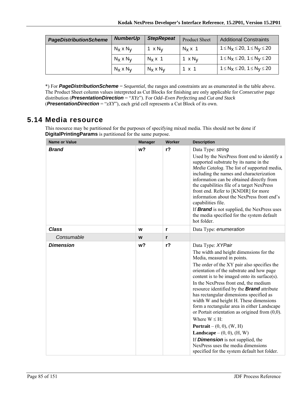| <b>PageDistributionScheme</b> | <b>NumberUp</b>  | <b>StepRepeat</b>         | <b>Product Sheet</b>      | <b>Additional Constraints</b>               |
|-------------------------------|------------------|---------------------------|---------------------------|---------------------------------------------|
|                               | $N_X \times N_V$ | 1 $\times$ N <sub>V</sub> | $N_x \times 1$            | $1 \le N_X \le 20$ , $1 \le N_V \le 20$     |
|                               | $N_X \times N_V$ | $N_x \times 1$            | 1 $\times$ N <sub>V</sub> | $1 \leq N_X \leq 20$ , $1 \leq N_V \leq 20$ |
|                               | $N_X \times N_V$ | $N_X \times N_V$          | $1 \times 1$              | $1 \le N_X \le 20$ , $1 \le N_V \le 20$     |

\*) For *PageDistributionScheme* = *Sequential*, the ranges and constraints are as enumerated in the table above. The Product Sheet column values interpreted as Cut Blocks for finishing are only applicable for *Consecutive* page distribution (*PresentationDirection* = "*XYz*"). For *Odd–Even Perfecting* and *Cut and Stack* (*PresentationDirection* = "*zXY*"), each grid cell represents a Cut Block of its own.

## **5.14 Media resource**

This resource may be partitioned for the purposes of specifying mixed media. This should not be done if **DigitalPrintingParams** is partitioned for the same purpose.

| <b>Name or Value</b> | <b>Manager</b> | Worker | <b>Description</b>                                                                                                                                                                                                                                                                                                                                                                                                                                                                                                                                                                                                                                                                                                                                                       |
|----------------------|----------------|--------|--------------------------------------------------------------------------------------------------------------------------------------------------------------------------------------------------------------------------------------------------------------------------------------------------------------------------------------------------------------------------------------------------------------------------------------------------------------------------------------------------------------------------------------------------------------------------------------------------------------------------------------------------------------------------------------------------------------------------------------------------------------------------|
| <b>Brand</b>         | w <sub>2</sub> | $r$ ?  | Data Type: string<br>Used by the NexPress front end to identify a<br>supported substrate by its name in the<br>Media Catalog. The list of supported media,<br>including the names and characterization<br>information can be obtained directly from<br>the capabilities file of a target NexPress<br>front end. Refer to [KNDIR] for more<br>information about the NexPress front end's<br>capabilities file.<br>If <b>Brand</b> is not supplied, the NexPress uses<br>the media specified for the system default<br>hot folder.                                                                                                                                                                                                                                         |
| <b>Class</b>         | W              | r      | Data Type: enumeration                                                                                                                                                                                                                                                                                                                                                                                                                                                                                                                                                                                                                                                                                                                                                   |
| Consumable           | W              | r      |                                                                                                                                                                                                                                                                                                                                                                                                                                                                                                                                                                                                                                                                                                                                                                          |
| <b>Dimension</b>     | w <sub>2</sub> | $r$ ?  | Data Type: XYPair<br>The width and height dimensions for the<br>Media, measured in points.<br>The order of the XY pair also specifies the<br>orientation of the substrate and how page<br>content is to be imaged onto its surface(s).<br>In the NexPress front end, the medium<br>resource identified by the <b>Brand</b> attribute<br>has rectangular dimensions specified as<br>width W and height H. These dimensions<br>form a rectangular area in either Landscape<br>or Portait orientation as origined from $(0,0)$ .<br>Where $W \leq H$ :<br><b>Portrait</b> – $(0, 0)$ , $(W, H)$<br><b>Landscape</b> – $(0, 0)$ , $(H, W)$<br>If <b>Dimension</b> is not supplied, the<br>NexPress uses the media dimensions<br>specified for the system default hot folder. |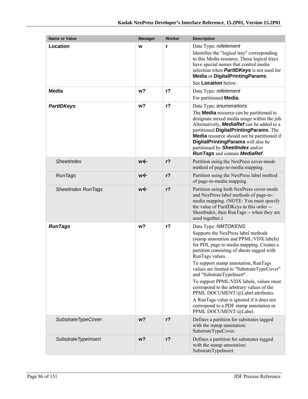| Name or Value             | <b>Manager</b> | <b>Worker</b>  | <b>Description</b>                                                                                                                                                                                                                                                                                                                                                                                                                                                                                                                                                                 |
|---------------------------|----------------|----------------|------------------------------------------------------------------------------------------------------------------------------------------------------------------------------------------------------------------------------------------------------------------------------------------------------------------------------------------------------------------------------------------------------------------------------------------------------------------------------------------------------------------------------------------------------------------------------------|
| Location                  | W              | r              | Data Type: refelement<br>Identifies the "logical tray" corresponding<br>to this Media resource. These logical trays<br>have special names that control media<br>selection when <b>PartIDKeys</b> is not used for<br>Media or DigitalPrintingParams.<br>See Location below.                                                                                                                                                                                                                                                                                                         |
| <b>Media</b>              | w?             | r <sub>2</sub> | Data Type: refelement<br>For partitioned Media.                                                                                                                                                                                                                                                                                                                                                                                                                                                                                                                                    |
| <b>PartIDKeys</b>         | w?             | $r$ ?          | Data Type: enumerations<br>The <b>Media</b> resource can be partitioned to<br>designate mixed media usage within the job.<br>Alternatively, <b>MediaRef</b> can be added to a<br>partitioned DigitalPrintingParams. The<br><b>Media</b> resource should not be partitioned if<br>DigitalPrintingParams will also be<br>partitioned by <b>SheetIndex</b> and/or<br><b>RunTags and contain MediaRef.</b>                                                                                                                                                                             |
| <b>SheetIndex</b>         | w←             | $r$ ?          | Partition using the NexPress cover-mode<br>method of page-to-media mapping.                                                                                                                                                                                                                                                                                                                                                                                                                                                                                                        |
| <b>RunTags</b>            | w←             | $r$ ?          | Partition using the NexPress label method<br>of page-to-media mapping.                                                                                                                                                                                                                                                                                                                                                                                                                                                                                                             |
| <b>SheetIndex RunTags</b> | w←             | $r$ ?          | Partition using both NexPress cover-mode<br>and NexPress label methods of page-to-<br>media mapping. (NOTE: You must specify<br>the value of PartIDKeys in this order --<br>SheetIndex, then RunTags -- when they are<br>used together.)                                                                                                                                                                                                                                                                                                                                           |
| <b>RunTags</b>            | w?             | $r$ ?          | Data Type: NMTOKENS<br>Supports the NexPress label methods<br>(stamp annotation and PPML/VDX labels)<br>for PDL page to media mapping. Creates a<br>partition consisting of sheets tagged with<br>RunTags values.<br>To support stamp annotation, RunTags<br>values are limited to "SubstrateTypeCover"<br>and "SubstrateTypeInsert".<br>To support PPML/VDX labels, values must<br>correspond to the arbitrary values of the<br>PPML DOCUMENT/@Label attributes.<br>A RunTags value is ignored if it does not<br>correspond to a PDF stamp annotation or<br>PPML DOCUMENT/@Label. |
| SubstrateTypeCover        | w <sub>2</sub> | $r$ ?          | Defines a partition for substrates tagged<br>with the stamp annotation:<br>SubstrateTypeCover.                                                                                                                                                                                                                                                                                                                                                                                                                                                                                     |
| Substrate TypeInsert      | $w$ ?          | $r$ ?          | Defines a partition for substrates tagged<br>with the stamp annotation:<br>SubstrateTypeInsert.                                                                                                                                                                                                                                                                                                                                                                                                                                                                                    |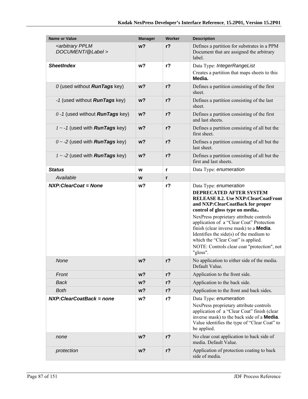| <b>Name or Value</b>                                   | <b>Manager</b> | Worker         | <b>Description</b>                                                                                                                                                                                                                                                                                                                                                                                                                                             |
|--------------------------------------------------------|----------------|----------------|----------------------------------------------------------------------------------------------------------------------------------------------------------------------------------------------------------------------------------------------------------------------------------------------------------------------------------------------------------------------------------------------------------------------------------------------------------------|
| <arbitrary pplm<br="">DOCUMENT/@Label &gt;</arbitrary> | $w$ ?          | $r$ ?          | Defines a partition for substrates in a PPM<br>Document that are assigned the arbitrary<br>label.                                                                                                                                                                                                                                                                                                                                                              |
| <b>SheetIndex</b>                                      | w?             | r <sub>2</sub> | Data Type: IntegerRangeList                                                                                                                                                                                                                                                                                                                                                                                                                                    |
|                                                        |                |                | Creates a partition that maps sheets to this<br>Media.                                                                                                                                                                                                                                                                                                                                                                                                         |
| 0 (used without <b>RunTags</b> key)                    | $w$ ?          | $r$ ?          | Defines a partition consisting of the first<br>sheet.                                                                                                                                                                                                                                                                                                                                                                                                          |
| -1 (used without <b>RunTags</b> key)                   | $w$ ?          | $r$ ?          | Defines a partition consisting of the last<br>sheet.                                                                                                                                                                                                                                                                                                                                                                                                           |
| $0 - 1$ (used without <b>RunTags</b> key)              | $w$ ?          | $r$ ?          | Defines a partition consisting of the first<br>and last sheets.                                                                                                                                                                                                                                                                                                                                                                                                |
| $1 - 1$ (used with <b>RunTags</b> key)                 | w <sub>2</sub> | $r$ ?          | Defines a partition consisting of all but the<br>first sheet.                                                                                                                                                                                                                                                                                                                                                                                                  |
| $0 \sim -2$ (used with <b>RunTags</b> key)             | $w$ ?          | $r$ ?          | Defines a partition consisting of all but the<br>last sheet.                                                                                                                                                                                                                                                                                                                                                                                                   |
| $1 \sim -2$ (used with <b>RunTags</b> key)             | $w$ ?          | $r$ ?          | Defines a partition consisting of all but the<br>first and last sheets.                                                                                                                                                                                                                                                                                                                                                                                        |
| <b>Status</b>                                          | W              | $\mathbf{r}$   | Data Type: enumeration                                                                                                                                                                                                                                                                                                                                                                                                                                         |
| Available                                              | W              | r              |                                                                                                                                                                                                                                                                                                                                                                                                                                                                |
| <b>NXP:ClearCoat = None</b>                            | w?             | $r$ ?          | Data Type: enumeration<br>DEPRECATED AFTER SYSTEM<br><b>RELEASE 8.2. Use NXP:ClearCoatFront</b><br>and NXP:ClearCoatBack for proper<br>control of gloss type on media<br>NexPress proprietary attribute controls<br>application of a "Clear Coat" Protection<br>finish (clear inverse mask) to a <b>Media</b> .<br>Identifies the side $(s)$ of the medium to<br>which the "Clear Coat" is applied.<br>NOTE: Controls clear coat "protection", not<br>"gloss". |
| None                                                   | w?             | $r$ ?          | No application to either side of the media.<br>Default Value.                                                                                                                                                                                                                                                                                                                                                                                                  |
| Front                                                  | $w$ ?          | $r$ ?          | Application to the front side.                                                                                                                                                                                                                                                                                                                                                                                                                                 |
| <b>Back</b>                                            | $w$ ?          | $r$ ?          | Application to the back side.                                                                                                                                                                                                                                                                                                                                                                                                                                  |
| <b>Both</b>                                            | w <sub>2</sub> | $r$ ?          | Application to the front and back sides.                                                                                                                                                                                                                                                                                                                                                                                                                       |
| $NXP:ClearCoatBack = none$                             | w?             | r <sub>2</sub> | Data Type: enumeration<br>NexPress proprietary attribute controls<br>application of a "Clear Coat" finish (clear<br>inverse mask) to the back side of a <b>Media</b> .<br>Value identifies the type of "Clear Coat" to<br>be applied.                                                                                                                                                                                                                          |
| none                                                   | w <sub>2</sub> | $r$ ?          | No clear coat application to back side of<br>media. Default Value.                                                                                                                                                                                                                                                                                                                                                                                             |
| protection                                             | w?             | r <sub>2</sub> | Application of protection coating to back<br>side of media.                                                                                                                                                                                                                                                                                                                                                                                                    |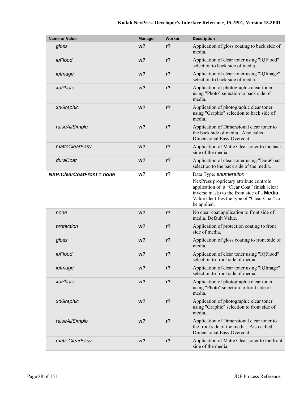| <b>Name or Value</b>      | <b>Manager</b> | <b>Worker</b>  | <b>Description</b>                                                                                                                                                                                                                     |
|---------------------------|----------------|----------------|----------------------------------------------------------------------------------------------------------------------------------------------------------------------------------------------------------------------------------------|
| gloss                     | w <sub>2</sub> | $r$ ?          | Application of gloss coating to back side of<br>media.                                                                                                                                                                                 |
| iqFlood                   | $w$ ?          | $r$ ?          | Application of clear toner using "IQFlood"<br>selection to back side of media.                                                                                                                                                         |
| iqImage                   | $w$ ?          | $r$ ?          | Application of clear toner using "IQImage"<br>selection to back side of media.                                                                                                                                                         |
| xdPhoto                   | $w$ ?          | $r$ ?          | Application of photographic clear toner<br>using "Photo" selection to back side of<br>media.                                                                                                                                           |
| xdGraphic                 | w <sub>2</sub> | $r$ ?          | Application of photographic clear toner<br>using "Graphic" selection to back side of<br>media.                                                                                                                                         |
| raiseAllSimple            | $w$ ?          | $r$ ?          | Application of Dimensional clear toner to<br>the back side of media. Also called<br>Dimensional Easy Overcoat.                                                                                                                         |
| matteClearEasy            | w <sub>2</sub> | $r$ ?          | Application of Matte Clear toner to the back<br>side of the media.                                                                                                                                                                     |
| duraCoat                  | $w$ ?          | $r$ ?          | Application of clear toner using "DuraCoat"<br>selection to the back side of the media.                                                                                                                                                |
| NXP:ClearCoatFront = none | w?             | r <sub>2</sub> | Data Type: enumeration<br>NexPress proprietary attribute controls<br>application of a "Clear Coat" finish (clear<br>inverse mask) to the front side of a <b>Media</b> .<br>Value identifies the type of "Clear Coat" to<br>be applied. |
| none                      | w <sub>2</sub> | $r$ ?          | No clear coat application to front side of<br>media. Default Value.                                                                                                                                                                    |
| protection                | $w$ ?          | $r$ ?          | Application of protection coating to front<br>side of media.                                                                                                                                                                           |
| gloss                     | $w$ ?          | $r$ ?          | Application of gloss coating to front side of<br>media.                                                                                                                                                                                |
| iqFlood                   | $w$ ?          | r <sub>2</sub> | Application of clear toner using "IQFlood"<br>selection to front side of media.                                                                                                                                                        |
| iqImage                   | w <sub>2</sub> | r <sub>2</sub> | Application of clear toner using "IQImage"<br>selection to front side of media.                                                                                                                                                        |
| xdPhoto                   | $w$ ?          | $r$ ?          | Application of photographic clear toner<br>using "Photo" selection to front side of<br>media.                                                                                                                                          |
| xdGraphic                 | w <sub>2</sub> | $r$ ?          | Application of photographic clear toner<br>using "Graphic" selection to front side of<br>media.                                                                                                                                        |
| raiseAllSimple            | $w$ ?          | $r$ ?          | Application of Dimensional clear toner to<br>the front side of the media. Also called<br>Dimensional Easy Overcoat.                                                                                                                    |
| matteClearEasy            | w <sub>2</sub> | $r$ ?          | Application of Matte Clear toner to the front<br>side of the media.                                                                                                                                                                    |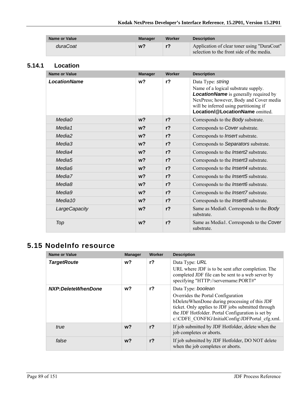| <b>Name or Value</b> | Manager | Worker | <b>Description</b>                                                                       |
|----------------------|---------|--------|------------------------------------------------------------------------------------------|
| duraCoat             | w?      |        | Application of clear toner using "DuraCoat"<br>selection to the front side of the media. |

#### **5.14.1 Location**

| <b>Name or Value</b> | <b>Manager</b> | Worker         | <b>Description</b>                                                                                                                                                                                          |
|----------------------|----------------|----------------|-------------------------------------------------------------------------------------------------------------------------------------------------------------------------------------------------------------|
| <b>LocationName</b>  | w <sub>2</sub> | $r$ ?          | Data Type: string                                                                                                                                                                                           |
|                      |                |                | Name of a logical substrate supply.<br><b>LocationName</b> is generally required by<br>NexPress; however, Body and Cover media<br>will be inferred using partitioning if<br>Location/@LocationName omitted. |
| Media0               | w <sub>2</sub> | $r$ ?          | Corresponds to the Body substrate.                                                                                                                                                                          |
| Media1               | $w$ ?          | r <sub>2</sub> | Corresponds to Cover substrate.                                                                                                                                                                             |
| Media <sub>2</sub>   | $w$ ?          | $r$ ?          | Corresponds to <i>Insert</i> substrate.                                                                                                                                                                     |
| Media3               | w <sub>2</sub> | r <sub>2</sub> | Corresponds to Separators substrate.                                                                                                                                                                        |
| Media4               | w <sub>2</sub> | r <sub>2</sub> | Corresponds to the <i>Insert2</i> substrate.                                                                                                                                                                |
| Media <sub>5</sub>   | w <sub>2</sub> | r <sub>2</sub> | Corresponds to the <i>Insert3</i> substrate.                                                                                                                                                                |
| Media <sub>6</sub>   | w <sub>2</sub> | r <sub>2</sub> | Corresponds to the <i>Insert4</i> substrate.                                                                                                                                                                |
| Media7               | w <sub>2</sub> | r <sub>2</sub> | Corresponds to the <i>Insert5</i> substrate.                                                                                                                                                                |
| Media <sub>8</sub>   | $w$ ?          | r <sub>2</sub> | Corresponds to the <i>Insert6</i> substrate.                                                                                                                                                                |
| Media9               | w <sub>2</sub> | r <sub>2</sub> | Corresponds to the <i>Insert7</i> substrate.                                                                                                                                                                |
| Media <sub>10</sub>  | w <sub>2</sub> | r <sub>2</sub> | Corresponds to the <i>Insert8</i> substrate.                                                                                                                                                                |
| LargeCapacity        | w <sub>2</sub> | r <sub>2</sub> | Same as Media0. Corresponds to the Body<br>substrate.                                                                                                                                                       |
| Top                  | w <sub>2</sub> | r <sub>2</sub> | Same as Media1. Corresponds to the Cover<br>substrate.                                                                                                                                                      |

# **5.15 NodeInfo resource**

| <b>Name or Value</b> | <b>Manager</b> | Worker         | <b>Description</b>                                                                                                                                                                                                                                                      |
|----------------------|----------------|----------------|-------------------------------------------------------------------------------------------------------------------------------------------------------------------------------------------------------------------------------------------------------------------------|
| <b>TargetRoute</b>   | w?             | r <sub>2</sub> | Data Type: URL<br>URL where JDF is to be sent after completion. The<br>completed JDF file can be sent to a web server by<br>specifying "HTTP://servername:PORT#"                                                                                                        |
| NXP:DeleteWhenDone   | w?             | $r$ ?          | Data Type: boolean<br>Overrides the Portal Configuration<br>bDeleteWhenDone during processing of this JDF<br>ticket. Only applies to JDF jobs submitted through<br>the JDF Hotfolder. Portal Configuration is set by<br>c:\CDFE_CONFIG\InitialConfig\JDFPortal_cfg.xml. |
| true                 | $w$ ?          | $r$ ?          | If job submitted by JDF Hotfolder, delete when the<br>job completes or aborts.                                                                                                                                                                                          |
| false                | w <sup>2</sup> | r <sub>2</sub> | If job submitted by JDF Hotfolder, DO NOT delete<br>when the job completes or aborts.                                                                                                                                                                                   |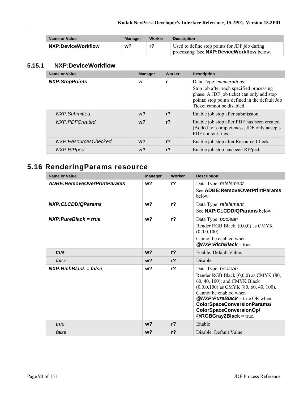| Name or Value      | Manager | Worker | <b>Description</b>                                                                          |
|--------------------|---------|--------|---------------------------------------------------------------------------------------------|
| NXP:DeviceWorkflow | w?      |        | Used to define stop points for JDF job during<br>processing. See NXP: DeviceWorkflow below. |

#### **5.15.1 NXP:DeviceWorkflow**

| <b>Name or Value</b>  | <b>Manager</b> | Worker         | <b>Description</b>                                                                                                                                                                              |
|-----------------------|----------------|----------------|-------------------------------------------------------------------------------------------------------------------------------------------------------------------------------------------------|
| <b>NXP:StopPoints</b> | W              |                | Data Type: enumerations<br>Stop job after each specified processing<br>phase. A JDF job ticket can only add stop<br>points; stop points defined in the default Job<br>Ticket cannot be disabled |
| NXP:Submitted         | w?             | r <sub>2</sub> | Enable job stop after submission.                                                                                                                                                               |
| NXP:PDFCreated        | $w$ ?          | r <sub>2</sub> | Enable job stop after PDF has been created.<br>(Added for completeness; JDF only accepts<br>PDF content files).                                                                                 |
| NXP:ResourcesChecked  | $w$ ?          | $r$ ?          | Enable job stop after Resource Check.                                                                                                                                                           |
| NXP:RIPped            | w?             | r <sub>2</sub> | Enable job stop has been RIPped.                                                                                                                                                                |

# **5.16 RenderingParams resource**

| <b>Name or Value</b>              | <b>Manager</b> | Worker         | <b>Description</b>                                                                                                                                                                                                                                                                              |
|-----------------------------------|----------------|----------------|-------------------------------------------------------------------------------------------------------------------------------------------------------------------------------------------------------------------------------------------------------------------------------------------------|
| <b>ADBE:RemoveOverPrintParams</b> | w <sub>2</sub> | r <sub>2</sub> | Data Type: refelement<br>See ADBE: RemoveOverPrintParams<br>below.                                                                                                                                                                                                                              |
| NXP:CLCDDIQParams                 | w <sub>2</sub> | r <sub>2</sub> | Data Type: refelement<br>See NXP: CLCDDIQParams below.                                                                                                                                                                                                                                          |
| $NXP: PureBlack = true$           | w?             | r <sub>2</sub> | Data Type: boolean<br>Render RGB Black (0,0,0) as CMYK<br>$(0,0,0,100)$ .<br>Cannot be enabled when<br>$@NXP:RichBlack = true$                                                                                                                                                                  |
| true                              | $w$ ?          | r <sub>2</sub> | Enable. Default Value.                                                                                                                                                                                                                                                                          |
| false                             | w <sub>2</sub> | r <sub>2</sub> | Disable                                                                                                                                                                                                                                                                                         |
| $NXP: RichBlack = false$          | w <sub>2</sub> | r <sub>2</sub> | Data Type: boolean<br>Render RGB Black (0,0,0) as CMYK (80,<br>60, 40, 100); and CMYK Black<br>$(0,0,0,100)$ as CMYK $(80, 60, 40, 100)$ .<br>Cannot be enabled when<br>$@NXP: Pure Black = true OR when$<br>ColorSpaceConversionParams/<br>ColorSpaceConversionOp/<br>$@RGBGray2Black = true.$ |
| true                              | w <sub>2</sub> | $r$ ?          | Enable                                                                                                                                                                                                                                                                                          |
| false                             | w <sub>2</sub> | r <sub>2</sub> | Disable. Default Value.                                                                                                                                                                                                                                                                         |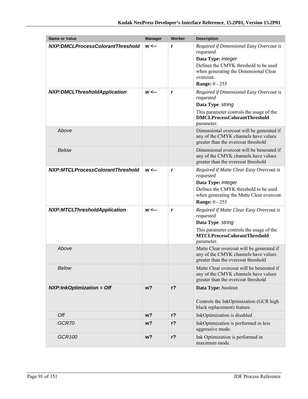| <b>Name or Value</b>                | <b>Manager</b> | Worker | <b>Description</b>                                                                                                                                                                                  |
|-------------------------------------|----------------|--------|-----------------------------------------------------------------------------------------------------------------------------------------------------------------------------------------------------|
| NXP:DMCLProcessColorantThreshold    | $w \leftarrow$ | r      | Required if Dimensional Easy Overcoat is<br>requested<br>Data Type: integer<br>Defines the CMYK threshold to be used<br>when generating the Dimensional Clear<br>overcoat.<br><b>Range: 0 - 255</b> |
| <b>NXP:DMCLThresholdApplication</b> | $w \leftarrow$ | r      | Required if Dimensional Easy Overcoat is<br>requested<br>Data Type: string<br>This parameter controls the usage of the<br><b>DMCLProcessColorantThreshold</b><br>parameter.                         |
| Above                               |                |        | Dimensional overcoat will be generated if<br>any of the CMYK channels have values<br>greater than the overcoat threshold                                                                            |
| <b>Below</b>                        |                |        | Dimensional overcoat will be benerated if<br>any of the CMYK channels have values<br>greater than the overcoat threshold                                                                            |
| NXP:MTCLProcessColorantThreshold    | $w \leftarrow$ | r      | Required if Matte Clear Easy Overcoat is<br>requested<br>Data Type: integer<br>Defines the CMYK threshold to be used<br>when generating the Matte Clear overcoat.<br><b>Range: 0 - 255</b>          |
| <b>NXP:MTCLThresholdApplication</b> | $w \leftarrow$ | r      | Required if Matte Clear Easy Overcoat is<br>requested<br>Data Type: string<br>This parameter controls the usage of the<br><b>MTCLProcessColorantThreshold</b><br>parameter.                         |
| Above                               |                |        | Matte Clear overcoat will be generated if<br>any of the CMYK channels have values<br>greater than the overcoat threshold                                                                            |
| <b>Below</b>                        |                |        | Matte Clear overcoat will be benerated if<br>any of the CMYK channels have values<br>greater than the overcoat threshold                                                                            |
| $NXP: InkOptimization = Off$        | w <sub>2</sub> | $r$ ?  | Data Type: boolean<br>Controls the InkOptimization (GCR high<br>black replacement) feature.                                                                                                         |
| Off                                 | w?             | $r$ ?  | InkOptimization is disabled                                                                                                                                                                         |
| GCR70                               | $w$ ?          | $r$ ?  | InkOptimization is performed in less<br>aggressive mode.                                                                                                                                            |
| GCR100                              | w?             | $r$ ?  | Ink Optimization is performed in<br>maximum mode.                                                                                                                                                   |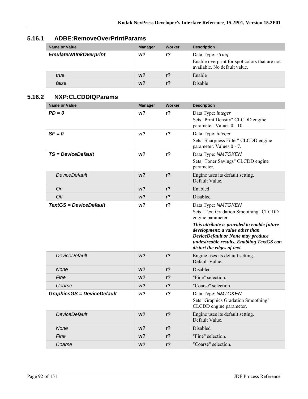| Name or Value                | <b>Manager</b> | Worker         | <b>Description</b>                                                                                        |
|------------------------------|----------------|----------------|-----------------------------------------------------------------------------------------------------------|
| <b>EmulateNAInkOverprint</b> | w?             |                | Data Type: <i>string</i><br>Enable overprint for spot colors that are not<br>available. No default value. |
| true                         | w <sub>2</sub> | r <sub>2</sub> | Enable                                                                                                    |
| false                        | $w$ ?          | r <sub>2</sub> | <b>Disable</b>                                                                                            |

## **5.16.1 ADBE:RemoveOverPrintParams**

### **5.16.2 NXP:CLCDDIQParams**

| <b>Name or Value</b>              | <b>Manager</b> | <b>Worker</b>  | <b>Description</b>                                                                                                                                                                                                                                                                 |
|-----------------------------------|----------------|----------------|------------------------------------------------------------------------------------------------------------------------------------------------------------------------------------------------------------------------------------------------------------------------------------|
| $PD = 0$                          | w?             | r <sub>2</sub> | Data Type: integer<br>Sets "Print Density" CLCDD engine<br>parameter. Values 0 - 10.                                                                                                                                                                                               |
| $SF = 0$                          | w?             | $r$ ?          | Data Type: integer<br>Sets "Sharpness Filter" CLCDD engine<br>parameter. Values 0 - 7.                                                                                                                                                                                             |
| <b>TS = DeviceDefault</b>         | w?             | $r$ ?          | Data Type: NMTOKEN<br>Sets "Toner Savings" CLCDD engine<br>parameter.                                                                                                                                                                                                              |
| DeviceDefault                     | w <sub>2</sub> | $r$ ?          | Engine uses its default setting.<br>Default Value.                                                                                                                                                                                                                                 |
| Оn                                | $w$ ?          | r <sub>2</sub> | Enabled                                                                                                                                                                                                                                                                            |
| Off                               | w?             | $r$ ?          | Disabled                                                                                                                                                                                                                                                                           |
| <b>TextGS = DeviceDefault</b>     | w?             | $r$ ?          | Data Type: NMTOKEN<br>Sets "Text Gradation Smoothing" CLCDD<br>engine parameter.<br>This attribute is provided to enable future<br>development; a value other than<br>DeviceDefault or None may produce<br>undesireable results. Enabling TextGS can<br>distort the edges of text. |
| <b>DeviceDefault</b>              | w?             | $r$ ?          | Engine uses its default setting.<br>Default Value.                                                                                                                                                                                                                                 |
| <b>None</b>                       | $w$ ?          | r <sub>2</sub> | Disabled                                                                                                                                                                                                                                                                           |
| Fine                              | w?             | r <sub>2</sub> | "Fine" selection.                                                                                                                                                                                                                                                                  |
| Coarse                            | w <sub>2</sub> | r <sub>2</sub> | "Coarse" selection.                                                                                                                                                                                                                                                                |
| <b>GraphicsGS = DeviceDefault</b> | w?             | r <sub>2</sub> | Data Type: NMTOKEN<br>Sets "Graphics Gradation Smoothing"<br>CLCDD engine parameter.                                                                                                                                                                                               |
| <b>DeviceDefault</b>              | w?             | $r$ ?          | Engine uses its default setting.<br>Default Value.                                                                                                                                                                                                                                 |
| None                              | $w$ ?          | $r$ ?          | Disabled                                                                                                                                                                                                                                                                           |
| Fine                              | w?             | $r$ ?          | "Fine" selection.                                                                                                                                                                                                                                                                  |
| Coarse                            | w?             | $r$ ?          | "Coarse" selection.                                                                                                                                                                                                                                                                |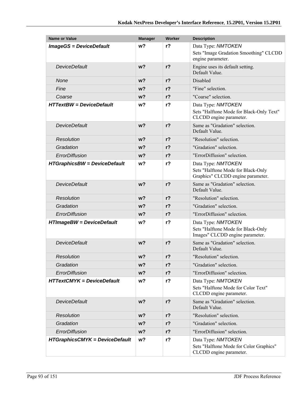| <b>Name or Value</b>                  | <b>Manager</b> | <b>Worker</b>  | <b>Description</b>                                                                            |
|---------------------------------------|----------------|----------------|-----------------------------------------------------------------------------------------------|
| <b>ImageGS = DeviceDefault</b>        | w <sub>2</sub> | $r$ ?          | Data Type: NMTOKEN                                                                            |
|                                       |                |                | Sets "Image Gradation Smoothing" CLCDD<br>engine parameter.                                   |
| <b>DeviceDefault</b>                  | w <sub>2</sub> | r <sub>2</sub> | Engine uses its default setting.<br>Default Value.                                            |
| None                                  | w <sub>2</sub> | r <sub>2</sub> | <b>Disabled</b>                                                                               |
| Fine                                  | $w$ ?          | r <sub>2</sub> | "Fine" selection.                                                                             |
| Coarse                                | w <sub>2</sub> | r <sub>2</sub> | "Coarse" selection.                                                                           |
| <b>HTTextBW</b> = DeviceDefault       | w?             | $r$ ?          | Data Type: NMTOKEN<br>Sets "Halftone Mode for Black-Only Text"<br>CLCDD engine parameter.     |
| <b>DeviceDefault</b>                  | w <sub>2</sub> | $r$ ?          | Same as "Gradation" selection.<br>Default Value.                                              |
| <b>Resolution</b>                     | $w$ ?          | r <sub>2</sub> | "Resolution" selection.                                                                       |
| Gradation                             | $w$ ?          | r <sub>2</sub> | "Gradation" selection.                                                                        |
| ErrorDiffusion                        | w <sub>2</sub> | r <sub>2</sub> | "ErrorDiffusion" selection.                                                                   |
| <b>HTGraphicsBW = DeviceDefault</b>   | w?             | $r$ ?          | Data Type: NMTOKEN<br>Sets "Halftone Mode for Black-Only<br>Graphics" CLCDD engine parameter. |
| <b>DeviceDefault</b>                  | w <sub>2</sub> | r <sub>2</sub> | Same as "Gradation" selection.<br>Default Value.                                              |
| <b>Resolution</b>                     | w <sub>2</sub> | r <sub>2</sub> | "Resolution" selection.                                                                       |
| Gradation                             | w <sub>2</sub> | r <sub>2</sub> | "Gradation" selection.                                                                        |
| ErrorDiffusion                        | $w$ ?          | $r$ ?          | "ErrorDiffusion" selection.                                                                   |
| <b>HTImageBW = DeviceDefault</b>      | w?             | $r$ ?          | Data Type: NMTOKEN<br>Sets "Halftone Mode for Black-Only<br>Images" CLCDD engine parameter.   |
| <b>DeviceDefault</b>                  | w <sub>2</sub> | $r$ ?          | Same as "Gradation" selection.<br>Default Value.                                              |
| <b>Resolution</b>                     | w <sub>2</sub> | $r$ ?          | "Resolution" selection.                                                                       |
| Gradation                             | w?             | $r$ ?          | "Gradation" selection.                                                                        |
| ErrorDiffusion                        | $w$ ?          | $r$ ?          | "ErrorDiffusion" selection.                                                                   |
| <b>HTTextCMYK = DeviceDefault</b>     | w?             | $r$ ?          | Data Type: NMTOKEN<br>Sets "Halftone Mode for Color Text"<br>CLCDD engine parameter.          |
| <b>DeviceDefault</b>                  | $w$ ?          | $r$ ?          | Same as "Gradation" selection.<br>Default Value.                                              |
| <b>Resolution</b>                     | $w$ ?          | $r$ ?          | "Resolution" selection.                                                                       |
| Gradation                             | $w$ ?          | $r$ ?          | "Gradation" selection.                                                                        |
| ErrorDiffusion                        | $w$ ?          | $r$ ?          | "ErrorDiffusion" selection.                                                                   |
| <b>HTGraphicsCMYK = DeviceDefault</b> | w?             | $r$ ?          | Data Type: NMTOKEN<br>Sets "Halftone Mode for Color Graphics"<br>CLCDD engine parameter.      |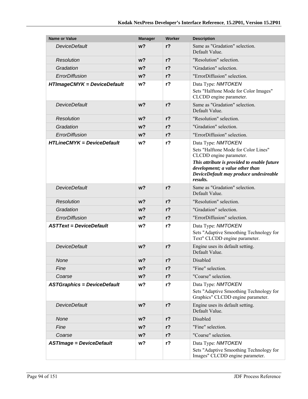| <b>Name or Value</b>               | <b>Manager</b> | Worker         | <b>Description</b>                                                                                                                                                                                                            |
|------------------------------------|----------------|----------------|-------------------------------------------------------------------------------------------------------------------------------------------------------------------------------------------------------------------------------|
| DeviceDefault                      | w <sub>2</sub> | r <sub>2</sub> | Same as "Gradation" selection.<br>Default Value.                                                                                                                                                                              |
| Resolution                         | w <sub>2</sub> | $r$ ?          | "Resolution" selection.                                                                                                                                                                                                       |
| Gradation                          | w <sub>2</sub> | $r$ ?          | "Gradation" selection.                                                                                                                                                                                                        |
| ErrorDiffusion                     | w <sub>2</sub> | $r$ ?          | "ErrorDiffusion" selection.                                                                                                                                                                                                   |
| <b>HTImageCMYK = DeviceDefault</b> | w <sub>2</sub> | $r$ ?          | Data Type: NMTOKEN<br>Sets "Halftone Mode for Color Images"<br>CLCDD engine parameter.                                                                                                                                        |
| <b>DeviceDefault</b>               | w <sub>2</sub> | $r$ ?          | Same as "Gradation" selection.<br>Default Value.                                                                                                                                                                              |
| Resolution                         | w <sub>2</sub> | $r$ ?          | "Resolution" selection.                                                                                                                                                                                                       |
| Gradation                          | w <sub>2</sub> | $r$ ?          | "Gradation" selection.                                                                                                                                                                                                        |
| ErrorDiffusion                     | w <sub>2</sub> | r <sub>2</sub> | "ErrorDiffusion" selection.                                                                                                                                                                                                   |
| <b>HTLineCMYK = DeviceDefault</b>  | w <sub>2</sub> | $r$ ?          | Data Type: NMTOKEN<br>Sets "Halftone Mode for Color Lines"<br>CLCDD engine parameter.<br>This attribute is provided to enable future<br>development; a value other than<br>DeviceDefault may produce undesireable<br>results. |
| <b>DeviceDefault</b>               | w <sub>2</sub> | r <sub>2</sub> | Same as "Gradation" selection.<br>Default Value.                                                                                                                                                                              |
| Resolution                         | w <sub>2</sub> | $r$ ?          | "Resolution" selection.                                                                                                                                                                                                       |
| Gradation                          | w <sub>2</sub> | $r$ ?          | "Gradation" selection.                                                                                                                                                                                                        |
| ErrorDiffusion                     | w <sub>2</sub> | $r$ ?          | "ErrorDiffusion" selection.                                                                                                                                                                                                   |
| <b>ASTText = DeviceDefault</b>     | w?             | r <sub>2</sub> | Data Type: NMTOKEN<br>Sets "Adaptive Smoothing Technology for<br>Text" CLCDD engine parameter.                                                                                                                                |
| <b>DeviceDefault</b>               | w <sub>2</sub> | $r$ ?          | Engine uses its default setting.<br>Default Value.                                                                                                                                                                            |
| None                               | $w$ ?          | $r$ ?          | Disabled                                                                                                                                                                                                                      |
| Fine                               | w?             | r?             | "Fine" selection.                                                                                                                                                                                                             |
| Coarse                             | w?             | $r$ ?          | "Coarse" selection.                                                                                                                                                                                                           |
| <b>ASTGraphics = DeviceDefault</b> | w <sub>2</sub> | r <sub>2</sub> | Data Type: NMTOKEN<br>Sets "Adaptive Smoothing Technology for<br>Graphics" CLCDD engine parameter.                                                                                                                            |
| <b>DeviceDefault</b>               | w?             | $r$ ?          | Engine uses its default setting.<br>Default Value.                                                                                                                                                                            |
| None                               | w?             | $r$ ?          | Disabled                                                                                                                                                                                                                      |
| Fine                               | w <sub>2</sub> | $r$ ?          | "Fine" selection.                                                                                                                                                                                                             |
| Coarse                             | w?             | $r$ ?          | "Coarse" selection.                                                                                                                                                                                                           |
| <b>ASTImage = DeviceDefault</b>    | w?             | $r$ ?          | Data Type: NMTOKEN<br>Sets "Adaptive Smoothing Technology for<br>Images" CLCDD engine parameter.                                                                                                                              |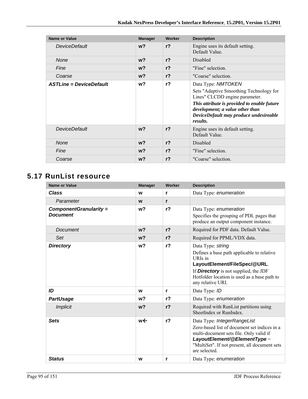| Name or Value                  | <b>Manager</b> | Worker         | <b>Description</b>                                                                                                                                                                                                                      |
|--------------------------------|----------------|----------------|-----------------------------------------------------------------------------------------------------------------------------------------------------------------------------------------------------------------------------------------|
| <b>DeviceDefault</b>           | $w$ ?          | r <sub>2</sub> | Engine uses its default setting.<br>Default Value.                                                                                                                                                                                      |
| None                           | $w$ ?          | r <sub>2</sub> | <b>Disabled</b>                                                                                                                                                                                                                         |
| Fine                           | $w$ ?          | r <sub>2</sub> | "Fine" selection.                                                                                                                                                                                                                       |
| Coarse                         | $w$ ?          | r <sub>2</sub> | "Coarse" selection.                                                                                                                                                                                                                     |
| <b>ASTLine = DeviceDefault</b> | w?             | $r$ ?          | Data Type: NMTOKEN<br>Sets "Adaptive Smoothing Technology for<br>Lines" CLCDD engine parameter.<br>This attribute is provided to enable future<br>development; a value other than<br>DeviceDefault may produce undesireable<br>results. |
| DeviceDefault                  | $w$ ?          | r <sub>2</sub> | Engine uses its default setting.<br>Default Value.                                                                                                                                                                                      |
| <b>None</b>                    | $w$ ?          | r <sub>2</sub> | Disabled                                                                                                                                                                                                                                |
| Fine                           | $w$ ?          | r <sub>2</sub> | "Fine" selection.                                                                                                                                                                                                                       |
| Coarse                         | w?             | $r$ ?          | "Coarse" selection.                                                                                                                                                                                                                     |

# **5.17 RunList resource**

| <b>Name or Value</b>                      | <b>Manager</b> | <b>Worker</b>  | <b>Description</b>                                                                                                                                                                                                              |
|-------------------------------------------|----------------|----------------|---------------------------------------------------------------------------------------------------------------------------------------------------------------------------------------------------------------------------------|
| <b>Class</b>                              | W              | r              | Data Type: enumeration                                                                                                                                                                                                          |
| Parameter                                 | W              | r              |                                                                                                                                                                                                                                 |
| ComponentGranularity =<br><b>Document</b> | w?             | $r$ ?          | Data Type: enumeration<br>Specifies the grouping of PDL pages that<br>produce an output component instance.                                                                                                                     |
| <b>Document</b>                           | w <sub>2</sub> | $r$ ?          | Required for PDF data. Default Value.                                                                                                                                                                                           |
| Set                                       | w <sub>2</sub> | $r$ ?          | Required for PPML/VDX data.                                                                                                                                                                                                     |
| <b>Directory</b>                          | w?             | $r$ ?          | Data Type: string<br>Defines a base path applicable to relative<br>URIs in<br>LayoutElement/FileSpec/@URL.<br>If <b>Directory</b> is not supplied, the JDF<br>Hotfolder location is used as a base path to<br>any relative URI. |
| ID                                        | W              | r              | Data Type: ID                                                                                                                                                                                                                   |
| <b>PartUsage</b>                          | w?             | r <sub>2</sub> | Data Type: enumeration                                                                                                                                                                                                          |
| <b>Implicit</b>                           | w <sub>2</sub> | $r$ ?          | Required with RunList partitions using<br>SheetIndex or RunIndex.                                                                                                                                                               |
| <b>Sets</b>                               | we             | $r$ ?          | Data Type: IntegerRangeList<br>Zero-based list of document set indices in a<br>multi-document sets file. Only valid if<br>LayoutElement/@ElementType =<br>"MultiSet". If not present, all document sets<br>are selected.        |
| <b>Status</b>                             | W              | r              | Data Type: enumeration                                                                                                                                                                                                          |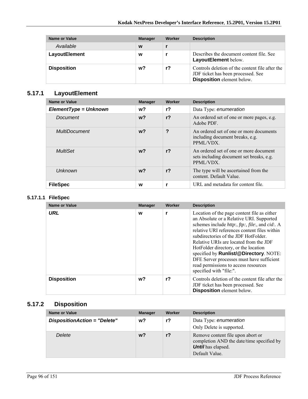| Name or Value        | <b>Manager</b> | Worker | <b>Description</b>                                                                                                         |
|----------------------|----------------|--------|----------------------------------------------------------------------------------------------------------------------------|
| Available            | W              |        |                                                                                                                            |
| <b>LayoutElement</b> | W              |        | Describes the document content file. See<br>LayoutElement below.                                                           |
| <b>Disposition</b>   | w?             | r?     | Controls deletion of the content file after the<br>JDF ticket has been processed. See<br><b>Disposition</b> element below. |

## **5.17.1 LayoutElement**

| Name or Value           | <b>Manager</b> | Worker         | <b>Description</b>                                                                             |
|-------------------------|----------------|----------------|------------------------------------------------------------------------------------------------|
| $ElementType = Unknown$ | w?             | $r$ ?          | Data Type: enumeration                                                                         |
| Document                | w <sub>2</sub> | r <sub>2</sub> | An ordered set of one or more pages, e.g.<br>Adobe PDF.                                        |
| <b>MultiDocument</b>    | $w$ ?          | ?              | An ordered set of one or more documents<br>including document breaks, e.g.<br>PPML/VDX.        |
| MultiSet                | $w$ ?          | r <sub>2</sub> | An ordered set of one or more document<br>sets including document set breaks, e.g.<br>PPML/VDX |
| Unknown                 | $w$ ?          | r <sub>2</sub> | The type will be ascertained from the<br>content. Default Value.                               |
| <b>FileSpec</b>         | W              |                | URL and metadata for content file.                                                             |

#### **5.17.1.1 FileSpec**

| Name or Value      | <b>Manager</b> | Worker | <b>Description</b>                                                                                                                                                                                                                                                                                                                                                                                                                                                                            |
|--------------------|----------------|--------|-----------------------------------------------------------------------------------------------------------------------------------------------------------------------------------------------------------------------------------------------------------------------------------------------------------------------------------------------------------------------------------------------------------------------------------------------------------------------------------------------|
| <b>URL</b>         | W              |        | Location of the page content file as either<br>an Absolute or a Relative URI. Supported<br>schemes include <i>http:, ftp:, file:, and cid:. A</i><br>relative URI references content files within<br>subdirectories of the JDF HotFolder.<br>Relative URIs are located from the JDF<br>HotFolder directory, or the location<br>specified by <b>Runlist/@Directory</b> . NOTE:<br>DFE Server processes must have sufficient<br>read permissions to access resources<br>specified with "file:". |
| <b>Disposition</b> | w?             | $r$ ?  | Controls deletion of the content file after the<br>JDF ticket has been processed. See<br><b>Disposition</b> element below.                                                                                                                                                                                                                                                                                                                                                                    |

## **5.17.2 Disposition**

| <b>Name or Value</b>         | <b>Manager</b> | <b>Worker</b> | <b>Description</b>                                                                                                            |
|------------------------------|----------------|---------------|-------------------------------------------------------------------------------------------------------------------------------|
| DispositionAction = "Delete" | w?             | r?            | Data Type: enumeration<br>Only Delete is supported.                                                                           |
| Delete                       | w?             | $r$ ?         | Remove content file upon abort or<br>completion AND the date/time specified by<br><b>Until</b> has elapsed.<br>Default Value. |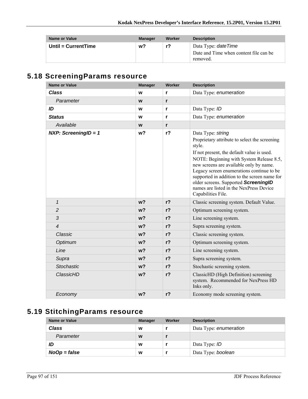| Name or Value         | <b>Manager</b> | Worker | <b>Description</b>                                                               |
|-----------------------|----------------|--------|----------------------------------------------------------------------------------|
| Until = $CurrentTime$ | w?             | r?     | Data Type: <i>dateTime</i><br>Date and Time when content file can be<br>removed. |

# **5.18 ScreeningParams resource**

| <b>Name or Value</b>          | <b>Manager</b> | Worker         | <b>Description</b>                                                                                                                                                                                                                                                                                                                                                                                                      |
|-------------------------------|----------------|----------------|-------------------------------------------------------------------------------------------------------------------------------------------------------------------------------------------------------------------------------------------------------------------------------------------------------------------------------------------------------------------------------------------------------------------------|
| <b>Class</b>                  | W              | r              | Data Type: enumeration                                                                                                                                                                                                                                                                                                                                                                                                  |
| Parameter                     | W              | r              |                                                                                                                                                                                                                                                                                                                                                                                                                         |
| ID                            | W              | r              | Data Type: ID                                                                                                                                                                                                                                                                                                                                                                                                           |
| <b>Status</b>                 | W              | r              | Data Type: enumeration                                                                                                                                                                                                                                                                                                                                                                                                  |
| Available                     | W              | r              |                                                                                                                                                                                                                                                                                                                                                                                                                         |
| <b>NXP:</b> ScreeningID = $1$ | w?             | r <sub>2</sub> | Data Type: string<br>Proprietary attribute to select the screening<br>style.<br>If not present, the default value is used.<br>NOTE: Beginning with System Release 8.5,<br>new screens are available only by name.<br>Legacy screen enumerations continue to be<br>supported in addition to the screen name for<br>older screens. Supported ScreeningID<br>names are listed in the NexPress Device<br>Capabilities File. |
| $\mathbf{1}$                  | w <sub>2</sub> | $r$ ?          | Classic screening system. Default Value.                                                                                                                                                                                                                                                                                                                                                                                |
| $\overline{2}$                | w <sub>2</sub> | $r$ ?          | Optimum screening system.                                                                                                                                                                                                                                                                                                                                                                                               |
| 3                             | w <sub>2</sub> | r <sub>2</sub> | Line screening system.                                                                                                                                                                                                                                                                                                                                                                                                  |
| $\overline{4}$                | w <sub>2</sub> | r <sub>2</sub> | Supra screening system.                                                                                                                                                                                                                                                                                                                                                                                                 |
| Classic                       | w <sub>2</sub> | r <sub>2</sub> | Classic screening system.                                                                                                                                                                                                                                                                                                                                                                                               |
| Optimum                       | w <sub>2</sub> | r <sub>2</sub> | Optimum screening system.                                                                                                                                                                                                                                                                                                                                                                                               |
| Line                          | w <sub>2</sub> | $r$ ?          | Line screening system.                                                                                                                                                                                                                                                                                                                                                                                                  |
| Supra                         | w <sub>2</sub> | $r$ ?          | Supra screening system.                                                                                                                                                                                                                                                                                                                                                                                                 |
| <b>Stochastic</b>             | w <sub>2</sub> | $r$ ?          | Stochastic screening system.                                                                                                                                                                                                                                                                                                                                                                                            |
| ClassicHD                     | $w$ ?          | $r$ ?          | ClassicHD (High Definition) screening<br>system. Recommended for NexPress HD<br>Inks only.                                                                                                                                                                                                                                                                                                                              |
| Economy                       | w <sub>2</sub> | $r$ ?          | Economy mode screening system.                                                                                                                                                                                                                                                                                                                                                                                          |

## **5.19 StitchingParams resource**

| <b>Name or Value</b> | <b>Manager</b> | Worker | <b>Description</b>     |
|----------------------|----------------|--------|------------------------|
| <b>Class</b>         | W              |        | Data Type: enumeration |
| Parameter            | W              |        |                        |
| ID                   | W              |        | Data Type: ID          |
| $NoOp = false$       | w              |        | Data Type: boolean     |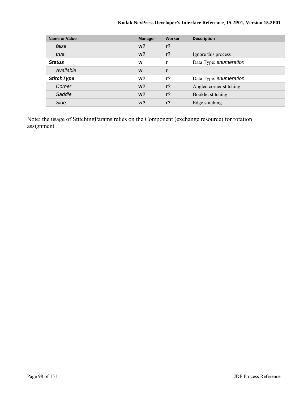| <b>Name or Value</b> | <b>Manager</b> | Worker         | <b>Description</b>      |
|----------------------|----------------|----------------|-------------------------|
| false                | $w$ ?          | $r$ ?          |                         |
| true                 | $w$ ?          | $r$ ?          | Ignore this process     |
| <b>Status</b>        | W              | r              | Data Type: enumeration  |
| Available            | W              | $\mathbf{r}$   |                         |
| <b>StitchType</b>    | w?             | $r$ ?          | Data Type: enumeration  |
| Corner               | $w$ ?          | r <sub>2</sub> | Angled corner stitching |
| Saddle               | $w$ ?          | r <sub>2</sub> | Booklet stitching       |
| Side                 | $w$ ?          | $r$ ?          | Edge stitching          |

Note: the usage of StitchingParams relies on the Component (exchange resource) for rotation assignment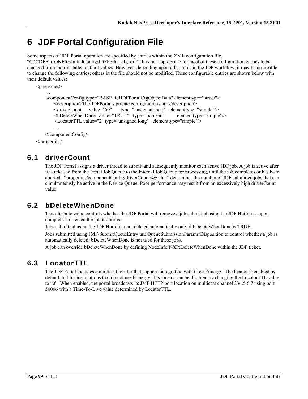# **6 JDF Portal Configuration File**

Some aspects of JDF Portal operation are specified by entries within the XML configuration file,

"C:\CDFE\_CONFIG\InitialConfig\JDFPortal\_cfg.xml". It is not appropriate for most of these configuration entries to be changed from their installed default values. However, depending upon other tools in the JDF workflow, it may be desireable to change the following entries; others in the file should not be modified. These configurable entries are shown below with their default values:

```
<properties> 
… 
    <componentConfig type="BASE::idlJDFPortalCfgObjectData" elementtype="struct"> 
       <description>The JDFPortal's private configuration data</description> 
       <driverCount value="50" type="unsigned short" elementtype="simple"/> 
      <bDeleteWhenDone value="TRUE" type="boolean" elementtype="simple"/> 
      <LocatorTTL value="2" type="unsigned long" elementtype="simple"/> 
       … 
    </componentConfig>
```
</properties>

## **6.1 driverCount**

The JDF Portal assigns a driver thread to submit and subsequently monitor each active JDF job. A job is active after it is released from the Portal Job Queue to the Internal Job Queue for processing, until the job completes or has been aborted. "properties/componentConfig/driverCount/@value" determines the number of JDF submitted jobs that can simultaneously be active in the Device Queue. Poor performance may result from an excessively high driverCount value.

## **6.2 bDeleteWhenDone**

This attribute value controls whether the JDF Portal will remove a job submitted using the JDF Hotfolder upon completion or when the job is aborted.

Jobs submitted using the JDF Hotfolder are deleted automatically only if bDeleteWhenDone is TRUE.

Jobs submitted using JMF/SubmitQueueEntry use QueueSubmissionParams/Disposition to control whether a job is automatically deleted; bDeleteWhenDone is not used for these jobs.

A job can override bDeleteWhenDone by defining NodeInfo/NXP:DeleteWhenDone within the JDF ticket.

## **6.3 LocatorTTL**

The JDF Portal includes a multicast locator that supports integration with Creo Prinergy. The locator is enabled by default, but for installations that do not use Prinergy, this locator can be disabled by changing the LocatorTTL value to "0". When enabled, the portal broadcasts its JMF HTTP port location on multicast channel 234.5.6.7 using port 50006 with a Time-To-Live value determined by LocatorTTL.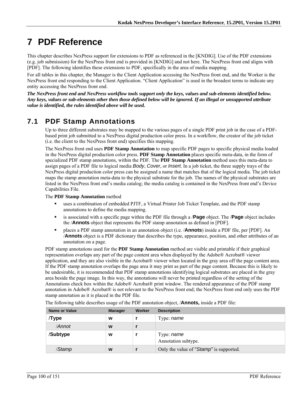# **7 PDF Reference**

This chapter describes NexPress support for extensions to PDF as referenced in the [KNDIG]. Use of the PDF extensions (e.g. job submission) for the NexPress front end is provided in [KNDIG] and not here. The NexPress front end aligns with [PDF]. The following identifies these extensions to PDF, specifically in the area of media mapping.

For all tables in this chapter, the Manager is the Client Application accessing the NexPress front end, and the Worker is the NexPress front end responding to the Client Application. "Client Application" is used in the broadest terms to indicate any entity accessing the NexPress front end.

*The NexPress front end and NexPress workflow tools support only the keys, values and sub-elements identified below. Any keys, values or sub-elements other then those defined below will be ignored. If an illegal or unsupported attribute value is identified, the rules identified above will be used.* 

## **7.1 PDF Stamp Annotations**

Up to three different substrates may be mapped to the various pages of a single PDF print job in the case of a PDFbased print job submitted to a NexPress digital production color press. In a workflow, the creator of the job ticket (i.e. the client to the NexPress front end) specifies this mapping.

The NexPress front end uses **PDF Stamp Annotation** to map specific PDF pages to specific physical media loaded in the NexPress digital production color press. **PDF Stamp Annotation** places specific meta-data, in the form of specialized PDF stamp annotations, within the PDF. The **PDF Stamp Annotation** method uses this meta-data to assign pages of a PDF file to logical media *Body*, *Cover*, or *Insert*. In a job ticket, the three supply trays of the NexPress digital production color press can be assigned a name that matches that of the logical media. The job ticket maps the stamp annotation meta-data to the physical substrate for the job. The names of the physical substrates are listed in the NexPress front end's media catalog; the media catalog is contained in the NexPress front end's Device Capabilities File.

The **PDF Stamp Annotation** method

- uses a combination of embedded PJTF, a Virtual Printer Job Ticket Template, and the PDF stamp annotations to define the media mapping.
- is associated with a specific page within the PDF file through a /**Page** object. The /**Page** object includes the /**Annots** object that represents the PDF stamp annotation as defined in [PDF].
- places a PDF stamp annotation in an annotation object (i.e. /**Annots**) inside a PDF file, per [PDF]. An /**Annots** object is a PDF dictionary that describes the type, appearance, position, and other attributes of an annotation on a page.

PDF stamp annotations used for the **PDF Stamp Annotation** method are visible and printable if their graphical representation overlaps any part of the page content area when displayed by the Adobe® Acrobat® viewer application, and they are also visible in the Acrobat® viewer when located in the gray area off the page content area. If the PDF stamp annotation overlaps the page area it may print as part of the page content. Because this is likely to be undesirable, it is recommended that PDF stamp annotations identifying logical substrates are placed in the gray area beside the page image. In this way, the annotations will never be printed regardless of the setting of the Annotations check box within the Adobe® Acrobat® print window. The rendered appearance of the PDF stamp annotation in Adobe® Acrobat® is not relevant to the NexPress front end; the NexPress front end only uses the PDF stamp annotation as it is placed in the PDF file.

| <b>Name or Value</b> | <b>Manager</b> | Worker | <b>Description</b>                      |
|----------------------|----------------|--------|-----------------------------------------|
| Type                 | w              |        | Type: name                              |
| /Annot               | W              |        |                                         |
| /Subtype             | W              |        | Type: name<br>Annotation subtype.       |
| /Stamp               | W              |        | Only the value of "Stamp" is supported. |

The following table describes usage of the PDF annotation object, /**Annots,** inside a PDF file: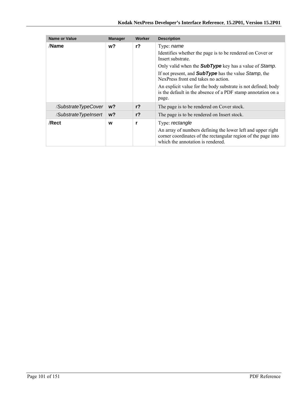| <b>Name or Value</b> | <b>Manager</b> | Worker         | <b>Description</b>                                                                                                                                                                                                                                                                                                                                                                                                  |
|----------------------|----------------|----------------|---------------------------------------------------------------------------------------------------------------------------------------------------------------------------------------------------------------------------------------------------------------------------------------------------------------------------------------------------------------------------------------------------------------------|
| /Name                | w?             | $r$ ?          | Type: <i>name</i><br>Identifies whether the page is to be rendered on Cover or<br>Insert substrate.<br>Only valid when the <b>SubType</b> key has a value of Stamp.<br>If not present, and <b>SubType</b> has the value Stamp, the<br>NexPress front end takes no action.<br>An explicit value for the body substrate is not defined; body<br>is the default in the absence of a PDF stamp annotation on a<br>page. |
| /SubstrateTypeCover  | $w$ ?          | r <sup>2</sup> | The page is to be rendered on Cover stock.                                                                                                                                                                                                                                                                                                                                                                          |
| /SubstrateTypeInsert | $w$ ?          | r <sub>2</sub> | The page is to be rendered on Insert stock.                                                                                                                                                                                                                                                                                                                                                                         |
| /Rect                | w              | r              | Type: rectangle<br>An array of numbers defining the lower left and upper right<br>corner coordinates of the rectangular region of the page into<br>which the annotation is rendered.                                                                                                                                                                                                                                |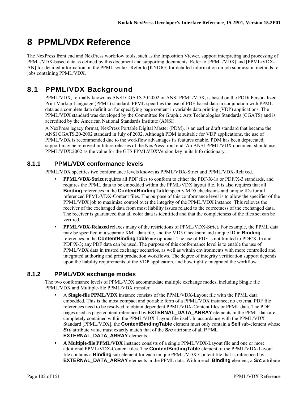# **8 PPML/VDX Reference**

The NexPress front end and NexPress workflow tools, such as the Imposition Viewer, support interpreting and processing of PPML/VDX-based data as defined by this document and supporting documents. Refer to [PPML/VDX] and [PPML/VDX-AN] for detailed information on the PPML syntax. Refer to [KNDIG] for detailed information on job submission methods for jobs containing PPML/VDX.

## **8.1 PPML/VDX Background**

PPML/VDX, formally known as ANSI CGATS.20:2002 or ANSI PPML/VDX, is based on the PODi Personalized Print Markup Language (PPML) standard. PPML specifies the use of PDF-based data in conjunction with PPML data as a complete data definition for specifying page content in variable data printing (VDP) applications. The PPML/VDX standard was developed by the Committee for Graphic Arts Technologies Standards (CGATS) and is accredited by the American National Standards Institute (ANSI).

A NexPress legacy format, NexPress Portable Digital Master (PDM), is an earlier draft standard that became the ANSI CGATS.20-2002 standard in July of 2002. Although PDM is suitable for VDP applications, the use of PPML/VDX is recommended due to the workflow advantages its features enable. PDM has been deprecated; support may be removed in future releases of the NexPress front end. An ANSI PPML/VDX document should use PPML/VDX:2002 as the value for the GTS PPMLVDXVersion key in its Info dictionary.

### **8.1.1 PPML/VDX conformance levels**

PPML/VDX specifies two conformance levels known as PPML/VDX-Strict and PPML/VDX-Relaxed.

- **PPML/VDX-Strict** requires all PDF files to conform to either the PDF/X-1a or PDF/X-3 standards, and requires the PPML data to be embedded within the PPML/VDX layout file. It is also requires that all **Binding** references in the **ContentBindingTable** specify MD5 checksums and unique IDs for all referenced PPML/VDX-Content files. The purpose of this conformance level is to allow the specifier of the PPML/VDX job to maximize control over the integrity of the PPML/VDX instance. This relieves the receiver of the exchanged data from most liability issues related to the correctness of the exchanged data. The receiver is guaranteed that all color data is identified and that the completeness of the files set can be verified.
- **PPML/VDX-Relaxed** relaxes many of the restrictions of PPML/VDX-Strict. For example, the PPML data may be specified in a separate XML data file, and the MD5 Checksum and unique ID in **Binding** references in the **ContentBindingTable** are optional. The use of PDF is not limited to PDF/X-1a and PDF/X-3; any PDF data can be used. The purpose of this conformance level is to enable the use of PPML/VDX data in trusted exchange scenarios, as well as within environments with more controlled and integrated authoring and print production workflows. The degree of integrity verification support depends upon the liability requirements of the VDP application, and how tightly integrated the workflow.

### **8.1.2 PPML/VDX exchange modes**

The two conformance levels of PPML/VDX accommodate multiple exchange modes, including Single file PPML/VDX and Multiple-file PPML/VDX transfer.

- A **Single-file PPML/VDX** instance consists of the PPML/VDX-Layout file with the PPML data embedded. This is the most compact and portable form of a PPML/VDX instance; no external PDF file references need to be resolved to obtain dependent PPML/VDX-Content files or PPML data. The PDF pages used as page content referenced by **EXTERNAL\_DATA\_ARRAY** elements in the PPML data are completely contained within the PPML/VDX-Layout file itself. In accordance with the PPML/VDX Standard [PPML/VDX], the **ContentBindingTable** element must only contain a **Self** sub-element whose *Src* attribute value must exactly match that of the *Src* attribute of all PPML **EXTERNAL\_DATA\_ARRAY** elements.
- **A Multiple-file PPML/VDX** instance consists of a single PPML/VDX-Layout file and one or more additional PPML/VDX-Content files. The **ContentBindingTable** element of the PPML/VDX-Layout file contains a **Binding** sub-element for each unique PPML/VDX-Content file that is referenced by **EXTERNAL\_DATA\_ARRAY** elements in the PPML data. Within each **Binding** element, a *Src* attribute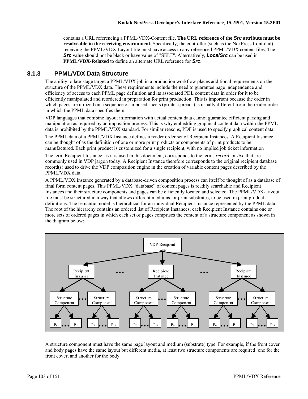contains a URL referencing a PPML/VDX-Content file. **The URL reference of the** *Src* **attribute must be resolveable in the receiving environment.** Specifically, the controller (such as the NexPress front-end) receiving the PPML/VDX-Layout file must have access to any referenced PPML/VDX content files. The *Src* value should not be black or have value of "SELF". Alternatively, *LocalSrc* can be used in **PPML/VDX-Relaxed** to define an alternate URL reference for *Src*.

#### **8.1.3 PPML/VDX Data Structure**

The ability to late-stage target a PPML/VDX job in a production workflow places additional requirements on the structure of the PPML/VDX data. These requirements include the need to guarantee page independence and efficiency of access to each PPML page definition and its associated PDL content data in order for it to be efficiently manipulated and reordered in preparation for print production. This is important because the order in which pages are utilized on a sequence of imposed sheets (printer spreads) is usually different from the reader order in which the PPML data specifies them.

VDP languages that combine layout information with actual content data cannot guarantee efficient parsing and manipulation as required by an imposition process. This is why embedding graphical content data within the PPML data is prohibited by the PPML/VDX standard. For similar reasons, PDF is used to specify graphical content data.

The PPML data of a PPML/VDX Instance defines a reader order set of Recipient Instances. A Recipient Instance can be thought of as the definition of one or more print products or components of print products to be manufactured. Each print product is customized for a single recipient, with no implied job ticket information

The term Recipient Instance, as it is used in this document, corresponds to the terms *record*, or *live* that are commonly used in VDP jargon today. A Recipient Instance therefore corresponds to the original recipient database record(s) used to drive the VDP composition engine in the creation of variable content pages described by the PPML/VDX data.

A PPML/VDX instance generated by a database-driven composition process can itself be thought of as a database of final form content pages. This PPML/VDX "database" of content pages is readily searchable and Recipient Instances and their structure components and pages can be efficiently located and selected. The PPML/VDX-Layout file must be structured in a way that allows different mediums, or print substrates, to be used in print product definitions. The semantic model is hierarchical for an individual Recipient Instance represented by the PPML data. The root of the hierarchy contains an ordered list of Recipient Instances; each Recipient Instance contains one or more sets of ordered pages in which each set of pages comprises the content of a structure component as shown in the diagram below:



A structure component must have the same page layout and medium (substrate) type. For example, if the front cover and body pages have the same layout but different media, at least two structure components are required: one for the front cover, and another for the body.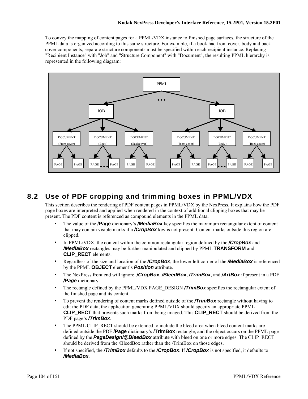To convey the mapping of content pages for a PPML/VDX instance to finished page surfaces, the structure of the PPML data is organized according to this same structure. For example, if a book had front cover, body and back cover components, separate structure components must be specified within each recipient instance. Replacing "Recipient Instance" with "Job" and "Structure Component" with "Document", the resulting PPML hierarchy is represented in the following diagram:



## **8.2 Use of PDF cropping and trimming boxes in PPML/VDX**

This section describes the rendering of PDF content pages in PPML/VDX by the NexPress. It explains how the PDF page boxes are interpreted and applied when rendered in the context of additional clipping boxes that may be present. The PDF content is referenced as compound elements in the PPML data.

- The value of the **/Page** dictionary's */MediaBox* key specifies the maximum rectangular extent of content that may contain visible marks if a */CropBox* key is not present. Content marks outside this region are clipped.
- In PPML/VDX, the content within the common rectangular region defined by the **/CropBox** and */MediaBox* rectangles may be further manipulated and clipped by PPML **TRANSFORM** and **CLIP\_RECT** elements.
- Regardless of the size and location of the */CropBox*, the lower left corner of the */MediaBox* is referenced by the PPML **OBJECT** element's *Position* attribute.
- The NexPress front end will ignore */CropBox*, */BleedBox*, */TrimBox*, and */ArtBox* if present in a PDF */Page* dictionary.
- The rectangle defined by the PPML/VDX PAGE\_DESIGN **/TrimBox** specifies the rectangular extent of the finished page and its content.
- To prevent the rendering of content marks defined outside of the **/TrimBox** rectangle without having to edit the PDF data, the application generating PPML/VDX should specify an appropriate PPML **CLIP\_RECT** that prevents such marks from being imaged. This **CLIP\_RECT** should be derived from the PDF page's */TrimBox*.
- The PPML CLIP\_RECT should be extended to include the bleed area when bleed content marks are defined outside the PDF **/Page** dictionary's **/TrimBox** rectangle, and the object occurs on the PPML page defined by the *PageDesign/@BleedBox* attribute with bleed on one or more edges. The CLIP\_RECT should be derived from the /BleedBox rather than the /TrimBox on those edges.
- If not specified, the */TrimBox* defaults to the */CropBox*. If */CropBox* is not specified, it defaults to */MediaBox*.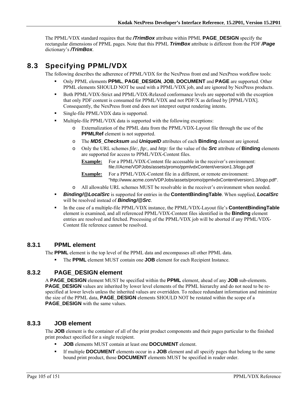The PPML/VDX standard requires that the */TrimBox* attribute within PPML **PAGE\_DESIGN** specify the rectangular dimensions of PPML pages. Note that this PPML *TrimBox* attribute is different from the PDF */Page* dictionary's */TrimBox*.

## **8.3 Specifying PPML/VDX**

The following describes the adherence of PPML/VDX for the NexPress front end and NexPress workflow tools:

- Only PPML elements **PPML**, **PAGE\_DESIGN**, **JOB**, **DOCUMENT** and **PAGE** are supported. Other PPML elements SHOULD NOT be used with a PPML/VDX job, and are ignored by NexPress products.
- Both PPML/VDX-Strict and PPML/VDX-Relaxed conformance levels are supported with the exception that only PDF content is consumed for PPML/VDX and not PDF/X as defined by [PPML/VDX]. Consequently, the NexPress front end does not interpret output rendering intents.
- **Single-file PPML/VDX data is supported.**
- Multiple-file PPML/VDX data is supported with the following exceptions:
	- o Externalization of the PPML data from the PPML/VDX-Layout file through the use of the **PPMLRef** element is not supported.
	- o The *MD5\_Checksum* and *UniqueID* attributes of each **Binding** element are ignored.
	- o Only the URL schemes *file:, ftp:,* and *http:* for the value of the *Src* attribute of **Binding** elements are supported for access to PPML/VDX-Content files.
		- **Example:** For a PPML/VDX-Content file accessable in the receiver's environment: file:///Acme/VDPJobs/assets/promo/ppmlvdxContent/version1.3/logo.pdf

**Example:** For a PPML/VDX-Content file in a different, or remote environment: "http://www.acme.com/VDPJobs/assets/promo/ppmlvdxContent/version1.3/logo.pdf".

- o All allowable URL schemes MUST be resolvable in the receiver's environment when needed.
- *Binding/@LocalSrc* is supported for entries in the **ContentBindingTable**. When supplied, *LocalSrc* will be resolved instead of *Binding/@Src*.
- In the case of a multiple-file PPML/VDX instance, the PPML/VDX-Layout file's **ContentBindingTable** element is examined, and all referenced PPML/VDX-Content files identified in the **Binding** element entries are resolved and fetched. Processing of the PPML/VDX job will be aborted if any PPML/VDX-Content file reference cannot be resolved.

#### **8.3.1 PPML element**

The **PPML** element is the top level of the PPML data and encompasses all other PPML data.

The **PPML** element MUST contain one **JOB** element for each Recipient Instance.

#### **8.3.2 PAGE\_DESIGN element**

A **PAGE\_DESIGN** element MUST be specified within the **PPML** element, ahead of any **JOB** sub-elements. **PAGE\_DESIGN** values are inherited by lower level elements of the PPML hierarchy and do not need to be respecified at lower levels unless the inherited values are overridden. To reduce redundant information and minimize the size of the PPML data, **PAGE\_DESIGN** elements SHOULD NOT be restated within the scope of a **PAGE\_DESIGN** with the same values.

#### **8.3.3 JOB element**

The **JOB** element is the container of all of the print product components and their pages particular to the finished print product specified for a single recipient.

- **JOB** elements MUST contain at least one **DOCUMENT** element.
- If multiple **DOCUMENT** elements occur in a **JOB** element and all specify pages that belong to the same bound print product, those **DOCUMENT** elements MUST be specified in reader order.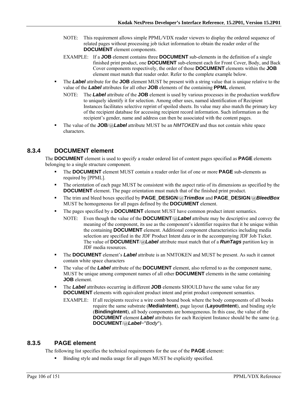- NOTE: This requirement allows simple PPML/VDX reader viewers to display the ordered sequence of related pages without processing job ticket information to obtain the reader order of the **DOCUMENT** element components.
- EXAMPLE: If a **JOB** element contains three **DOCUMENT** sub-elements in the definition of a single finished print product, one **DOCUMENT** sub-element each for Front Cover, Body, and Back Cover components respectively, the order of those **DOCUMENT** elements within the **JOB** element must match that reader order. Refer to the complete example below.
- The *Label* attribute for the **JOB** element MUST be present with a string value that is unique relative to the value of the *Label* attributes for all other **JOB** elements of the containing **PPML** element.
	- NOTE: The *Label* attribute of the **JOB** element is used by various processes in the production workflow to uniquely identify it for selection. Among other uses, named identification of Recipient Instances facilitates selective reprint of spoiled sheets. Its value may also match the primary key of the recipient database for accessing recipient record information. Such information as the recipient's gender, name and address can then be associated with the content pages.
- The value of the **JOB**/@*Label* attribute MUST be an *NMTOKEN* and thus not contain white space characters.

#### **8.3.4 DOCUMENT element**

The **DOCUMENT** element is used to specify a reader ordered list of content pages specified as **PAGE** elements belonging to a single structure component.

- The **DOCUMENT** element MUST contain a reader order list of one or more **PAGE** sub-elements as required by [PPML].
- The orientation of each page MUST be consistent with the aspect ratio of its dimensions as specified by the **DOCUMENT** element. The page orientation must match that of the finished print product.
- The trim and bleed boxes specified by **PAGE\_DESIGN**/@*TrimBox* and **PAGE\_DESIGN**/@*BleedBox* MUST be homogeneous for all pages defined by the **DOCUMENT** element.
- The pages specified by a **DOCUMENT** element MUST have common product intent semantics.
	- NOTE: Even though the value of the **DOCUMENT**/@*Label* attribute may be descriptive and convey the meaning of the component, its use as the component's identifier requires that it be unique within the containing **DOCUMENT** element. Additional component characteristics including media selection are specified in the JDF Product Intent data or in the accompanying JDF Job Ticket. The value of **DOCUMENT**/@*Label* attribute must match that of a *RunTags* partition key in JDF media resources.
- The **DOCUMENT** element's *Label* attribute is an NMTOKEN and MUST be present. As such it cannot contain white space characters
- The value of the *Label* attribute of the **DOCUMENT** element, also referred to as the component name, MUST be unique among component names of all other **DOCUMENT** elements in the same containing **JOB** element.
- **The** *Label* attributes occurring in different **JOB** elements SHOULD have the same value for any **DOCUMENT** elements with equivalent product intent and print product component semantics.
	- EXAMPLE: If all recipients receive a wire comb bound book where the body components of all books require the same substrate (**MediaIntent**), page layout (**LayoutIntent**), and binding style (**BindingIntent**), all body components are homogeneous. In this case, the value of the **DOCUMENT** element **Label** attributes for each Recipient Instance should be the same (e.g. **DOCUMENT**/@*Label*="*Body*").

#### **8.3.5 PAGE element**

The following list specifies the technical requirements for the use of the **PAGE** element:

Binding style and media usage for all pages MUST be explicitly specified.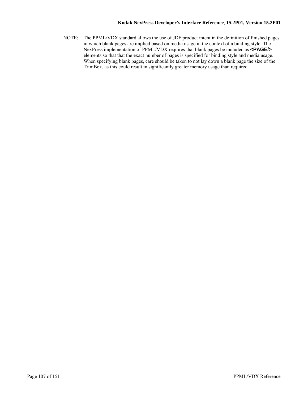NOTE: The PPML/VDX standard allows the use of JDF product intent in the definition of finished pages in which blank pages are implied based on media usage in the context of a binding style. The NexPress implementation of PPML/VDX requires that blank pages be included as **<PAGE/>** elements so that that the exact number of pages is specified for binding style and media usage. When specifying blank pages, care should be taken to not lay down a blank page the size of the TrimBox, as this could result in significantly greater memory usage than required.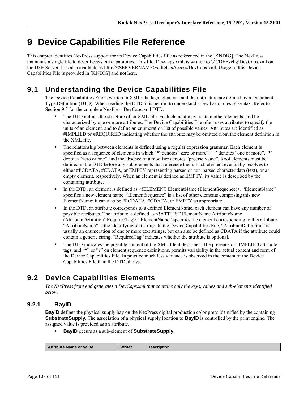# **9 Device Capabilities File Reference**

This chapter identifies NexPress support for its Device Capabilities File as referenced in the [KNDIG]. The NexPress maintains a single file to describe system capabilities. This file, DevCaps.xml, is written to \\\CDFExchg\DevCaps.xml on the DFE Server. It is also available as http://<SERVERNAME>/cdfeUisAccess/DevCaps.xml. Usage of this Device Capabilities File is provided in [KNDIG] and not here.

## **9.1 Understanding the Device Capabilities File**

The Device Capabilities File is written in XML; the legal elements and their structure are defined by a Document Type Definition (DTD). When reading the DTD, it is helpful to understand a few basic rules of syntax. Refer to Section 9.3 for the complete NexPress DevCaps.xml DTD.

- The DTD defines the structure of an XML file. Each element may contain other elements, and be characterized by one or more attributes. The Device Capabilities File often uses attributes to specify the units of an element, and to define an enumeration list of possible values. Attributes are identified as #IMPLIED or #REQUIRED indicating whether the attribute may be omitted from the element definition in the XML file.
- The relationship between elements is defined using a regular expression grammar. Each element is specified as a sequence of elements in which '\*' denotes "zero or more", '+' denotes "one or more", '?' denotes "zero or one", and the absence of a modifier denotes "precisely one". Root elements must be defined in the DTD before any sub-elements that reference them. Each element eventually resolves to either #PCDATA, #CDATA, or EMPTY representing parsed or non-parsed character data (text), or an empty element, respectively. When an element is defined as EMPTY, its value is described by the containing attribute.
- In the DTD, an element is defined as <!ELEMENT ElementName (ElementSequence)>. "ElementName" specifies a new element name. "ElementSequence" is a list of other elements comprising this new ElementName; it can also be #PCDATA, #CDATA, or EMPTY as appropriate.
- In the DTD, an attribute corresponds to a defined ElementName; each element can have any number of possible attributes. The attribute is defined as <!ATTLIST ElementName AttributeName (AttributeDefinition) RequiredTag>. "ElementName" specifies the element corresponding to this attribute. "AttributeName" is the identifying text string. In the Device Capabilities File, "AttributeDefinition" is usually an enumeration of one or more text strings, but can also be defined as CDATA if the attribute could contain a generic string. "RequiredTag" indicates whether the attribute is optional.
- The DTD indicates the possible content of the XML file it describes. The presence of #IMPLIED attribute tags, and "\*" or "?" on element sequence definitions, permits variability in the actual content and form of the Device Capabilities File. In practice much less variance is observed in the content of the Device Capabilities File than the DTD allows.

## **9.2 Device Capabilities Elements**

*The NexPress front end generates a DevCaps.xml that contains only the keys, values and sub-elements identified below.* 

## **9.2.1 BayID**

**BayID** defines the physical supply bay on the NexPress digital production color press identified by the containing **SubstrateSupply**. The association of a physical supply location to **BayID** is controlled by the print engine. The assigned value is provided as an attribute.

**BayID** occurs as a sub-element of **SubstrateSupply**.

| <b>Writer</b><br>Attribute Name or value<br><b>Description</b> |
|----------------------------------------------------------------|
|----------------------------------------------------------------|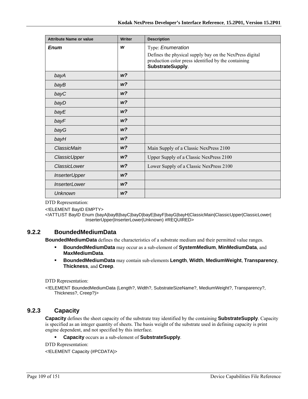| <b>Attribute Name or value</b> | <b>Writer</b>  | <b>Description</b>                                                                                                                 |
|--------------------------------|----------------|------------------------------------------------------------------------------------------------------------------------------------|
| <b>Enum</b>                    | W              | Type: Enumeration                                                                                                                  |
|                                |                | Defines the physical supply bay on the NexPress digital<br>production color press identified by the containing<br>SubstrateSupply. |
| bayA                           | W <sup>2</sup> |                                                                                                                                    |
| bayB                           | W <sup>2</sup> |                                                                                                                                    |
| bayC                           | W <sup>2</sup> |                                                                                                                                    |
| bayD                           | w?             |                                                                                                                                    |
| bayE                           | W <sup>2</sup> |                                                                                                                                    |
| bayF                           | W <sup>2</sup> |                                                                                                                                    |
| bayG                           | W <sup>2</sup> |                                                                                                                                    |
| bayH                           | W <sup>2</sup> |                                                                                                                                    |
| ClassicMain                    | W <sup>2</sup> | Main Supply of a Classic NexPress 2100                                                                                             |
| ClassicUpper                   | w?             | Upper Supply of a Classic NexPress 2100                                                                                            |
| ClassicLower                   | W <sup>2</sup> | Lower Supply of a Classic NexPress 2100                                                                                            |
| <b>InserterUpper</b>           | W <sup>2</sup> |                                                                                                                                    |
| <i><b>InserterLower</b></i>    | W <sup>2</sup> |                                                                                                                                    |
| Unknown                        | W <sup>2</sup> |                                                                                                                                    |

<!ELEMENT BayID EMPTY>

<!ATTLIST BayID Enum (bayA|bayB|bayC|bayD|bayE|bayF|bayG|bayH|ClassicMain|ClassicUpper|ClassicLower| InserterUpper|InserterLower|Unknown) #REQUIRED>

# **9.2.2 BoundedMediumData**

**BoundedMediumData** defines the characteristics of a substrate medium and their permitted value ranges.

- **BoundedMediumData** may occur as a sub-element of **SystemMedium**, **MinMediumData**, and **MaxMediumData**.
- **BoundedMediumData** may contain sub-elements **Length**, **Width**, **MediumWeight**, **Transparency**, **Thickness**, and **Creep**.

DTD Representation:

<!ELEMENT BoundedMediumData (Length?, Width?, SubstrateSizeName?, MediumWeight?, Transparency?, Thickness?, Creep?)>

# **9.2.3 Capacity**

**Capacity** defines the sheet capacity of the substrate tray identified by the containing **SubstrateSupply**. Capacity is specified as an integer quantity of sheets. The basis weight of the substrate used in defining capacity is print engine dependent, and not specified by this interface.

**Capacity** occurs as a sub-element of **SubstrateSupply**.

DTD Representation:

<!ELEMENT Capacity (#PCDATA)>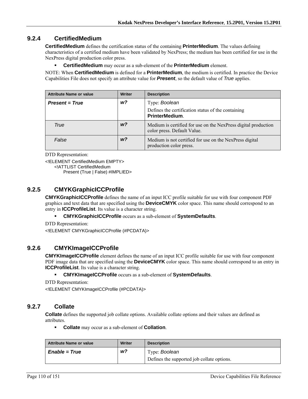# **9.2.4 CertifiedMedium**

**CertifiedMedium** defines the certification status of the containing **PrinterMedium**. The values defining characteristics of a certified medium have been validated by NexPress; the medium has been certified for use in the NexPress digital production color press.

**CertifiedMedium** may occur as a sub-element of the **PrinterMedium** element.

NOTE: When **CertifiedMedium** is defined for a **PrinterMedium**, the medium is certified. In practice the Device Capabilities File does not specify an attribute value for *Present*, so the default value of *True* applies.

| <b>Attribute Name or value</b> | <b>Writer</b>  | <b>Description</b>                                                                            |
|--------------------------------|----------------|-----------------------------------------------------------------------------------------------|
| <b>Present = True</b>          | w?             | Type: Boolean                                                                                 |
|                                |                | Defines the certification status of the containing<br><b>PrinterMedium.</b>                   |
| True                           | w?             | Medium is certified for use on the NexPress digital production<br>color press. Default Value. |
| False                          | W <sup>2</sup> | Medium is not certified for use on the NexPress digital<br>production color press.            |

DTD Representation:

<!ELEMENT CertifiedMedium EMPTY>

<!ATTLIST CertifiedMedium

Present (True | False) #IMPLIED>

# **9.2.5 CMYKGraphicICCProfile**

**CMYKGraphicICCProfile** defines the name of an input ICC profile suitable for use with four component PDF graphics and text data that are specified using the **DeviceCMYK** color space. This name should correspond to an entry in **ICCProfileList**. Its value is a character string.

**CMYKGraphicICCProfile** occurs as a sub-element of **SystemDefaults**.

DTD Representation:

<!ELEMENT CMYKGraphicICCProfile (#PCDATA)>

# **9.2.6 CMYKImageICCProfile**

**CMYKImageICCProfile** element defines the name of an input ICC profile suitable for use with four component PDF image data that are specified using the **DeviceCMYK** color space. This name should correspond to an entry in **ICCProfileList**. Its value is a character string.

**CMYKImageICCProfile** occurs as a sub-element of **SystemDefaults**.

DTD Representation:

<!ELEMENT CMYKImageICCProfile (#PCDATA)>

# **9.2.7 Collate**

**Collate** defines the supported job collate options. Available collate options and their values are defined as attributes.

**Collate** may occur as a sub-element of **Collation**.

| <b>Attribute Name or value</b> | <b>Writer</b> | <b>Description</b>                         |
|--------------------------------|---------------|--------------------------------------------|
| <i>Enable</i> = <i>True</i>    | w?            | Type: Boolean                              |
|                                |               | Defines the supported job collate options. |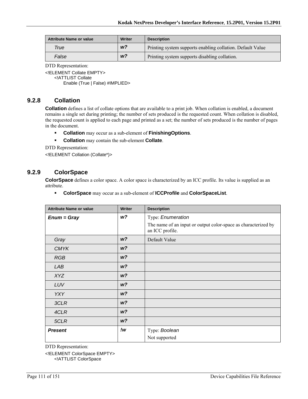| <b>Attribute Name or value</b> | Writer         | <b>Description</b>                                         |
|--------------------------------|----------------|------------------------------------------------------------|
| True                           | W <sup>2</sup> | Printing system supports enabling collation. Default Value |
| False                          | W <sup>2</sup> | Printing system supports disabling collation.              |

<!ELEMENT Collate EMPTY>

<!ATTLIST Collate

Enable (True | False) #IMPLIED>

# **9.2.8 Collation**

**Collation** defines a list of collate options that are available to a print job. When collation is enabled, a document remains a single set during printing; the number of sets produced is the requested count. When collation is disabled, the requested count is applied to each page and printed as a set; the number of sets produced is the number of pages in the document.

- **Collation** may occur as a sub-element of **FinishingOptions**.
- **Collation** may contain the sub-element **Collate**.

DTD Representation:

<!ELEMENT Collation (Collate\*)>

# **9.2.9 ColorSpace**

**ColorSpace** defines a color space. A color space is characterized by an ICC profile. Its value is supplied as an attribute.

**ColorSpace** may occur as a sub-element of **ICCProfile** and **ColorSpaceList**.

| <b>Attribute Name or value</b> | <b>Writer</b>  | <b>Description</b>                                                                |
|--------------------------------|----------------|-----------------------------------------------------------------------------------|
| $Enum = Gray$                  | w?             | Type: Enumeration                                                                 |
|                                |                | The name of an input or output color-space as characterized by<br>an ICC profile. |
| Gray                           | W <sup>2</sup> | Default Value                                                                     |
| <b>CMYK</b>                    | W <sup>2</sup> |                                                                                   |
| <b>RGB</b>                     | W <sup>2</sup> |                                                                                   |
| LAB                            | W <sup>2</sup> |                                                                                   |
| <b>XYZ</b>                     | W <sup>2</sup> |                                                                                   |
| LUV                            | W <sup>2</sup> |                                                                                   |
| <b>YXY</b>                     | W <sup>2</sup> |                                                                                   |
| 3CLR                           | W <sup>2</sup> |                                                                                   |
| 4CLR                           | W <sup>2</sup> |                                                                                   |
| 5CLR                           | W <sup>2</sup> |                                                                                   |
| <b>Present</b>                 | !w             | Type: Boolean                                                                     |
|                                |                | Not supported                                                                     |

DTD Representation:

<!ELEMENT ColorSpace EMPTY>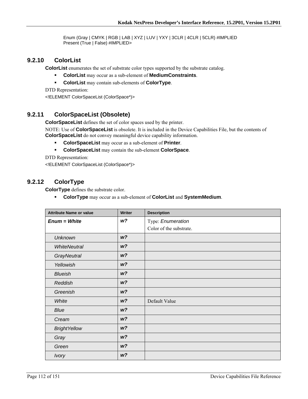Enum (Gray | CMYK | RGB | LAB | XYZ | LUV | YXY | 3CLR | 4CLR | 5CLR) #IMPLIED Present (True | False) #IMPLIED>

## **9.2.10 ColorList**

**ColorList** enumerates the set of substrate color types supported by the substrate catalog.

- **ColorList** may occur as a sub-element of **MediumConstraints**.
- **ColorList** may contain sub-elements of **ColorType**.

DTD Representation: <!ELEMENT ColorSpaceList (ColorSpace\*)>

# **9.2.11 ColorSpaceList (Obsolete)**

**ColorSpaceList** defines the set of color spaces used by the printer.

NOTE: Use of **ColorSpaceList** is obsolete. It is included in the Device Capabilities File, but the contents of **ColorSpaceList** do not convey meaningful device capability information.

- **ColorSpaceList** may occur as a sub-element of **Printer**.
- **ColorSpaceList** may contain the sub-element **ColorSpace**.

DTD Representation:

<!ELEMENT ColorSpaceList (ColorSpace\*)>

# **9.2.12 ColorType**

**ColorType** defines the substrate color.

**ColorType** may occur as a sub-element of **ColorList** and **SystemMedium**.

| <b>Attribute Name or value</b> | <b>Writer</b>  | <b>Description</b>      |
|--------------------------------|----------------|-------------------------|
| $Enum = White$                 | w?             | Type: Enumeration       |
|                                |                | Color of the substrate. |
| <b>Unknown</b>                 | W <sup>2</sup> |                         |
| <b>WhiteNeutral</b>            | W <sup>2</sup> |                         |
| <b>GrayNeutral</b>             | W <sup>2</sup> |                         |
| Yellowish                      | W <sup>2</sup> |                         |
| <b>Blueish</b>                 | W <sup>2</sup> |                         |
| Reddish                        | W <sup>2</sup> |                         |
| Greenish                       | W <sup>2</sup> |                         |
| White                          | W <sup>2</sup> | Default Value           |
| Blue                           | W <sup>2</sup> |                         |
| Cream                          | W <sup>2</sup> |                         |
| <b>BrightYellow</b>            | W <sup>2</sup> |                         |
| Gray                           | W <sup>2</sup> |                         |
| Green                          | W <sup>2</sup> |                         |
| <b>Ivory</b>                   | W <sup>2</sup> |                         |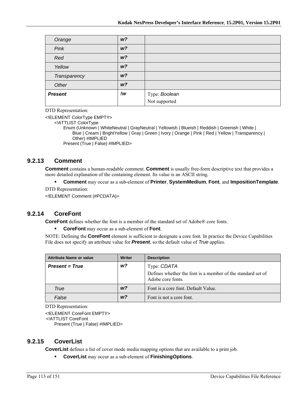| Orange         | W <sub>2</sub> |                                       |
|----------------|----------------|---------------------------------------|
| Pink           | W <sup>2</sup> |                                       |
| Red            | W <sup>2</sup> |                                       |
| Yellow         | W <sup>2</sup> |                                       |
| Transparency   | W <sup>2</sup> |                                       |
| Other          | W <sup>2</sup> |                                       |
| <b>Present</b> | !w             | Type: <b>Boolean</b><br>Not supported |
|                |                |                                       |

<!ELEMENT ColorType EMPTY>

<!ATTLIST ColorType

Enum (Unknown | WhiteNeutral | GrayNeutral | Yellowish | Blueish | Reddish | Greenish | White | Blue | Cream | BrightYellow | Gray | Green | Ivory | Orange | Pink | Red | Yellow | Transparency | Other) #IMPLIED Present (True | False) #IMPLIED>

## **9.2.13 Comment**

**Comment** contains a human-readable comment. **Comment** is usually free-form descriptive text that provides a more detailed explanation of the containing element. Its value is an ASCII string.

**Comment** may occur as a sub-element of **Printer**, **SystemMedium**, **Font**, and **ImpositionTemplate**.

DTD Representation:

<!ELEMENT Comment (#PCDATA)>

# **9.2.14 CoreFont**

**CoreFont** defines whether the font is a member of the standard set of Adobe® core fonts.

**CoreFont** may occur as a sub-element of **Font**.

NOTE: Defining the **CoreFont** element is sufficient to designate a core font. In practice the Device Capabilities File does not specify an attribute value for *Present*, so the default value of *True* applies.

| <b>Attribute Name or value</b> | <b>Writer</b>  | <b>Description</b>                                                                              |
|--------------------------------|----------------|-------------------------------------------------------------------------------------------------|
| <b>Present = True</b>          | w?             | Type: CDATA<br>Defines whether the font is a member of the standard set of<br>Adobe core fonts. |
| True                           | w <sub>2</sub> | Font is a core font. Default Value.                                                             |
| False                          | w?             | Font is not a core font.                                                                        |

DTD Representation:

<!ELEMENT CoreFont EMPTY> <!ATTLIST CoreFont Present (True | False) #IMPLIED>

## **9.2.15 CoverList**

**CoverList** defines a list of cover mode media mapping options that are available to a print job.

**CoverList** may occur as a sub-element of **FinishingOptions**.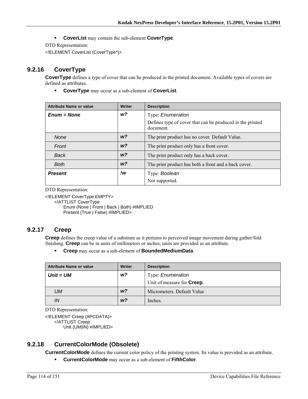**CoverList** may contain the sub-element **CoverType**.

DTD Representation:

<!ELEMENT CoverList (CoverType\*)>

# **9.2.16 CoverType**

**CoverType** defines a type of cover that can be produced in the printed document. Available types of covers are defined as attributes.

**CoverType** may occur as a sub-element of **CoverList**.

| <b>Attribute Name or value</b> | <b>Writer</b>  | <b>Description</b>                                                     |
|--------------------------------|----------------|------------------------------------------------------------------------|
| $Enum = None$                  | w?             | Type: Enumeration                                                      |
|                                |                | Defines type of cover that can be produced in the printed<br>document. |
| <b>None</b>                    | W <sup>2</sup> | The print product has no cover. Default Value.                         |
| Front                          | W <sup>2</sup> | The print product only has a front cover.                              |
| Back                           | W <sup>2</sup> | The print product only has a back cover.                               |
| <b>Both</b>                    | W <sup>2</sup> | The print product has both a front and a back cover.                   |
| <b>Present</b>                 | !w             | Type: Boolean                                                          |
|                                |                | Not supported.                                                         |

DTD Representation:

<!ELEMENT CoverType EMPTY>

<!ATTLIST CoverType

Enum (None | Front | Back | Both) #IMPLIED Present (True | False) #IMPLIED>

# **9.2.17 Creep**

**Creep** defines the creep value of a substrate as it pertains to perceived image movement during gather/fold finishing. **Creep** can be in units of millimeters or inches; units are provided as an attribute.

**Creep** may occur as a sub-element of **BoundedMediumData**.

| Attribute Name or value | <b>Writer</b>  | <b>Description</b>                 |
|-------------------------|----------------|------------------------------------|
| $Unit = UM$             | w?             | Type: <i>Enumeration</i>           |
|                         |                | Unit of measure for <b>Creep</b> . |
| UМ                      | W <sup>2</sup> | Micrometers. Default Value         |
| IN                      | W <sup>2</sup> | Inches.                            |

DTD Representation:

<!ELEMENT Creep (#PCDATA)> <!ATTLIST Creep Unit (UM|IN) #IMPLIED>

# **9.2.18 CurrentColorMode (Obsolete)**

**CurrentColorMode** defines the current color policy of the printing system. Its value is provided as an attribute.

**CurrentColorMode** may occur as a sub-element of **FifthColor**.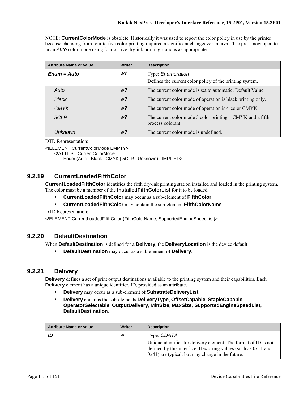NOTE: **CurrentColorMode** is obsolete. Historically it was used to report the color policy in use by the printer because changing from four to five color printing required a significant changeover interval. The press now operates in an *Auto* color mode using four or five dry-ink printing stations as appropriate.

| <b>Attribute Name or value</b> | <b>Writer</b>  | <b>Description</b>                                                                |
|--------------------------------|----------------|-----------------------------------------------------------------------------------|
| $Enum = Auto$                  | $w$ ?          | Type: Enumeration                                                                 |
|                                |                | Defines the current color policy of the printing system.                          |
| Auto                           | w <sub>2</sub> | The current color mode is set to automatic. Default Value.                        |
| <b>Black</b>                   | W <sup>2</sup> | The current color mode of operation is black printing only.                       |
| <b>CMYK</b>                    | w <sub>2</sub> | The current color mode of operation is 4-color CMYK.                              |
| 5CLR                           | W <sup>2</sup> | The current color mode 5 color printing $-$ CMYK and a fifth<br>process colorant. |
| Unknown                        | w <sub>2</sub> | The current color mode is undefined.                                              |

DTD Representation:

<!ELEMENT CurrentColorMode EMPTY>

<!ATTLIST CurrentColorMode

Enum (Auto | Black | CMYK | 5CLR | Unknown) #IMPLIED>

## **9.2.19 CurrentLoadedFifthColor**

**CurrentLoadedFifthColor** identifies the fifth dry-ink printing station installed and loaded in the printing system. The color must be a member of the **InstalledFifthColorList** for it to be loaded.

- **CurrentLoadedFifthColor** may occur as a sub-element of **FifthColor**.
- **CurrentLoadedFifthColor** may contain the sub-element **FifthColorName**.

DTD Representation:

<!ELEMENT CurrentLoadedFifthColor (FifthColorName, SupportedEngineSpeedList)>

## **9.2.20 DefaultDestination**

When **DefaultDestination** is defined for a **Delivery**, the **DeliveryLocation** is the device default.

**DefaultDestination** may occur as a sub-element of **Delivery**.

## **9.2.21 Delivery**

**Delivery** defines a set of print output destinations available to the printing system and their capabilities. Each **Delivery** element has a unique identifier, ID, provided as an attribute.

- **Delivery** may occur as a sub-element of **SubstrateDeliveryList**.
- **Delivery** contains the sub-elements **DeliveryType**, **OffsetCapable**, **StapleCapable**, **OperatorSelectable**, **OutputDelivery**, **MinSize**, **MaxSize, SupportedEngineSpeedList, DefaultDestination**.

| <b>Attribute Name or value</b> | Writer | <b>Description</b>                                                                                                                                                                         |
|--------------------------------|--------|--------------------------------------------------------------------------------------------------------------------------------------------------------------------------------------------|
| ID                             | w      | Type: CDATA                                                                                                                                                                                |
|                                |        | Unique identifier for delivery element. The format of ID is not<br>defined by this interface. Hex string values (such as $0x11$ and<br>$0x41$ ) are typical, but may change in the future. |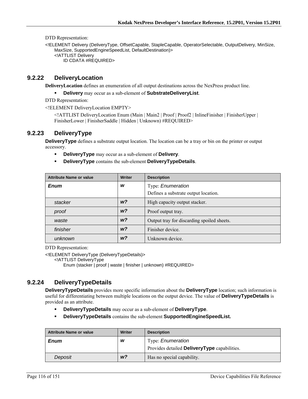<!ELEMENT Delivery (DeliveryType, OffsetCapable, StapleCapable, OperatorSelectable, OutputDelivery, MinSize, MaxSize, SupportedEngineSpeedList, DefaultDestination)> <!ATTLIST Delivery ID CDATA #REQUIRED>

## **9.2.22 DeliveryLocation**

**DeliveryLocation** defines an enumeration of all output destinations across the NexPress product line.

**Delivery** may occur as a sub-element of **SubstrateDeliveryList**.

DTD Representation:

<!ELEMENT DeliveryLocation EMPTY>

<!ATTLIST DeliveryLocation Enum (Main | Main2 | Proof | Proof2 | InlineFinisher | FinisherUpper | FinisherLower | FinisherSaddle | Hidden | Unknown) #REQUIRED>

# **9.2.23 DeliveryType**

**DeliveryType** defines a substrate output location. The location can be a tray or bin on the printer or output accessory.

- **DeliveryType** may occur as a sub-element of **Delivery**.
- **DeliveryType** contains the sub-element **DeliveryTypeDetails**.

| <b>Attribute Name or value</b> | <b>Writer</b>  | <b>Description</b>                         |
|--------------------------------|----------------|--------------------------------------------|
| <b>Enum</b>                    | W              | Type: Enumeration                          |
|                                |                | Defines a substrate output location.       |
| stacker                        | W <sup>2</sup> | High capacity output stacker.              |
| proof                          | W <sup>2</sup> | Proof output tray.                         |
| waste                          | W <sup>2</sup> | Output tray for discarding spoiled sheets. |
| finisher                       | W <sup>2</sup> | Finisher device.                           |
| unknown                        | W <sup>2</sup> | Unknown device.                            |

DTD Representation:

<!ELEMENT DeliveryType (DeliveryTypeDetails)>

<!ATTLIST DeliveryType

Enum (stacker | proof | waste | finisher | unknown) #REQUIRED>

# **9.2.24 DeliveryTypeDetails**

**DeliveryTypeDetails** provides more specific information about the **DeliveryType** location; such information is useful for differentiating between multiple locations on the output device. The value of **DeliveryTypeDetails** is provided as an attribute.

- **DeliveryTypeDetails** may occur as a sub-element of **DeliveryType**.
- **DeliveryTypeDetails** contains the sub-element **SupportedEngineSpeedList.**

| <b>Attribute Name or value</b> | <b>Writer</b>  | <b>Description</b>                                  |
|--------------------------------|----------------|-----------------------------------------------------|
| <b>Enum</b>                    | W              | Type: <i>Enumeration</i>                            |
|                                |                | Provides detailed <b>DeliveryType</b> capabilities. |
| Deposit                        | W <sup>2</sup> | Has no special capability.                          |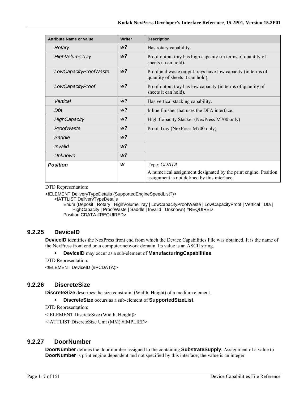| <b>Attribute Name or value</b> | <b>Writer</b>  | <b>Description</b>                                                                                              |
|--------------------------------|----------------|-----------------------------------------------------------------------------------------------------------------|
| Rotary                         | W <sup>2</sup> | Has rotary capability.                                                                                          |
| <b>High Volume Tray</b>        | w?             | Proof output tray has high capacity (in terms of quantity of<br>sheets it can hold).                            |
| LowCapacityProofWaste          | W <sup>2</sup> | Proof and waste output trays have low capacity (in terms of<br>quantity of sheets it can hold).                 |
| LowCapacityProof               | W <sup>2</sup> | Proof output tray has low capacity (in terms of quantity of<br>sheets it can hold).                             |
| Vertical                       | W <sup>2</sup> | Has vertical stacking capability.                                                                               |
| Dfa                            | W <sup>2</sup> | Inline finisher that uses the DFA interface.                                                                    |
| <b>HighCapacity</b>            | W <sup>2</sup> | High Capacity Stacker (NexPress M700 only)                                                                      |
| ProofWaste                     | w?             | Proof Tray (NexPress M700 only)                                                                                 |
| Saddle                         | W <sup>2</sup> |                                                                                                                 |
| Invalid                        | w?             |                                                                                                                 |
| Unknown                        | w?             |                                                                                                                 |
| <b>Position</b>                | W              | Type: CDATA                                                                                                     |
|                                |                | A numerical assignment designated by the print engine. Position<br>assignment is not defined by this interface. |

<!ELEMENT DeliveryTypeDetails (SupportedEngineSpeedList?)>

<!ATTLIST DeliveryTypeDetails

Enum (Deposit | Rotary | HighVolumeTray | LowCapacityProofWaste | LowCapacityProof | Vertical | Dfa | HighCapacity | ProofWaste | Saddle | Invalid | Unknown) #REQUIRED Position CDATA #REQUIRED>

# **9.2.25 DeviceID**

**DeviceID** identifies the NexPress front end from which the Device Capabilities File was obtained. It is the name of the NexPress front end on a computer network domain. Its value is an ASCII string.

- **DeviceID** may occur as a sub-element of **ManufacturingCapabilities**.
- DTD Representation:

<!ELEMENT DeviceID (#PCDATA)>

# **9.2.26 DiscreteSize**

**DiscreteSize** describes the size constraint (Width, Height) of a medium element.

**DiscreteSize** occurs as a sub-element of **SupportedSizeList**.

DTD Representation:

<!ELEMENT DiscreteSize (Width, Height)>

<!ATTLIST DiscreteSize Unit (MM) #IMPLIED>

## **9.2.27 DoorNumber**

**DoorNumber** defines the door number assigned to the containing **SubstrateSupply**. Assignment of a value to **DoorNumber** is print engine-dependent and not specified by this interface; the value is an integer.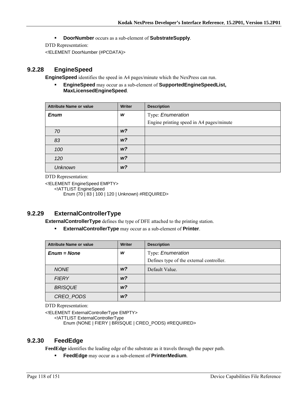**DoorNumber** occurs as a sub-element of **SubstrateSupply**.

DTD Representation:

<!ELEMENT DoorNumber (#PCDATA)>

## **9.2.28 EngineSpeed**

**EngineSpeed** identifies the speed in A4 pages/minute which the NexPress can run.

 **EngineSpeed** may occur as a sub-element of **SupportedEngineSpeedList, MaxLicensedEngineSpeed**.

| <b>Attribute Name or value</b> | <b>Writer</b>  | <b>Description</b>                       |
|--------------------------------|----------------|------------------------------------------|
| <b>Enum</b>                    | W              | Type: Enumeration                        |
|                                |                | Engine printing speed in A4 pages/minute |
| 70                             | W <sup>2</sup> |                                          |
| 83                             | W <sup>2</sup> |                                          |
| 100                            | W <sup>2</sup> |                                          |
| 120                            | W <sup>2</sup> |                                          |
| <b>Unknown</b>                 | W <sup>2</sup> |                                          |

DTD Representation:

<!ELEMENT EngineSpeed EMPTY> <!ATTLIST EngineSpeed Enum (70 | 83 | 100 | 120 | Unknown) #REQUIRED>

# **9.2.29 ExternalControllerType**

**ExternalControllerType** defines the type of DFE attached to the printing station.

**ExternalControllerType** may occur as a sub-element of **Printer**.

| <b>Attribute Name or value</b> | <b>Writer</b>  | <b>Description</b>                                            |
|--------------------------------|----------------|---------------------------------------------------------------|
| $Enum = None$                  | W              | Type: Enumeration<br>Defines type of the external controller. |
| <b>NONE</b>                    | w?             | Default Value.                                                |
| <b>FIERY</b>                   | W <sup>2</sup> |                                                               |
| <b>BRISQUE</b>                 | w?             |                                                               |
| CREO PODS                      | w?             |                                                               |

DTD Representation:

<!ELEMENT ExternalControllerType EMPTY>

<!ATTLIST ExternalControllerType

Enum (NONE | FIERY | BRISQUE | CREO\_PODS) #REQUIRED>

## **9.2.30 FeedEdge**

**FeedEdge** identifies the leading edge of the substrate as it travels through the paper path.

**FeedEdge** may occur as a sub-element of **PrinterMedium**.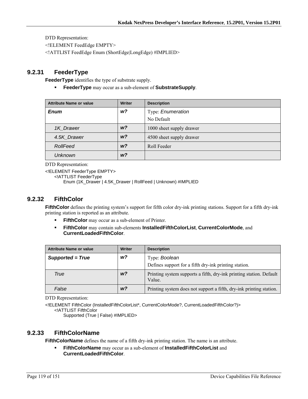<!ELEMENT FeedEdge EMPTY>

<!ATTLIST FeedEdge Enum (ShortEdge|LongEdge) #IMPLIED>

## **9.2.31 FeederType**

**FeederType** identifies the type of substrate supply.

**FeederType** may occur as a sub-element of **SubstrateSupply**.

| <b>Attribute Name or value</b> | <b>Writer</b>  | <b>Description</b>       |
|--------------------------------|----------------|--------------------------|
| <b>Enum</b>                    | w?             | Type: Enumeration        |
|                                |                | No Default               |
| 1K Drawer                      | W <sup>2</sup> | 1000 sheet supply drawer |
| 4.5K_Drawer                    | W <sup>2</sup> | 4500 sheet supply drawer |
| RollFeed                       | W <sup>2</sup> | Roll Feeder              |
| <b>Unknown</b>                 | w?             |                          |

DTD Representation:

<!ELEMENT FeederType EMPTY>

<!ATTLIST FeederType

Enum (1K\_Drawer | 4.5K\_Drawer | RollFeed | Unknown) #IMPLIED

## **9.2.32 FifthColor**

**FifthColor** defines the printing system's support for fifth color dry-ink printing stations. Support for a fifth dry-ink printing station is reported as an attribute.

- **FifthColor** may occur as a sub-element of Printer.
- **FifthColor** may contain sub-elements **InstalledFifthColorList**, **CurrentColorMode**, and **CurrentLoadedFifthColor**.

| <b>Attribute Name or value</b> | <b>Writer</b>  | <b>Description</b>                                                            |
|--------------------------------|----------------|-------------------------------------------------------------------------------|
| Supported = True               | w?             | Type: Boolean                                                                 |
|                                |                | Defines support for a fifth dry-ink printing station.                         |
| True                           | W <sup>2</sup> | Printing system supports a fifth, dry-ink printing station. Default<br>Value. |
| False                          | w?             | Printing system does not support a fifth, dry-ink printing station.           |

DTD Representation:

<!ELEMENT FifthColor (InstalledFifthColorList\*, CurrentColorMode?, CurrentLoadedFifthColor?)> <!ATTLIST FifthColor

Supported (True | False) #IMPLIED>

## **9.2.33 FifthColorName**

**FifthColorName** defines the name of a fifth dry-ink printing station. The name is an attribute.

 **FifthColorName** may occur as a sub-element of **InstalledFifthColorList** and **CurrentLoadedFifthColor**.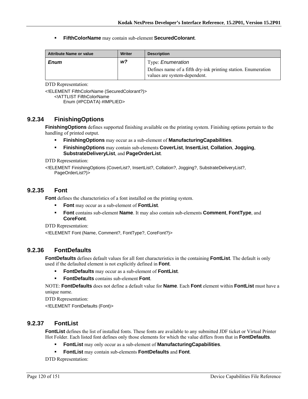**FifthColorName** may contain sub-element **SecuredColorant**.

| <b>Attribute Name or value</b> | Writer | <b>Description</b>                                                                                                        |
|--------------------------------|--------|---------------------------------------------------------------------------------------------------------------------------|
| <b>Enum</b>                    | w?     | Type: <i>Enumeration</i><br>Defines name of a fifth dry-ink printing station. Enumeration<br>values are system-dependent. |

DTD Representation:

<!ELEMENT FifthColorName (SecuredColorant?)> <!ATTLIST FifthColorName Enum (#PCDATA) #IMPLIED>

## **9.2.34 FinishingOptions**

**FinishingOptions** defines supported finishing available on the printing system. Finishing options pertain to the handling of printed output.

- **FinishingOptions** may occur as a sub-element of **ManufacturingCapabilities**.
- **FinishingOptions** may contain sub-elements **CoverList**, **InsertList**, **Collation**, **Jogging**, **SubstrateDeliveryList**, and **PageOrderList**.

DTD Representation:

<!ELEMENT FinishingOptions (CoverList?, InsertList?, Collation?, Jogging?, SubstrateDeliveryList?, PageOrderList?)>

## **9.2.35 Font**

**Font** defines the characteristics of a font installed on the printing system.

- **Font** may occur as a sub-element of **FontList**.
- **Font** contains sub-element **Name**. It may also contain sub-elements **Comment**, **FontType**, and **CoreFont**.

DTD Representation:

<!ELEMENT Font (Name, Comment?, FontType?, CoreFont?)>

## **9.2.36 FontDefaults**

**FontDefaults** defines default values for all font characteristics in the containing **FontList**. The default is only used if the defaulted element is not explicitly defined in **Font**.

- **FontDefaults** may occur as a sub-element of **FontList**.
- **FontDefaults** contains sub-element **Font**.

NOTE: **FontDefaults** does not define a default value for **Name**. Each **Font** element within **FontList** must have a unique name.

DTD Representation:

<!ELEMENT FontDefaults (Font)>

## **9.2.37 FontList**

**FontList** defines the list of installed fonts. These fonts are available to any submitted JDF ticket or Virtual Printer Hot Folder. Each listed font defines only those elements for which the value differs from that in **FontDefaults**.

- **FontList** may only occur as a sub-element of **ManufacturingCapabilities**.
- **FontList** may contain sub-elements **FontDefaults** and **Font**.

DTD Representation: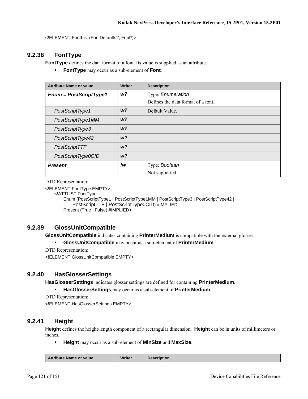<!ELEMENT FontList (FontDefaults?, Font\*)>

# **9.2.38 FontType**

**FontType** defines the data format of a font. Its value is supplied as an attribute.

**FontType** may occur as a sub-element of **Font**.

| <b>Attribute Name or value</b> | <b>Writer</b>  | <b>Description</b>                 |
|--------------------------------|----------------|------------------------------------|
| $Enum = PostScriptType1$       | w?             | Type: Enumeration                  |
|                                |                | Defines the data format of a font. |
| PostScriptType1                | W <sup>2</sup> | Default Value.                     |
| PostScriptType1MM              | W <sup>2</sup> |                                    |
| PostScriptType3                | W <sup>2</sup> |                                    |
| PostScriptType42               | W <sup>2</sup> |                                    |
| PostScriptTTF                  | W <sup>2</sup> |                                    |
| PostScriptType0CID             | W <sup>2</sup> |                                    |
| <b>Present</b>                 | !w             | Type: Boolean                      |
|                                |                | Not supported.                     |

DTD Representation:

<!ELEMENT FontType EMPTY>

<!ATTLIST FontType

Enum (PostScriptType1 | PostScriptType1MM | PostScriptType3 | PostScriptType42 | PostScriptTTF | PostScriptType0CID) #IMPLIED Present (True | False) #IMPLIED>

# **9.2.39 GlossUnitCompatible**

**GlossUnitCompatible** indicates containing **PrinterMedium** is compatible with the external glosser.

**GlossUnitCompatible** may occur as a sub-element of **PrinterMedium**.

DTD Representation:

<!ELEMENT GlossUnitCompatible EMPTY>

## **9.2.40 HasGlosserSettings**

**HasGlosserSettings** indicates glosser settings are defined for containing **PrinterMedium**.

**HasGlosserSettings** may occur as a sub-element of **PrinterMedium**.

DTD Representation:

<!ELEMENT HasGlosserSettings EMPTY>

# **9.2.41 Height**

**Height** defines the height/length component of a rectangular dimension. **Height** can be in units of millimeters or inches.

**Height** may occur as a sub-element of **MinSize** and **MaxSize**.

|  | <b>Attribute Name or value</b> | <b>Writer</b> | escription |
|--|--------------------------------|---------------|------------|
|--|--------------------------------|---------------|------------|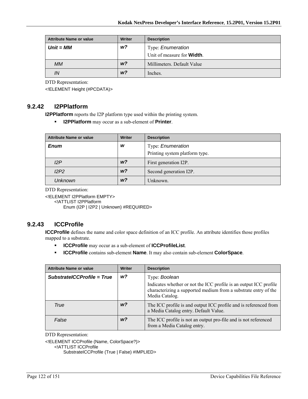| <b>Attribute Name or value</b> | Writer         | <b>Description</b>                 |
|--------------------------------|----------------|------------------------------------|
| $Unit = MM$                    | w?             | Type: <i>Enumeration</i>           |
|                                |                | Unit of measure for <b>Width</b> . |
| <b>MM</b>                      | W <sup>2</sup> | Millimeters. Default Value         |
| IN                             | W <sup>2</sup> | Inches.                            |

<!ELEMENT Height (#PCDATA)>

## **9.2.42 I2PPlatform**

**I2PPlatform** reports the I2P platform type used within the printing system.

**I2PPlatform** may occur as a sub-element of **Printer**.

| <b>Attribute Name or value</b> | <b>Writer</b>  | <b>Description</b>             |
|--------------------------------|----------------|--------------------------------|
| <b>Enum</b>                    | w              | Type: Enumeration              |
|                                |                | Printing system platform type. |
| 12P                            | w <sup>2</sup> | First generation I2P.          |
| I2P2                           | W <sup>2</sup> | Second generation I2P.         |
| <b>Unknown</b>                 | W <sup>2</sup> | Unknown.                       |

DTD Representation:

<!ELEMENT I2PPlatform EMPTY>

<!ATTLIST I2PPlatform

Enum (I2P | I2P2 | Unknown) #REQUIRED>

# **9.2.43 ICCProfile**

**ICCProfile** defines the name and color space definition of an ICC profile. An attribute identifies those profiles mapped to a substrate.

- **ICCProfile** may occur as a sub-element of **ICCProfileList**.
- **ICCProfile** contains sub-element **Name**. It may also contain sub-element **ColorSpace**.

| <b>Attribute Name or value</b> | Writer         | <b>Description</b>                                                                                                                                     |
|--------------------------------|----------------|--------------------------------------------------------------------------------------------------------------------------------------------------------|
| SubstratelCCProfile = True     | w <sub>2</sub> | Type: Boolean                                                                                                                                          |
|                                |                | Indicates whether or not the ICC profile is an output ICC profile<br>characterizing a supported medium from a substrate entry of the<br>Media Catalog. |
| True                           | w?             | The ICC profile is and output ICC profile and is referenced from<br>a Media Catalog entry. Default Value.                                              |
| False                          | w?             | The ICC profile is not an output pro-file and is not referenced<br>from a Media Catalog entry.                                                         |

DTD Representation:

<!ELEMENT ICCProfile (Name, ColorSpace?)>

<!ATTLIST ICCProfile

SubstrateICCProfile (True | False) #IMPLIED>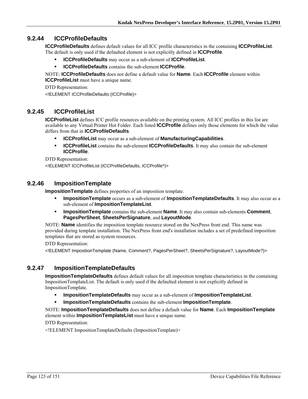# **9.2.44 ICCProfileDefaults**

**ICCProfileDefaults** defines default values for all ICC profile characteristics in the containing **ICCProfileList**. The default is only used if the defaulted element is not explicitly defined in **ICCProfile**.

- **ICCProfileDefaults** may occur as a sub-element of **ICCProfileList**.
- **ICCProfileDefaults** contains the sub-element **ICCProfile**.

NOTE: **ICCProfileDefaults** does not define a default value for **Name**. Each **ICCProfile** element within **ICCProfileList** must have a unique name.

DTD Representation: <!ELEMENT ICCProfileDefaults (ICCProfile)>

# **9.2.45 ICCProfileList**

**ICCProfileList** defines ICC profile resources available on the printing system. All ICC profiles in this list are available to any Virtual Printer Hot Folder. Each listed **ICCProfile** defines only those elements for which the value differs from that in **ICCProfileDefaults**.

- **ICCProfileList** may occur as a sub-element of **ManufacturingCapabilities**.
- **ICCProfileList** contains the sub-element **ICCProfileDefaults**. It may also contain the sub-element **ICCProfile**.

DTD Representation:

<!ELEMENT ICCProfileList (ICCProfileDefaults, ICCProfile\*)>

## **9.2.46 ImpositionTemplate**

**ImpositionTemplate** defines properties of an imposition template.

- **ImpositionTemplate** occurs as a sub-element of **ImpositionTemplateDefaults**. It may also occur as a sub-element of **ImpositionTemplateList**.
- **ImpositionTemplate** contains the sub-element **Name**. It may also contain sub-elements **Comment**, **PagesPerSheet**, **SheetsPerSignature**, and **LayoutMode**.

NOTE: **Name** identifies the imposition template resource stored on the NexPress front end. This name was provided during template installation. The NexPress front end's installation includes a set of predefined imposition templates that are stored as system resources.

DTD Representation:

<!ELEMENT ImpositionTemplate (Name, Comment?, PagesPerSheet?, SheetsPerSignature?, LayoutMode?)>

# **9.2.47 ImpositionTemplateDefaults**

**ImpositionTemplateDefaults** defines default values for all imposition template characteristics in the containing ImpositionTemplateList. The default is only used if the defaulted element is not explicitly defined in ImpositionTemplate.

- **ImpositionTemplateDefaults** may occur as a sub-element of **ImpositionTemplateList**.
- **ImpositionTemplateDefaults** contains the sub-element **ImpositionTemplate**.

NOTE: **ImpositionTemplateDefaults** does not define a default value for **Name**. Each **ImpositionTemplate** element within **ImpositionTemplateList** must have a unique name.

DTD Representation:

<!ELEMENT ImpositionTemplateDefaults (ImpositionTemplate)>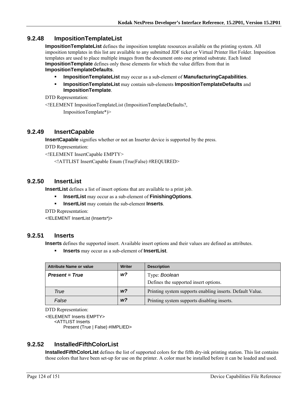## **9.2.48 ImpositionTemplateList**

**ImpositionTemplateList** defines the imposition template resources available on the printing system. All imposition templates in this list are available to any submitted JDF ticket or Virtual Printer Hot Folder. Imposition templates are used to place multiple images from the document onto one printed substrate. Each listed **ImpositionTemplate** defines only those elements for which the value differs from that in **ImpositionTemplateDefaults**.

- **ImpositionTemplateList** may occur as a sub-element of **ManufacturingCapabilities**.
- **ImpositionTemplateList** may contain sub-elements **ImpositionTemplateDefaults** and **ImpositionTemplate**.

DTD Representation:

<!ELEMENT ImpositionTemplateList (ImpositionTemplateDefaults?,

ImpositionTemplate\*)>

### **9.2.49 InsertCapable**

**InsertCapable** signifies whether or not an Inserter device is supported by the press.

DTD Representation:

<!ELEMENT InsertCapable EMPTY>

<!ATTLIST InsertCapable Enum (True|False) #REQUIRED>

## **9.2.50 InsertList**

**InsertList** defines a list of insert options that are available to a print job.

- **InsertList** may occur as a sub-element of **FinishingOptions**.
- **InsertList** may contain the sub-element **Inserts**.

DTD Representation:

<!ELEMENT InsertList (Inserts\*)>

## **9.2.51 Inserts**

**Inserts** defines the supported insert. Available insert options and their values are defined as attributes.

**Inserts** may occur as a sub-element of **InsertList**.

| <b>Attribute Name or value</b> | Writer         | <b>Description</b>                                        |
|--------------------------------|----------------|-----------------------------------------------------------|
| <b>Present = True</b>          | w?             | Type: Boolean                                             |
|                                |                | Defines the supported insert options.                     |
| True                           | W <sup>2</sup> | Printing system supports enabling inserts. Default Value. |
| False                          | W <sup>2</sup> | Printing system supports disabling inserts.               |

DTD Representation:

<!ELEMENT Inserts EMPTY> <ATTLIST Inserts

Present (True | False) #IMPLIED>

# **9.2.52 InstalledFifthColorList**

**InstalledFifthColorList** defines the list of supported colors for the fifth dry-ink printing station. This list contains those colors that have been set-up for use on the printer. A color must be installed before it can be loaded and used.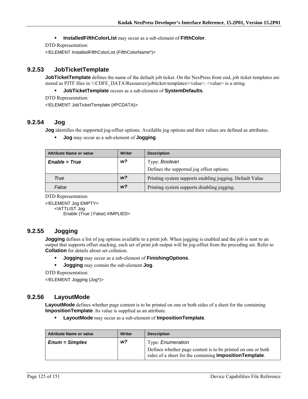#### **InstalledFifthColorList** may occur as a sub-element of **FifthColor**.

DTD Representation:

<!ELEMENT InstalledFifthColorList (FifthColorName\*)>

## **9.2.53 JobTicketTemplate**

**JobTicketTemplate** defines the name of the default job ticket. On the NexPress front end, job ticket templates are stored as PJTF files in \\\CDFE\_DATA\Resources\jobticket-templates\<value>. <value> is a string.

**JobTicketTemplate** occurs as a sub-element of **SystemDefaults**.

DTD Representation:

<!ELEMENT JobTicketTemplate (#PCDATA)>

# **9.2.54 Jog**

**Jog** identifies the supported jog-offset options. Available jog options and their values are defined as attributes.

**Jog** may occur as a sub-element of **Jogging**.

| Attribute Name or value | <b>Writer</b>  | <b>Description</b>                                       |
|-------------------------|----------------|----------------------------------------------------------|
| $Enable = True$         | w?             | Type: Boolean                                            |
|                         |                | Defines the supported jog offset options.                |
| True                    | W <sup>2</sup> | Printing system supports enabling jogging. Default Value |
| False                   | W <sup>2</sup> | Printing system supports disabling jogging.              |

DTD Representation:

<!ELEMENT Jog EMPTY> <!ATTLIST Jog Enable (True | False) #IMPLIED>

## **9.2.55 Jogging**

**Jogging** defines a list of jog options available to a print job. When jogging is enabled and the job is sent to an output that supports offset stacking, each set of print job output will be jog-offset from the preceding set. Refer to **Collation** for details about set collation.

**Jogging** may occur as a sub-element of **FinishingOptions**.

**Jogging** may contain the sub-element **Jog**.

DTD Representation:

<!ELEMENT Jogging (Jog\*)>

## **9.2.56 LayoutMode**

LayoutMode defines whether page content is to be printed on one or both sides of a sheet for the containing **ImpositionTemplate**. Its value is supplied as an attribute.

**LayoutMode** may occur as a sub-element of **ImpositionTemplate**.

| <b>Attribute Name or value</b> | Writer | <b>Description</b>                                                                                                               |
|--------------------------------|--------|----------------------------------------------------------------------------------------------------------------------------------|
| $Enum = Simplex$               | w?     | Type: <i>Enumeration</i>                                                                                                         |
|                                |        | Defines whether page content is to be printed on one or both<br>sides of a sheet for the containing <b>Imposition Template</b> . |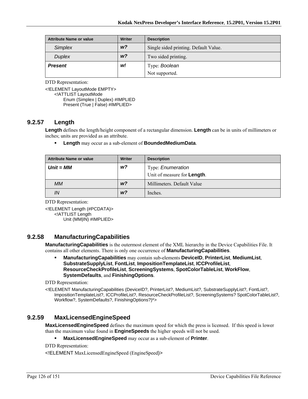| <b>Attribute Name or value</b> | <b>Writer</b>  | <b>Description</b>                    |
|--------------------------------|----------------|---------------------------------------|
| Simplex                        | W <sup>2</sup> | Single sided printing. Default Value. |
| <b>Duplex</b>                  | W <sup>2</sup> | Two sided printing.                   |
| <b>Present</b>                 | w!             | Type: Boolean                         |
|                                |                | Not supported.                        |

<!ELEMENT LayoutMode EMPTY> <!ATTLIST LayoutMode Enum (Simplex | Duplex) #IMPLIED Present (True | False) #IMPLIED>

## **9.2.57 Length**

**Length** defines the length/height component of a rectangular dimension. **Length** can be in units of millimeters or inches; units are provided as an attribute.

**Length** may occur as a sub-element of **BoundedMediumData**.

| <b>Attribute Name or value</b> | Writer         | <b>Description</b>                  |
|--------------------------------|----------------|-------------------------------------|
| $Unit = MM$                    | w?             | Type: Enumeration                   |
|                                |                | Unit of measure for <b>Length</b> . |
| <b>MM</b>                      | W <sup>2</sup> | Millimeters. Default Value          |
| IN                             | W <sup>2</sup> | Inches.                             |

DTD Representation:

<!ELEMENT Length (#PCDATA)> <!ATTLIST Length Unit (MM|IN) #IMPLIED>

# **9.2.58 ManufacturingCapabilities**

**ManufacturingCapabilities** is the outermost element of the XML hierarchy in the Device Capabilities File. It contains all other elements. There is only one occurrence of **ManufacturingCapabilities**.

 **ManufacturingCapabilities** may contain sub-elements **DeviceID**, **PrinterList**, **MediumList**, **SubstrateSupplyList**, **FontList**, **ImpositionTemplateList**, **ICCProfileList**, **ResourceCheckProfileList**, **ScreeningSystems**, **SpotColorTableList**, **WorkFlow**, **SystemDefaults**, and **FinishingOptions**.

DTD Representation:

<!ELEMENT ManufacturingCapabilities (DeviceID?, PrinterList?, MediumList?, SubstrateSupplyList?, FontList?, ImpositionTemplateList?, ICCProfileList?, ResourceCheckProfileList?, ScreeningSystems? SpotColorTableList?, Workflow?, SystemDefaults?, FinishingOptions?)\*>

## **9.2.59 MaxLicensedEngineSpeed**

**MaxLicensedEngineSpeed** defines the maximum speed for which the press is licensed. If this speed is lower than the maximum value found in **EngineSpeeds** the higher speeds will not be used.

**MaxLicensedEngineSpeed** may occur as a sub-element of **Printer**.

DTD Representation:

<!ELEMENT MaxLicensedEngineSpeed (EngineSpeed)>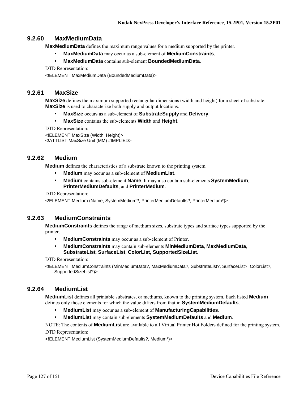# **9.2.60 MaxMediumData**

**MaxMediumData** defines the maximum range values for a medium supported by the printer.

- **MaxMediumData** may occur as a sub-element of **MediumConstraints**.
- **MaxMediumData** contains sub-element **BoundedMediumData**.

DTD Representation:

<!ELEMENT MaxMediumData (BoundedMediumData)>

## **9.2.61 MaxSize**

**MaxSize** defines the maximum supported rectangular dimensions (width and height) for a sheet of substrate. **MaxSize** is used to characterize both supply and output locations.

- **MaxSize** occurs as a sub-element of **SubstrateSupply** and **Delivery**.
- **MaxSize** contains the sub-elements **Width** and **Height**.

DTD Representation:

<!ELEMENT MaxSize (Width, Height)> <!ATTLIST MaxSize Unit (MM) #IMPLIED>

## **9.2.62 Medium**

**Medium** defines the characteristics of a substrate known to the printing system.

- **Medium** may occur as a sub-element of **MediumList**.
- **Medium** contains sub-element **Name**. It may also contain sub-elements **SystemMedium**, **PrinterMediumDefaults**, and **PrinterMedium**.

DTD Representation:

<!ELEMENT Medium (Name, SystemMedium?, PrinterMediumDefaults?, PrinterMedium\*)>

## **9.2.63 MediumConstraints**

**MediumConstraints** defines the range of medium sizes, substrate types and surface types supported by the printer.

- **MediumConstraints** may occur as a sub-element of Printer.
- **MediumConstraints** may contain sub-elements **MinMediumData**, **MaxMediumData**, **SubstrateList**, **SurfaceList**, **ColorList, SupportedSizeList**.

DTD Representation:

<!ELEMENT MediumConstraints (MinMediumData?, MaxMediumData?, SubstrateList?, SurfaceList?, ColorList?, SupportedSizeList?)>

# **9.2.64 MediumList**

**MediumList** defines all printable substrates, or mediums, known to the printing system. Each listed **Medium** defines only those elements for which the value differs from that in **SystemMediumDefaults**.

- **MediumList** may occur as a sub-element of **ManufacturingCapabilities**.
- **MediumList** may contain sub-elements **SystemMediumDefaults** and **Medium**.

NOTE: The contents of **MediumList** are available to all Virtual Printer Hot Folders defined for the printing system. DTD Representation:

<!ELEMENT MediumList (SystemMediumDefaults?, Medium\*)>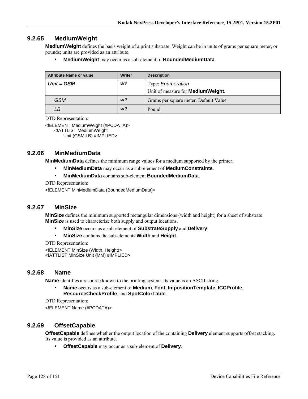## **9.2.65 MediumWeight**

**MediumWeight** defines the basis weight of a print substrate. Weight can be in units of grams per square meter, or pounds; units are provided as an attribute.

**MediumWeight** may occur as a sub-element of **BoundedMediumData**.

| <b>Attribute Name or value</b> | Writer         | <b>Description</b>                        |
|--------------------------------|----------------|-------------------------------------------|
| $Unit = GSM$                   | w?             | Type: Enumeration                         |
|                                |                | Unit of measure for <b>MediumWeight</b> . |
| <b>GSM</b>                     | W <sup>2</sup> | Grams per square meter. Default Value     |
| LВ                             | W <sup>2</sup> | Pound.                                    |

DTD Representation:

<!ELEMENT MediumWeight (#PCDATA)> <!ATTLIST MediumWeight

Unit (GSM|LB) #IMPLIED>

## **9.2.66 MinMediumData**

**MinMediumData** defines the minimum range values for a medium supported by the printer.

- **MinMediumData** may occur as a sub-element of **MediumConstraints**.
- **MinMediumData** contains sub-element **BoundedMediumData**.

DTD Representation:

<!ELEMENT MinMediumData (BoundedMediumData)>

## **9.2.67 MinSize**

**MinSize** defines the minimum supported rectangular dimensions (width and height) for a sheet of substrate. **MinSize** is used to characterize both supply and output locations.

- **MinSize** occurs as a sub-element of **SubstrateSupply** and **Delivery**.
- **MinSize** contains the sub-elements **Width** and **Height**.

DTD Representation:

<!ELEMENT MinSize (Width, Height)> <!ATTLIST MinSize Unit (MM) #IMPLIED>

### **9.2.68 Name**

**Name** identifies a resource known to the printing system. Its value is an ASCII string.

 **Name** occurs as a sub-element of **Medium**, **Font**, **ImpositionTemplate**, **ICCProfile**, **ResourceCheckProfile**, and **SpotColorTable**.

DTD Representation:

<!ELEMENT Name (#PCDATA)>

## **9.2.69 OffsetCapable**

**OffsetCapable** defines whether the output location of the containing **Delivery** element supports offset stacking. Its value is provided as an attribute.

**OffsetCapable** may occur as a sub-element of **Delivery**.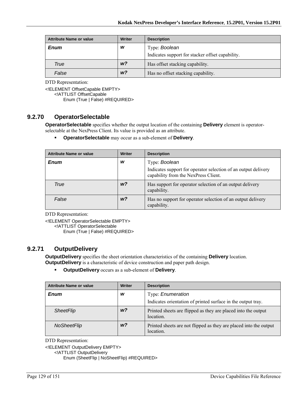| <b>Attribute Name or value</b> | Writer         | <b>Description</b>                               |
|--------------------------------|----------------|--------------------------------------------------|
| <b>Enum</b>                    | w              | Type: Boolean                                    |
|                                |                | Indicates support for stacker offset capability. |
| <b>True</b>                    | w <sup>2</sup> | Has offset stacking capability.                  |
| False                          | w <sup>2</sup> | Has no offset stacking capability.               |

<!ELEMENT OffsetCapable EMPTY>

<!ATTLIST OffsetCapable

Enum (True | False) #REQUIRED>

# **9.2.70 OperatorSelectable**

**OperatorSelectable** specifies whether the output location of the containing **Delivery** element is operatorselectable at the NexPress Client. Its value is provided as an attribute.

**OperatorSelectable** may occur as a sub-element of **Delivery**.

| <b>Attribute Name or value</b> | <b>Writer</b>  | <b>Description</b>                                                                                     |
|--------------------------------|----------------|--------------------------------------------------------------------------------------------------------|
| <b>Enum</b>                    | W              | Type: Boolean                                                                                          |
|                                |                | Indicates support for operator selection of an output delivery<br>capability from the NexPress Client. |
| True                           | W <sup>2</sup> | Has support for operator selection of an output delivery<br>capability.                                |
| False                          | W <sup>2</sup> | Has no support for operator selection of an output delivery<br>capability.                             |

DTD Representation:

<!ELEMENT OperatorSelectable EMPTY>

<!ATTLIST OperatorSelectable

Enum (True | False) #REQUIRED>

# **9.2.71 OutputDelivery**

**OutputDelivery** specifies the sheet orientation characteristics of the containing **Delivery** location. **OutputDelivery** is a characteristic of device construction and paper path design.

**OutputDelivery** occurs as a sub-element of **Delivery**.

| <b>Attribute Name or value</b> | Writer         | <b>Description</b>                                                                |
|--------------------------------|----------------|-----------------------------------------------------------------------------------|
| <b>Enum</b>                    | w              | Type: Enumeration<br>Indicates orientation of printed surface in the output tray. |
| <b>SheetFlip</b>               | W <sup>2</sup> | Printed sheets are flipped as they are placed into the output<br>location.        |
| NoSheetFlip                    | W <sup>2</sup> | Printed sheets are not flipped as they are placed into the output<br>location.    |

DTD Representation:

<!ELEMENT OutputDelivery EMPTY>

<!ATTLIST OutputDelivery

Enum (SheetFlip | NoSheetFlip) #REQUIRED>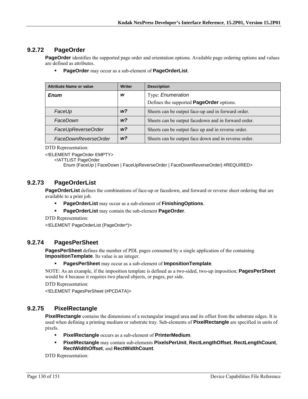# **9.2.72 PageOrder**

**PageOrder** identifies the supported page order and orientation options. Available page ordering options and values are defined as attributes.

**PageOrder** may occur as a sub-element of **PageOrderList**.

| <b>Attribute Name or value</b> | <b>Writer</b>  | <b>Description</b>                                   |
|--------------------------------|----------------|------------------------------------------------------|
| Enum                           | w              | Type: Enumeration                                    |
|                                |                | Defines the supported <b>PageOrder</b> options.      |
| FaceUp                         | W <sup>2</sup> | Sheets can be output face-up and in forward order.   |
| FaceDown                       | W <sup>2</sup> | Sheets can be output facedown and in forward order.  |
| FaceUpReverseOrder             | W <sup>2</sup> | Sheets can be output face up and in reverse order.   |
| FaceDownReverseOrder           | W <sup>2</sup> | Sheets can be output face down and in reverse order. |

DTD Representation:

<!ELEMENT PageOrder EMPTY>

<!ATTLIST PageOrder

Enum (FaceUp | FaceDown | FaceUpReverseOrder | FaceDownReverseOrder) #REQUIRED>

# **9.2.73 PageOrderList**

**PageOrderList** defines the combinations of face-up or facedown, and forward or reverse sheet ordering that are available to a print job.

- **PageOrderList** may occur as a sub-element of **FinishingOptions**.
- **PageOrderList** may contain the sub-element **PageOrder**.

DTD Representation:

<!ELEMENT PageOrderList (PageOrder\*)>

## **9.2.74 PagesPerSheet**

**PagesPerSheet** defines the number of PDL pages consumed by a single application of the containing **ImpositionTemplate**. Its value is an integer.

**PagesPerSheet** may occur as a sub-element of **ImpositionTemplate**.

NOTE: As an example, if the imposition template is defined as a two-sided, two-up imposition; **PagesPerSheet** would be 4 because it requires two placed objects, or pages, per side.

DTD Representation:

<!ELEMENT PagesPerSheet (#PCDATA)>

# **9.2.75 PixelRectangle**

**PixelRectangle** contains the dimensions of a rectangular imaged area and its offset from the substrate edges. It is used when defining a printing medium or substrate tray. Sub-elements of **PixelRectangle** are specified in units of pixels.

- **PixelRectangle** occurs as a sub-element of **PrinterMedium**.
- **PixelRectangle** may contain sub-elements **PixelsPerUnit**, **RectLengthOffset**, **RectLengthCount**, **RectWidthOffset**, and **RectWidthCount**.

DTD Representation: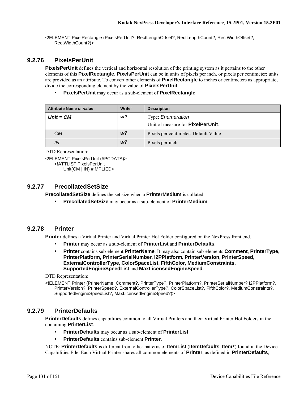<!ELEMENT PixelRectangle (PixelsPerUnit?, RectLengthOffset?, RectLengthCount?, RectWidthOffset?, RectWidthCount?)>

# **9.2.76 PixelsPerUnit**

**PixelsPerUnit** defines the vertical and horizontal resolution of the printing system as it pertains to the other elements of this **PixelRectangle**. **PixelsPerUnit** can be in units of pixels per inch, or pixels per centimeter; units are provided as an attribute. To convert other elements of **PixelRectangle** to inches or centimeters as appropriate, divide the corresponding element by the value of **PixelsPerUnit**.

**PixelsPerUnit** may occur as a sub-element of **PixelRectangle**.

| <b>Attribute Name or value</b> | Writer         | <b>Description</b>                        |
|--------------------------------|----------------|-------------------------------------------|
| $Unit = CM$                    | w?             | Type: <i>Enumeration</i>                  |
|                                |                | Unit of measure for <b>PixelPerUnit</b> . |
| CМ                             | W <sup>2</sup> | Pixels per centimeter. Default Value      |
| IN                             | W <sup>2</sup> | Pixels per inch.                          |

```
DTD Representation:
```
<!ELEMENT PixelsPerUnit (#PCDATA)> <!ATTLIST PixelsPerUnit Unit(CM | IN) #IMPLIED>

## **9.2.77 PrecollatedSetSize**

**PrecollatedSetSize** defines the set size when a **PrinterMedium** is collated

**PrecollatedSetSize** may occur as a sub-element of **PrinterMedium**.

## **9.2.78 Printer**

**Printer** defines a Virtual Printer and Virtual Printer Hot Folder configured on the NexPress front end.

- **Printer** may occur as a sub-element of **PrinterList** and **PrinterDefaults**.
- **Printer** contains sub-element **PrinterName**. It may also contain sub-elements **Comment**, **PrinterType**, **PrinterPlatform, PrinterSerialNumber**, **I2PPlatform***,* **PrinterVersion**, **PrinterSpeed**, **ExternalControllerType**, **ColorSpaceList**, **FifthColor**, **MediumConstraints, SupportedEngineSpeedList** and **MaxLicensedEngineSpeed.**

DTD Representation:

<!ELEMENT Printer (PrinterName, Comment?, PrinterType?, PrinterPlatform?, PrinterSerialNumber? I2PPlatform?, PrinterVersion?, PrinterSpeed?, ExternalControllerType?, ColorSpaceList?, FifthColor?, MediumConstraints?, SupportedEngineSpeedList?, MaxLicensedEngineSpeed?)>

# **9.2.79 PrinterDefaults**

**PrinterDefaults** defines capabilities common to all Virtual Printers and their Virtual Printer Hot Folders in the containing **PrinterList**.

- **PrinterDefaults** may occur as a sub-element of **PrinterList**.
- **PrinterDefaults** contains sub-element **Printer**.

NOTE: **PrinterDefaults** is different from other patterns of **ItemList** (**ItemDefaults**, **Item**\*) found in the Device Capabilities File. Each Virtual Printer shares all common elements of **Printer**, as defined in **PrinterDefaults**,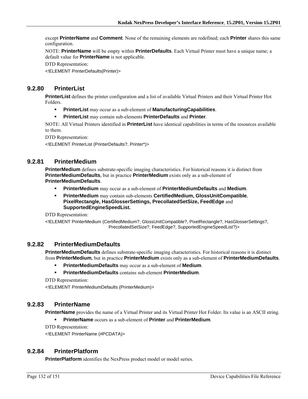except **PrinterName** and **Comment**. None of the remaining elements are redefined; each **Printer** shares this same configuration.

NOTE: **PrinterName** will be empty within **PrinterDefaults**. Each Virtual Printer must have a unique name; a default value for **PrinterName** is not applicable.

DTD Representation:

<!ELEMENT PrinterDefaults(Printer)>

# **9.2.80 PrinterList**

**PrinterList** defines the printer configuration and a list of available Virtual Printers and their Virtual Printer Hot Folders.

- **PrinterList** may occur as a sub-element of **ManufacturingCapabilities**.
- **PrinterList** may contain sub-elements **PrinterDefaults** and **Printer**.

NOTE: All Virtual Printers identified in **PrinterList** have identical capabilities in terms of the resources available to them.

DTD Representation:

<!ELEMENT PrinterList (PrinterDefaults?, Printer\*)>

## **9.2.81 PrinterMedium**

**PrinterMedium** defines substrate-specific imaging characteristics. For historical reasons it is distinct from **PrinterMediumDefaults**, but in practice **PrinterMedium** exists only as a sub-element of **PrinterMediumDefaults**.

- **PrinterMedium** may occur as a sub-element of **PrinterMediumDefaults** and **Medium**.
- **PrinterMedium** may contain sub-elements **CertifiedMedium, GlossUnitCompatible**, **PixelRectangle, HasGlosserSettings, PrecollatedSetSize, FeedEdge** and **SupportedEngineSpeedList.**

DTD Representation:

<!ELEMENT PrinterMedium (CertifiedMedium?, GlossUnitCompatible?, PixelRectangle?, HasGlosserSettings?, PrecollatedSetSize?, FeedEdge?, SupportedEngineSpeedList?)>

## **9.2.82 PrinterMediumDefaults**

**PrinterMediumDefaults** defines substrate-specific imaging characteristics. For historical reasons it is distinct from **PrinterMedium**, but in practice **PrinterMedium** exists only as a sub-element of **PrinterMediumDefaults**.

- **PrinterMediumDefaults** may occur as a sub-element of **Medium**.
- **PrinterMediumDefaults** contains sub-element **PrinterMedium**.

DTD Representation:

<!ELEMENT PrinterMediumDefaults (PrinterMedium)>

## **9.2.83 PrinterName**

**PrinterName** provides the name of a Virtual Printer and its Virtual Printer Hot Folder. Its value is an ASCII string.

**PrinterName** occurs as a sub-element of **Printer** and **PrinterMedium**.

DTD Representation:

<!ELEMENT PrinterName (#PCDATA)>

## **9.2.84 PrinterPlatform**

**PrinterPlatform** identifies the NexPress product model or model series.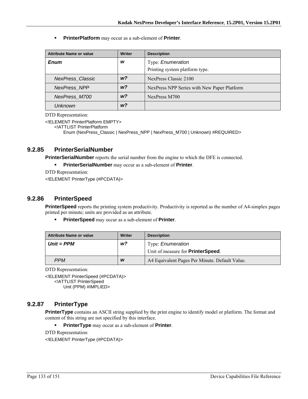**PrinterPlatform** may occur as a sub-element of **Printer**.

| <b>Attribute Name or value</b> | <b>Writer</b> | <b>Description</b>                          |
|--------------------------------|---------------|---------------------------------------------|
| Enum                           | W             | Type: Enumeration                           |
|                                |               | Printing system platform type.              |
| <b>NexPress Classic</b>        | w?            | NexPress Classic 2100                       |
| <b>NexPress NPP</b>            | w?            | NexPress NPP Series with New Paper Platform |
| NexPress M700                  | w?            | NexPress M700                               |
| Unknown                        | w?            |                                             |

DTD Representation:

<!ELEMENT PrinterPlatform EMPTY>

<!ATTLIST PrinterPlatform

Enum (NexPress\_Classic | NexPress\_NPP | NexPress\_M700 | Unknown) #REQUIRED>

## **9.2.85 PrinterSerialNumber**

**PrinterSerialNumber** reports the serial number from the engine to which the DFE is connected.

**PrinterSerialNumber** may occur as a sub-element of **Printer**.

DTD Representation:

<!ELEMENT PrinterType (#PCDATA)>

## **9.2.86 PrinterSpeed**

**PrinterSpeed** reports the printing system productivity. Productivity is reported as the number of A4-simplex pages printed per minute; units are provided as an attribute.

**PrinterSpeed** may occur as a sub-element of **Printer**.

| <b>Attribute Name or value</b> | Writer | <b>Description</b>                                                    |
|--------------------------------|--------|-----------------------------------------------------------------------|
| $Unit = PPM$                   | w?     | Type: <i>Enumeration</i><br>Unit of measure for <b>PrinterSpeed</b> . |
| <b>PPM</b>                     | W      | A4 Equivalent Pages Per Minute. Default Value.                        |

DTD Representation:

<!ELEMENT PrinterSpeed (#PCDATA)> <!ATTLIST PrinterSpeed Unit (PPM) #IMPLIED>

# **9.2.87 PrinterType**

**PrinterType** contains an ASCII string supplied by the print engine to identify model or platform. The format and content of this string are not specified by this interface.

**PrinterType** may occur as a sub-element of **Printer**.

DTD Representation: <!ELEMENT PrinterType (#PCDATA)>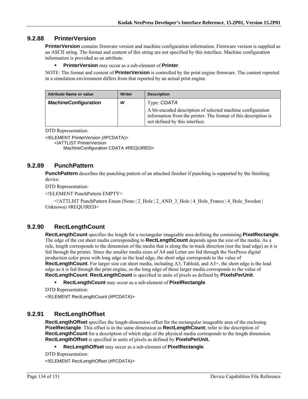# **9.2.88 PrinterVersion**

**PrinterVersion** contains firmware version and machine configuration information. Firmware version is supplied as an ASCII string. The format and content of this string are not specified by this interface. Machine configuration information is provided as an attribute.

#### **PrinterVersion** may occur as a sub-element of **Printer**.

NOTE: The format and content of **PrinterVersion** is controlled by the print engine firmware. The content reported in a simulation environment differs from that reported by an actual print engine.

| <b>Attribute Name or value</b> | Writer | <b>Description</b>                                                                                                                                               |
|--------------------------------|--------|------------------------------------------------------------------------------------------------------------------------------------------------------------------|
| <b>MachineConfiguration</b>    | W      | Type: CDATA                                                                                                                                                      |
|                                |        | A bit-encoded description of selected machine configuration<br>information from the printer. The format of this description is<br>not defined by this interface. |

DTD Representation:

<!ELEMENT PrinterVersion (#PCDATA)>

<!ATTLIST PrinterVersion

MachineConfiguration CDATA #REQUIRED>

## **9.2.89 PunchPattern**

**PunchPattern** describes the punching pattern of an attached finisher if punching is supported by the finishing device.

DTD Representation:

<!ELEMENT PunchPattern EMPTY>

 $\leq$  ATTLIST PunchPattern Enum (None | 2\_Hole | 2\_AND\_3\_Hole | 4\_Hole France | 4\_Hole\_Sweden | Unknown) #REQUIRED>

# **9.2.90 RectLengthCount**

**RectLengthCount** specifies the length for a rectangular imageable area defining the containing **PixelRectangle**. The edge of the cut sheet media corresponding to **RectLengthCount** depends upon the size of the media. As a rule, length corresponds to the dimension of the media that is along the in-track direction (not the lead edge) as it is fed through the printer. Since the smaller media sizes of A4 and Letter are fed through the NexPress digital production color press with long edge as the lead edge, the short edge corresponds to the value of **RectLengthCount**. For larger size cut sheet media, including A3, Tabloid, and A3+, the short edge is the lead edge as it is fed through the print engine, so the long edge of these larger media corresponds to the value of **RectLengthCount**. **RectLengthCount** is specified in units of pixels as defined by **PixelsPerUnit**.

**RectLengthCount** may occur as a sub-element of **PixelRectangle**.

DTD Representation: <!ELEMENT RectLengthCount (#PCDATA)>

## **9.2.91 RectLengthOffset**

**RectLengthOffset** specifies the length-dimension offset for the rectangular imageable area of the enclosing **PixelRectangle**. This offset is in the same dimension as **RectLengthCount**; refer to the description of **RectLengthCount** for a description of which edge of the physical media corresponds to the length dimension. **RectLengthOffset** is specified in units of pixels as defined by **PixelsPerUnit.**

**RecLengthOffset** may occur as a sub-element of **PixelRectangle**.

```
DTD Representation:
```
<!ELEMENT RectLengthOffset (#PCDATA)>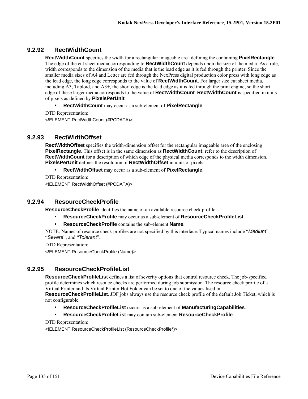# **9.2.92 RectWidthCount**

**RectWidthCount** specifies the width for a rectangular imageable area defining the containing **PixelRectangle**. The edge of the cut sheet media corresponding to **RectWidthCount** depends upon the size of the media. As a rule, width corresponds to the dimension of the media that is the lead edge as it is fed through the printer. Since the smaller media sizes of A4 and Letter are fed through the NexPress digital production color press with long edge as the lead edge, the long edge corresponds to the value of **RectWidthCount**. For larger size cut sheet media, including A3, Tabloid, and A3+, the short edge is the lead edge as it is fed through the print engine, so the short edge of these larger media corresponds to the value of **RectWidthCount**. **RectWidthCount** is specified in units of pixels as defined by **PixelsPerUnit**.

- **RectWidthCount** may occur as a sub-element of **PixelRectangle**.
- DTD Representation:

<!ELEMENT RectWidthCount (#PCDATA)>

## **9.2.93 RectWidthOffset**

**RectWidthOffset** specifies the width-dimension offset for the rectangular imageable area of the enclosing **PixelRectangle**. This offset is in the same dimension as **RectWidthCount**; refer to the description of **RectWidthCount** for a description of which edge of the physical media corresponds to the width dimension. **PixelsPerUnit** defines the resolution of **RectWidthOffset** in units of pixels.

**RectWidthOffset** may occur as a sub-element of **PixelRectangle**.

DTD Representation:

<!ELEMENT RectWidthOffset (#PCDATA)>

# **9.2.94 ResourceCheckProfile**

**ResourceCheckProfile** identifies the name of an available resource check profile.

- **ResourceCheckProfile** may occur as a sub-element of **ResourceCheckProfileList**.
- **ResourceCheckProfile** contains the sub-element **Name**.

NOTE: Names of resource check profiles are not specified by this interface. Typical names include "*Medium*", "*Severe*", and "*Tolerant*".

DTD Representation:

<!ELEMENT ResourceCheckProfile (Name)>

# **9.2.95 ResourceCheckProfileList**

**ResourceCheckProfileList** defines a list of severity options that control resource check. The job-specified profile determines which resouce checks are performed during job submission. The resource check profile of a Virtual Printer and its Virtual Printer Hot Folder can be set to one of the values lised in

**ResourceCheckProfileList**. JDF jobs always use the resource check profile of the default Job Ticket, which is not configurable.

- **ResourceCheckProfileList** occurs as a sub-element of **ManufacturingCapabilities**.
- **ResourceCheckProfileList** may contain sub-element **ResourceCheckProfile**.

DTD Representation:

<!ELEMENT ResourceCheckProfileList (ResourceCheckProfile\*)>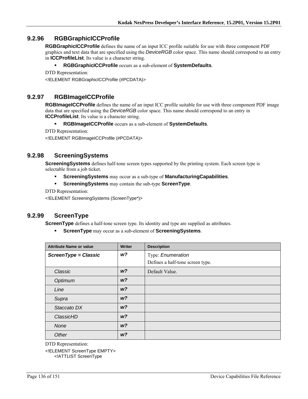# **9.2.96 RGBGraphicICCProfile**

**RGBGraphicICCProfile** defines the name of an input ICC profile suitable for use with three component PDF graphics and text data that are specified using the *DeviceRGB* color space. This name should correspond to an entry in **ICCProfileList**. Its value is a character string.

### **RGBGraphicICCProfile** occurs as a sub-element of **SystemDefaults**.

```
DTD Representation:
```
<!ELEMENT RGBGraphicICCProfile (#PCDATA)>

# **9.2.97 RGBImageICCProfile**

**RGBImageICCProfile** defines the name of an input ICC profile suitable for use with three component PDF image data that are specified using the *DeviceRGB* color space. This name should correspond to an entry in **ICCProfileList**. Its value is a character string.

### **RGBImageICCProfile** occurs as a sub-element of **SystemDefaults**.

DTD Representation:

<!ELEMENT RGBImageICCProfile (#PCDATA)>

## **9.2.98 ScreeningSystems**

**ScreeningSystems** defines half-tone screen types supported by the printing system. Each screen type is selectable from a job ticket.

- **ScreeningSystems** may occur as a sub-type of **ManufacturingCapabilities**.
- **ScreeningSystems** may contain the sub-type **ScreenType**.

DTD Representation:

<!ELEMENT ScreeningSystems (ScreenType\*)>

## **9.2.99 ScreenType**

**ScreenType** defines a half-tone screen type. Its identity and type are supplied as attributes.

**ScreenType** may occur as a sub-element of **ScreeningSystems**.

| <b>Attribute Name or value</b> | <b>Writer</b>  | <b>Description</b>               |
|--------------------------------|----------------|----------------------------------|
| ScreenType = Classic           | w?             | Type: Enumeration                |
|                                |                | Defines a half-tone screen type. |
| Classic                        | W <sup>2</sup> | Default Value.                   |
| Optimum                        | W <sup>2</sup> |                                  |
| Line                           | W <sub>2</sub> |                                  |
| Supra                          | W <sup>2</sup> |                                  |
| Staccato DX                    | W <sup>2</sup> |                                  |
| ClassicHD                      | W <sup>2</sup> |                                  |
| None                           | W <sup>2</sup> |                                  |
| Other                          | W <sub>2</sub> |                                  |

DTD Representation:

<!ELEMENT ScreenType EMPTY> <!ATTLIST ScreenType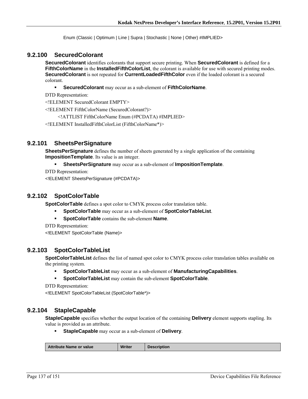Enum (Classic | Optimum | Line | Supra | Stochastic | None | Other) #IMPLIED>

### **9.2.100 SecuredColorant**

**SecuredColorant** identifies colorants that support secure printing. When **SecuredColorant** is defined for a **FifthColorName** in the **InstalledFifthColorList**, the colorant is available for use with secured printing modes. **SecuredColorant** is not repeated for **CurrentLoadedFifthColor** even if the loaded colorant is a secured colorant.

**SecuredColorant** may occur as a sub-element of **FifthColorName**.

DTD Representation:

<!ELEMENT SecuredColorant EMPTY>

<!ELEMENT FifthColorName (SecuredColorant?)>

<!ATTLIST FifthColorName Enum (#PCDATA) #IMPLIED>

<!ELEMENT InstalledFifthColorList (FifthColorName\*)>

### **9.2.101 SheetsPerSignature**

**SheetsPerSignature** defines the number of sheets generated by a single application of the containing **ImpositionTemplate**. Its value is an integer.

#### **SheetsPerSignature** may occur as a sub-element of **ImpositionTemplate**.

DTD Representation:

<!ELEMENT SheetsPerSignature (#PCDATA)>

### **9.2.102 SpotColorTable**

**SpotColorTable** defines a spot color to CMYK process color translation table.

- **SpotColorTable** may occur as a sub-element of **SpotColorTableList**.
- **SpotColorTable** contains the sub-element **Name**.

DTD Representation:

<!ELEMENT SpotColorTable (Name)>

## **9.2.103 SpotColorTableList**

**SpotColorTableList** defines the list of named spot color to CMYK process color translation tables available on the printing system.

- **SpotColorTableList** may occur as a sub-element of **ManufacturingCapabilities**.
- **SpotColorTableList** may contain the sub-element **SpotColorTable**.

```
DTD Representation:
```
<!ELEMENT SpotColorTableList (SpotColorTable\*)>

## **9.2.104 StapleCapable**

**StapleCapable** specifies whether the output location of the containing **Delivery** element supports stapling. Its value is provided as an attribute.

**StapleCapable** may occur as a sub-element of **Delivery**.

| <b>Att</b><br>: Name or value<br>ribute | Writer | <b>Description</b> |
|-----------------------------------------|--------|--------------------|
|                                         |        |                    |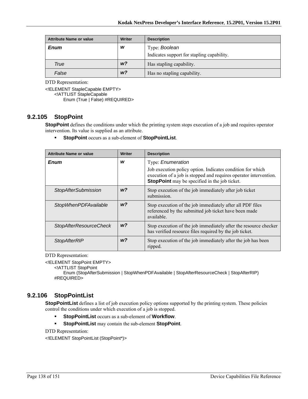| <b>Attribute Name or value</b> | Writer         | <b>Description</b>                         |
|--------------------------------|----------------|--------------------------------------------|
| <b>Enum</b>                    | w              | Type: Boolean                              |
|                                |                | Indicates support for stapling capability. |
| True                           | w?             | Has stapling capability.                   |
| False                          | W <sup>2</sup> | Has no stapling capability.                |

<!ELEMENT StapleCapable EMPTY> <!ATTLIST StapleCapable Enum (True | False) #REQUIRED>

## **9.2.105 StopPoint**

**StopPoint** defines the conditions under which the printing system stops execution of a job and requires operator intervention. Its value is supplied as an attribute.

**StopPoint** occurs as a sub-element of **StopPointList**.

| <b>Attribute Name or value</b> | <b>Writer</b>  | <b>Description</b>                                                                                                                                                                      |
|--------------------------------|----------------|-----------------------------------------------------------------------------------------------------------------------------------------------------------------------------------------|
| Enum                           | w              | Type: <i>Enumeration</i>                                                                                                                                                                |
|                                |                | Job execution policy option. Indicates condition for which<br>execution of a job is stopped and requires operator intervention.<br><b>StopPoint</b> may be specified in the job ticket. |
| <b>StopAfterSubmission</b>     | W <sup>2</sup> | Stop execution of the job immediately after job ticket<br>submission.                                                                                                                   |
| <b>StopWhenPDFAvailable</b>    | W <sup>2</sup> | Stop execution of the job immediately after all PDF files<br>referenced by the submitted job ticket have been made<br>available.                                                        |
| <b>StopAfterResourceCheck</b>  | W <sup>2</sup> | Stop execution of the job immediately after the resource checker<br>has verified resource files required by the job ticket.                                                             |
| <b>StopAfterRIP</b>            | w?             | Stop execution of the job immediately after the job has been<br>ripped.                                                                                                                 |

DTD Representation:

<!ELEMENT StopPoint EMPTY>

<!ATTLIST StopPoint

Enum (StopAfterSubmission | StopWhenPDFAvailable | StopAfterResourceCheck | StopAfterRIP) #REQUIRED>

# **9.2.106 StopPointList**

**StopPointList** defines a list of job execution policy options supported by the printing system. These policies control the conditions under which execution of a job is stopped.

- **StopPointList** occurs as a sub-element of **Workflow**.
- **StopPointList** may contain the sub-element **StopPoint**.

DTD Representation:

<!ELEMENT StopPointList (StopPoint\*)>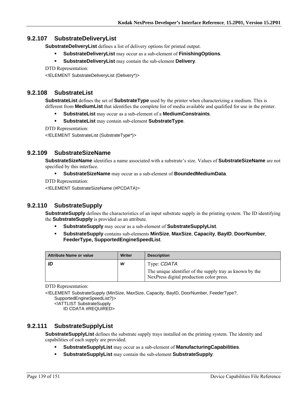# **9.2.107 SubstrateDeliveryList**

**SubstrateDeliveryList** defines a list of delivery options for printed output.

- **SubstrateDeliveryList** may occur as a sub-element of **FinishingOptions**.
- **SubstrateDeliveryList** may contain the sub-element **Delivery**.

DTD Representation:

<!ELEMENT SubstrateDeliveryList (Delivery\*)>

## **9.2.108 SubstrateList**

**SubstrateList** defines the set of **SubstrateType** used by the printer when characterizing a medium. This is different from **MediumList** that identifies the complete list of media available and qualified for use in the printer.

- **SubstrateList** may occur as a sub-element of a **MediumConstraints**.
- **SubstrateList** may contain sub-element **SubstrateType**.

DTD Representation:

<!ELEMENT SubstrateList (SubstrateType\*)>

# **9.2.109 SubstrateSizeName**

**SubstrateSizeName** identifies a name associated with a substrate's size. Values of **SubstrateSizeName** are not specified by this interface.

- **SubstrateSizeName** may occur as a sub-element of **BoundedMediumData**.
- DTD Representation:

<!ELEMENT SubstrateSizeName (#PCDATA)>

# **9.2.110 SubstrateSupply**

**SubstrateSupply** defines the characteristics of an input substrate supply in the printing system. The ID identifying the **SubstrateSupply** is provided as an attribute.

- **SubstrateSupply** may occur as a sub-element of **SubstrateSupplyList**.
- **SubstrateSupply** contains sub-elements **MinSize**, **MaxSize**, **Capacity**, **BayID**, **DoorNumber**, **FeederType, SupportedEngineSpeedList**.

| <b>Attribute Name or value</b> | Writer | <b>Description</b>                                                                                   |
|--------------------------------|--------|------------------------------------------------------------------------------------------------------|
|                                | W      | Type: CDATA                                                                                          |
|                                |        | The unique identifier of the supply tray as known by the<br>NexPress digital production color press. |

DTD Representation:

<!ELEMENT SubstrateSupply (MinSize, MaxSize, Capacity, BayID, DoorNumber, FeederType?, SupportedEngineSpeedList?)>

<!ATTLIST SubstrateSupply

ID CDATA #REQUIRED>

# **9.2.111 SubstrateSupplyList**

**SubstrateSupplyList** defines the substrate supply trays installed on the printing system. The identity and capabilities of each supply are provided.

- **SubstrateSupplyList** may occur as a sub-element of **ManufacturingCapabilities**.
- **SubstrateSupplyList** may contain the sub-element **SubstrateSupply**.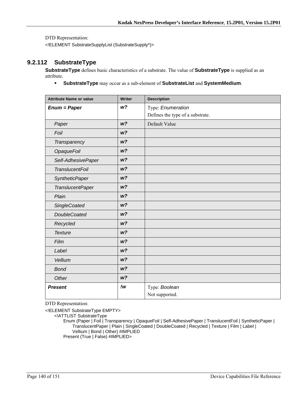<!ELEMENT SubstrateSupplyList (SubstrateSupply\*)>

# **9.2.112 SubstrateType**

**SubstrateType** defines basic characteristics of a substrate. The value of **SubstrateType** is supplied as an attribute.

**SubstrateType** may occur as a sub-element of **SubstrateList** and **SystemMedium**.

| <b>Attribute Name or value</b> | Writer         | <b>Description</b>               |
|--------------------------------|----------------|----------------------------------|
| $Enum = Paper$                 | W <sup>2</sup> | Type: Enumeration                |
|                                |                | Defines the type of a substrate. |
| Paper                          | W <sup>2</sup> | Default Value                    |
| Foil                           | W <sup>2</sup> |                                  |
| Transparency                   | W <sup>2</sup> |                                  |
| <b>OpaqueFoil</b>              | W <sup>2</sup> |                                  |
| Self-AdhesivePaper             | W <sup>2</sup> |                                  |
| <b>TranslucentFoil</b>         | W <sup>2</sup> |                                  |
| <b>SyntheticPaper</b>          | W <sup>2</sup> |                                  |
| <b>TranslucentPaper</b>        | W <sup>2</sup> |                                  |
| Plain                          | W <sup>2</sup> |                                  |
| <b>SingleCoated</b>            | W <sup>2</sup> |                                  |
| <b>DoubleCoated</b>            | W <sub>2</sub> |                                  |
| Recycled                       | W <sup>2</sup> |                                  |
| <b>Texture</b>                 | W <sup>2</sup> |                                  |
| Film                           | W <sup>2</sup> |                                  |
| Label                          | W <sup>2</sup> |                                  |
| Vellium                        | W <sub>2</sub> |                                  |
| <b>Bond</b>                    | W <sup>2</sup> |                                  |
| Other                          | W <sup>2</sup> |                                  |
| <b>Present</b>                 | !w             | Type: Boolean                    |
|                                |                | Not supported.                   |

DTD Representation:

<!ELEMENT SubstrateType EMPTY>

<!ATTLIST SubstrateType

Enum (Paper | Foil | Transparency | OpaqueFoil | Self-AdhesivePaper | TranslucentFoil | SyntheticPaper | TranslucentPaper | Plain | SingleCoated | DoubleCoated | Recycled | Texture | Film | Label | Vellium | Bond | Other) #IMPLIED Present (True | False) #IMPLIED>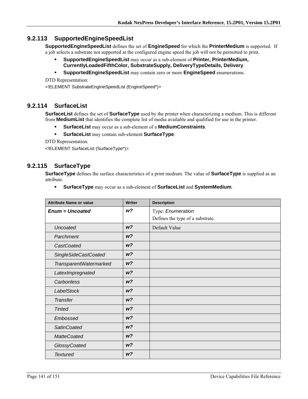# **9.2.113 SupportedEngineSpeedList**

**SupportedEngineSpeedList** defines the set of **EngineSpeed** for which the **PrinterMedium** is supported. If a job selects a substrate not supported at the configured engine speed the job will not be permitted to print.

- **SupportedEngineSpeedList** may occur as a sub-element of **Printer, PrinterMedium, CurrentlyLoadedFifthColor, SubstrateSupply, DeliveryTypeDetails, Delivery**.
- **SupportedEngineSpeedList** may contain zero or more **EngineSpeed** enumerations.

DTD Representation:

<!ELEMENT SubstrateEngineSpeedList (EngineSpeed\*)>

## **9.2.114 SurfaceList**

**SurfaceList** defines the set of **SurfaceType** used by the printer when characterizing a medium. This is different from **MediumList** that identifies the complete list of media available and qualified for use in the printer.

- **SurfaceList** may occur as a sub-element of a **MediumConstraints**.
- **SurfaceList** may contain sub-element **SurfaceType**.

DTD Representation:

<!ELEMENT SurfaceList (SurfaceType\*)>

# **9.2.115 SurfaceType**

**SurfaceType** defines the surface characteristics of a print medium. The value of **SurfaceType** is supplied as an attribute.

**SurfaceType** may occur as a sub-element of **SurfaceList** and **SystemMedium**.

| <b>Attribute Name or value</b> | <b>Writer</b>  | <b>Description</b>               |
|--------------------------------|----------------|----------------------------------|
| <b>Enum = Uncoated</b>         | w?             | Type: Enumeration                |
|                                |                | Defines the type of a substrate. |
| <b>Uncoated</b>                | W <sup>2</sup> | Default Value                    |
| Parchment                      | W <sup>2</sup> |                                  |
| CastCoated                     | W <sup>2</sup> |                                  |
| <b>SingleSideCastCoated</b>    | W <sup>2</sup> |                                  |
| TransparentWatermarked         | W <sup>2</sup> |                                  |
| LatexImpregnated               | W <sup>2</sup> |                                  |
| Carbonless                     | W <sup>2</sup> |                                  |
| <b>LabelStock</b>              | W <sup>2</sup> |                                  |
| <b>Transfer</b>                | W <sup>2</sup> |                                  |
| <b>Tinted</b>                  | W <sup>2</sup> |                                  |
| Embossed                       | W <sup>2</sup> |                                  |
| <b>SatinCoated</b>             | W <sup>2</sup> |                                  |
| <b>MatteCoated</b>             | W <sup>2</sup> |                                  |
| GlossyCoated                   | W <sup>2</sup> |                                  |
| <b>Textured</b>                | W <sup>2</sup> |                                  |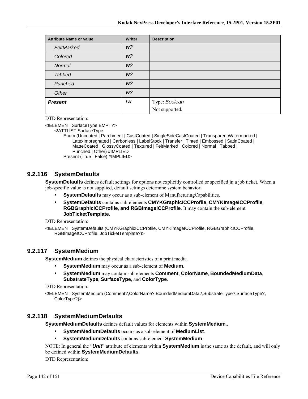| <b>Attribute Name or value</b> | Writer         | <b>Description</b> |
|--------------------------------|----------------|--------------------|
| FeltMarked                     | W <sup>2</sup> |                    |
| Colored                        | W <sup>2</sup> |                    |
| Normal                         | W <sup>2</sup> |                    |
| <b>Tabbed</b>                  | W <sup>2</sup> |                    |
| Punched                        | W <sup>2</sup> |                    |
| Other                          | W <sup>2</sup> |                    |
| <b>Present</b>                 | !w             | Type: Boolean      |
|                                |                | Not supported.     |

<!ELEMENT SurfaceType EMPTY>

<!ATTLIST SurfaceType

Enum (Uncoated | Parchment | CastCoated | SingleSideCastCoated | TransparentWatermarked | LatexImpregnated | Carbonless | LabelStock | Transfer | Tinted | Embossed | SatinCoated | MatteCoated | GlossyCoated | Textured | FeltMarked | Colored | Normal | Tabbed | Punched | Other) #IMPLIED

Present (True | False) #IMPLIED>

## **9.2.116 SystemDefaults**

**SystemDefaults** defines default settings for options not explicitly controlled or specified in a job ticket. When a job-specific value is not supplied, default settings determine system behavior.

- **SystemDefaults** may occur as a sub-element of ManufacturingCapabilities.
- **SystemDefaults** contains sub-elements **CMYKGraphicICCProfile**, **CMYKImageICCProfile**, **RGBGraphicICCProfile**, **and RGBImageICCProfile**. It may contain the sub-element **JobTicketTemplate**.

DTD Representation:

<!ELEMENT SystemDefaults (CMYKGraphicICCProfile, CMYKImageICCProfile, RGBGraphicICCProfile, RGBImageICCProfile, JobTicketTemplate?)>

# **9.2.117 SystemMedium**

**SystemMedium** defines the physical characteristics of a print media.

- **SystemMedium** may occur as a sub-element of **Medium**.
- **SystemMedium** may contain sub-elements **Comment**, **ColorName**, **BoundedMediumData**, **SubstrateType**, **SurfaceType**, and **ColorType**.

DTD Representation:

<!ELEMENT SystemMedium (Comment?,ColorName?,BoundedMediumData?,SubstrateType?,SurfaceType?, ColorType?)>

## **9.2.118 SystemMediumDefaults**

**SystemMediumDefaults** defines default values for elements within **SystemMedium**..

- **SystemMediumDefaults** occurs as a sub-element of **MediumList**.
- **SystemMediumDefaults** contains sub-element **SystemMedium**.

NOTE: In general the "*Unit*" attribute of elements within **SystemMedium** is the same as the default, and will only be defined within **SystemMediumDefaults**.

DTD Representation: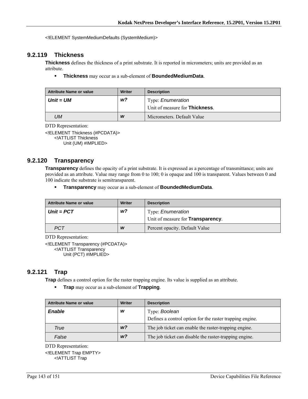<!ELEMENT SystemMediumDefaults (SystemMedium)>

# **9.2.119 Thickness**

**Thickness** defines the thickness of a print substrate. It is reported in micrometers; units are provided as an attribute.

**Thickness** may occur as a sub-element of **BoundedMediumData**.

| <b>Attribute Name or value</b> | <b>Writer</b> | <b>Description</b>                                                 |
|--------------------------------|---------------|--------------------------------------------------------------------|
| Unit = UM                      | w?            | Type: <i>Enumeration</i><br>Unit of measure for <b>Thickness</b> . |
| UМ                             | W             | Micrometers. Default Value                                         |

DTD Representation:

<!ELEMENT Thickness (#PCDATA)> <!ATTLIST Thickness Unit (UM) #IMPLIED>

## **9.2.120 Transparency**

**Transparency** defines the opacity of a print substrate. It is expressed as a percentage of transmittance; units are provided as an attribute. Value may range from 0 to 100; 0 is opaque and 100 is transparent. Values between 0 and 100 indicate the substrate is semitransparent.

**Transparency** may occur as a sub-element of **BoundedMediumData**.

| <b>Attribute Name or value</b> | Writer | <b>Description</b>                        |
|--------------------------------|--------|-------------------------------------------|
| $Unit = PCT$                   | w?     | Type: <i>Enumeration</i>                  |
|                                |        | Unit of measure for <b>Transparency</b> . |
| <b>PCT</b>                     | W      | Percent opacity. Default Value            |

DTD Representation:

<!ELEMENT Transparency (#PCDATA)> <!ATTLIST Transparency Unit (PCT) #IMPLIED>

# **9.2.121 Trap**

**Trap** defines a control option for the raster trapping engine. Its value is supplied as an attribute.

**Trap** may occur as a sub-element of **Trapping**.

| <b>Attribute Name or value</b> | Writer         | <b>Description</b>                                       |
|--------------------------------|----------------|----------------------------------------------------------|
| <b>Enable</b>                  | W              | Type: Boolean                                            |
|                                |                | Defines a control option for the raster trapping engine. |
| True                           | W <sup>2</sup> | The job ticket can enable the raster-trapping engine.    |
| False                          | w <sub>2</sub> | The job ticket can disable the raster-trapping engine.   |

DTD Representation:

<!ELEMENT Trap EMPTY> <!ATTLIST Trap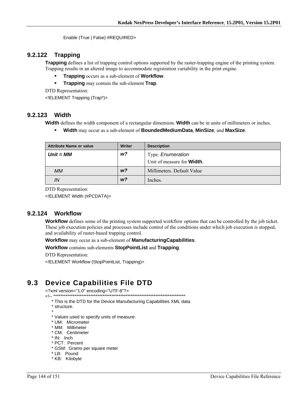Enable (True | False) #REQUIRED>

# **9.2.122 Trapping**

**Trapping** defines a list of trapping control options supported by the raster-trapping engine of the printing system. Trapping results in an altered image to accommodate registration variability in the print engine.

- **Trapping** occurs as a sub-element of **Workflow**.
- **Trapping** may contain the sub-element **Trap**.

DTD Representation:

<!ELEMENT Trapping (Trap\*)>

## **9.2.123 Width**

**Width** defines the width component of a rectangular dimension. **Width** can be in units of millimeters or inches.

**Width** may occur as a sub-element of **BoundedMediumData**, **MinSize**, and **MaxSize**.

| <b>Attribute Name or value</b> | Writer         | <b>Description</b>                 |
|--------------------------------|----------------|------------------------------------|
| $Unit = MM$                    | w?             | Type: <i>Enumeration</i>           |
|                                |                | Unit of measure for <b>Width</b> . |
| МM                             | W <sup>2</sup> | Millimeters. Default Value         |
| IN                             | W <sup>2</sup> | Inches.                            |

DTD Representation:

<!ELEMENT Width (#PCDATA)>

## **9.2.124 Workflow**

**Workflow** defines some of the printing system supported workflow options that can be controlled by the job ticket. These job execution policies and processes include control of the conditions under which job execution is stopped, and availability of raster-based trapping control.

#### **Workflow** may occur as a sub-element of **ManufacturingCapabilities**.

#### **Workflow** contains sub-elements **StopPointList** and **Trapping**.

DTD Representation:

<!ELEMENT Workflow (StopPointList, Trapping)>

# **9.3 Device Capabilities File DTD**

<?xml version="1.0" encoding="UTF-8"?>

<!-- \*\*\*\*\*\*\*\*\*\*\*\*\*\*\*\*\*\*\*\*\*\*\*\*\*\*\*\*\*\*\*\*\*\*\*\*\*\*\*\*\*\*\*\*\*\*\*\*\*\*\*\*\*\*\*\*\*\*\*\*\*\*\*\*\*\*\*\*\*\*\*\*\*\*\*

\* This is the DTD for the Device Manufacturing Capabilities XML data

- \* structure.
- \* \* Values used to specify units of measure:
	- \* UM: Micrometer
	- \* MM: Millimeter
	- \* CM: Centimeter
	- \* IN: Inch
	- \* PCT: Percent
	- \* GSM: Grams per square meter
	- \* LB: Pound
	- \* KB: Kilobyte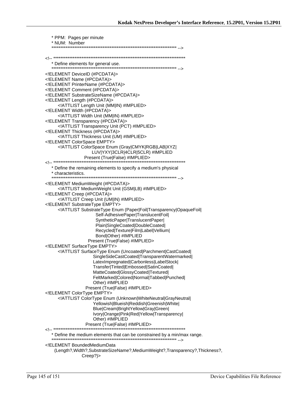| * PPM: Pages per minute                                                                                      |
|--------------------------------------------------------------------------------------------------------------|
| * NUM: Number                                                                                                |
|                                                                                                              |
|                                                                                                              |
|                                                                                                              |
| ELEMENT DeviceID (#PCDATA)<br>ELEMENT Name (#PCDATA)                                                         |
| ELEMENT PrinterName (#PCDATA)                                                                                |
| ELEMENT Comment (#PCDATA)                                                                                    |
| ELEMENT SubstrateSizeName (#PCDATA)<br>ELEMENT Length (#PCDATA)                                              |
| ATTLIST Length Unit (MM IN) #IMPLIED                                                                         |
| ELEMENT Width (#PCDATA)                                                                                      |
| ATTLIST Width Unit (MM IN) #IMPLIED                                                                          |
| ELEMENT Transparency (#PCDATA)<br>ATTLIST Transparency Unit (PCT) #IMPLIED                                   |
| ELEMENT Thickness (#PCDATA)                                                                                  |
| ATTLIST Thickness Unit (UM) #IMPLIED                                                                         |
| ELEMENT ColorSpace EMPTY                                                                                     |
| ATTLIST ColorSpace Enum (Gray CMYK RGB LAB XYZ <br LUV YXY 3CLR 4CLR 5CLR) #IMPLIED                          |
| Present (True False) #IMPLIED>                                                                               |
|                                                                                                              |
| * Define the remaining elements to specify a medium's physical<br>* characteristics.                         |
|                                                                                                              |
| ELEMENT MediumWeight (#PCDATA)                                                                               |
| ATTLIST Medium Weight Unit (GSM LB) #IMPLIED                                                                 |
| ELEMENT Creep (#PCDATA)<br>ATTLIST Creep Unit (UM IN) #IMPLIED                                               |
| ELEMENT Substrate Type EMPTY                                                                                 |
| ATTLIST SubstrateType Enum (Paper Foil Transparency OpaqueFoil </td                                          |
| Self-AdhesivePaper TranslucentFoil <br>SyntheticPaper TranslucentPaper                                       |
| Plain SingleCoated DoubleCoated                                                                              |
| Recycled Texture Film Label Vellium                                                                          |
| Bond Other) #IMPLIED                                                                                         |
| Present (True False) #IMPLIED><br>ELEMENT SurfaceType EMPTY                                                  |
| ATTLIST Surface Type Enum (Uncoated Parchment CastCoated </td                                                |
| SingleSideCastCoated TransparentWatermarked                                                                  |
| LatexImpregnated Carbonless LabelStock                                                                       |
| Transfer Tinted Embossed SatinCoated <br>MatteCoated GlossyCoated Textured                                   |
| FeltMarked Colored Normal Tabbed Punched                                                                     |
| Other) #IMPLIED                                                                                              |
| Present (True False) #IMPLIED><br>ELEMENT ColorType EMPTY                                                    |
| ATTLIST ColorType Enum (Unknown WhiteNeutral GrayNeutral </td                                                |
| Yellowish Blueish Reddish Greenish White                                                                     |
| Blue Cream BrightYellow Gray Green                                                                           |
| Ivory Orange Pink Red Yellow Transparency <br>Other) #IMPLIED                                                |
|                                                                                                              |
|                                                                                                              |
|                                                                                                              |
| ELEMENT BoundedMediumData<br (Length?, Width?, SubstrateSizeName?, MediumWeight?, Transparency?, Thickness?, |
| Creep?                                                                                                       |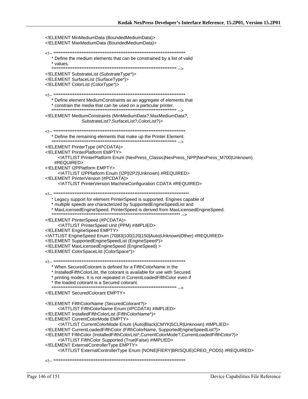| ELEMENT MinMediumData (BoundedMediumData)<br>ELEMENT MaxMediumData (BoundedMediumData)                                                                                                                                                                                                                                                                                                                                                                                                                                                                                                                                    |
|---------------------------------------------------------------------------------------------------------------------------------------------------------------------------------------------------------------------------------------------------------------------------------------------------------------------------------------------------------------------------------------------------------------------------------------------------------------------------------------------------------------------------------------------------------------------------------------------------------------------------|
| * Define the medium elements that can be constrained by a list of valid<br>* values.                                                                                                                                                                                                                                                                                                                                                                                                                                                                                                                                      |
| ELEMENT SubstrateList (SubstrateType*)<br>ELEMENT SurfaceList (SurfaceType*)<br>ELEMENT ColorList (ColorType*)                                                                                                                                                                                                                                                                                                                                                                                                                                                                                                            |
| * Define element MediumConstraints as an aggregate of elements that                                                                                                                                                                                                                                                                                                                                                                                                                                                                                                                                                       |
| ELEMENT MediumConstraints (MinMediumData?, MaxMediumData?,<br SubstrateList?,SurfaceList?,ColorList?)>                                                                                                                                                                                                                                                                                                                                                                                                                                                                                                                    |
| * Define the remaining elements that make up the Printer Element.                                                                                                                                                                                                                                                                                                                                                                                                                                                                                                                                                         |
| ELEMENT PrinterType (#PCDATA)<br>ELEMENT PrinterPlatform EMPTY<br>ATTLIST PrinterPlatform Enum (NexPress_Classic NexPress_NPP NexPress_M700 Unknown)<br #REQUIRED>                                                                                                                                                                                                                                                                                                                                                                                                                                                        |
| ELEMENT I2PPlatform EMPTY<br>ATTLIST I2PPlatform Enum (I2P I2P2 Unknown) #REQUIRED<br>ELEMENT PrinterVersion (#PCDATA)<br>ATTLIST Printer Version Machine Configuration CDATA #REQUIRED                                                                                                                                                                                                                                                                                                                                                                                                                                   |
| * Legacy support for element PrinterSpeed is supported. Engines capable of<br>* multiple speeds are characterized by SupportedEngineSpeedList and<br>* MaxLicensedEngineSpeed. PrinterSpeed is derived from MaxLicensedEngineSpeed.                                                                                                                                                                                                                                                                                                                                                                                       |
| ELEMENT PrinterSpeed (#PCDATA)<br>ATTLIST PrinterSpeed Unit (PPM) #IMPLIED<br>ELEMENT EngineSpeed EMPTY<br>ATTLIST EngineSpeed Enum (70 83 100 120 150 Auto Unknown Other) #REQUIRED<br>ELEMENT SupportedEngineSpeedList (EngineSpeed*)<br>ELEMENT MaxLicensedEngineSpeed (EngineSpeed)<br>ELEMENT ColorSpaceList (ColorSpace*)                                                                                                                                                                                                                                                                                           |
| * When SecuredColorant is defined for a FifthColorName in the<br>* InstalledFifthColorList, the colorant is available for use with Secured<br>* printing modes. It is not repeated in CurrentLoadedFifthColor even if<br>* the loaded colorant is a Secured colorant.                                                                                                                                                                                                                                                                                                                                                     |
| ELEMENT SecuredColorant EMPTY                                                                                                                                                                                                                                                                                                                                                                                                                                                                                                                                                                                             |
| ELEMENT FifthColorName (SecuredColorant?)<br>ATTLIST Fifth ColorName Enum (#PCDATA) #IMPLIED<br>ELEMENT InstalledFifthColorList (FifthColorName*)<br>ELEMENT Current ColorMode EMPTY<br>ATTLIST CurrentColorMode Enum (Auto Black CMYK 5CLR Unknown) #IMPLIED<br>ELEMENT CurrentLoadedFifthColor (FifthColorName, SupportedEngineSpeedList?)<br>ELEMENT FifthColor (InstalledFifthColorList*,CurrentColorMode?,CurrentLoadedFifthColor?)<br>ATTLIST Fifth Color Supported (True False) #IMPLIED<br>ELEMENT External Controller Type EMPTY<br>ATTLIST ExternalControllerType Enum (NONE FIERY BRISQUE CREO_PODS) #REQUIRED |
|                                                                                                                                                                                                                                                                                                                                                                                                                                                                                                                                                                                                                           |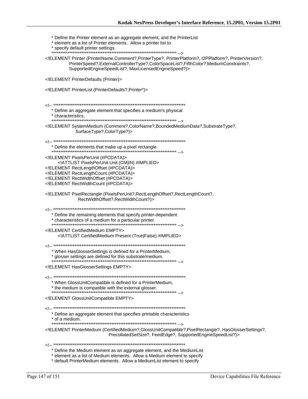\* Define the Printer element as an aggregate element, and the PrinterList \* element as a list of Printer elements. Allow a printer list to \* specify default printer settings. <!ELEMENT Printer (PrinterName,Comment?,PrinterType?, PrinterPlatform?, I2PPlatform?, PrinterVersion?, PrinterSpeed?, ExternalControllerType?, ColorSpaceList?, FifthColor?, MediumConstraints?, SupportedEngineSpeedList?, MaxLicensedEngineSpeed?)> <!ELEMENT PrinterDefaults (Printer)> <! ELEMENT PrinterList (PrinterDefaults?, Printer\*)> \* Define an aggregate element that specifies a medium's physical \* characteristics. <!ELEMENT SystemMedium (Comment?,ColorName?,BoundedMediumData?,SubstrateType?, SurfaceType?,ColorType?)> \* Define the elements that make up a pixel rectangle. ,...<br>\*\*\*\*\*\*\*\*\*\*\*\*\*\*\* --> <! ELEMENT Pixels PerUnit (#PCDATA)> <! ATTLIST Pixels PerUnit Unit (CM|IN) #IMPLIED> <!ELEMENT RectLengthOffset (#PCDATA)> <!ELEMENT RectLengthCount (#PCDATA)> <! ELEMENT RectWidthOffset (#PCDATA)> <! ELEMENT RectWidthCount (#PCDATA)> <!ELEMENT PixelRectangle (PixelsPerUnit?, RectLengthOffset?, RectLengthCount?, RectWidthOffset?,RectWidthCount?)> \* Define the remaining elements that specify printer-dependent \* characteristics of a medium for a particular printer. --------<br>\*\*\*\*\*\*\*\*\*\*\*\*\*\*\*\*\*\*\*\*\* --> <! ELEMENT CertifiedMedium EMPTY> <!ATTLIST CertifiedMedium Present (True|False) #IMPLIED> \* When HasGlosserSettings is defined for a PrinterMedium, \* glosser settings are defined for this substrate/medium. <! ELEMENT Has Glosser Settings EMPTY> \* When GlossUnitCompatible is defined for a PrinterMedium, \* the medium is compatible with the external glosser. <! ELEMENT GlossUnitCompatible EMPTY> \* Define an aggregate element that specifies printable characteristics \* of a medium. <!ELEMENT PrinterMedium (CertifiedMedium?, GlossUnitCompatible?, PixelRectangle?, HasGlosserSettings?, PrecollatedSetSize?, FeedEdge?, SupportedEngineSpeedList?)> \* Define the Medium element as an aggregate element, and the MediumList \* element as a list of Medium elements. Allow a Medium element to specify \* default PrinterMedium elements. Allow a MediumList element to specify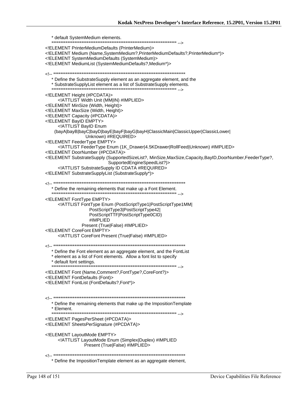\* default SystemMedium elements. <!ELEMENT PrinterMediumDefaults (PrinterMedium)> <!ELEMENT Medium (Name, SystemMedium?, PrinterMediumDefaults?, PrinterMedium\*)> <!ELEMENT SystemMediumDefaults (SystemMedium)> <!ELEMENT MediumList (SystemMediumDefaults?, Medium\*)> \* Define the SubstrateSupply element as an aggregate element, and the \* SubstrateSupplyList element as a list of SubstrateSupply elements. <!ELEMENT Height (#PCDATA)> <! ATTLIST Width Unit (MM|IN) #IMPLIED> <! ELEMENT MinSize (Width, Height)> <! ELEMENT MaxSize (Width, Height)> <! ELEMENT Capacity (#PCDATA)> <! ELEMENT BayID EMPTY> <!ATTLIST BayID Enum (bayA|bayB|bayC|bayD|bayE|bayF|bayG|bayH|ClassicMain|ClassicUpper|ClassicLower| Unknown) #REQUIRED> <! ELEMENT FeederType EMPTY> <!ATTLIST FeederType Enum (1K\_Drawer|4.5KDrawer|RollFeed|Unknown) #IMPLIED> <! ELEMENT DoorNumber (#PCDATA)> ./!ELEMENT SubstrateSupply (SupportedSizeList?, MinSize,MaxSize,Capacity,BayID,DoorNumber,FeederType SupportedEngineSpeedList?)> <!ATTLIST SubstrateSupply ID CDATA #REQUIRED> <!ELEMENT SubstrateSupplyList (SubstrateSupply\*)> \* Define the remaining elements that make up a Font Element. <! ELEMENT FontType EMPTY> <! ATTLIST FontType Enum (PostScriptType1|PostScriptType1MM| PostScriptType3|PostScriptType42| PostScriptTTF|PostScriptType0CID) #IMPLIED Present (True|False) #IMPLIED> <! ELEMENT CoreFont EMPTY> <! ATTLIST CoreFont Present (True|False) #IMPLIED> \* Define the Font element as an aggregate element, and the FontList \* element as a list of Font elements. Allow a font list to specify \* default font settings. <!ELEMENT Font (Name, Comment?, FontType?, CoreFont?)> <!ELEMENT FontDefaults (Font)> <! ELEMENT FontList (FontDefaults?, Font\*)> \* Define the remaining elements that make up the Imposition Template \* Element. <!ELEMENT PagesPerSheet (#PCDATA)> <! ELEMENT Sheets PerSignature (#PCDATA)> <! ELEMENT LayoutMode EMPTY> <! ATTLIST LayoutMode Enum (Simplex|Duplex) #IMPLIED Present (True|False) #IMPLIED> Define the ImpositionTemplate element as an aggregate element,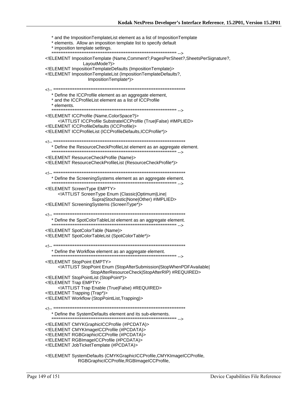\* and the Imposition TemplateList element as a list of Imposition Template \* elements. Allow an imposition template list to specify default \* imposition template settings. <!ELEMENT ImpositionTemplate (Name,Comment?,PagesPerSheet?,SheetsPerSignature?, LayoutMode?)> <!ELEMENT ImpositionTemplateDefaults (ImpositionTemplate)> <!ELEMENT ImpositionTemplateList (ImpositionTemplateDefaults?, ImpositionTemplate\*)> \* Define the ICCProfile element as an aggregate element, \* and the ICCProfileList element as a list of ICCProfile \* elements. <!ELEMENT ICCProfile (Name,ColorSpace?)> <!ATTLIST ICCProfile SubstrateICCProfile (True|False) #IMPLIED> <!ELEMENT ICCProfileDefaults (ICCProfile)> <!ELEMENT ICCProfileList (ICCProfileDefaults, ICCProfile\*)> \* Define the ResourceCheckProfileList element as an aggregate element. <! ELEMENT Resource Check Profile (Name)> <! ELEMENT ResourceCheckProfileList (ResourceCheckProfile\*)> \* Define the ScreeningSystems element as an aggregate element. <! ELEMENT ScreenType EMPTY> <!ATTLIST ScreenType Enum (Classic|Optimum|Line| Supra|Stochastic|None|Other) #IMPLIED> <!ELEMENT ScreeningSystems (ScreenType\*)> \* Define the SpotColorTableList element as an aggregate element. <! ELEMENT SpotColorTable (Name)> <!ELEMENT SpotColorTableList (SpotColorTable\*)> \* Define the Workflow element as an aggregate element. <! ELEMENT StopPoint EMPTY> <!ATTLIST StopPoint Enum (StopAfterSubmission|StopWhenPDFAvailable) StopAfterResourceCheck|StopAfterRIP) #REQUIRED> <! ELEMENT StopPointList (StopPoint\*)> <! ELEMENT Trap EMPTY> <!ATTLIST Trap Enable (True|False) #REQUIRED> <!ELEMENT Trapping (Trap\*)> <!ELEMENT Workflow (StopPointList, Trapping)> \* Define the SystemDefaults element and its sub-elements. <!ELEMENT CMYKGraphicICCProfile (#PCDATA)> <!ELEMENT CMYKImageICCProfile (#PCDATA)> <! ELEMENT RGBGraphicICCProfile (#PCDATA)> <!ELEMENT RGBImageICCProfile (#PCDATA)> <!ELEMENT JobTicketTemplate (#PCDATA)> <!ELEMENT SystemDefaults (CMYKGraphicICCProfile,CMYKImageICCProfile,

RGBGraphicICCProfile,RGBImageICCProfile,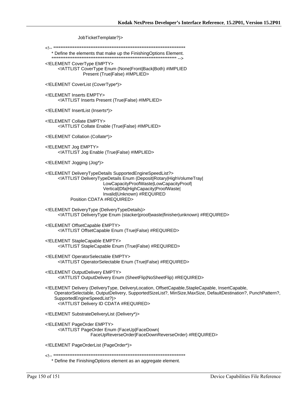JobTicketTemplate?)>

\* Define the elements that make up the FinishingOptions Element. 

<! ELEMENT CoverType EMPTY> <!ATTLIST CoverType Enum (None|Front|Back|Both) #IMPLIED Present (True|False) #IMPLIED>

<!ELEMENT CoverList (CoverType\*)>

<! ELEMENT Inserts EMPTY> <! ATTLIST Inserts Present (True|False) #IMPLIED>

<! ELEMENT InsertList (Inserts\*)>

<! ELEMENT Collate EMPTY> <! ATTLIST Collate Enable (True|False) #IMPLIED>

<! ELEMENT Collation (Collate\*)>

<!ELEMENT Jog EMPTY> <!ATTLIST Jog Enable (True|False) #IMPLIED>

<!ELEMENT Jogging (Jog\*)>

<!ELEMENT DeliveryTypeDetails SupportedEngineSpeedList?> <!ATTLIST DeliveryTypeDetails Enum (Deposit|Rotary|HighVolumeTray| LowCapacityProofWaste|LowCapacityProof| Vertical|Dfa|HighCapacity|ProofWaste| Invalid|Unknown) #REQUIRED Position CDATA #REQUIRED>

<!ELEMENT DeliveryType (DeliveryTypeDetails)> <!ATTLIST DeliveryType Enum (stacker|proof|waste|finisher|unknown) #REQUIRED>

<!ELEMENT OffsetCapable EMPTY> <! ATTLIST Offset Capable Enum (True | False) #REQUIRED>

<! ELEMENT StapleCapable EMPTY> <! ATTLIST Staple Capable Enum (True|False) #REQUIRED>

<! ELEMENT OperatorSelectable EMPTY> <!ATTLIST OperatorSelectable Enum (True|False) #REQUIRED>

<! ELEMENT Output Delivery EMPTY> <!ATTLIST OutputDelivery Enum (SheetFlip|NoSheetFlip) #REQUIRED>

<!ELEMENT Delivery (DeliveryType, DeliveryLocation, OffsetCapable,StapleCapable, InsertCapable, OperatorSelectable, OutputDelivery, SupportedSizeList?, MinSize, MaxSize, DefaultDestination?, PunchPattern?, SupportedEngineSpeedList?)> <! ATTLIST Delivery ID CDATA #REQUIRED>

<! ELEMENT Substrate Delivery List (Delivery\*)>

<! ELEMENT PageOrder EMPTY> <!ATTLIST PageOrder Enum (FaceUp|FaceDown| FaceUpReverseOrder|FaceDownReverseOrder) #REQUIRED>

<!ELEMENT PageOrderList (PageOrder\*)>

\* Define the FinishingOptions element as an aggregate element.